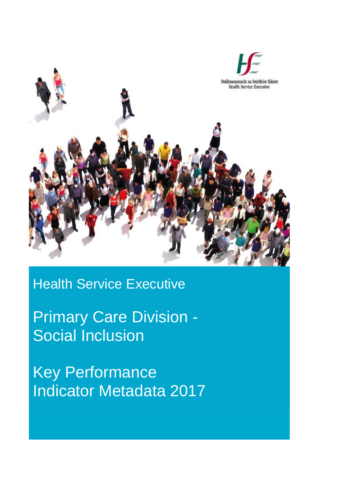

## Health Service Executive

Primary Care Division - Social Inclusion

Key Performance Indicator Metadata 2017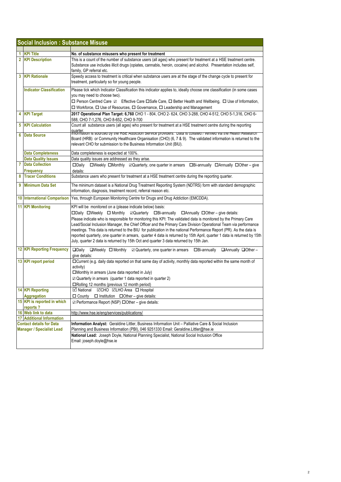|   | 1 KPI Title                                                         | No. of substance misusers who present for treatment                                                                                                                                                                                                                                                                     |
|---|---------------------------------------------------------------------|-------------------------------------------------------------------------------------------------------------------------------------------------------------------------------------------------------------------------------------------------------------------------------------------------------------------------|
|   | 2 KPI Description                                                   | This is a count of the number of substance users (all ages) who present for treatment at a HSE treatment centre.<br>Substance use includes illicit drugs (opiates, cannabis, heroin, cocaine) and alcohol. Presentation includes self,                                                                                  |
|   |                                                                     | family, GP referral etc.                                                                                                                                                                                                                                                                                                |
| 3 | <b>KPI Rationale</b>                                                | Speedy access to treatment is critical when substance users are at the stage of the change cycle to present for<br>treatment, particularly so for young people.                                                                                                                                                         |
|   | <b>Indicator Classification</b>                                     | Please tick which Indicator Classification this indicator applies to, ideally choose one classification (in some cases                                                                                                                                                                                                  |
|   |                                                                     | you may need to choose two).                                                                                                                                                                                                                                                                                            |
|   |                                                                     | □ Person Centred Care ☑ Effective Care □ Safe Care, □ Better Health and Wellbeing, □ Use of Information,                                                                                                                                                                                                                |
|   |                                                                     | $\Box$ Workforce, $\Box$ Use of Resources, $\Box$ Governance, $\Box$ Leadership and Management                                                                                                                                                                                                                          |
|   | 4 KPI Target                                                        | 2017 Operational Plan Target: 6,760 CHO 1 - 804, CHO 2- 624, CHO 3-288, CHO 4-512, CHO 5-1,316, CHO 6-<br>588, CHO 7-1,276, CHO 8-652, CHO 9-700                                                                                                                                                                        |
| 5 | <b>KPI Calculation</b>                                              | Count all substance users (all ages) who present for treatment at a HSE treatment centre during the reporting                                                                                                                                                                                                           |
| 6 | <b>Data Source</b>                                                  | quarter.<br>Imormation is sourced by the HSE Addiction Service providers. Data is collated / verified via the Health Research<br>Board (HRB) or Community Healthcare Organisation (CHO) (6, 7 & 9). The validated information is returned to the<br>relevant CHO for submission to the Business Information Unit (BIU). |
|   | <b>Data Completeness</b>                                            | Data completeness is expected at 100%.                                                                                                                                                                                                                                                                                  |
|   | <b>Data Quality Issues</b>                                          | Data quality issues are addressed as they arise.                                                                                                                                                                                                                                                                        |
| 7 | <b>Data Collection</b>                                              | □Weekly □Monthly ⊠Quarterly, one quarter in arrears □Bi-annually □Annually □Other - give<br>$\square$ Daily                                                                                                                                                                                                             |
|   | <b>Frequency</b>                                                    | details:                                                                                                                                                                                                                                                                                                                |
| 8 | <b>Tracer Conditions</b>                                            | Substance users who present for treatment at a HSE treatment centre during the reporting quarter.                                                                                                                                                                                                                       |
| 9 | <b>Minimum Data Set</b>                                             | The minimum dataset is a National Drug Treatment Reporting System (NDTRS) form with standard demographic<br>information, diagnosis, treatment record, referral reason etc.                                                                                                                                              |
|   | 10 International Comparison                                         | Yes, through European Monitoring Centre for Drugs and Drug Addiction (EMCDDA).                                                                                                                                                                                                                                          |
|   | <b>11 KPI Monitoring</b>                                            | KPI will be monitored on a (please indicate below) basis:                                                                                                                                                                                                                                                               |
|   |                                                                     | □Daily □Weekly □ Monthly □Quarterly □Bi-annually □Annually □Other - give details:                                                                                                                                                                                                                                       |
|   |                                                                     | Please indicate who is responsible for monitoring this KPI: The validated data is monitored by the Primary Care                                                                                                                                                                                                         |
|   |                                                                     | Lead/Social Inclusion Manager, the Chief Officer and the Primary Care Division Operational Team via performance                                                                                                                                                                                                         |
|   |                                                                     | meetings. This data is returned to the BIU for publication in the national Performance Report (PR). As the data is                                                                                                                                                                                                      |
|   |                                                                     | reported quarterly, one quarter in arrears, quarter 4 data is returned by 15th April, quarter 1 data is returned by 15th                                                                                                                                                                                                |
|   |                                                                     | July, quarter 2 data is returned by 15th Oct and quarter 3 data returned by 15th Jan.                                                                                                                                                                                                                                   |
|   | <b>12 KPI Reporting Frequency</b>                                   | $\Box$ Daily<br>$\square$ Weekly $\square$ Monthly $\square$ Quarterly, one quarter in arrears $\square$ Bi-annually<br>□Annually □Other-                                                                                                                                                                               |
|   |                                                                     | give details:                                                                                                                                                                                                                                                                                                           |
|   | 13 KPI report period                                                | $\Box$ Current (e.g. daily data reported on that same day of activity, monthly data reported within the same month of                                                                                                                                                                                                   |
|   |                                                                     | activity)                                                                                                                                                                                                                                                                                                               |
|   |                                                                     | □Monthly in arrears (June data reported in July)                                                                                                                                                                                                                                                                        |
|   |                                                                     | $\boxtimes$ Quarterly in arrears (quarter 1 data reported in quarter 2)                                                                                                                                                                                                                                                 |
|   |                                                                     | □Rolling 12 months (previous 12 month period)                                                                                                                                                                                                                                                                           |
|   | <b>14 KPI Reporting</b>                                             | ☑ National ☑CHO ☑LHO Area □ Hospital                                                                                                                                                                                                                                                                                    |
|   | Aggregation                                                         | $\Box$ County $\Box$ Institution $\Box$ Other – give details:                                                                                                                                                                                                                                                           |
|   | 15 KPI is reported in which                                         | ☑ Performance Report (NSP) □ Other - give details:                                                                                                                                                                                                                                                                      |
|   | reports?                                                            |                                                                                                                                                                                                                                                                                                                         |
|   | 16 Web link to data                                                 | http://www.hse.ie/eng/services/publications/                                                                                                                                                                                                                                                                            |
|   | 17 Additional Information                                           |                                                                                                                                                                                                                                                                                                                         |
|   | <b>Contact details for Data</b><br><b>Manager / Specialist Lead</b> | Information Analyst: Geraldine Littler, Business Information Unit - Palliative Care & Social Inclusion<br>Planning and Business Information (PBI), 046 9251330 Email: Geraldine.Littler@hse.ie                                                                                                                          |
|   |                                                                     | National Lead: Joseph Doyle, National Planning Specialist, National Social Inclusion Office<br>Email: joseph.doyle@hse.ie                                                                                                                                                                                               |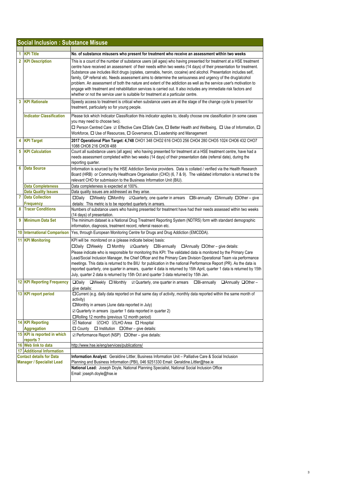| 1.             | <b>KPI Title</b>                                                    | No. of substance misusers who present for treatment who receive an assessment within two weeks                                                                                                                                                                                                                                                                                                                                                                                                                                                                                                                                                                                                                                                                                                             |
|----------------|---------------------------------------------------------------------|------------------------------------------------------------------------------------------------------------------------------------------------------------------------------------------------------------------------------------------------------------------------------------------------------------------------------------------------------------------------------------------------------------------------------------------------------------------------------------------------------------------------------------------------------------------------------------------------------------------------------------------------------------------------------------------------------------------------------------------------------------------------------------------------------------|
| $\overline{2}$ | <b>KPI Description</b>                                              | This is a count of the number of substance users (all ages) who having presented for treatment at a HSE treatment<br>centre have received an assessment of their needs within two weeks (14 days) of their presentation for treatment.<br>Substance use includes illicit drugs (opiates, cannabis, heroin, cocaine) and alcohol. Presentation includes self,<br>family, GP referral etc. Needs assessment aims to determine the seriousness and urgency of the drug/alcohol<br>problem. An assessment of both the nature and extent of the addiction as well as the service user's motivation to<br>engage with treatment and rehabilitation services is carried out. It also includes any immediate risk factors and<br>whether or not the service user is suitable for treatment at a particular centre. |
| 3              | <b>KPI Rationale</b>                                                | Speedy access to treatment is critical when substance users are at the stage of the change cycle to present for<br>treatment, particularly so for young people.                                                                                                                                                                                                                                                                                                                                                                                                                                                                                                                                                                                                                                            |
|                | <b>Indicator Classification</b>                                     | Please tick which Indicator Classification this indicator applies to, ideally choose one classification (in some cases<br>you may need to choose two).<br>□ Person Centred Care 2 Effective Care □ Safe Care, □ Better Health and Wellbeing, □ Use of Information, □<br>Workforce, □ Use of Resources, □ Governance, □ Leadership and Management                                                                                                                                                                                                                                                                                                                                                                                                                                                           |
| 4              | <b>KPI Target</b>                                                   | 2017 Operational Plan Target: 4,748 CHO1 348 CHO2 616 CHO3 256 CHO4 280 CHO5 1024 CHO6 432 CHO7<br>1088 CHO8 216 CHO9 488                                                                                                                                                                                                                                                                                                                                                                                                                                                                                                                                                                                                                                                                                  |
| 5              | <b>KPI Calculation</b>                                              | Count all susbstance users (all ages) who having presented for treatment at a HSE treatment centre, have had a<br>needs assessment completed within two weeks (14 days) of their presentation date (referral date), during the<br>reporting quarter.                                                                                                                                                                                                                                                                                                                                                                                                                                                                                                                                                       |
| 6              | <b>Data Source</b>                                                  | Information is sourced by the HSE Addiction Service providers. Data is collated / verified via the Health Research<br>Board (HRB) or Community Healthcare Organisation (CHO) (6, 7 & 9). The validated information is returned to the<br>relevant CHO for submission to the Business Information Unit (BIU).                                                                                                                                                                                                                                                                                                                                                                                                                                                                                               |
|                | <b>Data Completeness</b>                                            | Data completeness is expected at 100%.                                                                                                                                                                                                                                                                                                                                                                                                                                                                                                                                                                                                                                                                                                                                                                     |
|                | <b>Data Quality Issues</b>                                          | Data quality issues are addressed as they arise.                                                                                                                                                                                                                                                                                                                                                                                                                                                                                                                                                                                                                                                                                                                                                           |
| 7              | <b>Data Collection</b>                                              | □Daily □Weekly □Monthly □Quarterly, one quarter in arrears □Bi-annually □Annually □Other - give                                                                                                                                                                                                                                                                                                                                                                                                                                                                                                                                                                                                                                                                                                            |
| 8              | <b>Frequency</b><br><b>Tracer Conditions</b>                        | details: This metric is to be reported quarterly in arrears.                                                                                                                                                                                                                                                                                                                                                                                                                                                                                                                                                                                                                                                                                                                                               |
|                |                                                                     | Numbers of substance users who having presented for treatment have had their needs assessed within two weeks<br>(14 days) of presentation.                                                                                                                                                                                                                                                                                                                                                                                                                                                                                                                                                                                                                                                                 |
| 9              | <b>Minimum Data Set</b>                                             | The minimum dataset is a National Drug Treatment Reporting System (NDTRS) form with standard demographic<br>information, diagnosis, treatment record, referral reason etc.                                                                                                                                                                                                                                                                                                                                                                                                                                                                                                                                                                                                                                 |
|                | <b>10 International Comparison</b>                                  | Yes, through European Monitoring Centre for Drugs and Drug Addiction (EMCDDA).                                                                                                                                                                                                                                                                                                                                                                                                                                                                                                                                                                                                                                                                                                                             |
|                | 11 KPI Monitoring                                                   | KPI will be monitored on a (please indicate below) basis:<br>□Daily □Weekly □ Monthly ☑ Quarterly □Bi-annually □ Annually □ Other – give details:<br>Please indicate who is responsible for monitoring this KPI: The validated data is monitored by the Primary Care<br>Lead/Social Inclusion Manager, the Chief Officer and the Primary Care Division Operational Team via performance<br>meetings. This data is returned to the BIU for publication in the national Performance Report (PR). As the data is<br>reported quarterly, one quarter in arrears, quarter 4 data is returned by 15th April, quarter 1 data is returned by 15th<br>July, quarter 2 data is returned by 15th Oct and quarter 3 data returned by 15th Jan.                                                                         |
|                | <b>12 KPI Reporting Frequency</b>                                   | $\square$ Daily<br>$\Box$ Weekly $\Box$ Monthly<br>$\boxtimes$ Quarterly, one quarter in arrears<br>$\Box$ Bi-annually<br>□Annually □Other-<br>give details:                                                                                                                                                                                                                                                                                                                                                                                                                                                                                                                                                                                                                                               |
|                | 13 KPI report period                                                | DCurrent (e.g. daily data reported on that same day of activity, monthly data reported within the same month of<br>activity)<br>□Monthly in arrears (June data reported in July)<br>☑ Quarterly in arrears (quarter 1 data reported in quarter 2)<br>□Rolling 12 months (previous 12 month period)                                                                                                                                                                                                                                                                                                                                                                                                                                                                                                         |
|                | <b>14 KPI Reporting</b>                                             | ⊠CHO <b>ØLHO</b> Area <b>□</b> Hospital<br><b>⊠</b> National                                                                                                                                                                                                                                                                                                                                                                                                                                                                                                                                                                                                                                                                                                                                               |
|                | <b>Aggregation</b>                                                  | $\Box$ County $\Box$ Institution $\Box$ Other – give details:                                                                                                                                                                                                                                                                                                                                                                                                                                                                                                                                                                                                                                                                                                                                              |
|                | 15 KPI is reported in which<br>reports?                             | $\boxtimes$ Performance Report (NSP) $\Box$ Other – give details:                                                                                                                                                                                                                                                                                                                                                                                                                                                                                                                                                                                                                                                                                                                                          |
|                | 16 Web link to data                                                 | http://www.hse.ie/eng/services/publications/                                                                                                                                                                                                                                                                                                                                                                                                                                                                                                                                                                                                                                                                                                                                                               |
|                | 17 Additional Information                                           |                                                                                                                                                                                                                                                                                                                                                                                                                                                                                                                                                                                                                                                                                                                                                                                                            |
|                | <b>Contact details for Data</b><br><b>Manager / Specialist Lead</b> | Information Analyst: Geraldine Littler, Business Information Unit - Palliative Care & Social Inclusion<br>Planning and Business Information (PBI), 046 9251330 Email: Geraldine.Littler@hse.ie                                                                                                                                                                                                                                                                                                                                                                                                                                                                                                                                                                                                             |
|                |                                                                     | National Lead: Joseph Doyle, National Planning Specialist, National Social Inclusion Office<br>Email: joseph.doyle@hse.ie                                                                                                                                                                                                                                                                                                                                                                                                                                                                                                                                                                                                                                                                                  |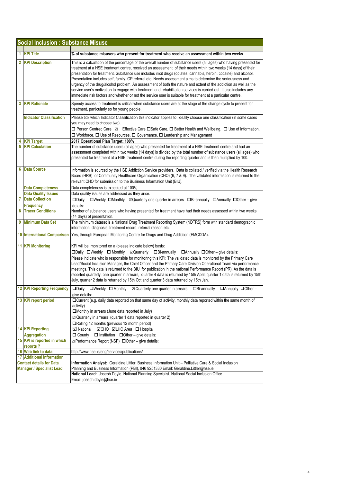|   | <b>Social Inclusion: Substance Misuse</b>                           |                                                                                                                                                                                                                                                                                                                                                                                                                                                                                                                                                                                                                                                                                                                                                                                                                                        |
|---|---------------------------------------------------------------------|----------------------------------------------------------------------------------------------------------------------------------------------------------------------------------------------------------------------------------------------------------------------------------------------------------------------------------------------------------------------------------------------------------------------------------------------------------------------------------------------------------------------------------------------------------------------------------------------------------------------------------------------------------------------------------------------------------------------------------------------------------------------------------------------------------------------------------------|
| 1 | <b>KPI Title</b>                                                    | % of substance misusers who present for treatment who receive an assessment within two weeks                                                                                                                                                                                                                                                                                                                                                                                                                                                                                                                                                                                                                                                                                                                                           |
| 2 | <b>KPI Description</b>                                              | This is a calculation of the percentage of the overall number of substance users (all ages) who having presented for<br>treatment at a HSE treatment centre, received an assessment of their needs within two weeks (14 days) of their<br>presentation for treatment. Substance use includes illicit drugs (opiates, cannabis, heroin, cocaine) and alcohol.<br>Presentation includes self, family, GP referral etc. Needs assessment aims to determine the seriousness and<br>urgency of the drug/alcohol problem. An assessment of both the nature and extent of the addiction as well as the<br>service user's motivation to engage with treatment and rehabilitation services is carried out. It also includes any<br>immediate risk factors and whether or not the service user is suitable for treatment at a particular centre. |
| 3 | <b>KPI Rationale</b>                                                | Speedy access to treatment is critical when substance users are at the stage of the change cycle to present for<br>treatment, particularly so for young people.                                                                                                                                                                                                                                                                                                                                                                                                                                                                                                                                                                                                                                                                        |
|   | <b>Indicator Classification</b>                                     | Please tick which Indicator Classification this indicator applies to, ideally choose one classification (in some cases<br>you may need to choose two).<br>□ Person Centred Care ☑ Effective Care □Safe Care, □ Better Health and Wellbeing, □ Use of Information,<br>□ Workforce, □ Use of Resources, □ Governance, □ Leadership and Management                                                                                                                                                                                                                                                                                                                                                                                                                                                                                        |
|   | <b>KPI Target</b>                                                   | 2017 Operational Plan Target: 100%                                                                                                                                                                                                                                                                                                                                                                                                                                                                                                                                                                                                                                                                                                                                                                                                     |
| 5 | <b>KPI Calculation</b>                                              | The number of substance users (all ages) who presented for treatment at a HSE treatment centre and had an<br>assessment completed within two weeks (14 days) is divided by the total number of substance users (all ages) who<br>presented for treatment at a HSE treatment centre during the reporting quarter and is then multiplied by 100.                                                                                                                                                                                                                                                                                                                                                                                                                                                                                         |
| 6 | <b>Data Source</b>                                                  | Information is sourced by the HSE Addiction Service providers. Data is collated / verified via the Health Research<br>Board (HRB) or Community Healthcare Organisation (CHO) (6, 7 & 9). The validated information is returned to the<br>relevant CHO for submission to the Business Information Unit (BIU).                                                                                                                                                                                                                                                                                                                                                                                                                                                                                                                           |
|   | <b>Data Completeness</b>                                            | Data completeness is expected at 100%.                                                                                                                                                                                                                                                                                                                                                                                                                                                                                                                                                                                                                                                                                                                                                                                                 |
|   | <b>Data Quality Issues</b>                                          | Data quality issues are addressed as they arise.                                                                                                                                                                                                                                                                                                                                                                                                                                                                                                                                                                                                                                                                                                                                                                                       |
| 7 | <b>Data Collection</b><br>Frequency                                 | □Weekly □Monthly 2Quarterly one quarter in arrears □Bi-annually □Annually □Other - give<br>$\square$ Daily<br>details:                                                                                                                                                                                                                                                                                                                                                                                                                                                                                                                                                                                                                                                                                                                 |
| 8 | <b>Tracer Conditions</b>                                            | Number of substance users who having presented for treatment have had their needs assessed within two weeks<br>(14 days) of presentation.                                                                                                                                                                                                                                                                                                                                                                                                                                                                                                                                                                                                                                                                                              |
| 9 | <b>Minimum Data Set</b>                                             | The minimum dataset is a National Drug Treatment Reporting System (NDTRS) form with standard demographic<br>information, diagnosis, treatment record, referral reason etc.                                                                                                                                                                                                                                                                                                                                                                                                                                                                                                                                                                                                                                                             |
|   | <b>10 International Comparison</b>                                  | Yes, through European Monitoring Centre for Drugs and Drug Addiction (EMCDDA).                                                                                                                                                                                                                                                                                                                                                                                                                                                                                                                                                                                                                                                                                                                                                         |
|   | <b>11 KPI Monitoring</b>                                            | KPI will be monitored on a (please indicate below) basis:<br>□Daily □Weekly □ Monthly ☑ Quarterly □Bi-annually □ Annually □ Other – give details:<br>Please indicate who is responsible for monitoring this KPI: The validated data is monitored by the Primary Care<br>Lead/Social Inclusion Manager, the Chief Officer and the Primary Care Division Operational Team via performance<br>meetings. This data is returned to the BIU for publication in the national Performance Report (PR). As the data is<br>reported quarterly, one quarter in arrears, quarter 4 data is returned by 15th April, quarter 1 data is returned by 15th<br>July, quarter 2 data is returned by 15th Oct and quarter 3 data returned by 15th Jan.                                                                                                     |
|   | <b>12 KPI Reporting Frequency</b>                                   | □Daily □Weekly □ Monthly ☑ Quarterly one quarter in arrears □Bi-annually □ Annually □ Other –<br>give details:                                                                                                                                                                                                                                                                                                                                                                                                                                                                                                                                                                                                                                                                                                                         |
|   | 13 KPI report period                                                | □ Current (e.g. daily data reported on that same day of activity, monthly data reported within the same month of<br>activity)<br>$\square$ Monthly in arrears (June data reported in July)<br>$\boxtimes$ Quarterly in arrears (quarter 1 data reported in quarter 2)<br>□Rolling 12 months (previous 12 month period)                                                                                                                                                                                                                                                                                                                                                                                                                                                                                                                 |
|   | <b>14 KPI Reporting</b><br><b>Aggregation</b>                       | <b>⊠CHO <b>ØLHO</b> Area □ Hospital</b><br><b>⊠</b> National<br>$\Box$ County $\Box$ Institution $\Box$ Other – give details:                                                                                                                                                                                                                                                                                                                                                                                                                                                                                                                                                                                                                                                                                                          |
|   | 15 KPI is reported in which                                         | ☑ Performance Report (NSP) □ Other - give details:                                                                                                                                                                                                                                                                                                                                                                                                                                                                                                                                                                                                                                                                                                                                                                                     |
|   | reports?                                                            |                                                                                                                                                                                                                                                                                                                                                                                                                                                                                                                                                                                                                                                                                                                                                                                                                                        |
|   | 16 Web link to data                                                 | http://www.hse.ie/eng/services/publications/                                                                                                                                                                                                                                                                                                                                                                                                                                                                                                                                                                                                                                                                                                                                                                                           |
|   | <b>17 Additional Information</b>                                    |                                                                                                                                                                                                                                                                                                                                                                                                                                                                                                                                                                                                                                                                                                                                                                                                                                        |
|   | <b>Contact details for Data</b><br><b>Manager / Specialist Lead</b> | Information Analyst: Geraldine Littler, Business Information Unit - Palliative Care & Social Inclusion<br>Planning and Business Information (PBI), 046 9251330 Email: Geraldine.Littler@hse.ie                                                                                                                                                                                                                                                                                                                                                                                                                                                                                                                                                                                                                                         |
|   |                                                                     | National Lead: Joseph Doyle, National Planning Specialist, National Social Inclusion Office<br>Email: joseph.doyle@hse.ie                                                                                                                                                                                                                                                                                                                                                                                                                                                                                                                                                                                                                                                                                                              |
|   |                                                                     |                                                                                                                                                                                                                                                                                                                                                                                                                                                                                                                                                                                                                                                                                                                                                                                                                                        |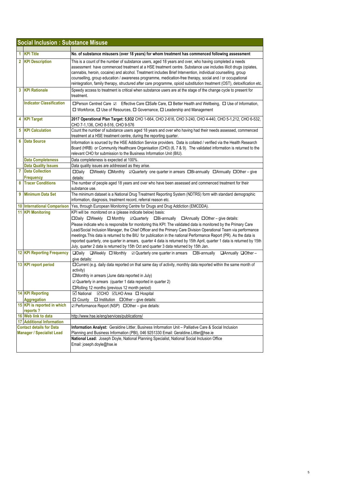|   | <b>Social Inclusion: Substance Misuse</b>                           |                                                                                                                                                                                                                                                                                                                                                                                                                                                                                                                                                                                                                                                                                                                                    |
|---|---------------------------------------------------------------------|------------------------------------------------------------------------------------------------------------------------------------------------------------------------------------------------------------------------------------------------------------------------------------------------------------------------------------------------------------------------------------------------------------------------------------------------------------------------------------------------------------------------------------------------------------------------------------------------------------------------------------------------------------------------------------------------------------------------------------|
|   |                                                                     |                                                                                                                                                                                                                                                                                                                                                                                                                                                                                                                                                                                                                                                                                                                                    |
|   | 1 KPI Title                                                         | No. of substance misusers (over 18 years) for whom treatment has commenced following assessment                                                                                                                                                                                                                                                                                                                                                                                                                                                                                                                                                                                                                                    |
|   | 2 KPI Description                                                   | This is a count of the number of substance users, aged 18 years and over, who having completed a needs<br>assessment have commenced treatment at a HSE treatment centre. Substance use includes illicit drugs (opiates,<br>cannabis, heroin, cocaine) and alcohol. Treatment includes Brief Intervention, individual counselling, group<br>counselling, group education / awareness programme, medication-free therapy, social and / or occupational<br>reintegration, family therapy, structured after care programme, opioid substitution treatment (OST), detoxification etc.                                                                                                                                                   |
| 3 | <b>KPI Rationale</b>                                                | Speedy access to treatment is critical when substance users are at the stage of the change cycle to present for<br>treatment.                                                                                                                                                                                                                                                                                                                                                                                                                                                                                                                                                                                                      |
|   | <b>Indicator Classification</b>                                     | □Person Centred Care ☑ Effective Care □Safe Care, □ Better Health and Wellbeing, □ Use of Information,<br>$\Box$ Workforce, $\Box$ Use of Resources, $\Box$ Governance, $\Box$ Leadership and Management                                                                                                                                                                                                                                                                                                                                                                                                                                                                                                                           |
|   | 4 KPI Target                                                        | 2017 Operational Plan Target: 5,932 CHO 1-664, CHO 2-616, CHO 3-240, CHO 4-440, CHO 5-1,212, CHO 6-532,<br>CHO 7-1,136, CHO 8-516, CHO 9-576                                                                                                                                                                                                                                                                                                                                                                                                                                                                                                                                                                                       |
| 5 | <b>KPI Calculation</b>                                              | Count the number of substance users aged 18 years and over who having had their needs assessed, commenced<br>treatment at a HSE treatment centre, during the reporting quarter.                                                                                                                                                                                                                                                                                                                                                                                                                                                                                                                                                    |
| 6 | <b>Data Source</b>                                                  | Information is sourced by the HSE Addiction Service providers. Data is collated / verified via the Health Research<br>Board (HRB) or Community Healthcare Organisation (CHO) (6, 7 & 9). The validated information is returned to the<br>relevant CHO for submission to the Business Information Unit (BIU).                                                                                                                                                                                                                                                                                                                                                                                                                       |
|   | <b>Data Completeness</b>                                            | Data completeness is expected at 100%.                                                                                                                                                                                                                                                                                                                                                                                                                                                                                                                                                                                                                                                                                             |
|   | <b>Data Quality Issues</b>                                          | Data quality issues are addressed as they arise.                                                                                                                                                                                                                                                                                                                                                                                                                                                                                                                                                                                                                                                                                   |
| 7 | <b>Data Collection</b><br><b>Frequency</b>                          | □Weekly □Monthly 2Quarterly one quarter in arrears □Bi-annually □Annually □Other - give<br>$\square$ Daily<br>details:                                                                                                                                                                                                                                                                                                                                                                                                                                                                                                                                                                                                             |
| 8 | <b>Tracer Conditions</b>                                            | The number of people aged 18 years and over who have been assessed and commenced treatment for their                                                                                                                                                                                                                                                                                                                                                                                                                                                                                                                                                                                                                               |
|   |                                                                     | substance use.                                                                                                                                                                                                                                                                                                                                                                                                                                                                                                                                                                                                                                                                                                                     |
| 9 | <b>Minimum Data Set</b>                                             | The minimum dataset is a National Drug Treatment Reporting System (NDTRS) form with standard demographic<br>information, diagnosis, treatment record, referral reason etc.                                                                                                                                                                                                                                                                                                                                                                                                                                                                                                                                                         |
|   | 10 International Comparison                                         | Yes, through European Monitoring Centre for Drugs and Drug Addiction (EMCDDA).                                                                                                                                                                                                                                                                                                                                                                                                                                                                                                                                                                                                                                                     |
|   | <b>11 KPI Monitoring</b>                                            | KPI will be monitored on a (please indicate below) basis:<br>□Daily □Weekly □ Monthly □ Quarterly □Bi-annually □ Annually □ Other – give details:<br>Please indicate who is responsible for monitoring this KPI: The validated data is monitored by the Primary Care<br>Lead/Social Inclusion Manager, the Chief Officer and the Primary Care Division Operational Team via performance<br>meetings. This data is returned to the BIU for publication in the national Performance Report (PR). As the data is<br>reported quarterly, one quarter in arrears, quarter 4 data is returned by 15th April, quarter 1 data is returned by 15th<br>July, quarter 2 data is returned by 15th Oct and quarter 3 data returned by 15th Jan. |
|   | <b>12 KPI Reporting Frequency</b>                                   | $\square$ Daily<br>$\Box$ Weekly $\Box$ Monthly $\Box$ Quarterly one quarter in arrears<br>$\Box$ Annually $\Box$ Other -<br>$\Box$ Bi-annually<br>give details:                                                                                                                                                                                                                                                                                                                                                                                                                                                                                                                                                                   |
|   | 13 KPI report period                                                | $\Box$ Current (e.g. daily data reported on that same day of activity, monthly data reported within the same month of<br>activity)<br>□Monthly in arrears (June data reported in July)<br>$\boxtimes$ Quarterly in arrears (quarter 1 data reported in quarter 2)<br>□Rolling 12 months (previous 12 month period)                                                                                                                                                                                                                                                                                                                                                                                                                 |
|   | <b>14 KPI Reporting</b>                                             | <b>Ø</b> National ØCHO ØLHO Area □ Hospital                                                                                                                                                                                                                                                                                                                                                                                                                                                                                                                                                                                                                                                                                        |
|   | <b>Aggregation</b>                                                  | $\Box$ County $\Box$ Institution $\Box$ Other – give details:                                                                                                                                                                                                                                                                                                                                                                                                                                                                                                                                                                                                                                                                      |
|   | 15 KPI is reported in which<br>reports?                             | ☑ Performance Report (NSP) □ Other - give details:                                                                                                                                                                                                                                                                                                                                                                                                                                                                                                                                                                                                                                                                                 |
|   | 16 Web link to data                                                 | http://www.hse.ie/eng/services/publications/                                                                                                                                                                                                                                                                                                                                                                                                                                                                                                                                                                                                                                                                                       |
|   | 17 Additional Information                                           |                                                                                                                                                                                                                                                                                                                                                                                                                                                                                                                                                                                                                                                                                                                                    |
|   | <b>Contact details for Data</b><br><b>Manager / Specialist Lead</b> | Information Analyst: Geraldine Littler, Business Information Unit - Palliative Care & Social Inclusion<br>Planning and Business Information (PBI), 046 9251330 Email: Geraldine.Littler@hse.ie                                                                                                                                                                                                                                                                                                                                                                                                                                                                                                                                     |
|   |                                                                     | National Lead: Joseph Doyle, National Planning Specialist, National Social Inclusion Office<br>Email: joseph.doyle@hse.ie                                                                                                                                                                                                                                                                                                                                                                                                                                                                                                                                                                                                          |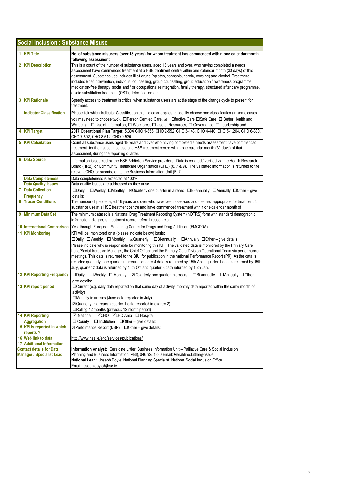|    | <b>Social Inclusion: Substance Misuse</b>               |                                                                                                                                                                                                                                                                                                                                                                                                                                                                                                                                                                                                                                                                                                                                    |  |
|----|---------------------------------------------------------|------------------------------------------------------------------------------------------------------------------------------------------------------------------------------------------------------------------------------------------------------------------------------------------------------------------------------------------------------------------------------------------------------------------------------------------------------------------------------------------------------------------------------------------------------------------------------------------------------------------------------------------------------------------------------------------------------------------------------------|--|
|    |                                                         |                                                                                                                                                                                                                                                                                                                                                                                                                                                                                                                                                                                                                                                                                                                                    |  |
| 1. | <b>KPI Title</b>                                        | No. of substance misusers (over 18 years) for whom treatment has commenced within one calendar month<br>following assessment                                                                                                                                                                                                                                                                                                                                                                                                                                                                                                                                                                                                       |  |
|    | 2 KPI Description                                       | This is a count of the number of substance users, aged 18 years and over, who having completed a needs<br>assessment have commenced treatment at a HSE treatment centre within one calendar month (30 days) of this<br>assessment. Substance use includes illicit drugs (opiates, cannabis, heroin, cocaine) and alcohol. Treatment<br>includes Brief Intervention, individual counselling, group counselling, group education / awareness programme,<br>medication-free therapy, social and / or occupational reintegration, family therapy, structured after care programme,<br>opioid substitution treatment (OST), detoxification etc.                                                                                         |  |
|    | 3 KPI Rationale                                         | Speedy access to treatment is critical when substance users are at the stage of the change cycle to present for<br>treatment.                                                                                                                                                                                                                                                                                                                                                                                                                                                                                                                                                                                                      |  |
|    | <b>Indicator Classification</b>                         | Please tick which Indicator Classification this indicator applies to, ideally choose one classification (in some cases<br>you may need to choose two). □ Person Centred Care, ☑ Effective Care □ Safe Care, □ Better Health and<br>Wellbeing, $\Box$ Use of Information, $\Box$ Workforce, $\Box$ Use of Resources, $\Box$ Governance, $\Box$ Leadership and                                                                                                                                                                                                                                                                                                                                                                       |  |
|    | 4 KPI Target                                            | 2017 Operational Plan Target: 5,304 CHO 1-656, CHO 2-552, CHO 3-148, CHO 4-440, CHO 5-1,204, CHO 6-380,<br>CHO 7-892, CHO 8-512, CHO 9-520                                                                                                                                                                                                                                                                                                                                                                                                                                                                                                                                                                                         |  |
| 5  | <b>KPI Calculation</b>                                  | Count all substance users aged 18 years and over who having completed a needs assessment have commenced<br>treatment for their substance use at a HSE treatment centre within one calendar month (30 days) of that<br>assessment, during the reporting quarter.                                                                                                                                                                                                                                                                                                                                                                                                                                                                    |  |
| 6  | <b>Data Source</b>                                      | Information is sourced by the HSE Addiction Service providers. Data is collated / verified via the Health Research<br>Board (HRB) or Community Healthcare Organisation (CHO) (6, 7 & 9). The validated information is returned to the<br>relevant CHO for submission to the Business Information Unit (BIU).                                                                                                                                                                                                                                                                                                                                                                                                                       |  |
|    | <b>Data Completeness</b>                                | Data completeness is expected at 100%.                                                                                                                                                                                                                                                                                                                                                                                                                                                                                                                                                                                                                                                                                             |  |
|    | <b>Data Quality Issues</b>                              | Data quality issues are addressed as they arise.                                                                                                                                                                                                                                                                                                                                                                                                                                                                                                                                                                                                                                                                                   |  |
| 7  | <b>Data Collection</b><br>Frequency                     | □Weekly □Monthly ⊠Quarterly one quarter in arrears □Bi-annually □Annually □Other - give<br>$\square$ Daily<br>details:                                                                                                                                                                                                                                                                                                                                                                                                                                                                                                                                                                                                             |  |
| 8  | <b>Tracer Conditions</b>                                | The number of people aged 18 years and over who have been assessed and deemed appropriate for treatment for<br>substance use at a HSE treatment centre and have commenced treatment within one calendar month of                                                                                                                                                                                                                                                                                                                                                                                                                                                                                                                   |  |
| 9  | <b>Minimum Data Set</b>                                 | The minimum dataset is a National Drug Treatment Reporting System (NDTRS) form with standard demographic<br>information, diagnosis, treatment record, referral reason etc.                                                                                                                                                                                                                                                                                                                                                                                                                                                                                                                                                         |  |
|    | <b>10 International Comparison</b>                      | Yes, through European Monitoring Centre for Drugs and Drug Addiction (EMCDDA).                                                                                                                                                                                                                                                                                                                                                                                                                                                                                                                                                                                                                                                     |  |
|    | 11 KPI Monitoring                                       | KPI will be monitored on a (please indicate below) basis:<br>□Daily □Weekly □ Monthly □ Quarterly □Bi-annually □ Annually □ Other – give details:<br>Please indicate who is responsible for monitoring this KPI: The validated data is monitored by the Primary Care<br>Lead/Social Inclusion Manager, the Chief Officer and the Primary Care Division Operational Team via performance<br>meetings. This data is returned to the BIU for publication in the national Performance Report (PR). As the data is<br>reported quarterly, one quarter in arrears, quarter 4 data is returned by 15th April, quarter 1 data is returned by 15th<br>July, quarter 2 data is returned by 15th Oct and quarter 3 data returned by 15th Jan. |  |
|    | <b>12 KPI Reporting Frequency</b>                       | $\square$ Daily<br>$\Box$ Weekly $\Box$ Monthly $\Box$ Quarterly one quarter in arrears $\Box$ Bi-annually<br>□Annually □Other-<br>give details:                                                                                                                                                                                                                                                                                                                                                                                                                                                                                                                                                                                   |  |
|    | 13 KPI report period                                    | □Current (e.g. daily data reported on that same day of activity, monthly data reported within the same month of<br>activity)<br>□Monthly in arrears (June data reported in July)<br>$\boxtimes$ Quarterly in arrears (quarter 1 data reported in quarter 2)<br>□Rolling 12 months (previous 12 month period)                                                                                                                                                                                                                                                                                                                                                                                                                       |  |
|    | <b>14 KPI Reporting</b>                                 | <b>⊠</b> National<br>⊠CHO <b>ØLHO</b> Area <b>□</b> Hospital                                                                                                                                                                                                                                                                                                                                                                                                                                                                                                                                                                                                                                                                       |  |
|    | <b>Aggregation</b><br>15 KPI is reported in which       | $\Box$ County<br>$\Box$ Institution $\Box$ Other – give details:<br>$\Box$ Performance Report (NSP) $\Box$ Other – give details:                                                                                                                                                                                                                                                                                                                                                                                                                                                                                                                                                                                                   |  |
|    | reports?                                                |                                                                                                                                                                                                                                                                                                                                                                                                                                                                                                                                                                                                                                                                                                                                    |  |
|    | 16 Web link to data<br><b>17 Additional Information</b> | http://www.hse.ie/eng/services/publications/                                                                                                                                                                                                                                                                                                                                                                                                                                                                                                                                                                                                                                                                                       |  |
|    | <b>Contact details for Data</b>                         | Information Analyst: Geraldine Littler, Business Information Unit - Palliative Care & Social Inclusion                                                                                                                                                                                                                                                                                                                                                                                                                                                                                                                                                                                                                             |  |
|    | <b>Manager / Specialist Lead</b>                        | Planning and Business Information (PBI), 046 9251330 Email: Geraldine.Littler@hse.ie<br>National Lead: Joseph Doyle, National Planning Specialist, National Social Inclusion Office<br>Email: joseph.doyle@hse.ie                                                                                                                                                                                                                                                                                                                                                                                                                                                                                                                  |  |
|    |                                                         |                                                                                                                                                                                                                                                                                                                                                                                                                                                                                                                                                                                                                                                                                                                                    |  |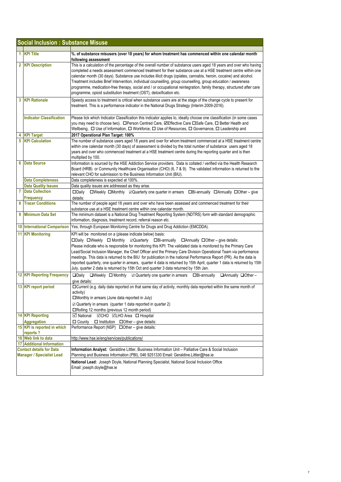|   | <b>Social Inclusion: Substance Misuse</b>                           |                                                                                                                                                                                                                                                                                                                                                                                                                                                                                                                                                                                                                                                                                                                                    |
|---|---------------------------------------------------------------------|------------------------------------------------------------------------------------------------------------------------------------------------------------------------------------------------------------------------------------------------------------------------------------------------------------------------------------------------------------------------------------------------------------------------------------------------------------------------------------------------------------------------------------------------------------------------------------------------------------------------------------------------------------------------------------------------------------------------------------|
| 1 | <b>KPI Title</b>                                                    | %. of substance misusers (over 18 years) for whom treatment has commenced within one calendar month                                                                                                                                                                                                                                                                                                                                                                                                                                                                                                                                                                                                                                |
|   |                                                                     | following assessment                                                                                                                                                                                                                                                                                                                                                                                                                                                                                                                                                                                                                                                                                                               |
|   | 2 KPI Description                                                   | This is a calculation of the percentage of the overall number of substance users aged 18 years and over who having<br>completed a needs assessment commenced treatment for their substance use at a HSE treatment centre within one<br>calendar month (30 days). Substance use includes illicit drugs (opiates, cannabis, heroin, cocaine) and alcohol.<br>Treatment includes Brief Intervention, individual counselling, group counselling, group education / awareness<br>programme, medication-free therapy, social and / or occupational reintegration, family therapy, structured after care<br>programme, opioid substitution treatment (OST), detoxification etc.                                                           |
|   | <b>3 KPI Rationale</b>                                              | Speedy access to treatment is critical when substance users are at the stage of the change cycle to present for<br>treatment. This is a performance indicator in the National Drugs Strategy (Interim 2009-2016).                                                                                                                                                                                                                                                                                                                                                                                                                                                                                                                  |
|   | <b>Indicator Classification</b>                                     | Please tick which Indicator Classification this indicator applies to, ideally choose one classification (in some cases<br>you may need to choose two). □ Person Centred Care, ØEffective Care □ Safe Care, □ Better Health and<br>Wellbeing, $\Box$ Use of Information, $\Box$ Workforce, $\Box$ Use of Resources, $\Box$ Governance, $\Box$ Leadership and                                                                                                                                                                                                                                                                                                                                                                        |
|   | <b>KPI Target</b>                                                   | 2017 Operational Plan Target: 100%                                                                                                                                                                                                                                                                                                                                                                                                                                                                                                                                                                                                                                                                                                 |
| 5 | <b>KPI Calculation</b>                                              | The number of substance users aged 18 years and over for whom treatment commenced at a HSE treatment centre<br>within one calendar month (30 days) of assessment is divided by the total number of substance users aged 18<br>years and over who commenced treatment at a HSE treatment centre during the reporting quarter and is then<br>multiplied by 100.                                                                                                                                                                                                                                                                                                                                                                      |
| 6 | <b>Data Source</b>                                                  | Information is sourced by the HSE Addiction Service providers. Data is collated / verified via the Health Research<br>Board (HRB) or Community Healthcare Organisation (CHO) (6, 7 & 9). The validated information is returned to the<br>relevant CHO for submission to the Business Information Unit (BIU).                                                                                                                                                                                                                                                                                                                                                                                                                       |
|   | <b>Data Completeness</b>                                            | Data completeness is expected at 100%.                                                                                                                                                                                                                                                                                                                                                                                                                                                                                                                                                                                                                                                                                             |
|   | <b>Data Quality Issues</b>                                          | Data quality issues are addressed as they arise.                                                                                                                                                                                                                                                                                                                                                                                                                                                                                                                                                                                                                                                                                   |
| 7 | <b>Data Collection</b>                                              | □Weekly □Monthly ⊠Quarterly one quarter in arrears □Bi-annually □Annually □Other - give<br>$\square$ Daily                                                                                                                                                                                                                                                                                                                                                                                                                                                                                                                                                                                                                         |
|   | Frequency                                                           | details:                                                                                                                                                                                                                                                                                                                                                                                                                                                                                                                                                                                                                                                                                                                           |
| 8 | <b>Tracer Conditions</b>                                            | The number of people aged 18 years and over who have been assessed and commenced treatment for their<br>substance use at a HSE treatment centre within one calendar month.                                                                                                                                                                                                                                                                                                                                                                                                                                                                                                                                                         |
| 9 | <b>Minimum Data Set</b>                                             | The minimum dataset is a National Drug Treatment Reporting System (NDTRS) form with standard demographic<br>information, diagnosis, treatment record, referral reason etc.                                                                                                                                                                                                                                                                                                                                                                                                                                                                                                                                                         |
|   | <b>10 International Comparison</b>                                  | Yes, through European Monitoring Centre for Drugs and Drug Addiction (EMCDDA).                                                                                                                                                                                                                                                                                                                                                                                                                                                                                                                                                                                                                                                     |
|   | <b>11 KPI Monitoring</b>                                            | KPI will be monitored on a (please indicate below) basis:<br>□Daily □Weekly □ Monthly ☑ Quarterly □Bi-annually □ Annually □ Other – give details:<br>Please indicate who is responsible for monitoring this KPI: The validated data is monitored by the Primary Care<br>Lead/Social Inclusion Manager, the Chief Officer and the Primary Care Division Operational Team via performance<br>meetings. This data is returned to the BIU for publication in the national Performance Report (PR). As the data is<br>reported quarterly, one quarter in arrears, quarter 4 data is returned by 15th April, quarter 1 data is returned by 15th<br>July, quarter 2 data is returned by 15th Oct and quarter 3 data returned by 15th Jan. |
|   | <b>12 KPI Reporting Frequency</b>                                   | $\square$ Daily<br>$\Box$ Weekly $\Box$ Monthly $\Box$ Quarterly one quarter in arrears $\Box$ Bi-annually<br>□ Annually □ Other -<br>give details:                                                                                                                                                                                                                                                                                                                                                                                                                                                                                                                                                                                |
|   | 13 KPI report period                                                | □Current (e.g. daily data reported on that same day of activity, monthly data reported within the same month of<br>activity)<br>□Monthly in arrears (June data reported in July)<br>$\boxtimes$ Quarterly in arrears (quarter 1 data reported in quarter 2)<br>□Rolling 12 months (previous 12 month period)                                                                                                                                                                                                                                                                                                                                                                                                                       |
|   | <b>14 KPI Reporting</b>                                             | <b>⊠</b> National<br><b>IOCHO IOLHO</b> Area □ Hospital                                                                                                                                                                                                                                                                                                                                                                                                                                                                                                                                                                                                                                                                            |
|   | <b>Aggregation</b>                                                  | $\Box$ County<br>$\Box$ Institution $\Box$ Other – give details:                                                                                                                                                                                                                                                                                                                                                                                                                                                                                                                                                                                                                                                                   |
|   | 15 KPI is reported in which<br>reports?                             | Performance Report (NSP) □ Other - give details:                                                                                                                                                                                                                                                                                                                                                                                                                                                                                                                                                                                                                                                                                   |
|   | 16 Web link to data                                                 | http://www.hse.ie/eng/services/publications/                                                                                                                                                                                                                                                                                                                                                                                                                                                                                                                                                                                                                                                                                       |
|   | 17 Additional Information                                           |                                                                                                                                                                                                                                                                                                                                                                                                                                                                                                                                                                                                                                                                                                                                    |
|   | <b>Contact details for Data</b><br><b>Manager / Specialist Lead</b> | Information Analyst: Geraldine Littler, Business Information Unit - Palliative Care & Social Inclusion<br>Planning and Business Information (PBI), 046 9251330 Email: Geraldine.Littler@hse.ie                                                                                                                                                                                                                                                                                                                                                                                                                                                                                                                                     |
|   |                                                                     | National Lead: Joseph Doyle, National Planning Specialist, National Social Inclusion Office<br>Email: joseph.doyle@hse.ie                                                                                                                                                                                                                                                                                                                                                                                                                                                                                                                                                                                                          |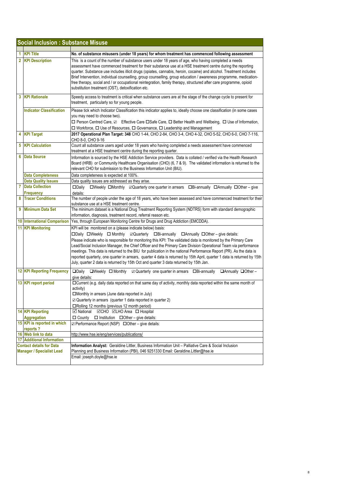|                | <b>Social Inclusion: Substance Misuse</b>         |                                                                                                                                                                                                                                                                                                                                                                                                                                                                                                                                                                                                                                                                                                                                             |  |  |  |
|----------------|---------------------------------------------------|---------------------------------------------------------------------------------------------------------------------------------------------------------------------------------------------------------------------------------------------------------------------------------------------------------------------------------------------------------------------------------------------------------------------------------------------------------------------------------------------------------------------------------------------------------------------------------------------------------------------------------------------------------------------------------------------------------------------------------------------|--|--|--|
| 1              | <b>KPI Title</b>                                  |                                                                                                                                                                                                                                                                                                                                                                                                                                                                                                                                                                                                                                                                                                                                             |  |  |  |
| $\overline{2}$ | <b>KPI Description</b>                            | No. of substance misusers (under 18 years) for whom treatment has commenced following assessment<br>This is a count of the number of substance users under 18 years of age, who having completed a needs<br>assessment have commenced treatment for their substance use at a HSE treatment centre during the reporting<br>quarter. Substance use includes illicit drugs (opiates, cannabis, heroin, cocaine) and alcohol. Treatment includes<br>Brief Intervention, individual counselling, group counselling, group education / awareness programme, medication-<br>free therapy, social and / or occupational reintegration, family therapy, structured after care programme, opioid<br>substitution treatment (OST), detoxification etc. |  |  |  |
| 3              | <b>KPI Rationale</b>                              | Speedy access to treatment is critical when substance users are at the stage of the change cycle to present for<br>treatment, particularly so for young people.                                                                                                                                                                                                                                                                                                                                                                                                                                                                                                                                                                             |  |  |  |
|                | <b>Indicator Classification</b>                   | Please tick which Indicator Classification this indicator applies to, ideally choose one classification (in some cases<br>you may need to choose two).<br>□ Person Centred Care, Z Effective Care □ Safe Care, □ Better Health and Wellbeing, □ Use of Information,<br>$\Box$ Workforce, $\Box$ Use of Resources, $\Box$ Governance, $\Box$ Leadership and Management                                                                                                                                                                                                                                                                                                                                                                       |  |  |  |
|                | 4 KPI Target                                      | 2017 Operational Plan Target: 348 CHO 1-44, CHO 2-84, CHO 3-4, CHO 4-32, CHO 5-52, CHO 6-0, CHO 7-116,<br>CHO 8-0, CHO 9-16                                                                                                                                                                                                                                                                                                                                                                                                                                                                                                                                                                                                                 |  |  |  |
| 5              | <b>KPI Calculation</b>                            | Count all substance users aged under 18 years who having completed a needs assessment have commenced<br>treatment at a HSE treatment centre during the reporting quarter.                                                                                                                                                                                                                                                                                                                                                                                                                                                                                                                                                                   |  |  |  |
| 6              | <b>Data Source</b>                                | Information is sourced by the HSE Addiction Service providers. Data is collated / verified via the Health Research<br>Board (HRB) or Community Healthcare Organisation (CHO) (6, 7 & 9). The validated information is returned to the<br>relevant CHO for submission to the Business Information Unit (BIU).                                                                                                                                                                                                                                                                                                                                                                                                                                |  |  |  |
|                | Data Completeness                                 | Data completeness is expected at 100%.                                                                                                                                                                                                                                                                                                                                                                                                                                                                                                                                                                                                                                                                                                      |  |  |  |
|                | <b>Data Quality Issues</b>                        | Data quality issues are addressed as they arise.                                                                                                                                                                                                                                                                                                                                                                                                                                                                                                                                                                                                                                                                                            |  |  |  |
| 7              | <b>Data Collection</b><br><b>Frequency</b>        | □Weekly □Monthly 2Quarterly one quarter in arrears □Bi-annually □Annually □Other - give<br>$\square$ Daily<br>details:                                                                                                                                                                                                                                                                                                                                                                                                                                                                                                                                                                                                                      |  |  |  |
| 8              | <b>Tracer Conditions</b>                          | The number of people under the age of 18 years, who have been assessed and have commenced treatment for their<br>substance use at a HSE treatment centre.                                                                                                                                                                                                                                                                                                                                                                                                                                                                                                                                                                                   |  |  |  |
| 9              | <b>Minimum Data Set</b>                           | The minimum dataset is a National Drug Treatment Reporting System (NDTRS) form with standard demographic<br>information, diagnosis, treatment record, referral reason etc.                                                                                                                                                                                                                                                                                                                                                                                                                                                                                                                                                                  |  |  |  |
|                | <b>10 International Comparison</b>                | Yes, through European Monitoring Centre for Drugs and Drug Addiction (EMCDDA).                                                                                                                                                                                                                                                                                                                                                                                                                                                                                                                                                                                                                                                              |  |  |  |
|                | <b>11 KPI Monitoring</b>                          | KPI will be monitored on a (please indicate below) basis:<br>□Daily □Weekly □ Monthly ⊠Quarterly □Bi-annually □ Annually □ Other - give details:<br>Please indicate who is responsible for monitoring this KPI: The validated data is monitored by the Primary Care<br>Lead/Social Inclusion Manager, the Chief Officer and the Primary Care Division Operational Team via performance<br>meetings. This data is returned to the BIU for publication in the national Performance Report (PR). As the data is<br>reported quarterly, one quarter in arrears, quarter 4 data is returned by 15th April, quarter 1 data is returned by 15th<br>July, quarter 2 data is returned by 15th Oct and quarter 3 data returned by 15th Jan.           |  |  |  |
|                | <b>12 KPI Reporting Frequency</b>                 | $\Box$ Daily<br>□Weekly □ Monthly ☑ Quarterly one quarter in arrears □Bi-annually □ Annually □ Other -<br>give details:                                                                                                                                                                                                                                                                                                                                                                                                                                                                                                                                                                                                                     |  |  |  |
|                | 13 KPI report period                              | □ Current (e.g. daily data reported on that same day of activity, monthly data reported within the same month of<br>activity)<br>$\square$ Monthly in arrears (June data reported in July)<br>☑ Quarterly in arrears (quarter 1 data reported in quarter 2)<br>□Rolling 12 months (previous 12 month period)                                                                                                                                                                                                                                                                                                                                                                                                                                |  |  |  |
|                | 14 KPI Reporting                                  | ☑CHO <b>MLHO</b> Area □ Hospital<br><b>⊡</b> National                                                                                                                                                                                                                                                                                                                                                                                                                                                                                                                                                                                                                                                                                       |  |  |  |
|                | <b>Aggregation</b><br>15 KPI is reported in which | $\Box$ County<br>$\Box$ Institution $\Box$ Other – give details:<br>☑ Performance Report (NSP) □ Other - give details:                                                                                                                                                                                                                                                                                                                                                                                                                                                                                                                                                                                                                      |  |  |  |
|                | reports?<br>16 Web link to data                   | http://www.hse.ie/eng/services/publications/                                                                                                                                                                                                                                                                                                                                                                                                                                                                                                                                                                                                                                                                                                |  |  |  |
|                | <b>17 Additional Information</b>                  |                                                                                                                                                                                                                                                                                                                                                                                                                                                                                                                                                                                                                                                                                                                                             |  |  |  |
|                | <b>Contact details for Data</b>                   | Information Analyst: Geraldine Littler, Business Information Unit - Palliative Care & Social Inclusion                                                                                                                                                                                                                                                                                                                                                                                                                                                                                                                                                                                                                                      |  |  |  |
|                | <b>Manager / Specialist Lead</b>                  | Planning and Business Information (PBI), 046 9251330 Email: Geraldine.Littler@hse.ie<br>Email: joseph.doyle@hse.ie                                                                                                                                                                                                                                                                                                                                                                                                                                                                                                                                                                                                                          |  |  |  |
|                |                                                   |                                                                                                                                                                                                                                                                                                                                                                                                                                                                                                                                                                                                                                                                                                                                             |  |  |  |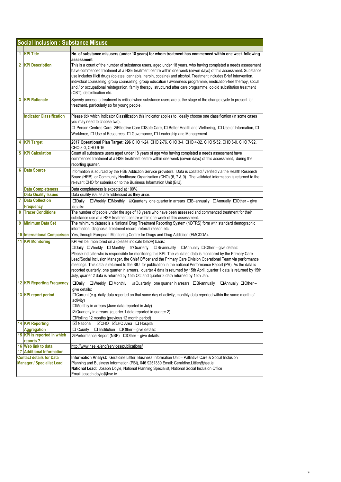|    | <b>Social Inclusion: Substance Misuse</b>     |                                                                                                                                                                                                                                                                                                                                                                                                                                                                                                                                                                                                                                                                                                                                   |  |
|----|-----------------------------------------------|-----------------------------------------------------------------------------------------------------------------------------------------------------------------------------------------------------------------------------------------------------------------------------------------------------------------------------------------------------------------------------------------------------------------------------------------------------------------------------------------------------------------------------------------------------------------------------------------------------------------------------------------------------------------------------------------------------------------------------------|--|
| 1. | <b>KPI Title</b>                              | No. of substance misusers (under 18 years) for whom treatment has commenced within one week following<br>assessment                                                                                                                                                                                                                                                                                                                                                                                                                                                                                                                                                                                                               |  |
|    | 2 KPI Description                             | This is a count of the number of substance users, aged under 18 years, who having completed a needs assessment<br>have commenced treatment at a HSE treatment centre within one week (seven days) of this assessment. Substance<br>use includes illicit drugs (opiates, cannabis, heroin, cocaine) and alcohol. Treatment includes Brief Intervention,<br>individual counselling, group counselling, group education / awareness programme, medication-free therapy, social<br>and / or occupational reintegration, family therapy, structured after care programme, opioid substitution treatment<br>(OST), detoxification etc.                                                                                                  |  |
|    | <b>3 KPI Rationale</b>                        | Speedy access to treatment is critical when substance users are at the stage of the change cycle to present for<br>treatment, particularly so for young people.                                                                                                                                                                                                                                                                                                                                                                                                                                                                                                                                                                   |  |
|    | <b>Indicator Classification</b>               | Please tick which Indicator Classification this indicator applies to, ideally choose one classification (in some cases<br>you may need to choose two).<br>□ Person Centred Care, ☑Effective Care □Safe Care, □ Better Health and Wellbeing, □ Use of Information, □<br>Workforce, □ Use of Resources, □ Governance, □ Leadership and Management                                                                                                                                                                                                                                                                                                                                                                                   |  |
|    | 4 KPI Target                                  | 2017 Operational Plan Target: 296 CHO 1-24, CHO 2-76, CHO 3-4, CHO 4-32, CHO 5-52, CHO 6-0, CHO 7-92,<br>CHO 8-0, CHO 9-16                                                                                                                                                                                                                                                                                                                                                                                                                                                                                                                                                                                                        |  |
|    | <b>5</b> KPI Calculation                      | Count all substance users aged under 18 years of age who having completed a needs assessment have<br>commenced treatment at a HSE treatment centre within one week (seven days) of this assessment, during the<br>reporting quarter.                                                                                                                                                                                                                                                                                                                                                                                                                                                                                              |  |
| 6  | <b>Data Source</b>                            | Information is sourced by the HSE Addiction Service providers. Data is collated / verified via the Health Research<br>Board (HRB) or Community Healthcare Organisation (CHO) (6, 7 & 9). The validated information is returned to the<br>relevant CHO for submission to the Business Information Unit (BIU).                                                                                                                                                                                                                                                                                                                                                                                                                      |  |
|    | Data Completeness                             | Data completeness is expected at 100%.                                                                                                                                                                                                                                                                                                                                                                                                                                                                                                                                                                                                                                                                                            |  |
|    | <b>Data Quality Issues</b>                    | Data quality issues are addressed as they arise.                                                                                                                                                                                                                                                                                                                                                                                                                                                                                                                                                                                                                                                                                  |  |
| 7  | <b>Data Collection</b><br><b>Frequency</b>    | □Weekly □Monthly 2Quarterly one quarter in arrears □Bi-annually □Annually □Other - give<br>$\square$ Daily<br>details:                                                                                                                                                                                                                                                                                                                                                                                                                                                                                                                                                                                                            |  |
| 8  | <b>Tracer Conditions</b>                      | The number of people under the age of 18 years who have been assessed and commenced treatment for their<br>substance use at a HSE treatment centre within one week of this assessment.                                                                                                                                                                                                                                                                                                                                                                                                                                                                                                                                            |  |
| 9  | <b>Minimum Data Set</b>                       | The minimum dataset is a National Drug Treatment Reporting System (NDTRS) form with standard demographic<br>information, diagnosis, treatment record, referral reason etc.                                                                                                                                                                                                                                                                                                                                                                                                                                                                                                                                                        |  |
|    | <b>10 International Comparison</b>            | Yes, through European Monitoring Centre for Drugs and Drug Addiction (EMCDDA).                                                                                                                                                                                                                                                                                                                                                                                                                                                                                                                                                                                                                                                    |  |
|    | <b>11 KPI Monitoring</b>                      | KPI will be monitored on a (please indicate below) basis:<br>□Daily □Weekly □ Monthly ⊠Quarterly □Bi-annually □ Annually □ Other - give details:<br>Please indicate who is responsible for monitoring this KPI: The validated data is monitored by the Primary Care<br>Lead/Social Inclusion Manager, the Chief Officer and the Primary Care Division Operational Team via performance<br>meetings. This data is returned to the BIU for publication in the national Performance Report (PR). As the data is<br>reported quarterly, one quarter in arrears, quarter 4 data is returned by 15th April, quarter 1 data is returned by 15th<br>July, quarter 2 data is returned by 15th Oct and quarter 3 data returned by 15th Jan. |  |
|    | <b>12 KPI Reporting Frequency</b>             | □Weekly □ Monthly ⊠ Quarterly one quarter in arrears □Bi-annually □ Annually □ Other -<br>$\square$ Daily<br>give details:                                                                                                                                                                                                                                                                                                                                                                                                                                                                                                                                                                                                        |  |
|    | 13 KPI report period                          | □ Current (e.g. daily data reported on that same day of activity, monthly data reported within the same month of<br>activity)<br>□Monthly in arrears (June data reported in July)<br>$\boxtimes$ Quarterly in arrears (quarter 1 data reported in quarter 2)<br>□Rolling 12 months (previous 12 month period)                                                                                                                                                                                                                                                                                                                                                                                                                     |  |
|    | <b>14 KPI Reporting</b><br><b>Aggregation</b> | <b>⊡CHO ⊡LHO</b> Area □ Hospital<br><b>⊠</b> National<br>$\Box$ County $\Box$ Institution $\Box$ Other – give details:                                                                                                                                                                                                                                                                                                                                                                                                                                                                                                                                                                                                            |  |
|    | 15 KPI is reported in which<br>reports?       | ☑ Performance Report (NSP) □ Other - give details:                                                                                                                                                                                                                                                                                                                                                                                                                                                                                                                                                                                                                                                                                |  |
|    | 16 Web link to data                           | http://www.hse.ie/eng/services/publications/                                                                                                                                                                                                                                                                                                                                                                                                                                                                                                                                                                                                                                                                                      |  |
|    | <b>17 Additional Information</b>              |                                                                                                                                                                                                                                                                                                                                                                                                                                                                                                                                                                                                                                                                                                                                   |  |
|    | <b>Contact details for Data</b>               | Information Analyst: Geraldine Littler, Business Information Unit - Palliative Care & Social Inclusion                                                                                                                                                                                                                                                                                                                                                                                                                                                                                                                                                                                                                            |  |
|    | <b>Manager / Specialist Lead</b>              | Planning and Business Information (PBI), 046 9251330 Email: Geraldine.Littler@hse.ie                                                                                                                                                                                                                                                                                                                                                                                                                                                                                                                                                                                                                                              |  |
|    |                                               | National Lead: Joseph Doyle, National Planning Specialist, National Social Inclusion Office                                                                                                                                                                                                                                                                                                                                                                                                                                                                                                                                                                                                                                       |  |
|    |                                               | Email: joseph.doyle@hse.ie                                                                                                                                                                                                                                                                                                                                                                                                                                                                                                                                                                                                                                                                                                        |  |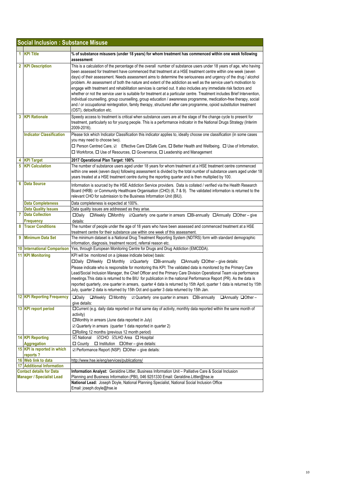|   | <b>Social Inclusion: Substance Misuse</b>                           |                                                                                                                                                                                                                                                                                                                                                                                                                                                                                                                                                                                                                                                                                                                                                                                                                                                                                                                                                                                                     |  |  |  |
|---|---------------------------------------------------------------------|-----------------------------------------------------------------------------------------------------------------------------------------------------------------------------------------------------------------------------------------------------------------------------------------------------------------------------------------------------------------------------------------------------------------------------------------------------------------------------------------------------------------------------------------------------------------------------------------------------------------------------------------------------------------------------------------------------------------------------------------------------------------------------------------------------------------------------------------------------------------------------------------------------------------------------------------------------------------------------------------------------|--|--|--|
|   |                                                                     |                                                                                                                                                                                                                                                                                                                                                                                                                                                                                                                                                                                                                                                                                                                                                                                                                                                                                                                                                                                                     |  |  |  |
|   | 1 KPI Title                                                         | % of substance misusers (under 18 years) for whom treatment has commenced within one week following<br>assessment                                                                                                                                                                                                                                                                                                                                                                                                                                                                                                                                                                                                                                                                                                                                                                                                                                                                                   |  |  |  |
|   | 2 KPI Description                                                   | This is a calculation of the percentage of the overall number of substance users under 18 years of age, who having<br>been assessed for treatment have commenced that treatment at a HSE treatment centre within one week (seven<br>days) of their assessment. Needs assessment aims to determine the seriousness and urgency of the drug / alcohol<br>problem. An assessment of both the nature and extent of the addiction as well as the service user's motivation to<br>engage with treatment and rehabilitation services is carried out. It also includes any immediate risk factors and<br>whether or not the service user is suitable for treatment at a particular centre. Treatment includes Brief Intervention,<br>individual counselling, group counselling, group education / awareness programme, medication-free therapy, social<br>and / or occupational reintegration, family therapy, structured after care programme, opioid substitution treatment<br>(OST), detoxification etc. |  |  |  |
| 3 | <b>KPI Rationale</b>                                                | Speedy access to treatment is critical when substance users are at the stage of the change cycle to present for<br>treatment, particularly so for young people. This is a performance indicator in the National Drugs Strategy (Interim<br>2009-2016).                                                                                                                                                                                                                                                                                                                                                                                                                                                                                                                                                                                                                                                                                                                                              |  |  |  |
|   | <b>Indicator Classification</b>                                     | Please tick which Indicator Classification this indicator applies to, ideally choose one classification (in some cases<br>you may need to choose two).<br>□ Person Centred Care, Z Effective Care □Safe Care, □ Better Health and Wellbeing, □ Use of Information,<br>□ Workforce, □ Use of Resources, □ Governance, □ Leadership and Management                                                                                                                                                                                                                                                                                                                                                                                                                                                                                                                                                                                                                                                    |  |  |  |
|   | 4 KPI Target                                                        | 2017 Operational Plan Target: 100%                                                                                                                                                                                                                                                                                                                                                                                                                                                                                                                                                                                                                                                                                                                                                                                                                                                                                                                                                                  |  |  |  |
|   | <b>5</b> KPI Calculation                                            | The number of substance users aged under 18 years for whom treatment at a HSE treatment centre commenced<br>within one week (seven days) following assessment is divided by the total number of substance users aged under 18<br>years treated at a HSE treatment centre during the reporting quarter and is then multiplied by 100.                                                                                                                                                                                                                                                                                                                                                                                                                                                                                                                                                                                                                                                                |  |  |  |
| 6 | <b>Data Source</b>                                                  | Information is sourced by the HSE Addiction Service providers. Data is collated / verified via the Health Research<br>Board (HRB) or Community Healthcare Organisation (CHO) (6, 7 & 9). The validated information is returned to the<br>relevant CHO for submission to the Business Information Unit (BIU).                                                                                                                                                                                                                                                                                                                                                                                                                                                                                                                                                                                                                                                                                        |  |  |  |
|   | <b>Data Completeness</b>                                            | Data completeness is expected at 100%.                                                                                                                                                                                                                                                                                                                                                                                                                                                                                                                                                                                                                                                                                                                                                                                                                                                                                                                                                              |  |  |  |
|   | <b>Data Quality Issues</b>                                          | Data quality issues are addressed as they arise.                                                                                                                                                                                                                                                                                                                                                                                                                                                                                                                                                                                                                                                                                                                                                                                                                                                                                                                                                    |  |  |  |
| 7 | <b>Data Collection</b>                                              | □Weekly □Monthly ⊠Quarterly one quarter in arrears □Bi-annually □Annually □Other - give<br>$\square$ Daily                                                                                                                                                                                                                                                                                                                                                                                                                                                                                                                                                                                                                                                                                                                                                                                                                                                                                          |  |  |  |
|   | Frequency                                                           | details:                                                                                                                                                                                                                                                                                                                                                                                                                                                                                                                                                                                                                                                                                                                                                                                                                                                                                                                                                                                            |  |  |  |
|   | 8 Tracer Conditions                                                 | The number of people under the age of 18 years who have been assessed and commenced treatment at a HSE<br>treatment centre for their substance use within one week of this assessment.                                                                                                                                                                                                                                                                                                                                                                                                                                                                                                                                                                                                                                                                                                                                                                                                              |  |  |  |
|   | 9 Minimum Data Set                                                  | The minimum dataset is a National Drug Treatment Reporting System (NDTRS) form with standard demographic<br>information, diagnosis, treatment record, referral reason etc.                                                                                                                                                                                                                                                                                                                                                                                                                                                                                                                                                                                                                                                                                                                                                                                                                          |  |  |  |
|   | <b>10 International Comparison</b>                                  | Yes, through European Monitoring Centre for Drugs and Drug Addiction (EMCDDA).                                                                                                                                                                                                                                                                                                                                                                                                                                                                                                                                                                                                                                                                                                                                                                                                                                                                                                                      |  |  |  |
|   | 11 KPI Monitoring                                                   | KPI will be monitored on a (please indicate below) basis:<br>□Daily □Weekly □ Monthly ⊠Quarterly □Bi-annually □ Annually □ Other - give details:<br>Please indicate who is responsible for monitoring this KPI: The validated data is monitored by the Primary Care<br>Lead/Social Inclusion Manager, the Chief Officer and the Primary Care Division Operational Team via performance<br>meetings. This data is returned to the BIU for publication in the national Performance Report (PR). As the data is<br>reported quarterly, one quarter in arrears, quarter 4 data is returned by 15th April, quarter 1 data is returned by 15th<br>July, quarter 2 data is returned by 15th Oct and quarter 3 data returned by 15th Jan.                                                                                                                                                                                                                                                                   |  |  |  |
|   | <b>12 KPI Reporting Frequency</b>                                   | □Daily □Weekly □ Monthly □ Quarterly one quarter in arrears □Bi-annually □ Annually □ Other -<br>give details:                                                                                                                                                                                                                                                                                                                                                                                                                                                                                                                                                                                                                                                                                                                                                                                                                                                                                      |  |  |  |
|   | 13 KPI report period                                                | □ Current (e.g. daily data reported on that same day of activity, monthly data reported within the same month of<br>activity)<br>□Monthly in arrears (June data reported in July)<br>$\boxtimes$ Quarterly in arrears (quarter 1 data reported in quarter 2)<br>□Rolling 12 months (previous 12 month period)                                                                                                                                                                                                                                                                                                                                                                                                                                                                                                                                                                                                                                                                                       |  |  |  |
|   | <b>14 KPI Reporting</b><br><b>Aggregation</b>                       | <b>⊠</b> National<br><b>⊠CHO ⊠LHO Area</b> □ Hospital<br>$\Box$ County $\Box$ Institution $\Box$ Other – give details:                                                                                                                                                                                                                                                                                                                                                                                                                                                                                                                                                                                                                                                                                                                                                                                                                                                                              |  |  |  |
|   | 15 KPI is reported in which<br>reports?                             | $\boxtimes$ Performance Report (NSP) $\Box$ Other – give details:                                                                                                                                                                                                                                                                                                                                                                                                                                                                                                                                                                                                                                                                                                                                                                                                                                                                                                                                   |  |  |  |
|   | 16 Web link to data                                                 | http://www.hse.ie/eng/services/publications/                                                                                                                                                                                                                                                                                                                                                                                                                                                                                                                                                                                                                                                                                                                                                                                                                                                                                                                                                        |  |  |  |
|   | <b>17 Additional Information</b>                                    |                                                                                                                                                                                                                                                                                                                                                                                                                                                                                                                                                                                                                                                                                                                                                                                                                                                                                                                                                                                                     |  |  |  |
|   | <b>Contact details for Data</b><br><b>Manager / Specialist Lead</b> | Information Analyst: Geraldine Littler, Business Information Unit - Palliative Care & Social Inclusion<br>Planning and Business Information (PBI), 046 9251330 Email: Geraldine.Littler@hse.ie                                                                                                                                                                                                                                                                                                                                                                                                                                                                                                                                                                                                                                                                                                                                                                                                      |  |  |  |
|   |                                                                     | National Lead: Joseph Doyle, National Planning Specialist, National Social Inclusion Office<br>Email: joseph.doyle@hse.ie                                                                                                                                                                                                                                                                                                                                                                                                                                                                                                                                                                                                                                                                                                                                                                                                                                                                           |  |  |  |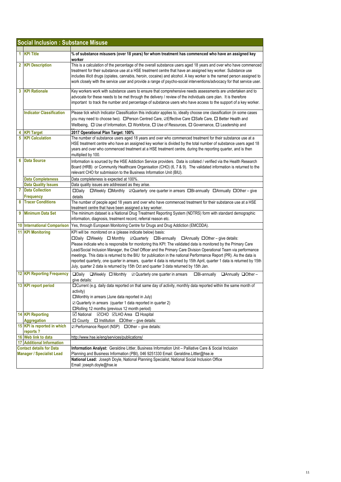|    | <b>Social Inclusion: Substance Misuse</b>                           |                                                                                                                                                                                                                                                                                                                                                                                                                                                                                                                                                                                                                                                                                                                                    |
|----|---------------------------------------------------------------------|------------------------------------------------------------------------------------------------------------------------------------------------------------------------------------------------------------------------------------------------------------------------------------------------------------------------------------------------------------------------------------------------------------------------------------------------------------------------------------------------------------------------------------------------------------------------------------------------------------------------------------------------------------------------------------------------------------------------------------|
| 1. | <b>KPI Title</b>                                                    | % of substance misusers (over 18 years) for whom treatment has commenced who have an assigned key<br>worker                                                                                                                                                                                                                                                                                                                                                                                                                                                                                                                                                                                                                        |
|    | 2 KPI Description                                                   | This is a calculation of the percentage of the overall substance users aged 18 years and over who have commenced<br>treatment for their substance use at a HSE treatment centre that have an assigned key worker. Substance use<br>includes illicit drugs (opiates, cannabis, heroin, cocaine) and alcohol. A key worker is the named person assigned to<br>work closely with the service user and provide a range of psycho-social interventions/advocacy for that service user.                                                                                                                                                                                                                                                  |
| 3  | <b>KPI Rationale</b>                                                | Key workers work with substance users to ensure that comprehensive needs assessments are undertaken and to<br>advocate for these needs to be met through the delivery / review of the individuals care plan. It is therefore<br>important to track the number and percentage of substance users who have access to the support of a key worker.                                                                                                                                                                                                                                                                                                                                                                                    |
|    | <b>Indicator Classification</b>                                     | Please tick which Indicator Classification this indicator applies to, ideally choose one classification (in some cases<br>you may need to choose two). □ Person Centred Care, ZEffective Care □ Safe Care, □ Better Health and<br>Wellbeing, $\Box$ Use of Information, $\Box$ Workforce, $\Box$ Use of Resources, $\Box$ Governance, $\Box$ Leadership and                                                                                                                                                                                                                                                                                                                                                                        |
| 5  | <b>KPI Target</b><br><b>KPI Calculation</b>                         | 2017 Operational Plan Target: 100%<br>The number of substance users aged 18 years and over who commenced treatment for their substance use at a<br>HSE treatment centre who have an assigned key worker is divided by the total number of substance users aged 18<br>years and over who commenced treatment at a HSE treatment centre, during the reporting quarter, and is then<br>multiplied by 100.                                                                                                                                                                                                                                                                                                                             |
| 6  | <b>Data Source</b>                                                  | Information is sourced by the HSE Addiction Service providers. Data is collated / verified via the Health Research<br>Board (HRB) or Community Healthcare Organisation (CHO) (6, 7 & 9). The validated information is returned to the<br>relevant CHO for submission to the Business Information Unit (BIU).                                                                                                                                                                                                                                                                                                                                                                                                                       |
|    | <b>Data Completeness</b>                                            | Data completeness is expected at 100%.                                                                                                                                                                                                                                                                                                                                                                                                                                                                                                                                                                                                                                                                                             |
|    | <b>Data Quality Issues</b>                                          | Data quality issues are addressed as they arise.                                                                                                                                                                                                                                                                                                                                                                                                                                                                                                                                                                                                                                                                                   |
| 7  | <b>Data Collection</b><br><b>Frequency</b>                          | □Weekly □Monthly ⊠Quarterly one quarter in arrears □Bi-annually □Annually □Other - give<br>$\square$ Daily<br>details                                                                                                                                                                                                                                                                                                                                                                                                                                                                                                                                                                                                              |
| 8  | <b>Tracer Conditions</b>                                            | The number of people aged 18 years and over who have commenced treatment for their substance use at a HSE<br>treatment centre that have been assigned a key worker.                                                                                                                                                                                                                                                                                                                                                                                                                                                                                                                                                                |
| 9  | <b>Minimum Data Set</b>                                             | The minimum dataset is a National Drug Treatment Reporting System (NDTRS) form with standard demographic<br>information, diagnosis, treatment record, referral reason etc.                                                                                                                                                                                                                                                                                                                                                                                                                                                                                                                                                         |
|    | <b>10 International Comparison</b>                                  | Yes, through European Monitoring Centre for Drugs and Drug Addiction (EMCDDA).                                                                                                                                                                                                                                                                                                                                                                                                                                                                                                                                                                                                                                                     |
|    | <b>11 KPI Monitoring</b>                                            | KPI will be monitored on a (please indicate below) basis:<br>□Daily □Weekly □ Monthly □ Quarterly □Bi-annually □ Annually □ Other – give details:<br>Please indicate who is responsible for monitoring this KPI: The validated data is monitored by the Primary Care<br>Lead/Social Inclusion Manager, the Chief Officer and the Primary Care Division Operational Team via performance<br>meetings. This data is returned to the BIU for publication in the national Performance Report (PR). As the data is<br>reported quarterly, one quarter in arrears, quarter 4 data is returned by 15th April, quarter 1 data is returned by 15th<br>July, quarter 2 data is returned by 15th Oct and quarter 3 data returned by 15th Jan. |
|    | <b>12 KPI Reporting Frequency</b>                                   | $\Box$ Daily<br>□Bi-annually<br>$\Box$ Weekly $\Box$ Monthly<br>$\boxtimes$ Quarterly one quarter in arrears<br>$\Box$ Annually $\Box$ Other -<br>give details:                                                                                                                                                                                                                                                                                                                                                                                                                                                                                                                                                                    |
|    | 13 KPI report period                                                | □Current (e.g. daily data reported on that same day of activity, monthly data reported within the same month of<br>activity)<br>□Monthly in arrears (June data reported in July)<br>$\boxtimes$ Quarterly in arrears (quarter 1 data reported in quarter 2)<br>□Rolling 12 months (previous 12 month period)                                                                                                                                                                                                                                                                                                                                                                                                                       |
|    | <b>14 KPI Reporting</b>                                             | <b>⊠</b> National<br><b>⊠CHO ⊠LHO Area</b> □ Hospital                                                                                                                                                                                                                                                                                                                                                                                                                                                                                                                                                                                                                                                                              |
|    | <b>Aggregation</b>                                                  | □ County<br>$\Box$ Institution $\Box$ Other – give details:                                                                                                                                                                                                                                                                                                                                                                                                                                                                                                                                                                                                                                                                        |
|    | 15 KPI is reported in which<br>reports?                             | ☑ Performance Report (NSP) □ Other - give details:                                                                                                                                                                                                                                                                                                                                                                                                                                                                                                                                                                                                                                                                                 |
|    | 16 Web link to data                                                 | http://www.hse.ie/eng/services/publications/                                                                                                                                                                                                                                                                                                                                                                                                                                                                                                                                                                                                                                                                                       |
| 17 | <b>Additional Information</b>                                       |                                                                                                                                                                                                                                                                                                                                                                                                                                                                                                                                                                                                                                                                                                                                    |
|    | <b>Contact details for Data</b><br><b>Manager / Specialist Lead</b> | Information Analyst: Geraldine Littler, Business Information Unit - Palliative Care & Social Inclusion<br>Planning and Business Information (PBI), 046 9251330 Email: Geraldine.Littler@hse.ie                                                                                                                                                                                                                                                                                                                                                                                                                                                                                                                                     |
|    |                                                                     | National Lead: Joseph Doyle, National Planning Specialist, National Social Inclusion Office<br>Email: joseph.doyle@hse.ie                                                                                                                                                                                                                                                                                                                                                                                                                                                                                                                                                                                                          |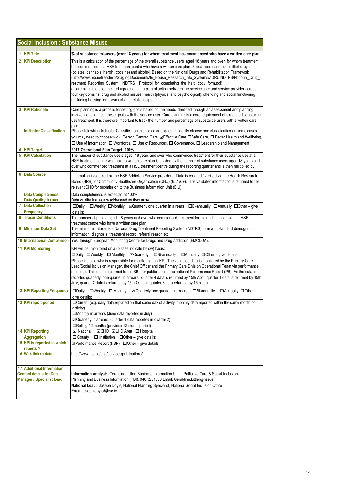|                                  | <b>Social Inclusion: Substance Misuse</b> |                                                                                                                                                                                                                                                                                                                                                                                                                                                                                                                                                                                                                                                                                                                                                                                                                                             |  |  |
|----------------------------------|-------------------------------------------|---------------------------------------------------------------------------------------------------------------------------------------------------------------------------------------------------------------------------------------------------------------------------------------------------------------------------------------------------------------------------------------------------------------------------------------------------------------------------------------------------------------------------------------------------------------------------------------------------------------------------------------------------------------------------------------------------------------------------------------------------------------------------------------------------------------------------------------------|--|--|
|                                  | 1 KPI Title                               | % of substance misusers (over 18 years) for whom treatment has commenced who have a written care plan                                                                                                                                                                                                                                                                                                                                                                                                                                                                                                                                                                                                                                                                                                                                       |  |  |
|                                  | 2 KPI Description                         | This is a calculation of the percentage of the overall substance users, aged 18 years and over, for whom treatment<br>has commenced at a HSE treatment centre who have a written care plan. Substance use includes illicit drugs<br>(opiates, cannabis, heroin, cocaine) and alcohol. Based on the National Drugs and Rehabilitation Framework<br>(http://www.hrb.ie/fileadmin/Staging/Documents/In_House_Research_Info_Systems/ADRU/NDTRS/National_Drug_T<br>reatment_Reporting_System__NDTRS__Protocol_for_completing_the_hard_copy_form.pdf)<br>a care plan is a documented agreement of a plan of action between the service user and service provider across<br>four key domains: drug and alcohol misuse, health (physical and psychological), offending and social functioning<br>(including housing, employment and relationships). |  |  |
|                                  | <b>3 KPI Rationale</b>                    | Care planning is a process for setting goals based on the needs identified through an assessment and planning<br>interventions to meet these goals with the service user. Care planning is a core requirement of structured substance<br>use treatment. It is therefore important to track the number and percentage of substance users with a written care<br>plan.                                                                                                                                                                                                                                                                                                                                                                                                                                                                        |  |  |
|                                  | <b>Indicator Classification</b>           | Please tick which Indicator Classification this indicator applies to, ideally choose one classification (in some cases<br>you may need to choose two). Person Centred Care, ⊠Effective Care □Safe Care, □ Better Health and Wellbeing,<br>□ Use of Information, □ Workforce, □ Use of Resources, □ Governance, □ Leadership and Management                                                                                                                                                                                                                                                                                                                                                                                                                                                                                                  |  |  |
|                                  | <b>KPI Target</b>                         | 2017 Operational Plan Target: 100%                                                                                                                                                                                                                                                                                                                                                                                                                                                                                                                                                                                                                                                                                                                                                                                                          |  |  |
| 5                                | <b>KPI Calculation</b>                    | The number of substance users aged 18 years and over who commenced treatment for their substance use at a<br>HSE treatment centre who have a written care plan is divided by the number of substance users aged 18 years and<br>over who commenced treatment at a HSE treatment centre during the reporting quarter and is then multiplied by                                                                                                                                                                                                                                                                                                                                                                                                                                                                                               |  |  |
| 6                                | <b>Data Source</b>                        | Information is sourced by the HSE Addiction Service providers. Data is collated / verified via the Health Research<br>Board (HRB) or Community Healthcare Organisation (CHO) (6, 7 & 9). The validated information is returned to the<br>relevant CHO for submission to the Business Information Unit (BIU).                                                                                                                                                                                                                                                                                                                                                                                                                                                                                                                                |  |  |
|                                  | Data Completeness                         | Data completeness is expected at 100%.                                                                                                                                                                                                                                                                                                                                                                                                                                                                                                                                                                                                                                                                                                                                                                                                      |  |  |
|                                  | <b>Data Quality Issues</b>                | Data quality issues are addressed as they arise.                                                                                                                                                                                                                                                                                                                                                                                                                                                                                                                                                                                                                                                                                                                                                                                            |  |  |
|                                  | <b>7</b> Data Collection<br>Frequency     | □Weekly □Monthly ☑ Quarterly one quarter in arrears □Bi-annually □Annually □Other - give<br>$\square$ Daily<br>details:                                                                                                                                                                                                                                                                                                                                                                                                                                                                                                                                                                                                                                                                                                                     |  |  |
| 8                                | <b>Tracer Conditions</b>                  | The number of people aged 18 years and over who commenced treatment for their substance use at a HSE<br>treatment centre who have a written care plan.                                                                                                                                                                                                                                                                                                                                                                                                                                                                                                                                                                                                                                                                                      |  |  |
| 9                                | <b>Minimum Data Set</b>                   | The minimum dataset is a National Drug Treatment Reporting System (NDTRS) form with standard demographic<br>information, diagnosis, treatment record, referral reason etc.                                                                                                                                                                                                                                                                                                                                                                                                                                                                                                                                                                                                                                                                  |  |  |
|                                  | 10 International Comparison               | Yes, through European Monitoring Centre for Drugs and Drug Addiction (EMCDDA).                                                                                                                                                                                                                                                                                                                                                                                                                                                                                                                                                                                                                                                                                                                                                              |  |  |
|                                  | 11 KPI Monitoring                         | KPI will be monitored on a (please indicate below) basis:<br>□Daily □Weekly □ Monthly ☑ Quarterly □Bi-annually □ Annually □ Other - give details:<br>Please indicate who is responsible for monitoring this KPI: The validated data is monitored by the Primary Care<br>Lead/Social Inclusion Manager, the Chief Officer and the Primary Care Division Operational Team via performance<br>meetings. This data is returned to the BIU for publication in the national Performance Report (PR). As the data is<br>reported quarterly, one quarter in arrears, quarter 4 data is returned by 15th April, quarter 1 data is returned by 15th<br>July, quarter 2 data is returned by 15th Oct and quarter 3 data returned by 15th Jan.                                                                                                          |  |  |
|                                  | 12 KPI Reporting Frequency                | $\Box$ Daily<br>$\Box$ Weekly $\Box$ Monthly<br>$\boxtimes$ Quarterly one quarter in arrears<br>□Bi-annually □Annually □Other-<br>give details:                                                                                                                                                                                                                                                                                                                                                                                                                                                                                                                                                                                                                                                                                             |  |  |
|                                  | 13 KPI report period                      | □ Current (e.g. daily data reported on that same day of activity, monthly data reported within the same month of<br>activity)<br>□Monthly in arrears (June data reported in July)<br>$\boxtimes$ Quarterly in arrears (quarter 1 data reported in quarter 2)<br>□Rolling 12 months (previous 12 month period)                                                                                                                                                                                                                                                                                                                                                                                                                                                                                                                               |  |  |
|                                  | <b>14 KPI Reporting</b>                   | <b>⊡</b> National<br><b>⊠CHO <b>ØLHO</b> Area □ Hospital</b>                                                                                                                                                                                                                                                                                                                                                                                                                                                                                                                                                                                                                                                                                                                                                                                |  |  |
|                                  | Aggregation                               | $\Box$ County $\Box$ Institution $\Box$ Other – give details:                                                                                                                                                                                                                                                                                                                                                                                                                                                                                                                                                                                                                                                                                                                                                                               |  |  |
|                                  | 15 KPI is reported in which<br>reports?   | ☑ Performance Report (NSP) □ Other - give details:                                                                                                                                                                                                                                                                                                                                                                                                                                                                                                                                                                                                                                                                                                                                                                                          |  |  |
|                                  | 16 Web link to data                       | http://www.hse.ie/eng/services/publications/                                                                                                                                                                                                                                                                                                                                                                                                                                                                                                                                                                                                                                                                                                                                                                                                |  |  |
|                                  |                                           |                                                                                                                                                                                                                                                                                                                                                                                                                                                                                                                                                                                                                                                                                                                                                                                                                                             |  |  |
|                                  | <b>17 Additional Information</b>          |                                                                                                                                                                                                                                                                                                                                                                                                                                                                                                                                                                                                                                                                                                                                                                                                                                             |  |  |
|                                  | <b>Contact details for Data</b>           | Information Analyst: Geraldine Littler, Business Information Unit - Palliative Care & Social Inclusion                                                                                                                                                                                                                                                                                                                                                                                                                                                                                                                                                                                                                                                                                                                                      |  |  |
| <b>Manager / Specialist Lead</b> |                                           | Planning and Business Information (PBI), 046 9251330 Email: Geraldine.Littler@hse.ie<br>National Lead: Joseph Doyle, National Planning Specialist, National Social Inclusion Office<br>Email: joseph.doyle@hse.ie                                                                                                                                                                                                                                                                                                                                                                                                                                                                                                                                                                                                                           |  |  |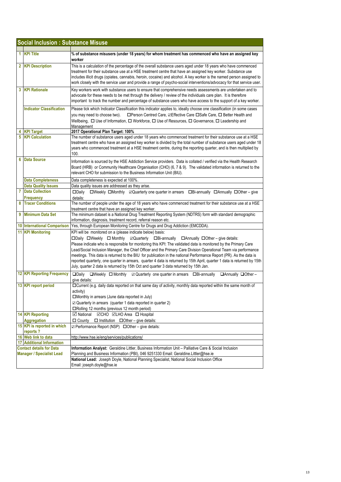|    | <b>Social Inclusion: Substance Misuse</b>                           |                                                                                                                                                                                                                                                                                                                                                                                                                                                                                                                                                                                                                                                                                                                                    |
|----|---------------------------------------------------------------------|------------------------------------------------------------------------------------------------------------------------------------------------------------------------------------------------------------------------------------------------------------------------------------------------------------------------------------------------------------------------------------------------------------------------------------------------------------------------------------------------------------------------------------------------------------------------------------------------------------------------------------------------------------------------------------------------------------------------------------|
| 1. | <b>KPI Title</b>                                                    | % of substance misusers (under 18 years) for whom treatment has commenced who have an assigned key<br>worker                                                                                                                                                                                                                                                                                                                                                                                                                                                                                                                                                                                                                       |
|    | 2 KPI Description                                                   | This is a calculation of the percentage of the overall substance users aged under 18 years who have commenced<br>treatment for their substance use at a HSE treatment centre that have an assigned key worker. Substance use<br>includes illicit drugs (opiates, cannabis, heroin, cocaine) and alcohol. A key worker is the named person assigned to<br>work closely with the service user and provide a range of psycho-social interventions/advocacy for that service user.                                                                                                                                                                                                                                                     |
|    | 3 KPI Rationale                                                     | Key workers work with substance users to ensure that comprehensive needs assessments are undertaken and to<br>advocate for these needs to be met through the delivery / review of the individuals care plan. It is therefore<br>important to track the number and percentage of substance users who have access to the support of a key worker.                                                                                                                                                                                                                                                                                                                                                                                    |
|    | <b>Indicator Classification</b>                                     | Please tick which Indicator Classification this indicator applies to, ideally choose one classification (in some cases<br>□Person Centred Care, ØEffective Care □Safe Care, □ Better Health and<br>you may need to choose two).<br>Wellbeing, $\Box$ Use of Information, $\Box$ Workforce, $\Box$ Use of Resources, $\Box$ Governance, $\Box$ Leadership and<br>Management                                                                                                                                                                                                                                                                                                                                                         |
| 4  | <b>KPI Target</b>                                                   | 2017 Operational Plan Target: 100%                                                                                                                                                                                                                                                                                                                                                                                                                                                                                                                                                                                                                                                                                                 |
|    | <b>5</b> KPI Calculation                                            | The number of substance users aged under 18 years who commenced treatment for their substance use at a HSE<br>treatment centre who have an assigned key worker is divided by the total number of substance users aged under 18<br>years who commenced treatment at a HSE treatment centre, during the reporting quarter, and is then multiplied by<br>100.                                                                                                                                                                                                                                                                                                                                                                         |
| 6  | <b>Data Source</b>                                                  | Information is sourced by the HSE Addiction Service providers. Data is collated / verified via the Health Research<br>Board (HRB) or Community Healthcare Organisation (CHO) (6, 7 & 9). The validated information is returned to the<br>relevant CHO for submission to the Business Information Unit (BIU).                                                                                                                                                                                                                                                                                                                                                                                                                       |
|    | <b>Data Completeness</b>                                            | Data completeness is expected at 100%.                                                                                                                                                                                                                                                                                                                                                                                                                                                                                                                                                                                                                                                                                             |
|    | <b>Data Quality Issues</b>                                          | Data quality issues are addressed as they arise.                                                                                                                                                                                                                                                                                                                                                                                                                                                                                                                                                                                                                                                                                   |
| 7  | <b>Data Collection</b><br>Frequency                                 | □Weekly □Monthly ☑ Quarterly one quarter in arrears □Bi-annually □Annually □Other - give<br>$\square$ Daily<br>details:                                                                                                                                                                                                                                                                                                                                                                                                                                                                                                                                                                                                            |
| 8  | <b>Tracer Conditions</b>                                            | The number of people under the age of 18 years who have commenced treatment for their substance use at a HSE<br>treatment centre that have an assigned key worker.                                                                                                                                                                                                                                                                                                                                                                                                                                                                                                                                                                 |
| 9  | <b>Minimum Data Set</b>                                             | The minimum dataset is a National Drug Treatment Reporting System (NDTRS) form with standard demographic<br>information, diagnosis, treatment record, referral reason etc.                                                                                                                                                                                                                                                                                                                                                                                                                                                                                                                                                         |
|    | 10 International Comparison                                         | Yes, through European Monitoring Centre for Drugs and Drug Addiction (EMCDDA).                                                                                                                                                                                                                                                                                                                                                                                                                                                                                                                                                                                                                                                     |
|    | <b>11 KPI Monitoring</b>                                            | KPI will be monitored on a (please indicate below) basis:<br>□Daily □Weekly □ Monthly □ Quarterly □Bi-annually □ Annually □ Other – give details:<br>Please indicate who is responsible for monitoring this KPI: The validated data is monitored by the Primary Care<br>Lead/Social Inclusion Manager, the Chief Officer and the Primary Care Division Operational Team via performance<br>meetings. This data is returned to the BIU for publication in the national Performance Report (PR). As the data is<br>reported quarterly, one quarter in arrears, quarter 4 data is returned by 15th April, quarter 1 data is returned by 15th<br>July, quarter 2 data is returned by 15th Oct and quarter 3 data returned by 15th Jan. |
|    | <b>12 KPI Reporting Frequency</b>                                   | $\Box$ Daily<br>□Weekly □ Monthly<br>$\boxtimes$ Quarterly one quarter in arrears $\Box$ Bi-annually<br>$\Box$ Annually $\Box$ Other -<br>give details:                                                                                                                                                                                                                                                                                                                                                                                                                                                                                                                                                                            |
|    | 13 KPI report period                                                | □ Current (e.g. daily data reported on that same day of activity, monthly data reported within the same month of<br>activity)<br>□Monthly in arrears (June data reported in July)<br>$\boxtimes$ Quarterly in arrears (quarter 1 data reported in quarter 2)<br>□Rolling 12 months (previous 12 month period)                                                                                                                                                                                                                                                                                                                                                                                                                      |
|    | <b>14 KPI Reporting</b>                                             | <b>⊠</b> National<br><b>⊠CHO ⊠LHO Area</b> □ Hospital                                                                                                                                                                                                                                                                                                                                                                                                                                                                                                                                                                                                                                                                              |
|    | <b>Aggregation</b>                                                  | $\Box$ County<br>$\Box$ Institution $\Box$ Other – give details:                                                                                                                                                                                                                                                                                                                                                                                                                                                                                                                                                                                                                                                                   |
|    | 15 KPI is reported in which<br>reports?                             | ☑ Performance Report (NSP) □ Other - give details:                                                                                                                                                                                                                                                                                                                                                                                                                                                                                                                                                                                                                                                                                 |
|    | 16 Web link to data                                                 | http://www.hse.ie/eng/services/publications/                                                                                                                                                                                                                                                                                                                                                                                                                                                                                                                                                                                                                                                                                       |
| 17 | <b>Additional Information</b>                                       |                                                                                                                                                                                                                                                                                                                                                                                                                                                                                                                                                                                                                                                                                                                                    |
|    | <b>Contact details for Data</b><br><b>Manager / Specialist Lead</b> | Information Analyst: Geraldine Littler, Business Information Unit - Palliative Care & Social Inclusion<br>Planning and Business Information (PBI), 046 9251330 Email: Geraldine.Littler@hse.ie                                                                                                                                                                                                                                                                                                                                                                                                                                                                                                                                     |
|    |                                                                     | National Lead: Joseph Doyle, National Planning Specialist, National Social Inclusion Office<br>Email: joseph.doyle@hse.ie                                                                                                                                                                                                                                                                                                                                                                                                                                                                                                                                                                                                          |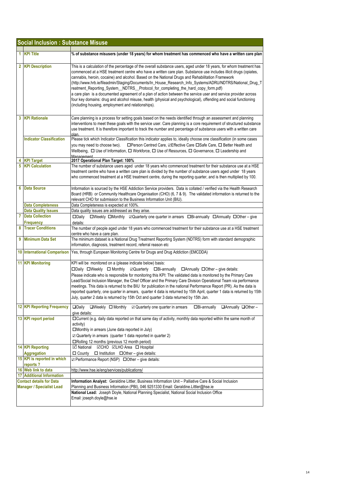|                                                                     | <b>Social Inclusion: Substance Misuse</b> |                                                                                                                                                                                                                                                                                                                                                                                                                                                                                                                                                                                                                                                                                                                                                                                                                                          |  |
|---------------------------------------------------------------------|-------------------------------------------|------------------------------------------------------------------------------------------------------------------------------------------------------------------------------------------------------------------------------------------------------------------------------------------------------------------------------------------------------------------------------------------------------------------------------------------------------------------------------------------------------------------------------------------------------------------------------------------------------------------------------------------------------------------------------------------------------------------------------------------------------------------------------------------------------------------------------------------|--|
|                                                                     |                                           |                                                                                                                                                                                                                                                                                                                                                                                                                                                                                                                                                                                                                                                                                                                                                                                                                                          |  |
| 1.                                                                  | <b>KPI Title</b>                          | % of substance misusers (under 18 years) for whom treatment has commenced who have a written care plan                                                                                                                                                                                                                                                                                                                                                                                                                                                                                                                                                                                                                                                                                                                                   |  |
|                                                                     | 2 KPI Description                         | This is a calculation of the percentage of the overall substance users, aged under 18 years, for whom treatment has<br>commenced at a HSE treatment centre who have a written care plan. Substance use includes illicit drugs (opiates,<br>cannabis, heroin, cocaine) and alcohol. Based on the National Drugs and Rehabilitation Framework<br>http://www.hrb.ie/fileadmin/Staging/Documents/In_House_Research_Info_Systems/ADRU/NDTRS/National_Drug_T)<br>reatment_Reporting_System__NDTRS__Protocol_for_completing_the_hard_copy_form.pdf)<br>a care plan is a documented agreement of a plan of action between the service user and service provider across<br>four key domains: drug and alcohol misuse, health (physical and psychological), offending and social functioning<br>(including housing, employment and relationships). |  |
|                                                                     | 3 KPI Rationale                           | Care planning is a process for setting goals based on the needs identified through an assessment and planning<br>interventions to meet these goals with the service user. Care planning is a core requirement of structured substance<br>use treatment. It is therefore important to track the number and percentage of substance users with a written care<br>nlan                                                                                                                                                                                                                                                                                                                                                                                                                                                                      |  |
|                                                                     | <b>Indicator Classification</b>           | Please tick which Indicator Classification this indicator applies to, ideally choose one classification (in some cases<br>you may need to choose two).<br>Wellbeing, O Use of Information, O Workforce, O Use of Resources, O Governance, O Leadership and                                                                                                                                                                                                                                                                                                                                                                                                                                                                                                                                                                               |  |
|                                                                     | <b>KPI Target</b>                         | Management<br>2017 Operational Plan Target: 100%                                                                                                                                                                                                                                                                                                                                                                                                                                                                                                                                                                                                                                                                                                                                                                                         |  |
|                                                                     | <b>KPI Calculation</b>                    | The number of substance users aged under 18 years who commenced treatment for their substance use at a HSE<br>treatment centre who have a written care plan is divided by the number of substance users aged under 18 years<br>who commenced treatment at a HSE treatment centre, during the reporting quarter, and is then multiplied by 100.                                                                                                                                                                                                                                                                                                                                                                                                                                                                                           |  |
| 6                                                                   | <b>Data Source</b>                        | Information is sourced by the HSE Addiction Service providers. Data is collated / verified via the Health Research<br>Board (HRB) or Community Healthcare Organisation (CHO) (6, 7 & 9). The validated information is returned to the<br>relevant CHO for submission to the Business Information Unit (BIU).                                                                                                                                                                                                                                                                                                                                                                                                                                                                                                                             |  |
|                                                                     | <b>Data Completeness</b>                  | Data Completeness is expected at 100%.                                                                                                                                                                                                                                                                                                                                                                                                                                                                                                                                                                                                                                                                                                                                                                                                   |  |
|                                                                     | <b>Data Quality Issues</b>                | Data quality issues are addressed as they arise.                                                                                                                                                                                                                                                                                                                                                                                                                                                                                                                                                                                                                                                                                                                                                                                         |  |
| 7                                                                   | <b>Data Collection</b><br>Frequency       | □Weekly □Monthly ⊠Quarterly one quarter in arrears □Bi-annually □Annually □Other - give<br>$\square$ Daily<br>details:                                                                                                                                                                                                                                                                                                                                                                                                                                                                                                                                                                                                                                                                                                                   |  |
| 8                                                                   | <b>Tracer Conditions</b>                  | The number of people aged under 18 years who commenced treatment for their substance use at a HSE treatment<br>centre who have a care plan.                                                                                                                                                                                                                                                                                                                                                                                                                                                                                                                                                                                                                                                                                              |  |
| 9                                                                   | <b>Minimum Data Set</b>                   | The minimum dataset is a National Drug Treatment Reporting System (NDTRS) form with standard demographic<br>information, diagnosis, treatment record, referral reason etc                                                                                                                                                                                                                                                                                                                                                                                                                                                                                                                                                                                                                                                                |  |
|                                                                     | <b>10 International Comparison</b>        | Yes, through European Monitoring Centre for Drugs and Drug Addiction (EMCDDA)                                                                                                                                                                                                                                                                                                                                                                                                                                                                                                                                                                                                                                                                                                                                                            |  |
|                                                                     | <b>11 KPI Monitoring</b>                  | KPI will be monitored on a (please indicate below) basis:<br>□Daily □Weekly □ Monthly ⊠Quarterly □Bi-annually □ Annually □ Other - give details:<br>Please indicate who is responsible for monitoring this KPI: The validated data is monitored by the Primary Care<br>Lead/Social Inclusion Manager, the Chief Officer and the Primary Care Division Operational Team via performance<br>meetings. This data is returned to the BIU for publication in the national Performance Report (PR). As the data is<br>reported quarterly, one quarter in arrears, quarter 4 data is returned by 15th April, quarter 1 data is returned by 15th<br>July, quarter 2 data is returned by 15th Oct and quarter 3 data returned by 15th Jan.                                                                                                        |  |
|                                                                     | <b>12 KPI Reporting Frequency</b>         | $\Box$ Weekly $\Box$ Monthly<br>$\boxtimes$ Quarterly one quarter in arrears<br>$\Box$ Bi-annually<br>□Annually □Other-<br>$\square$ Daily<br>give details:                                                                                                                                                                                                                                                                                                                                                                                                                                                                                                                                                                                                                                                                              |  |
|                                                                     | 13 KPI report period                      | □ Current (e.g. daily data reported on that same day of activity, monthly data reported within the same month of<br>activity)<br>□Monthly in arrears (June data reported in July)<br>$\boxtimes$ Quarterly in arrears (quarter 1 data reported in quarter 2)<br>□Rolling 12 months (previous 12 month period)                                                                                                                                                                                                                                                                                                                                                                                                                                                                                                                            |  |
|                                                                     | 14 KPI Reporting<br><b>Aggregation</b>    | <b>Ø National ØCHO ØLHO Area □ Hospital</b><br>$\Box$ County $\Box$ Institution $\Box$ Other – give details:                                                                                                                                                                                                                                                                                                                                                                                                                                                                                                                                                                                                                                                                                                                             |  |
|                                                                     | 15 KPI is reported in which<br>reports?   | ☑ Performance Report (NSP) □ Other - give details:                                                                                                                                                                                                                                                                                                                                                                                                                                                                                                                                                                                                                                                                                                                                                                                       |  |
|                                                                     | 16 Web link to data                       | http://www.hse.ie/eng/services/publications/                                                                                                                                                                                                                                                                                                                                                                                                                                                                                                                                                                                                                                                                                                                                                                                             |  |
|                                                                     | <b>17 Additional Information</b>          |                                                                                                                                                                                                                                                                                                                                                                                                                                                                                                                                                                                                                                                                                                                                                                                                                                          |  |
| <b>Contact details for Data</b><br><b>Manager / Specialist Lead</b> |                                           | Information Analyst: Geraldine Littler, Business Information Unit - Palliative Care & Social Inclusion<br>Planning and Business Information (PBI), 046 9251330 Email: Geraldine.Littler@hse.ie                                                                                                                                                                                                                                                                                                                                                                                                                                                                                                                                                                                                                                           |  |
|                                                                     |                                           | National Lead: Joseph Doyle, National Planning Specialist, National Social Inclusion Office<br>Email: joseph.doyle@hse.ie                                                                                                                                                                                                                                                                                                                                                                                                                                                                                                                                                                                                                                                                                                                |  |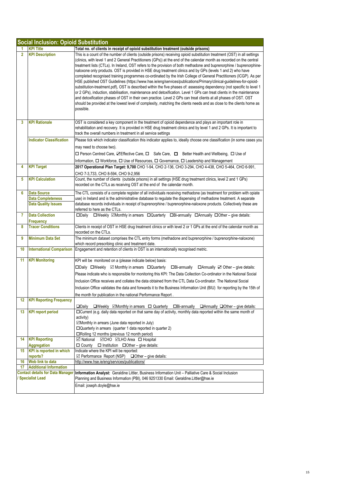|                                                                   | <b>Social Inclusion: Opioid Substitution</b>                                 |                                                                                                                                                                                                                                                                                                                                                                                                                                                                                                                                                                                                                                                                                                                                                                                                                                                                                                                                                                                                                                                                                                                                                                                                                                                |  |
|-------------------------------------------------------------------|------------------------------------------------------------------------------|------------------------------------------------------------------------------------------------------------------------------------------------------------------------------------------------------------------------------------------------------------------------------------------------------------------------------------------------------------------------------------------------------------------------------------------------------------------------------------------------------------------------------------------------------------------------------------------------------------------------------------------------------------------------------------------------------------------------------------------------------------------------------------------------------------------------------------------------------------------------------------------------------------------------------------------------------------------------------------------------------------------------------------------------------------------------------------------------------------------------------------------------------------------------------------------------------------------------------------------------|--|
|                                                                   | <b>KPI Title</b>                                                             | Total no. of clients in receipt of opioid substitution treatment (outside prisons)                                                                                                                                                                                                                                                                                                                                                                                                                                                                                                                                                                                                                                                                                                                                                                                                                                                                                                                                                                                                                                                                                                                                                             |  |
| $\overline{2}$                                                    | <b>KPI Description</b>                                                       | This is a count of the number of clients (outside prisons) receiving opioid substitution treatment (OST) in all settings<br>(clinics, with level 1 and 2 General Practitioners (GPs)) at the end of the calendar month as recorded on the central<br>treatment lists (CTLs). In Ireland, OST refers to the provision of both methadone and buprenorphine / buprenorphine-<br>naloxone only products. OST is provided in HSE drug treatment clinics and by GPs (levels 1 and 2) who have<br>completed recognised training programmes co-ordinated by the Irish College of General Practitioners (ICGP). As per<br>HSE published OST Guidelines (https://www.hse.ie/eng/services/publications/Primary/clinical-guidelines-for-opioid-<br>substitution-treatment.pdf), OST is described within the five phases of: assessing dependency (not specific to level 1<br>or 2 GPs), induction, stabilisation, maintenance and detoxification. Level 1 GPs can treat clients in the maintenance<br>and detoxification phases of OST in their own practice. Level 2 GPs can treat clients at all phases of OST. OST<br>should be provided at the lowest level of complexity, matching the clients needs and as close to the clients home as<br>possible. |  |
| 3                                                                 | <b>KPI Rationale</b>                                                         | OST is considered a key component in the treatment of opioid dependence and plays an important role in<br>rehabilitation and recovery. It is provided in HSE drug treatment clinics and by level 1 and 2 GPs. It is important to<br>track the overall numbers in treatment in all service settings                                                                                                                                                                                                                                                                                                                                                                                                                                                                                                                                                                                                                                                                                                                                                                                                                                                                                                                                             |  |
|                                                                   | <b>Indicator Classification</b>                                              | Please tick which indicator classification this indicator applies to, ideally choose one classification (in some cases you<br>may need to choose two).<br>□ Person Centred Care, ZEffective Care, □ Safe Care, □ Better Health and Wellbeing, □ Use of<br>Information, $\Box$ Workforce, $\Box$ Use of Resources, $\Box$ Governance, $\Box$ Leadership and Management                                                                                                                                                                                                                                                                                                                                                                                                                                                                                                                                                                                                                                                                                                                                                                                                                                                                          |  |
| 4                                                                 | <b>KPI Target</b>                                                            | 2017 Operational Plan Target: 9,700 CHO 1-94, CHO 2-136, CHO 3-294, CHO 4-438, CHO 5-464, CHO 6-991,<br>CHO 7-3,733, CHO 8-594, CHO 9-2,956                                                                                                                                                                                                                                                                                                                                                                                                                                                                                                                                                                                                                                                                                                                                                                                                                                                                                                                                                                                                                                                                                                    |  |
| 5                                                                 | <b>KPI Calculation</b>                                                       | Count, the number of clients (outside prisons) in all settings (HSE drug treatment clinics, level 2 and 1 GPs)<br>recorded on the CTLs as receiving OST at the end of the calendar month.                                                                                                                                                                                                                                                                                                                                                                                                                                                                                                                                                                                                                                                                                                                                                                                                                                                                                                                                                                                                                                                      |  |
| 6                                                                 | <b>Data Source</b><br><b>Data Completeness</b><br><b>Data Quality Issues</b> | The CTL consists of a complete register of all individuals receiving methadone (as treatment for problem with opiate<br>use) in Ireland and is the administrative database to regulate the dispensing of methadone treatment. A separate<br>database records individuals in receipt of buprenorphine / buprenorphine-naloxone products. Collectively these are<br>referred to here as the CTLs.                                                                                                                                                                                                                                                                                                                                                                                                                                                                                                                                                                                                                                                                                                                                                                                                                                                |  |
| 7                                                                 | <b>Data Collection</b><br>Frequency                                          | □Weekly <b>ØMonthly</b> in arrears □Quarterly □Bi-annually □Annually □Other - give details:<br>$\square$ Daily                                                                                                                                                                                                                                                                                                                                                                                                                                                                                                                                                                                                                                                                                                                                                                                                                                                                                                                                                                                                                                                                                                                                 |  |
| 8                                                                 | <b>Tracer Conditions</b>                                                     | Clients in receipt of OST in HSE drug treatment clinics or with level 2 or 1 GPs at the end of the calendar month as<br>recorded on the CTLs.                                                                                                                                                                                                                                                                                                                                                                                                                                                                                                                                                                                                                                                                                                                                                                                                                                                                                                                                                                                                                                                                                                  |  |
| 9                                                                 | <b>Minimum Data Set</b>                                                      | The minimum dataset comprises the CTL entry forms (methadone and buprenorphine / buprenorphine-naloxone)<br>which record prescribing clinic and treatment date.                                                                                                                                                                                                                                                                                                                                                                                                                                                                                                                                                                                                                                                                                                                                                                                                                                                                                                                                                                                                                                                                                |  |
| 10                                                                | <b>International Comparison</b>                                              | Engagement and retention of clients in OST is an internationally recognised metric.                                                                                                                                                                                                                                                                                                                                                                                                                                                                                                                                                                                                                                                                                                                                                                                                                                                                                                                                                                                                                                                                                                                                                            |  |
| 11                                                                | <b>KPI Monitoring</b>                                                        | KPI will be monitored on a (please indicate below) basis:<br>□Daily □Weekly ⊠ Monthly in arrears □Quarterly<br>$\Box$ Bi-annually $\Box$ Annually $\Box$ Other – give details:<br>Please indicate who is responsible for monitoring this KPI: The Data Collection Co-ordinator in the National Social<br>Inclusion Office receives and collates the data obtained from the CTL Data Co-ordinator. The National Social<br>Inclusion Office validates the data and forwards it to the Business Information Unit (BIU) for reporting by the 15th of<br>the month for publication in the national Performance Report.                                                                                                                                                                                                                                                                                                                                                                                                                                                                                                                                                                                                                              |  |
| 12                                                                | <b>KPI Reporting Frequency</b>                                               | $\square$ Daily<br>$\Box$ Weekly $\Box$ Monthly in arrears $\Box$ Quarterly $\Box$ Bi-annually $\Box$ Annually $\Box$ Other – give details:                                                                                                                                                                                                                                                                                                                                                                                                                                                                                                                                                                                                                                                                                                                                                                                                                                                                                                                                                                                                                                                                                                    |  |
| 13                                                                | <b>KPI report period</b>                                                     | □Current (e.g. daily data reported on that same day of activity, monthly data reported within the same month of<br>activity)<br>⊠Monthly in arrears (June data reported in July)<br>$\Box$ Quarterly in arrears (quarter 1 data reported in quarter 2)<br>□Rolling 12 months (previous 12 month period)                                                                                                                                                                                                                                                                                                                                                                                                                                                                                                                                                                                                                                                                                                                                                                                                                                                                                                                                        |  |
| 14                                                                | <b>KPI Reporting</b>                                                         | <b>⊡</b> National<br>☑CHO <b>☑LHO</b> Area □ Hospital                                                                                                                                                                                                                                                                                                                                                                                                                                                                                                                                                                                                                                                                                                                                                                                                                                                                                                                                                                                                                                                                                                                                                                                          |  |
|                                                                   | <b>Aggregation</b>                                                           | $\Box$ County<br>$\Box$ Institution $\Box$ Other – give details:                                                                                                                                                                                                                                                                                                                                                                                                                                                                                                                                                                                                                                                                                                                                                                                                                                                                                                                                                                                                                                                                                                                                                                               |  |
| 15                                                                | <b>KPI</b> is reported in which<br>reports?                                  | Indicate where the KPI will be reported:<br>☑ Performance Report (NSP)<br>$\Box$ Other – give details:                                                                                                                                                                                                                                                                                                                                                                                                                                                                                                                                                                                                                                                                                                                                                                                                                                                                                                                                                                                                                                                                                                                                         |  |
| 16                                                                | Web link to data                                                             | http://www.hse.ie/eng/services/publications/                                                                                                                                                                                                                                                                                                                                                                                                                                                                                                                                                                                                                                                                                                                                                                                                                                                                                                                                                                                                                                                                                                                                                                                                   |  |
| 17                                                                | <b>Additional Information</b>                                                |                                                                                                                                                                                                                                                                                                                                                                                                                                                                                                                                                                                                                                                                                                                                                                                                                                                                                                                                                                                                                                                                                                                                                                                                                                                |  |
| <b>Contact details for Data Manager</b><br><b>Specialist Lead</b> |                                                                              | Information Analyst: Geraldine Littler, Business Information Unit - Palliative Care & Social Inclusion<br>Planning and Business Information (PBI), 046 9251330 Email: Geraldine.Littler@hse.ie                                                                                                                                                                                                                                                                                                                                                                                                                                                                                                                                                                                                                                                                                                                                                                                                                                                                                                                                                                                                                                                 |  |
|                                                                   |                                                                              | Email: joseph.doyle@hse.ie                                                                                                                                                                                                                                                                                                                                                                                                                                                                                                                                                                                                                                                                                                                                                                                                                                                                                                                                                                                                                                                                                                                                                                                                                     |  |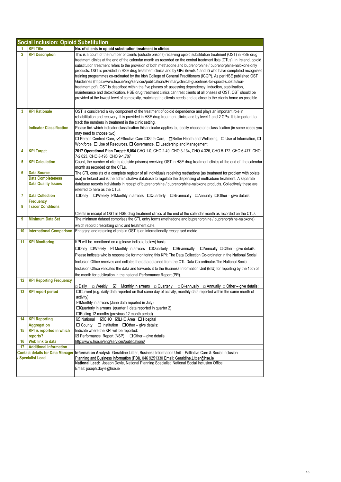|                 | <b>Social Inclusion: Opioid Substitution</b> |                                                                                                                                                                                                                                                                                                                                                                                                                                                                                                                                                                                                                                                                                                                                                                                                                                                                                                                                                                                                                                                                                          |  |
|-----------------|----------------------------------------------|------------------------------------------------------------------------------------------------------------------------------------------------------------------------------------------------------------------------------------------------------------------------------------------------------------------------------------------------------------------------------------------------------------------------------------------------------------------------------------------------------------------------------------------------------------------------------------------------------------------------------------------------------------------------------------------------------------------------------------------------------------------------------------------------------------------------------------------------------------------------------------------------------------------------------------------------------------------------------------------------------------------------------------------------------------------------------------------|--|
|                 | <b>KPI Title</b>                             | No. of clients in opioid substitution treatment in clinics                                                                                                                                                                                                                                                                                                                                                                                                                                                                                                                                                                                                                                                                                                                                                                                                                                                                                                                                                                                                                               |  |
| $\overline{2}$  | <b>KPI Description</b>                       | This is a count of the number of clients (outside prisons) receiving opioid substitution treatment (OST) in HSE drug<br>treatment clinics at the end of the calendar month as recorded on the central treatment lists (CTLs). In Ireland, opioid<br>substitution treatment refers to the provision of both methadone and buprenorphine / buprenorphine-naloxone only<br>products. OST is provided in HSE drug treatment clinics and by GPs (levels 1 and 2) who have completed recognised<br>training programmes co-ordinated by the Irish College of General Practitioners (ICGP). As per HSE published OST<br>Guidelines (https://www.hse.ie/eng/services/publications/Primary/clinical-guidelines-for-opioid-substitution-<br>treatment.pdf), OST is described within the five phases of: assessing dependency, induction, stabilisation,<br>maintenance and detoxification. HSE drug treatment clinics can treat clients at all phases of OST. OST should be<br>provided at the lowest level of complexity, matching the clients needs and as close to the clients home as possible. |  |
| 3               | <b>KPI Rationale</b>                         | OST is considered a key component of the treatment of opioid dependence and plays an important role in<br>rehabilitation and recovery. It is provided in HSE drug treatment clinics and by level 1 and 2 GPs. It is important to<br>track the numbers in treatment in the clinic setting.                                                                                                                                                                                                                                                                                                                                                                                                                                                                                                                                                                                                                                                                                                                                                                                                |  |
|                 | <b>Indicator Classification</b>              | Please tick which indicator classification this indicator applies to, ideally choose one classification (in some cases you<br>may need to choose two).<br>□ Person Centred Care, ØEffective Care □Safe Care, □Better Health and Wellbeing, □ Use of Information, □<br>Workforce, $\square$ Use of Resources, $\square$ Governance, $\square$ Leadership and Management                                                                                                                                                                                                                                                                                                                                                                                                                                                                                                                                                                                                                                                                                                                   |  |
| 4               | <b>KPI Target</b>                            | 2017 Operational Plan Target: 5,084 CHO 1-0, CHO 2-49, CHO 3-134, CHO 4-326, CHO 5-172, CHO 6-477, CHO<br>7-2,023, CHO 8-196, CHO 9-1,707                                                                                                                                                                                                                                                                                                                                                                                                                                                                                                                                                                                                                                                                                                                                                                                                                                                                                                                                                |  |
| 5               | <b>KPI Calculation</b>                       | Count, the number of clients (outside prisons) receiving OST in HSE drug treatment clinics at the end of the calendar<br>month as recorded on the CTLs.                                                                                                                                                                                                                                                                                                                                                                                                                                                                                                                                                                                                                                                                                                                                                                                                                                                                                                                                  |  |
| 6               | <b>Data Source</b>                           | The CTL consists of a complete register of all individuals receiving methadone (as treatment for problem with opiate                                                                                                                                                                                                                                                                                                                                                                                                                                                                                                                                                                                                                                                                                                                                                                                                                                                                                                                                                                     |  |
|                 | <b>Data Completeness</b>                     | use) in Ireland and is the administrative database to regulate the dispensing of methadone treatment. A separate                                                                                                                                                                                                                                                                                                                                                                                                                                                                                                                                                                                                                                                                                                                                                                                                                                                                                                                                                                         |  |
|                 | <b>Data Quality Issues</b>                   | database records individuals in receipt of buprenorphine / buprenorphine-naloxone products. Collectively these are<br>referred to here as the CTLs.                                                                                                                                                                                                                                                                                                                                                                                                                                                                                                                                                                                                                                                                                                                                                                                                                                                                                                                                      |  |
| 7               | <b>Data Collection</b><br>Frequency          | □Weekly ⊠Monthly in arrears □Quarterly □Bi-annually □Annually □Other - give details:<br>$\square$ Daily                                                                                                                                                                                                                                                                                                                                                                                                                                                                                                                                                                                                                                                                                                                                                                                                                                                                                                                                                                                  |  |
| 8               | <b>Tracer Conditions</b>                     |                                                                                                                                                                                                                                                                                                                                                                                                                                                                                                                                                                                                                                                                                                                                                                                                                                                                                                                                                                                                                                                                                          |  |
|                 |                                              | Clients in receipt of OST in HSE drug treatment clinics at the end of the calendar month as recorded on the CTLs.                                                                                                                                                                                                                                                                                                                                                                                                                                                                                                                                                                                                                                                                                                                                                                                                                                                                                                                                                                        |  |
| 9               | <b>Minimum Data Set</b>                      | The minimum dataset comprises the CTL entry forms (methadone and buprenorphine / buprenorphine-naloxone)<br>which record prescribing clinic and treatment date.                                                                                                                                                                                                                                                                                                                                                                                                                                                                                                                                                                                                                                                                                                                                                                                                                                                                                                                          |  |
| 10              |                                              | International Comparison Engaging and retaining clients in OST is an internationally recognised metric.                                                                                                                                                                                                                                                                                                                                                                                                                                                                                                                                                                                                                                                                                                                                                                                                                                                                                                                                                                                  |  |
| 11              | <b>KPI Monitoring</b>                        | KPI will be monitored on a (please indicate below) basis:<br>□Daily □Weekly ⊠ Monthly in arrears □Quarterly □Bi-annually □Annually □Other-give details:<br>Please indicate who is responsible for monitoring this KPI: The Data Collection Co-ordinator in the National Social<br>Inclusion Office receives and collates the data obtained from the CTL Data Co-ordinator. The National Social<br>Inclusion Office validates the data and forwards it to the Business Information Unit (BIU) for reporting by the 15th of<br>the month for publication in the national Performance Report (PR).                                                                                                                                                                                                                                                                                                                                                                                                                                                                                          |  |
| 12              | <b>KPI Reporting Frequency</b>               | □ Daily<br>$\Box$ Bi-annually $\Box$ Annually $\Box$ Other – give details:<br>$\Box$ Weekly<br>$\sqrt{}$                                                                                                                                                                                                                                                                                                                                                                                                                                                                                                                                                                                                                                                                                                                                                                                                                                                                                                                                                                                 |  |
| 13              | <b>KPI report period</b>                     | □ Current (e.g. daily data reported on that same day of activity, monthly data reported within the same month of<br>activity)<br>☑Monthly in arrears (June data reported in July)<br>□ Quarterly in arrears (quarter 1 data reported in quarter 2)<br>□Rolling 12 months (previous 12 month period)                                                                                                                                                                                                                                                                                                                                                                                                                                                                                                                                                                                                                                                                                                                                                                                      |  |
| 14              | <b>KPI Reporting</b>                         | ☑ National ☑CHO ☑LHO Area □ Hospital                                                                                                                                                                                                                                                                                                                                                                                                                                                                                                                                                                                                                                                                                                                                                                                                                                                                                                                                                                                                                                                     |  |
|                 | <b>Aggregation</b>                           | $\Box$ Institution $\Box$ Other – give details:<br>$\Box$ County                                                                                                                                                                                                                                                                                                                                                                                                                                                                                                                                                                                                                                                                                                                                                                                                                                                                                                                                                                                                                         |  |
| 15              | <b>KPI</b> is reported in which<br>reports?  | Indicate where the KPI will be reported:<br>☑ Performance Report (NSP)<br>$\Box$ Other – give details:                                                                                                                                                                                                                                                                                                                                                                                                                                                                                                                                                                                                                                                                                                                                                                                                                                                                                                                                                                                   |  |
| 16              | Web link to data                             | http://www.hse.ie/eng/services/publications/                                                                                                                                                                                                                                                                                                                                                                                                                                                                                                                                                                                                                                                                                                                                                                                                                                                                                                                                                                                                                                             |  |
| 17              | <b>Additional Information</b>                |                                                                                                                                                                                                                                                                                                                                                                                                                                                                                                                                                                                                                                                                                                                                                                                                                                                                                                                                                                                                                                                                                          |  |
|                 | <b>Contact details for Data Manager</b>      | Information Analyst: Geraldine Littler, Business Information Unit - Palliative Care & Social Inclusion                                                                                                                                                                                                                                                                                                                                                                                                                                                                                                                                                                                                                                                                                                                                                                                                                                                                                                                                                                                   |  |
| Specialist Lead |                                              | Planning and Business Information (PBI), 046 9251330 Email: Geraldine Littler@hse.ie<br>National Lead: Joseph Doyle, National Planning Specialist, National Social Inclusion Office<br>Email: joseph.doyle@hse.ie                                                                                                                                                                                                                                                                                                                                                                                                                                                                                                                                                                                                                                                                                                                                                                                                                                                                        |  |
|                 |                                              |                                                                                                                                                                                                                                                                                                                                                                                                                                                                                                                                                                                                                                                                                                                                                                                                                                                                                                                                                                                                                                                                                          |  |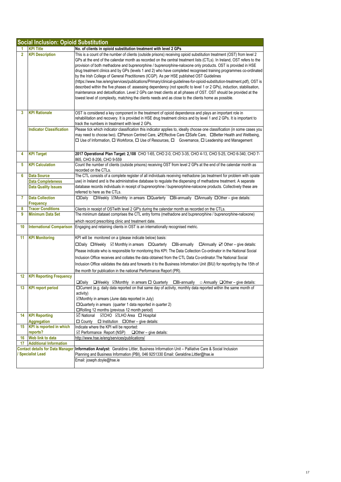|                                         | <b>Social Inclusion: Opioid Substitution</b> |                                                                                                                                                                                                                                                                                                                                                                                                                                                                                                                                                                                                                                                                                                                                                                                                                                                                                                                                                                                                                                                                      |  |
|-----------------------------------------|----------------------------------------------|----------------------------------------------------------------------------------------------------------------------------------------------------------------------------------------------------------------------------------------------------------------------------------------------------------------------------------------------------------------------------------------------------------------------------------------------------------------------------------------------------------------------------------------------------------------------------------------------------------------------------------------------------------------------------------------------------------------------------------------------------------------------------------------------------------------------------------------------------------------------------------------------------------------------------------------------------------------------------------------------------------------------------------------------------------------------|--|
|                                         | <b>KPI Title</b>                             | No. of clients in opioid substitution treatment with level 2 GPs                                                                                                                                                                                                                                                                                                                                                                                                                                                                                                                                                                                                                                                                                                                                                                                                                                                                                                                                                                                                     |  |
| $\overline{2}$                          | <b>KPI Description</b>                       | This is a count of the number of clients (outside prisons) receiving opioid substitution treatment (OST) from level 2<br>GPs at the end of the calendar month as recorded on the central treatment lists (CTLs). In Ireland, OST refers to the<br>provision of both methadone and buprenorphine / buprenorphine-naloxone only products. OST is provided in HSE<br>drug treatment clinics and by GPs (levels 1 and 2) who have completed recognised training programmes co-ordinated<br>by the Irish College of General Practitioners (ICGP). As per HSE published OST Guidelines<br>(https://www.hse.ie/eng/services/publications/Primary/clinical-guidelines-for-opioid-substitution-treatment.pdf), OST is<br>described within the five phases of: assessing dependency (not specific to level 1 or 2 GPs), induction, stabilisation,<br>maintenance and detoxification. Level 2 GPs can treat clients at all phases of OST. OST should be provided at the<br>lowest level of complexity, matching the clients needs and as close to the clients home as possible. |  |
| 3                                       | <b>KPI Rationale</b>                         | OST is considered a key component in the treatment of opioid dependence and plays an important role in<br>rehabilitation and recovery. It is provided in HSE drug treatment clinics and by level 1 and 2 GPs. It is important to<br>track the numbers in treatment with level 2 GPs.                                                                                                                                                                                                                                                                                                                                                                                                                                                                                                                                                                                                                                                                                                                                                                                 |  |
|                                         | <b>Indicator Classification</b>              | Please tick which indicator classification this indicator applies to, ideally choose one classification (in some cases you<br>may need to choose two). □Person Centred Care, ☑Effective Care □Safe Care, □Better Health and Wellbeing,<br>□ Use of Information, □ Workforce, □ Use of Resources, □ Governance, □ Leadership and Management                                                                                                                                                                                                                                                                                                                                                                                                                                                                                                                                                                                                                                                                                                                           |  |
| 4                                       | <b>KPI Target</b>                            | 2017 Operational Plan Target: 2,108 CHO 1-65, CHO 2-0, CHO 3-35, CHO 4-13, CHO 5-25, CHO 6-340, CHO 7-<br>865, CHO 8-206, CHO 9-559                                                                                                                                                                                                                                                                                                                                                                                                                                                                                                                                                                                                                                                                                                                                                                                                                                                                                                                                  |  |
| 5                                       | <b>KPI Calculation</b>                       | Count the number of clients (outside prisons) receiving OST from level 2 GPs at the end of the calendar month as<br>recorded on the CTLs.                                                                                                                                                                                                                                                                                                                                                                                                                                                                                                                                                                                                                                                                                                                                                                                                                                                                                                                            |  |
| 6                                       | <b>Data Source</b>                           | The CTL consists of a complete register of all individuals receiving methadone (as treatment for problem with opiate                                                                                                                                                                                                                                                                                                                                                                                                                                                                                                                                                                                                                                                                                                                                                                                                                                                                                                                                                 |  |
|                                         | <b>Data Completeness</b>                     | use) in Ireland and is the administrative database to regulate the dispensing of methadone treatment. A separate                                                                                                                                                                                                                                                                                                                                                                                                                                                                                                                                                                                                                                                                                                                                                                                                                                                                                                                                                     |  |
|                                         | <b>Data Quality Issues</b>                   | database records individuals in receipt of buprenorphine / buprenorphine-naloxone products. Collectively these are<br>referred to here as the CTLs.                                                                                                                                                                                                                                                                                                                                                                                                                                                                                                                                                                                                                                                                                                                                                                                                                                                                                                                  |  |
| 7                                       | <b>Data Collection</b><br><b>Frequency</b>   | □Weekly ⊠Monthly in arrears □Quarterly □Bi-annually □Annually □Other - give details:<br>$\square$ Daily                                                                                                                                                                                                                                                                                                                                                                                                                                                                                                                                                                                                                                                                                                                                                                                                                                                                                                                                                              |  |
| 8                                       | <b>Tracer Conditions</b>                     | Clients in receipt of OSTwith level 2 GP's during the calendar month as recorded on the CTLs.                                                                                                                                                                                                                                                                                                                                                                                                                                                                                                                                                                                                                                                                                                                                                                                                                                                                                                                                                                        |  |
| 9                                       | <b>Minimum Data Set</b>                      | The minimum dataset comprises the CTL entry forms (methadone and buprenorphine / buprenorphine-naloxone)<br>which record prescribing clinic and treatment date.                                                                                                                                                                                                                                                                                                                                                                                                                                                                                                                                                                                                                                                                                                                                                                                                                                                                                                      |  |
| 10                                      | <b>International Comparison</b>              | Engaging and retaining clients in OST is an internationally recognised metric.                                                                                                                                                                                                                                                                                                                                                                                                                                                                                                                                                                                                                                                                                                                                                                                                                                                                                                                                                                                       |  |
| 11                                      | <b>KPI Monitoring</b>                        | KPI will be monitored on a (please indicate below) basis:                                                                                                                                                                                                                                                                                                                                                                                                                                                                                                                                                                                                                                                                                                                                                                                                                                                                                                                                                                                                            |  |
|                                         |                                              | $\Box$ Daily $\Box$ Weekly $\Box$ Monthly in arrears $\Box$ Quarterly $\Box$ Bi-annually $\Box$ Annually $\Box$ Other – give details:                                                                                                                                                                                                                                                                                                                                                                                                                                                                                                                                                                                                                                                                                                                                                                                                                                                                                                                                |  |
|                                         |                                              | Please indicate who is responsible for monitoring this KPI: The Data Collection Co-ordinator in the National Social                                                                                                                                                                                                                                                                                                                                                                                                                                                                                                                                                                                                                                                                                                                                                                                                                                                                                                                                                  |  |
|                                         |                                              | Inclusion Office receives and collates the data obtained from the CTL Data Co-ordinator. The National Social                                                                                                                                                                                                                                                                                                                                                                                                                                                                                                                                                                                                                                                                                                                                                                                                                                                                                                                                                         |  |
|                                         |                                              | Inclusion Office validates the data and forwards it to the Business Information Unit (BIU) for reporting by the 15th of                                                                                                                                                                                                                                                                                                                                                                                                                                                                                                                                                                                                                                                                                                                                                                                                                                                                                                                                              |  |
|                                         |                                              | the month for publication in the national Performance Report (PR).                                                                                                                                                                                                                                                                                                                                                                                                                                                                                                                                                                                                                                                                                                                                                                                                                                                                                                                                                                                                   |  |
| 12                                      | <b>KPI Reporting Frequency</b>               |                                                                                                                                                                                                                                                                                                                                                                                                                                                                                                                                                                                                                                                                                                                                                                                                                                                                                                                                                                                                                                                                      |  |
|                                         |                                              | $\square$ Daily<br>$\Box$ Weekly $\Box$ Monthly in arrears $\Box$ Quarterly $\Box$ Bi-annually $\Box$ Annually $\Box$ Other – give details:                                                                                                                                                                                                                                                                                                                                                                                                                                                                                                                                                                                                                                                                                                                                                                                                                                                                                                                          |  |
| 13                                      | <b>KPI report period</b>                     | □ Current (e.g. daily data reported on that same day of activity, monthly data reported within the same month of<br>activity)<br>☑Monthly in arrears (June data reported in July)                                                                                                                                                                                                                                                                                                                                                                                                                                                                                                                                                                                                                                                                                                                                                                                                                                                                                    |  |
|                                         |                                              | $\Box$ Quarterly in arrears (quarter 1 data reported in quarter 2)                                                                                                                                                                                                                                                                                                                                                                                                                                                                                                                                                                                                                                                                                                                                                                                                                                                                                                                                                                                                   |  |
|                                         |                                              | □Rolling 12 months (previous 12 month period)                                                                                                                                                                                                                                                                                                                                                                                                                                                                                                                                                                                                                                                                                                                                                                                                                                                                                                                                                                                                                        |  |
| 14                                      | <b>KPI Reporting</b>                         | <b>⊡</b> National<br>⊠CHO ⊠LHO Area □ Hospital                                                                                                                                                                                                                                                                                                                                                                                                                                                                                                                                                                                                                                                                                                                                                                                                                                                                                                                                                                                                                       |  |
|                                         | <b>Aggregation</b>                           | $\Box$ County<br>$\Box$ Institution $\Box$ Other – give details:                                                                                                                                                                                                                                                                                                                                                                                                                                                                                                                                                                                                                                                                                                                                                                                                                                                                                                                                                                                                     |  |
| 15                                      | <b>KPI</b> is reported in which              | Indicate where the KPI will be reported:                                                                                                                                                                                                                                                                                                                                                                                                                                                                                                                                                                                                                                                                                                                                                                                                                                                                                                                                                                                                                             |  |
|                                         | reports?                                     | ☑ Performance Report (NSP)<br>$\Box$ Other – give details:                                                                                                                                                                                                                                                                                                                                                                                                                                                                                                                                                                                                                                                                                                                                                                                                                                                                                                                                                                                                           |  |
| 16                                      | <b>Web link to data</b>                      | http://www.hse.ie/eng/services/publications/                                                                                                                                                                                                                                                                                                                                                                                                                                                                                                                                                                                                                                                                                                                                                                                                                                                                                                                                                                                                                         |  |
| 17                                      | <b>Additional Information</b>                |                                                                                                                                                                                                                                                                                                                                                                                                                                                                                                                                                                                                                                                                                                                                                                                                                                                                                                                                                                                                                                                                      |  |
| <b>Contact details for Data Manager</b> |                                              | Information Analyst: Geraldine Littler, Business Information Unit - Palliative Care & Social Inclusion                                                                                                                                                                                                                                                                                                                                                                                                                                                                                                                                                                                                                                                                                                                                                                                                                                                                                                                                                               |  |
|                                         | <b>Specialist Lead</b>                       | Planning and Business Information (PBI), 046 9251330 Email: Geraldine Littler@hse.ie                                                                                                                                                                                                                                                                                                                                                                                                                                                                                                                                                                                                                                                                                                                                                                                                                                                                                                                                                                                 |  |
|                                         |                                              | Email: joseph.doyle@hse.ie                                                                                                                                                                                                                                                                                                                                                                                                                                                                                                                                                                                                                                                                                                                                                                                                                                                                                                                                                                                                                                           |  |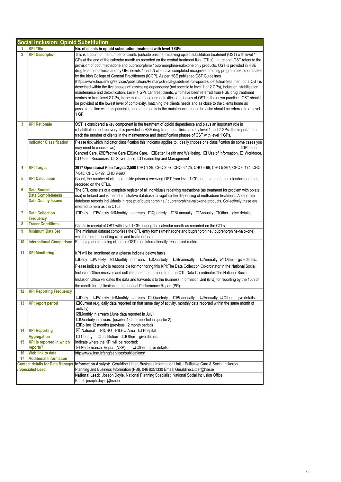|                                                            | <b>Social Inclusion: Opioid Substitution</b> |                                                                                                                                                                                                                                                                                                                                                                                                                                                                                                                                                                                                                                                                                                                                                                                                                                                                                                                                                                                                                                                                                                                                                                                                                                                                                                                                     |  |
|------------------------------------------------------------|----------------------------------------------|-------------------------------------------------------------------------------------------------------------------------------------------------------------------------------------------------------------------------------------------------------------------------------------------------------------------------------------------------------------------------------------------------------------------------------------------------------------------------------------------------------------------------------------------------------------------------------------------------------------------------------------------------------------------------------------------------------------------------------------------------------------------------------------------------------------------------------------------------------------------------------------------------------------------------------------------------------------------------------------------------------------------------------------------------------------------------------------------------------------------------------------------------------------------------------------------------------------------------------------------------------------------------------------------------------------------------------------|--|
|                                                            | <b>KPI Title</b>                             | No. of clients in opioid substitution treatment with level 1 GPs                                                                                                                                                                                                                                                                                                                                                                                                                                                                                                                                                                                                                                                                                                                                                                                                                                                                                                                                                                                                                                                                                                                                                                                                                                                                    |  |
| $\overline{2}$                                             | <b>KPI Description</b>                       | This is a count of the number of clients (outside prisons) receiving opioid substitution treatment (OST) with level 1<br>GPs at the end of the calendar month as recorded on the central treatment lists (CTLs). In Ireland, OST refers to the<br>provision of both methadone and buprenorphine / buprenorphine-naloxone only products. OST is provided in HSE<br>drug treatment clinics and by GPs (levels 1 and 2) who have completed recognised training programmes co-ordinated<br>by the Irish College of General Practitioners (ICGP). As per HSE published OST Guidelines<br>(https://www.hse.ie/eng/services/publications/Primary/clinical-guidelines-for-opioid-substitution-treatment.pdf), OST is<br>described within the five phases of: assessing dependency (not specific to level 1 or 2 GPs), induction, stabilisation,<br>maintenance and detoxification. Level 1 GPs can treat clients, who have been referred from HSE drug treatment<br>centres or from level 2 GPs, in the maintenance and detoxification phases of OST in their own practice. OST should<br>be provided at the lowest level of complexity, matching the clients needs and as close to the clients home as<br>possible. In line with this principle, once a person is in the maintenance phase he / she should be referred to a Level<br>1 GP. |  |
| 3                                                          | <b>KPI Rationale</b>                         | OST is considered a key component in the treatment of opioid dependence and plays an important role in<br>rehabilitation and recovery. It is provided in HSE drug treatment clinics and by level 1 and 2 GPs. It is important to<br>track the number of clients in the maintenance and detoxification phases of OST with level 1 GPs.                                                                                                                                                                                                                                                                                                                                                                                                                                                                                                                                                                                                                                                                                                                                                                                                                                                                                                                                                                                               |  |
|                                                            | <b>Indicator Classification</b>              | Please tick which indicator classification this indicator applies to, ideally choose one classification (in some cases you<br>$\Box$ Person<br>may need to choose two).<br>Centred Care, ZEffective Care ESafe Care, EBetter Health and Wellbeing, E Use of Information, E Workforce,<br>$\Box$ Use of Resources, $\Box$ Governance, $\Box$ Leadership and Management                                                                                                                                                                                                                                                                                                                                                                                                                                                                                                                                                                                                                                                                                                                                                                                                                                                                                                                                                               |  |
| 4                                                          | <b>KPI Target</b>                            | 2017 Operational Plan Target: 2,508 CHO 1-29, CHO 2-87, CHO 3-125, CHO 4-99, CHO 5-267, CHO 6-174, CHO<br>7-845, CHO 8-192, CHO 9-690                                                                                                                                                                                                                                                                                                                                                                                                                                                                                                                                                                                                                                                                                                                                                                                                                                                                                                                                                                                                                                                                                                                                                                                               |  |
| 5                                                          | <b>KPI Calculation</b>                       | Count, the number of clients (outside prisons) receiving OST from level 1 GPs at the end of the calendar month as<br>recorded on the CTLs.                                                                                                                                                                                                                                                                                                                                                                                                                                                                                                                                                                                                                                                                                                                                                                                                                                                                                                                                                                                                                                                                                                                                                                                          |  |
| 6                                                          | <b>Data Source</b>                           | The CTL consists of a complete register of all individuals receiving methadone (as treatment for problem with opiate                                                                                                                                                                                                                                                                                                                                                                                                                                                                                                                                                                                                                                                                                                                                                                                                                                                                                                                                                                                                                                                                                                                                                                                                                |  |
|                                                            | <b>Data Completeness</b>                     | use) in Ireland and is the administrative database to regulate the dispensing of methadone treatment. A separate                                                                                                                                                                                                                                                                                                                                                                                                                                                                                                                                                                                                                                                                                                                                                                                                                                                                                                                                                                                                                                                                                                                                                                                                                    |  |
|                                                            | <b>Data Quality Issues</b>                   | database records individuals in receipt of buprenorphine / buprenorphine-naloxone products. Collectively these are<br>referred to here as the CTLs.                                                                                                                                                                                                                                                                                                                                                                                                                                                                                                                                                                                                                                                                                                                                                                                                                                                                                                                                                                                                                                                                                                                                                                                 |  |
| 7                                                          | <b>Data Collection</b><br>Frequency          | $\square$ Weekly $\square$ Monthly in arrears $\square$ Quarterly $\square$ Bi-annually $\square$ Annually $\square$ Other – give details:<br>$\square$ Daily                                                                                                                                                                                                                                                                                                                                                                                                                                                                                                                                                                                                                                                                                                                                                                                                                                                                                                                                                                                                                                                                                                                                                                       |  |
| 8                                                          | <b>Tracer Conditions</b>                     | Clients in receipt of OST with level 1 GPs during the calendar month as recorded on the CTLs.                                                                                                                                                                                                                                                                                                                                                                                                                                                                                                                                                                                                                                                                                                                                                                                                                                                                                                                                                                                                                                                                                                                                                                                                                                       |  |
| 9                                                          | <b>Minimum Data Set</b>                      | The minimum dataset comprises the CTL entry forms (methadone and buprenorphine / buprenorphine-naloxone)<br>which record prescribing clinic and treatment date.                                                                                                                                                                                                                                                                                                                                                                                                                                                                                                                                                                                                                                                                                                                                                                                                                                                                                                                                                                                                                                                                                                                                                                     |  |
| 10                                                         | <b>International Comparison</b>              | Engaging and retaining clients in OST is an internationally recognised metric.                                                                                                                                                                                                                                                                                                                                                                                                                                                                                                                                                                                                                                                                                                                                                                                                                                                                                                                                                                                                                                                                                                                                                                                                                                                      |  |
| 11                                                         | <b>KPI Monitoring</b>                        | KPI will be monitored on a (please indicate below) basis:<br>$\square$ Daily $\square$ Weekly $\square$ Monthly in arrears $\square$ Quarterly $\square$ Bi-annually<br>$\Box$ Annually $\Box$ Other – give details:<br>Please indicate who is responsible for monitoring this KPI: The Data Collection Co-ordinator in the National Social<br>Inclusion Office receives and collates the data obtained from the CTL Data Co-ordinator. The National Social<br>Inclusion Office validates the data and forwards it to the Business Information Unit (BIU) for reporting by the 15th of<br>the month for publication in the national Performance Report (PR).                                                                                                                                                                                                                                                                                                                                                                                                                                                                                                                                                                                                                                                                        |  |
| 12                                                         | <b>KPI Reporting Frequency</b>               | $\Box$ Daily $\Box$ Weekly $\Box$ Monthly in arrears $\Box$ Quarterly $\Box$ Bi-annually $\Box$ Annually $\Box$ Other – give details:                                                                                                                                                                                                                                                                                                                                                                                                                                                                                                                                                                                                                                                                                                                                                                                                                                                                                                                                                                                                                                                                                                                                                                                               |  |
| 13 <sup>°</sup>                                            | <b>KPI report period</b>                     | □ Current (e.g. daily data reported on that same day of activity, monthly data reported within the same month of<br>activity)<br>☑Monthly in arrears (June data reported in July)<br>$\Box$ Quarterly in arrears (quarter 1 data reported in quarter 2)<br>$\Box$ Rolling 12 months (previous 12 month period)                                                                                                                                                                                                                                                                                                                                                                                                                                                                                                                                                                                                                                                                                                                                                                                                                                                                                                                                                                                                                      |  |
| 14                                                         | <b>KPI Reporting</b><br><b>Aggregation</b>   | <b>Ø</b> National ØCHO ØLHO Area □ Hospital<br>$\Box$ County $\Box$ Institution $\Box$ Other – give details:                                                                                                                                                                                                                                                                                                                                                                                                                                                                                                                                                                                                                                                                                                                                                                                                                                                                                                                                                                                                                                                                                                                                                                                                                        |  |
| 15                                                         | <b>KPI</b> is reported in which<br>reports?  | Indicate where the KPI will be reported:<br>☑ Performance Report (NSP)<br>$\Box$ Other – give details:                                                                                                                                                                                                                                                                                                                                                                                                                                                                                                                                                                                                                                                                                                                                                                                                                                                                                                                                                                                                                                                                                                                                                                                                                              |  |
| 16                                                         | Web link to data                             | http://www.hse.ie/eng/services/publications/                                                                                                                                                                                                                                                                                                                                                                                                                                                                                                                                                                                                                                                                                                                                                                                                                                                                                                                                                                                                                                                                                                                                                                                                                                                                                        |  |
| 17                                                         | <b>Additional Information</b>                |                                                                                                                                                                                                                                                                                                                                                                                                                                                                                                                                                                                                                                                                                                                                                                                                                                                                                                                                                                                                                                                                                                                                                                                                                                                                                                                                     |  |
| <b>Contact details for Data Manager</b><br>Specialist Lead |                                              | Information Analyst: Geraldine Littler, Business Information Unit - Palliative Care & Social Inclusion<br>Planning and Business Information (PBI), 046 9251330 Email: Geraldine.Littler@hse.ie                                                                                                                                                                                                                                                                                                                                                                                                                                                                                                                                                                                                                                                                                                                                                                                                                                                                                                                                                                                                                                                                                                                                      |  |
|                                                            |                                              | National Lead: Joseph Doyle, National Planning Specialist, National Social Inclusion Office<br>Email: joseph.doyle@hse.ie                                                                                                                                                                                                                                                                                                                                                                                                                                                                                                                                                                                                                                                                                                                                                                                                                                                                                                                                                                                                                                                                                                                                                                                                           |  |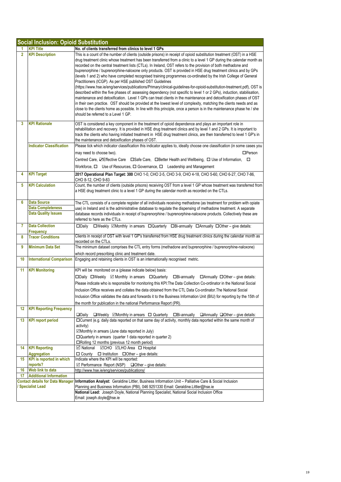|                | <b>Social Inclusion: Opioid Substitution</b> |                                                                                                                                                                                                                                                                                                                                                                                                                                                                                                                                                                                                                                                                                                                                                                                                                                                                                                                                                                                                                                                                                                                                                                                                                                                                                                                                      |  |
|----------------|----------------------------------------------|--------------------------------------------------------------------------------------------------------------------------------------------------------------------------------------------------------------------------------------------------------------------------------------------------------------------------------------------------------------------------------------------------------------------------------------------------------------------------------------------------------------------------------------------------------------------------------------------------------------------------------------------------------------------------------------------------------------------------------------------------------------------------------------------------------------------------------------------------------------------------------------------------------------------------------------------------------------------------------------------------------------------------------------------------------------------------------------------------------------------------------------------------------------------------------------------------------------------------------------------------------------------------------------------------------------------------------------|--|
| 1.             | <b>KPI Title</b>                             | No. of clients transferred from clinics to level 1 GPs                                                                                                                                                                                                                                                                                                                                                                                                                                                                                                                                                                                                                                                                                                                                                                                                                                                                                                                                                                                                                                                                                                                                                                                                                                                                               |  |
| $\overline{2}$ | <b>KPI Description</b>                       | This is a count of the number of clients (outside prisons) in receipt of opioid substitution treatment (OST) in a HSE<br>drug treatment clinic whose treatment has been transferred from a clinic to a level 1 GP during the calendar month as<br>recorded on the central treatment lists (CTLs). In Ireland, OST refers to the provision of both methadone and<br>buprenorphine / buprenorphine-naloxone only products. OST is provided in HSE drug treatment clinics and by GPs<br>(levels 1 and 2) who have completed recognised training programmes co-ordinated by the Irish College of General<br>Practitioners (ICGP). As per HSE published OST Guidelines<br>(https://www.hse.ie/eng/services/publications/Primary/clinical-guidelines-for-opioid-substitution-treatment.pdf), OST is<br>described within the five phases of: assessing dependency (not specific to level 1 or 2 GPs), induction, stabilisation,<br>maintenance and detoxification. Level 1 GPs can treat clients in the maintenance and detoxification phases of OST<br>in their own practice. OST should be provided at the lowest level of complexity, matching the clients needs and as<br>close to the clients home as possible. In line with this principle, once a person is in the maintenance phase he / she<br>should be referred to a Level 1 GP. |  |
| 3              | <b>KPI Rationale</b>                         | OST is considered a key component in the treatment of opioid dependence and plays an important role in<br>rehabilitation and recovery. It is provided in HSE drug treatment clinics and by level 1 and 2 GPs. It is important to<br>track the clients who having initiated treatment in HSE drug treatment clinics, are then transferred to level 1 GP's in<br>the maintenance and detoxification phases of OST.                                                                                                                                                                                                                                                                                                                                                                                                                                                                                                                                                                                                                                                                                                                                                                                                                                                                                                                     |  |
|                | <b>Indicator Classification</b>              | Please tick which indicator classification this indicator applies to, ideally choose one classification (in some cases you<br>$\Box$ Person<br>may need to choose two).                                                                                                                                                                                                                                                                                                                                                                                                                                                                                                                                                                                                                                                                                                                                                                                                                                                                                                                                                                                                                                                                                                                                                              |  |
|                |                                              | Centred Care, ZEffective Care □ Safe Care, □ Better Health and Wellbeing, □ Use of Information, □<br>Workforce, $\Box$ Use of Resources, $\Box$ Governance, $\Box$ Leadership and Management                                                                                                                                                                                                                                                                                                                                                                                                                                                                                                                                                                                                                                                                                                                                                                                                                                                                                                                                                                                                                                                                                                                                         |  |
| 4              | <b>KPI Target</b>                            | 2017 Operational Plan Target: 300 CHO 1-0, CHO 2-5, CHO 3-9, CHO 4-18, CHO 5-60, CHO 6-27, CHO 7-86,<br>CHO 8-12, CHO 9-83                                                                                                                                                                                                                                                                                                                                                                                                                                                                                                                                                                                                                                                                                                                                                                                                                                                                                                                                                                                                                                                                                                                                                                                                           |  |
| 5              | <b>KPI Calculation</b>                       | Count, the number of clients (outside prisons) receiving OST from a level 1 GP whose treatment was transferred from<br>a HSE drug treatment clinic to a level 1 GP during the calendar month as recorded on the CTLs.                                                                                                                                                                                                                                                                                                                                                                                                                                                                                                                                                                                                                                                                                                                                                                                                                                                                                                                                                                                                                                                                                                                |  |
| 6              | <b>Data Source</b>                           | The CTL consists of a complete register of all individuals receiving methadone (as treatment for problem with opiate                                                                                                                                                                                                                                                                                                                                                                                                                                                                                                                                                                                                                                                                                                                                                                                                                                                                                                                                                                                                                                                                                                                                                                                                                 |  |
|                | <b>Data Completeness</b>                     | use) in Ireland and is the administrative database to regulate the dispensing of methadone treatment. A separate                                                                                                                                                                                                                                                                                                                                                                                                                                                                                                                                                                                                                                                                                                                                                                                                                                                                                                                                                                                                                                                                                                                                                                                                                     |  |
|                | <b>Data Quality Issues</b>                   | database records individuals in receipt of buprenorphine / buprenorphine-naloxone products. Collectively these are<br>referred to here as the CTLs.                                                                                                                                                                                                                                                                                                                                                                                                                                                                                                                                                                                                                                                                                                                                                                                                                                                                                                                                                                                                                                                                                                                                                                                  |  |
| 7              | <b>Data Collection</b><br>Frequency          | □Weekly <b>ØMonthly in arrears</b> □Quarterly □Bi-annually □Annually □Other – give details:<br>$\square$ Daily                                                                                                                                                                                                                                                                                                                                                                                                                                                                                                                                                                                                                                                                                                                                                                                                                                                                                                                                                                                                                                                                                                                                                                                                                       |  |
| 8              | <b>Tracer Conditions</b>                     | Clients in receipt of OST with level 1 GP's transferred from HSE drug treatment clinics during the calendar month as<br>recorded on the CTLs.                                                                                                                                                                                                                                                                                                                                                                                                                                                                                                                                                                                                                                                                                                                                                                                                                                                                                                                                                                                                                                                                                                                                                                                        |  |
| 9              | <b>Minimum Data Set</b>                      | The minimum dataset comprises the CTL entry forms (methadone and buprenorphine / buprenorphine-naloxone)<br>which record prescribing clinic and treatment date.                                                                                                                                                                                                                                                                                                                                                                                                                                                                                                                                                                                                                                                                                                                                                                                                                                                                                                                                                                                                                                                                                                                                                                      |  |
| 10             | <b>International Comparison</b>              | Engaging and retaining clients in OST is an internationally recognised metric.                                                                                                                                                                                                                                                                                                                                                                                                                                                                                                                                                                                                                                                                                                                                                                                                                                                                                                                                                                                                                                                                                                                                                                                                                                                       |  |
| 11             | <b>KPI Monitoring</b>                        | KPI will be monitored on a (please indicate below) basis:<br>□Daily □Weekly ⊠ Monthly in arrears □Quarterly<br>$\Box$ Bi-annually $\Box$ Annually $\Box$ Other – give details:<br>Please indicate who is responsible for monitoring this KPI: The Data Collection Co-ordinator in the National Social<br>Inclusion Office receives and collates the data obtained from the CTL Data Co-ordinator. The National Social<br>Inclusion Office validates the data and forwards it to the Business Information Unit (BIU) for reporting by the 15th of<br>the month for publication in the national Performance Report (PR).                                                                                                                                                                                                                                                                                                                                                                                                                                                                                                                                                                                                                                                                                                               |  |
| 12             | <b>KPI Reporting Frequency</b>               | $\Box$ Weekly $\Box$ Monthly in arrears $\Box$ Quarterly $\Box$ Bi-annually $\Box$ Annually $\Box$ Other – give details:<br>$\square$ Daily                                                                                                                                                                                                                                                                                                                                                                                                                                                                                                                                                                                                                                                                                                                                                                                                                                                                                                                                                                                                                                                                                                                                                                                          |  |
| 13             | <b>KPI report period</b>                     | □Current (e.g. daily data reported on that same day of activity, monthly data reported within the same month of<br>activity)<br>☑Monthly in arrears (June data reported in July)<br>$\Box$ Quarterly in arrears (quarter 1 data reported in quarter 2)<br>□Rolling 12 months (previous 12 month period)                                                                                                                                                                                                                                                                                                                                                                                                                                                                                                                                                                                                                                                                                                                                                                                                                                                                                                                                                                                                                              |  |
| 14             | <b>KPI Reporting</b><br><b>Aggregation</b>   | $\Box$ Institution $\Box$ Other - give details:<br>$\Box$ County                                                                                                                                                                                                                                                                                                                                                                                                                                                                                                                                                                                                                                                                                                                                                                                                                                                                                                                                                                                                                                                                                                                                                                                                                                                                     |  |
| 15             | <b>KPI</b> is reported in which<br>reports?  | Indicate where the KPI will be reported:<br>$\boxtimes$ Performance Report (NSP)<br>$\Box$ Other – give details:                                                                                                                                                                                                                                                                                                                                                                                                                                                                                                                                                                                                                                                                                                                                                                                                                                                                                                                                                                                                                                                                                                                                                                                                                     |  |
| 16             | Web link to data                             | http://www.hse.ie/eng/services/publications/                                                                                                                                                                                                                                                                                                                                                                                                                                                                                                                                                                                                                                                                                                                                                                                                                                                                                                                                                                                                                                                                                                                                                                                                                                                                                         |  |
| 17             | <b>Additional Information</b>                |                                                                                                                                                                                                                                                                                                                                                                                                                                                                                                                                                                                                                                                                                                                                                                                                                                                                                                                                                                                                                                                                                                                                                                                                                                                                                                                                      |  |
|                | <b>Contact details for Data Manager</b>      | Information Analyst: Geraldine Littler, Business Information Unit - Palliative Care & Social Inclusion                                                                                                                                                                                                                                                                                                                                                                                                                                                                                                                                                                                                                                                                                                                                                                                                                                                                                                                                                                                                                                                                                                                                                                                                                               |  |
|                | <b>Specialist Lead</b>                       | Planning and Business Information (PBI), 046 9251330 Email: Geraldine.Littler@hse.ie<br>National Lead: Joseph Doyle, National Planning Specialist, National Social Inclusion Office                                                                                                                                                                                                                                                                                                                                                                                                                                                                                                                                                                                                                                                                                                                                                                                                                                                                                                                                                                                                                                                                                                                                                  |  |
|                |                                              | Email: joseph.doyle@hse.ie                                                                                                                                                                                                                                                                                                                                                                                                                                                                                                                                                                                                                                                                                                                                                                                                                                                                                                                                                                                                                                                                                                                                                                                                                                                                                                           |  |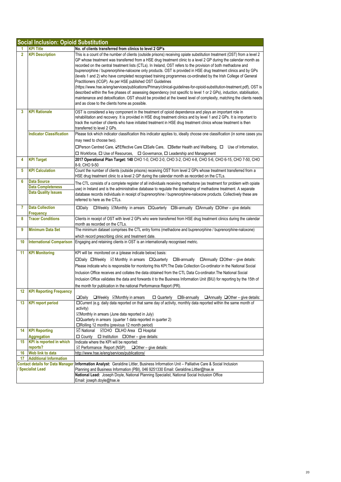|                | <b>Social Inclusion: Opioid Substitution</b>   |                                                                                                                                                                                                                                                                                                                                                                                                                                                                                                                                                                                                                                                                                                                                                                                                                                                                                                                                                                                                                                                                                                |  |
|----------------|------------------------------------------------|------------------------------------------------------------------------------------------------------------------------------------------------------------------------------------------------------------------------------------------------------------------------------------------------------------------------------------------------------------------------------------------------------------------------------------------------------------------------------------------------------------------------------------------------------------------------------------------------------------------------------------------------------------------------------------------------------------------------------------------------------------------------------------------------------------------------------------------------------------------------------------------------------------------------------------------------------------------------------------------------------------------------------------------------------------------------------------------------|--|
|                | <b>KPI Title</b>                               | No. of clients transferred from clinics to level 2 GP's                                                                                                                                                                                                                                                                                                                                                                                                                                                                                                                                                                                                                                                                                                                                                                                                                                                                                                                                                                                                                                        |  |
| $\overline{2}$ | <b>KPI Description</b>                         | This is a count of the number of clients (outside prisons) receiving opiate substitution treatment (OST) from a level 2<br>GP whose treatment was transferred from a HSE drug treatment clinic to a level 2 GP during the calendar month as<br>recorded on the central treatment lists (CTLs). In Ireland, OST refers to the provision of both methadone and<br>buprenorphine / buprenorphine-naloxone only products. OST is provided in HSE drug treatment clinics and by GPs<br>(levels 1 and 2) who have completed recognised training programmes co-ordinated by the Irish College of General<br>Practitioners (ICGP). As per HSE published OST Guidelines<br>(https://www.hse.ie/eng/services/publications/Primary/clinical-guidelines-for-opioid-substitution-treatment.pdf), OST is<br>described within the five phases of: assessing dependency (not specific to level 1 or 2 GPs), induction, stabilisation,<br>maintenance and detoxification. OST should be provided at the lowest level of complexity, matching the clients needs<br>and as close to the clients home as possible. |  |
| 3              | <b>KPI Rationale</b>                           | OST is considered a key component in the treatment of opioid dependence and plays an important role in                                                                                                                                                                                                                                                                                                                                                                                                                                                                                                                                                                                                                                                                                                                                                                                                                                                                                                                                                                                         |  |
|                |                                                | rehabilitation and recovery. It is provided in HSE drug treatment clinics and by level 1 and 2 GPs. It is important to<br>track the number of clients who have initiated treatment in HSE drug treatment clinics whose treatment is then<br>transferred to level 2 GPs.                                                                                                                                                                                                                                                                                                                                                                                                                                                                                                                                                                                                                                                                                                                                                                                                                        |  |
|                | <b>Indicator Classification</b>                | Please tick which indicator classification this indicator applies to, ideally choose one classification (in some cases you                                                                                                                                                                                                                                                                                                                                                                                                                                                                                                                                                                                                                                                                                                                                                                                                                                                                                                                                                                     |  |
|                |                                                | may need to choose two).                                                                                                                                                                                                                                                                                                                                                                                                                                                                                                                                                                                                                                                                                                                                                                                                                                                                                                                                                                                                                                                                       |  |
|                |                                                | □Person Centred Care, ZEffective Care □Safe Care, □Better Health and Wellbeing, □ Use of Information,                                                                                                                                                                                                                                                                                                                                                                                                                                                                                                                                                                                                                                                                                                                                                                                                                                                                                                                                                                                          |  |
|                |                                                | $\Box$ Workforce, $\Box$ Use of Resources, $\Box$ Governance, $\Box$ Leadership and Management                                                                                                                                                                                                                                                                                                                                                                                                                                                                                                                                                                                                                                                                                                                                                                                                                                                                                                                                                                                                 |  |
| 4              | <b>KPI Target</b>                              | 2017 Operational Plan Target: 140 CHO 1-0, CHO 2-0, CHO 3-2, CHO 4-8, CHO 5-6, CHO 6-15, CHO 7-50, CHO<br>8-9. CHO 9-50                                                                                                                                                                                                                                                                                                                                                                                                                                                                                                                                                                                                                                                                                                                                                                                                                                                                                                                                                                        |  |
| 5              | <b>KPI Calculation</b>                         | Count the number of clients (outside prisons) receiving OST from level 2 GPs whose treatment transferred from a<br>HSE drug treatment clinic to a level 2 GP during the calendar month as recorded on the CTLs.                                                                                                                                                                                                                                                                                                                                                                                                                                                                                                                                                                                                                                                                                                                                                                                                                                                                                |  |
| 6              | <b>Data Source</b><br><b>Data Completeness</b> | The CTL consists of a complete register of all individuals receiving methadone (as treatment for problem with opiate                                                                                                                                                                                                                                                                                                                                                                                                                                                                                                                                                                                                                                                                                                                                                                                                                                                                                                                                                                           |  |
|                | <b>Data Quality Issues</b>                     | use) in Ireland and is the administrative database to regulate the dispensing of methadone treatment. A separate                                                                                                                                                                                                                                                                                                                                                                                                                                                                                                                                                                                                                                                                                                                                                                                                                                                                                                                                                                               |  |
|                |                                                | database records individuals in receipt of buprenorphine / buprenorphine-naloxone products. Collectively these are<br>referred to here as the CTLs.                                                                                                                                                                                                                                                                                                                                                                                                                                                                                                                                                                                                                                                                                                                                                                                                                                                                                                                                            |  |
| 7              | <b>Data Collection</b>                         | □Weekly ⊠Monthly in arrears □Quarterly □Bi-annually □Annually □Other - give details:<br>$\square$ Daily                                                                                                                                                                                                                                                                                                                                                                                                                                                                                                                                                                                                                                                                                                                                                                                                                                                                                                                                                                                        |  |
|                | Frequency                                      |                                                                                                                                                                                                                                                                                                                                                                                                                                                                                                                                                                                                                                                                                                                                                                                                                                                                                                                                                                                                                                                                                                |  |
| 8              | <b>Tracer Conditions</b>                       | Clients in receipt of OST with level 2 GPs who were transferred from HSE drug treatment clinics during the calendar<br>month as recorded on the CTLs.                                                                                                                                                                                                                                                                                                                                                                                                                                                                                                                                                                                                                                                                                                                                                                                                                                                                                                                                          |  |
| 9              | <b>Minimum Data Set</b>                        | The minimum dataset comprises the CTL entry forms (methadone and buprenorphine / buprenorphine-naloxone)                                                                                                                                                                                                                                                                                                                                                                                                                                                                                                                                                                                                                                                                                                                                                                                                                                                                                                                                                                                       |  |
| 10             | <b>International Comparison</b>                | which record prescribing clinic and treatment date.<br>Engaging and retaining clients in OST is an internationally recognised metric.                                                                                                                                                                                                                                                                                                                                                                                                                                                                                                                                                                                                                                                                                                                                                                                                                                                                                                                                                          |  |
|                |                                                |                                                                                                                                                                                                                                                                                                                                                                                                                                                                                                                                                                                                                                                                                                                                                                                                                                                                                                                                                                                                                                                                                                |  |
| 11             | <b>KPI Monitoring</b>                          | KPI will be monitored on a (please indicate below) basis:                                                                                                                                                                                                                                                                                                                                                                                                                                                                                                                                                                                                                                                                                                                                                                                                                                                                                                                                                                                                                                      |  |
|                |                                                | □Daily □Weekly ⊠ Monthly in arrears □Quarterly □Bi-annually □Annually □Other - give details:                                                                                                                                                                                                                                                                                                                                                                                                                                                                                                                                                                                                                                                                                                                                                                                                                                                                                                                                                                                                   |  |
|                |                                                | Please indicate who is responsible for monitoring this KPI: The Data Collection Co-ordinator in the National Social                                                                                                                                                                                                                                                                                                                                                                                                                                                                                                                                                                                                                                                                                                                                                                                                                                                                                                                                                                            |  |
|                |                                                | Inclusion Office receives and collates the data obtained from the CTL Data Co-ordinator. The National Social                                                                                                                                                                                                                                                                                                                                                                                                                                                                                                                                                                                                                                                                                                                                                                                                                                                                                                                                                                                   |  |
|                |                                                | Inclusion Office validates the data and forwards it to the Business Information Unit (BIU) for reporting by the 15th of                                                                                                                                                                                                                                                                                                                                                                                                                                                                                                                                                                                                                                                                                                                                                                                                                                                                                                                                                                        |  |
| 12             | <b>KPI Reporting Frequency</b>                 | the month for publication in the national Performance Report (PR).                                                                                                                                                                                                                                                                                                                                                                                                                                                                                                                                                                                                                                                                                                                                                                                                                                                                                                                                                                                                                             |  |
|                |                                                | $\Box$ Daily $\Box$ Weekly $\Box$ Monthly in arrears<br>□ Quarterly □Bi-annually □Annually □Other – give details:                                                                                                                                                                                                                                                                                                                                                                                                                                                                                                                                                                                                                                                                                                                                                                                                                                                                                                                                                                              |  |
| 13.            | <b>KPI report period</b>                       | □ Current (e.g. daily data reported on that same day of activity, monthly data reported within the same month of                                                                                                                                                                                                                                                                                                                                                                                                                                                                                                                                                                                                                                                                                                                                                                                                                                                                                                                                                                               |  |
|                |                                                | activity)                                                                                                                                                                                                                                                                                                                                                                                                                                                                                                                                                                                                                                                                                                                                                                                                                                                                                                                                                                                                                                                                                      |  |
|                |                                                | ⊠Monthly in arrears (June data reported in July)<br>□ Quarterly in arrears (quarter 1 data reported in quarter 2)                                                                                                                                                                                                                                                                                                                                                                                                                                                                                                                                                                                                                                                                                                                                                                                                                                                                                                                                                                              |  |
|                |                                                | □Rolling 12 months (previous 12 month period)                                                                                                                                                                                                                                                                                                                                                                                                                                                                                                                                                                                                                                                                                                                                                                                                                                                                                                                                                                                                                                                  |  |
| 14             | <b>KPI Reporting</b>                           |                                                                                                                                                                                                                                                                                                                                                                                                                                                                                                                                                                                                                                                                                                                                                                                                                                                                                                                                                                                                                                                                                                |  |
|                | <b>Aggregation</b>                             | $\Box$ County $\Box$ Institution $\Box$ Other – give details:                                                                                                                                                                                                                                                                                                                                                                                                                                                                                                                                                                                                                                                                                                                                                                                                                                                                                                                                                                                                                                  |  |
| 15             | <b>KPI</b> is reported in which                | Indicate where the KPI will be reported:                                                                                                                                                                                                                                                                                                                                                                                                                                                                                                                                                                                                                                                                                                                                                                                                                                                                                                                                                                                                                                                       |  |
| 16             | reports?<br>Web link to data                   | ☑ Performance Report (NSP)<br>$\Box$ Other – give details:<br>http://www.hse.ie/eng/services/publications/                                                                                                                                                                                                                                                                                                                                                                                                                                                                                                                                                                                                                                                                                                                                                                                                                                                                                                                                                                                     |  |
| 17             | <b>Additional Information</b>                  |                                                                                                                                                                                                                                                                                                                                                                                                                                                                                                                                                                                                                                                                                                                                                                                                                                                                                                                                                                                                                                                                                                |  |
|                |                                                | Contact details for Data Manager   Information Analyst: Geraldine Littler, Business Information Unit - Palliative Care & Social Inclusion                                                                                                                                                                                                                                                                                                                                                                                                                                                                                                                                                                                                                                                                                                                                                                                                                                                                                                                                                      |  |
|                | <b>Specialist Lead</b>                         | Planning and Business Information (PBI), 046 9251330 Email: Geraldine.Littler@hse.ie                                                                                                                                                                                                                                                                                                                                                                                                                                                                                                                                                                                                                                                                                                                                                                                                                                                                                                                                                                                                           |  |
|                |                                                | National Lead: Joseph Doyle, National Planning Specialist, National Social Inclusion Office<br>Email: joseph.doyle@hse.ie                                                                                                                                                                                                                                                                                                                                                                                                                                                                                                                                                                                                                                                                                                                                                                                                                                                                                                                                                                      |  |
|                |                                                |                                                                                                                                                                                                                                                                                                                                                                                                                                                                                                                                                                                                                                                                                                                                                                                                                                                                                                                                                                                                                                                                                                |  |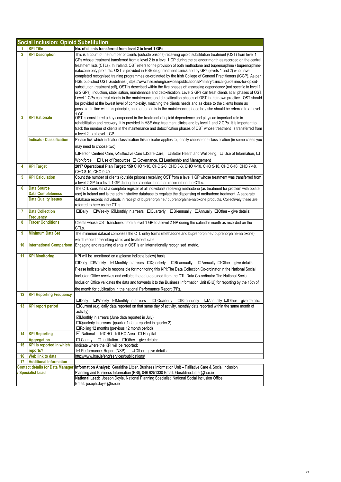|                | <b>Social Inclusion: Opioid Substitution</b>            |                                                                                                                                                                                                                                                                                                                                                                                                                                                                                                                                                                                                                                                                                                                                                                                                                                                                                                                                                                                                                                                                                                                                                                                                                                                                                                                                                         |  |
|----------------|---------------------------------------------------------|---------------------------------------------------------------------------------------------------------------------------------------------------------------------------------------------------------------------------------------------------------------------------------------------------------------------------------------------------------------------------------------------------------------------------------------------------------------------------------------------------------------------------------------------------------------------------------------------------------------------------------------------------------------------------------------------------------------------------------------------------------------------------------------------------------------------------------------------------------------------------------------------------------------------------------------------------------------------------------------------------------------------------------------------------------------------------------------------------------------------------------------------------------------------------------------------------------------------------------------------------------------------------------------------------------------------------------------------------------|--|
|                | <b>KPI Title</b>                                        | No. of clients transferred from level 2 to level 1 GPs                                                                                                                                                                                                                                                                                                                                                                                                                                                                                                                                                                                                                                                                                                                                                                                                                                                                                                                                                                                                                                                                                                                                                                                                                                                                                                  |  |
| $\overline{2}$ | <b>KPI Description</b>                                  | This is a count of the number of clients (outside prisons) receiving opioid substitution treatment (OST) from level 1<br>GPs whose treatment transferred from a level 2 to a level 1 GP during the calendar month as recorded on the central<br>treatment lists (CTLs). In Ireland, OST refers to the provision of both methadone and buprenorphine / buprenorphine-<br>naloxone only products. OST is provided in HSE drug treatment clinics and by GPs (levels 1 and 2) who have<br>completed recognised training programmes co-ordinated by the Irish College of General Practitioners (ICGP). As per<br>HSE published OST Guidelines (https://www.hse.ie/eng/services/publications/Primary/clinical-guidelines-for-opioid-<br>substitution-treatment.pdf), OST is described within the five phases of: assessing dependency (not specific to level 1<br>or 2 GPs), induction, stabilisation, maintenance and detoxification. Level 2 GPs can treat clients at all phases of OST.<br>Level 1 GPs can treat clients in the maintenance and detoxification phases of OST in their own practice. OST should<br>be provided at the lowest level of complexity, matching the clients needs and as close to the clients home as<br>possible. In line with this principle, once a person is in the maintenance phase he / she should be referred to a Level |  |
| 3              | <b>KPI Rationale</b><br><b>Indicator Classification</b> | OST is considered a key component in the treatment of opioid dependence and plays an important role in<br>rehabilitation and recovery. It is provided in HSE drug treatment clinics and by level 1 and 2 GPs. It is important to<br>track the number of clients in the maintenance and detoxification phases of OST whose treatment is transferred from<br>a level 2 to al level 1 GP.                                                                                                                                                                                                                                                                                                                                                                                                                                                                                                                                                                                                                                                                                                                                                                                                                                                                                                                                                                  |  |
|                |                                                         | Please tick which indicator classification this indicator applies to, ideally choose one classification (in some cases you<br>may need to choose two).<br>□Person Centred Care, ZEffective Care □Safe Care, □Better Health and Wellbeing, □ Use of Information, □<br>Workforce, □ Use of Resources, □ Governance, □ Leadership and Management                                                                                                                                                                                                                                                                                                                                                                                                                                                                                                                                                                                                                                                                                                                                                                                                                                                                                                                                                                                                           |  |
| 4              | <b>KPI Target</b>                                       | 2017 Operational Plan Target: 150 CHO 1-10, CHO 2-0, CHO 3-6, CHO 4-10, CHO 5-10, CHO 6-16, CHO 7-48,<br>CHO 8-10, CHO 9-40                                                                                                                                                                                                                                                                                                                                                                                                                                                                                                                                                                                                                                                                                                                                                                                                                                                                                                                                                                                                                                                                                                                                                                                                                             |  |
| 5              | <b>KPI Calculation</b>                                  | Count the number of clients (outside prisons) receiving OST from a level 1 GP whose treatment was transferred from<br>a level 2 GP to a level 1 GP during the calendar month as recorded on the CTLs.                                                                                                                                                                                                                                                                                                                                                                                                                                                                                                                                                                                                                                                                                                                                                                                                                                                                                                                                                                                                                                                                                                                                                   |  |
| 6              | <b>Data Source</b>                                      | The CTL consists of a complete register of all individuals receiving methadone (as treatment for problem with opiate                                                                                                                                                                                                                                                                                                                                                                                                                                                                                                                                                                                                                                                                                                                                                                                                                                                                                                                                                                                                                                                                                                                                                                                                                                    |  |
|                | <b>Data Completeness</b><br><b>Data Quality Issues</b>  | use) in Ireland and is the administrative database to regulate the dispensing of methadone treatment. A separate<br>database records individuals in receipt of buprenorphine / buprenorphine-naloxone products. Collectively these are<br>referred to here as the CTLs.                                                                                                                                                                                                                                                                                                                                                                                                                                                                                                                                                                                                                                                                                                                                                                                                                                                                                                                                                                                                                                                                                 |  |
| 7              | <b>Data Collection</b><br>Frequency                     | $\square$ Weekly $\square$ Monthly in arrears $\square$ Quarterly $\square$ Bi-annually $\square$ Annually $\square$ Other – give details:<br>□Daily                                                                                                                                                                                                                                                                                                                                                                                                                                                                                                                                                                                                                                                                                                                                                                                                                                                                                                                                                                                                                                                                                                                                                                                                    |  |
| 8              | <b>Tracer Conditions</b>                                | Clients whose OST transferred from a level 1 GP to a level 2 GP during the calendar month as recorded on the<br>CTLs.                                                                                                                                                                                                                                                                                                                                                                                                                                                                                                                                                                                                                                                                                                                                                                                                                                                                                                                                                                                                                                                                                                                                                                                                                                   |  |
| 9              | <b>Minimum Data Set</b>                                 | The minimum dataset comprises the CTL entry forms (methadone and buprenorphine / buprenorphine-naloxone)<br>which record prescribing clinic and treatment date.                                                                                                                                                                                                                                                                                                                                                                                                                                                                                                                                                                                                                                                                                                                                                                                                                                                                                                                                                                                                                                                                                                                                                                                         |  |
| 10             | <b>International Comparison</b>                         | Engaging and retaining clients in OST is an internationally recognised metric.                                                                                                                                                                                                                                                                                                                                                                                                                                                                                                                                                                                                                                                                                                                                                                                                                                                                                                                                                                                                                                                                                                                                                                                                                                                                          |  |
| 11             | <b>KPI Monitoring</b>                                   | KPI will be monitored on a (please indicate below) basis:<br>$\Box$ Daily $\Box$ Weekly $\Box$ Monthly in arrears $\Box$ Quarterly $\Box$ Bi-annually $\Box$ Annually $\Box$ Other – give details:<br>Please indicate who is responsible for monitoring this KPI: The Data Collection Co-ordinator in the National Social<br>Inclusion Office receives and collates the data obtained from the CTL Data Co-ordinator. The National Social<br>Inclusion Office validates the data and forwards it to the Business Information Unit (BIU) for reporting by the 15th of<br>the month for publication in the national Performance Report (PR).                                                                                                                                                                                                                                                                                                                                                                                                                                                                                                                                                                                                                                                                                                              |  |
| 12             | <b>KPI Reporting Frequency</b>                          | □Weekly <b>ØMonthly in arrears</b> □ Quarterly □Bi-annually □Annually □Other – give details:<br>$\square$ Daily                                                                                                                                                                                                                                                                                                                                                                                                                                                                                                                                                                                                                                                                                                                                                                                                                                                                                                                                                                                                                                                                                                                                                                                                                                         |  |
| 13             | <b>KPI report period</b>                                | □Current (e.g. daily data reported on that same day of activity, monthly data reported within the same month of<br>activity)<br>☑Monthly in arrears (June data reported in July)<br>□ Quarterly in arrears (quarter 1 data reported in quarter 2)<br>□Rolling 12 months (previous 12 month period)                                                                                                                                                                                                                                                                                                                                                                                                                                                                                                                                                                                                                                                                                                                                                                                                                                                                                                                                                                                                                                                      |  |
| 14             | <b>KPI Reporting</b>                                    | <b>Ø</b> National ØCHO ØLHO Area □ Hospital                                                                                                                                                                                                                                                                                                                                                                                                                                                                                                                                                                                                                                                                                                                                                                                                                                                                                                                                                                                                                                                                                                                                                                                                                                                                                                             |  |
|                | <b>Aggregation</b>                                      | $\Box$ County $\Box$ Institution $\Box$ Other – give details:                                                                                                                                                                                                                                                                                                                                                                                                                                                                                                                                                                                                                                                                                                                                                                                                                                                                                                                                                                                                                                                                                                                                                                                                                                                                                           |  |
| 15             | <b>KPI</b> is reported in which<br>reports?             | Indicate where the KPI will be reported:<br>$\boxtimes$ Performance Report (NSP)<br>$\Box$ Other – give details:                                                                                                                                                                                                                                                                                                                                                                                                                                                                                                                                                                                                                                                                                                                                                                                                                                                                                                                                                                                                                                                                                                                                                                                                                                        |  |
| 16             | <b>Web link to data</b>                                 | http://www.hse.ie/eng/services/publications/                                                                                                                                                                                                                                                                                                                                                                                                                                                                                                                                                                                                                                                                                                                                                                                                                                                                                                                                                                                                                                                                                                                                                                                                                                                                                                            |  |
| 17             | <b>Additional Information</b>                           |                                                                                                                                                                                                                                                                                                                                                                                                                                                                                                                                                                                                                                                                                                                                                                                                                                                                                                                                                                                                                                                                                                                                                                                                                                                                                                                                                         |  |
|                | <b>Specialist Lead</b>                                  | Contact details for Data Manager Information Analyst: Geraldine Littler, Business Information Unit - Palliative Care & Social Inclusion<br>Planning and Business Information (PBI), 046 9251330 Email: Geraldine Littler@hse.ie<br>National Lead: Joseph Doyle, National Planning Specialist, National Social Inclusion Office                                                                                                                                                                                                                                                                                                                                                                                                                                                                                                                                                                                                                                                                                                                                                                                                                                                                                                                                                                                                                          |  |
|                |                                                         | Email: joseph.doyle@hse.ie                                                                                                                                                                                                                                                                                                                                                                                                                                                                                                                                                                                                                                                                                                                                                                                                                                                                                                                                                                                                                                                                                                                                                                                                                                                                                                                              |  |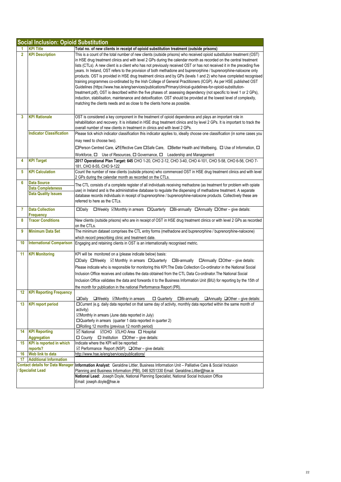|                | <b>Social Inclusion: Opioid Substitution</b> |                                                                                                                                                               |  |
|----------------|----------------------------------------------|---------------------------------------------------------------------------------------------------------------------------------------------------------------|--|
|                | <b>KPI Title</b>                             | Total no. of new clients in receipt of opioid substitution treatment (outside prisons)                                                                        |  |
| $\overline{2}$ | <b>KPI Description</b>                       | This is a count of the total number of new clients (outside prisons) who received opioid substitution treatment (OST)                                         |  |
|                |                                              | in HSE drug treatment clinics and with level 2 GPs during the calendar month as recorded on the central treatment                                             |  |
|                |                                              | lists (CTLs). A new client is a client who has not previously received OST or has not received it in the preceding five                                       |  |
|                |                                              | years. In Ireland, OST refers to the provision of both methadone and buprenorphine / buprenorphine-naloxone only                                              |  |
|                |                                              | products. OST is provided in HSE drug treatment clinics and by GPs (levels 1 and 2) who have completed recognised                                             |  |
|                |                                              | training programmes co-ordinated by the Irish College of General Practitioners (ICGP). As per HSE published OST                                               |  |
|                |                                              | Guidelines (https://www.hse.ie/eng/services/publications/Primary/clinical-guidelines-for-opioid-substitution-                                                 |  |
|                |                                              | treatment.pdf), OST is described within the five phases of: assessing dependency (not specific to level 1 or 2 GPs),                                          |  |
|                |                                              | induction, stabilisation, maintenance and detoxification. OST should be provided at the lowest level of complexity,                                           |  |
|                |                                              | matching the clients needs and as close to the clients home as possible.                                                                                      |  |
|                |                                              |                                                                                                                                                               |  |
| 3              | <b>KPI Rationale</b>                         | OST is considered a key component in the treatment of opioid dependence and plays an important role in                                                        |  |
|                |                                              | rehabilitation and recovery. It is initiated in HSE drug treatment clinics and by level 2 GPs. It is important to track the                                   |  |
|                |                                              | overall number of new clients in treatment in clinics and with level 2 GPs.                                                                                   |  |
|                | <b>Indicator Classification</b>              | Please tick which indicator classification this indicator applies to, ideally choose one classification (in some cases you                                    |  |
|                |                                              | may need to choose two).                                                                                                                                      |  |
|                |                                              | □Person Centred Care, ZEffective Care □Safe Care, □Better Health and Wellbeing, □ Use of Information, □                                                       |  |
|                |                                              | Workforce, $\Box$ Use of Resources, $\Box$ Governance, $\Box$ Leadership and Management                                                                       |  |
| 4              | <b>KPI Target</b>                            | 2017 Operational Plan Target: 645 CHO 1-20, CHO 2-12, CHO 3-40, CHO 4-101, CHO 5-58, CHO 6-56, CHO 7-                                                         |  |
|                |                                              | 181, CHO 8-55, CHO 9-122                                                                                                                                      |  |
| 5              | <b>KPI Calculation</b>                       | Count the number of new clients (outside prisons) who commenced OST in HSE drug treatment clinics and with level                                              |  |
|                |                                              | 2 GPs during the calendar month as recorded on the CTLs.                                                                                                      |  |
| 6              | <b>Data Source</b>                           | The CTL consists of a complete register of all individuals receiving methadone (as treatment for problem with opiate                                          |  |
|                | <b>Data Completeness</b>                     | use) in Ireland and is the administrative database to regulate the dispensing of methadone treatment. A separate                                              |  |
|                | <b>Data Quality Issues</b>                   | database records individuals in receipt of buprenorphine / buprenorphine-naloxone products. Collectively these are                                            |  |
|                |                                              | referred to here as the CTLs.                                                                                                                                 |  |
|                |                                              |                                                                                                                                                               |  |
| 7              | <b>Data Collection</b>                       | $\square$ Weekly $\square$ Monthly in arrears $\square$ Quarterly $\square$ Bi-annually $\square$ Annually $\square$ Other – give details:<br>$\square$ Daily |  |
| 8              | <b>Frequency</b><br><b>Tracer Conditions</b> | New clients (outside prisons) who are in receipt of OST in HSE drug treatment clinics or with level 2 GPs as recorded                                         |  |
|                |                                              | on the CTLs.                                                                                                                                                  |  |
| 9              | <b>Minimum Data Set</b>                      | The minimum dataset comprises the CTL entry forms (methadone and buprenorphine / buprenorphine-naloxone)                                                      |  |
|                |                                              | which record prescribing clinic and treatment date.                                                                                                           |  |
| 10             | <b>International Comparison</b>              | Engaging and retaining clients in OST is an internationally recognised metric.                                                                                |  |
|                |                                              |                                                                                                                                                               |  |
| 11             | <b>KPI Monitoring</b>                        | KPI will be monitored on a (please indicate below) basis:                                                                                                     |  |
|                |                                              | □Daily □Weekly ⊠ Monthly in arrears □Quarterly<br>$\Box$ Bi-annually $\Box$ Annually $\Box$ Other – give details:                                             |  |
|                |                                              | Please indicate who is responsible for monitoring this KPI: The Data Collection Co-ordinator in the National Social                                           |  |
|                |                                              | Inclusion Office receives and collates the data obtained from the CTL Data Co-ordinator. The National Social                                                  |  |
|                |                                              | Inclusion Office validates the data and forwards it to the Business Information Unit (BIU) for reporting by the 15th of                                       |  |
|                |                                              | the month for publication in the national Performance Report (PR).                                                                                            |  |
| 12             | <b>KPI Reporting Frequency</b>               |                                                                                                                                                               |  |
|                |                                              | □Daily □Weekly <b>ØMonthly in arrears</b> □ Quarterly □Bi-annually □Annually □Other – give details:                                                           |  |
| 13             | <b>KPI report period</b>                     | □ Current (e.g. daily data reported on that same day of activity, monthly data reported within the same month of                                              |  |
|                |                                              | activity)                                                                                                                                                     |  |
|                |                                              | ⊠Monthly in arrears (June data reported in July)                                                                                                              |  |
|                |                                              | □ Quarterly in arrears (quarter 1 data reported in quarter 2)                                                                                                 |  |
|                |                                              | $\Box$ Rolling 12 months (previous 12 month period)                                                                                                           |  |
| 14             | <b>KPI Reporting</b>                         | <b>Ø</b> National ØCHO ØLHO Area □ Hospital                                                                                                                   |  |
|                | Aggregation                                  | $\Box$ County<br>$\Box$ Institution $\Box$ Other – give details:                                                                                              |  |
| 15             | <b>KPI</b> is reported in which              | Indicate where the KPI will be reported:                                                                                                                      |  |
|                | reports?<br>Web link to data                 | $\boxtimes$ Performance Report (NSP) $\Box$ Other – give details:                                                                                             |  |
| 16<br>17       | <b>Additional Information</b>                | http://www.hse.ie/eng/services/publications/                                                                                                                  |  |
|                |                                              | Contact details for Data Manager Information Analyst: Geraldine Littler, Business Information Unit - Palliative Care & Social Inclusion                       |  |
|                | <b>Specialist Lead</b>                       | Planning and Business Information (PBI), 046 9251330 Email: Geraldine Littler@hse.ie                                                                          |  |
|                |                                              | National Lead: Joseph Doyle, National Planning Specialist, National Social Inclusion Office                                                                   |  |
|                |                                              | Email: joseph.doyle@hse.ie                                                                                                                                    |  |
|                |                                              |                                                                                                                                                               |  |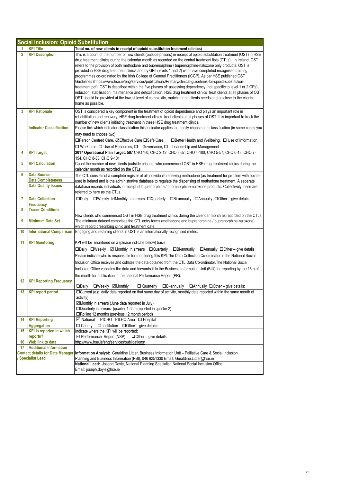|                                                                   | <b>Social Inclusion: Opioid Substitution</b> |                                                                                                                                                                                                                                                                                                                                                                                                                                                                                                                                                                                                                                                                                                                                                                                                                                                                                                                                                                                                                                                                                                   |  |
|-------------------------------------------------------------------|----------------------------------------------|---------------------------------------------------------------------------------------------------------------------------------------------------------------------------------------------------------------------------------------------------------------------------------------------------------------------------------------------------------------------------------------------------------------------------------------------------------------------------------------------------------------------------------------------------------------------------------------------------------------------------------------------------------------------------------------------------------------------------------------------------------------------------------------------------------------------------------------------------------------------------------------------------------------------------------------------------------------------------------------------------------------------------------------------------------------------------------------------------|--|
|                                                                   | <b>KPI Title</b>                             | Total no. of new clients in receipt of opioid substitution treatment (clinics)                                                                                                                                                                                                                                                                                                                                                                                                                                                                                                                                                                                                                                                                                                                                                                                                                                                                                                                                                                                                                    |  |
| $\overline{2}$                                                    | <b>KPI Description</b>                       | This is a count of the number of new clients (outside prisons) in receipt of opioid substitution treatment (OST) in HSE<br>drug treatment clinics during the calendar month as recorded on the central treatment lists (CTLs). In Ireland, OST<br>refers to the provision of both methadone and buprenorphine / buprenorphine-naloxone only products. OST is<br>provided in HSE drug treatment clinics and by GPs (levels 1 and 2) who have completed recognised training<br>programmes co-ordinated by the Irish College of General Practitioners (ICGP). As per HSE published OST<br>Guidelines (https://www.hse.ie/eng/services/publications/Primary/clinical-guidelines-for-opioid-substitution-<br>treatment.pdf), OST is described within the five phases of: assessing dependency (not specific to level 1 or 2 GPs),<br>induction, stabilisation, maintenance and detoxification. HSE drug treatment clinics treat clients at all phases of OST.<br>OST should be provided at the lowest level of complexity, matching the clients needs and as close to the clients<br>home as possible. |  |
| 3                                                                 | <b>KPI Rationale</b>                         | OST is considered a key component in the treatment of opioid dependence and plays an important role in<br>rehabilitation and recovery. HSE drug treatment clinics treat clients at all phases of OST. It is important to track the<br>number of new clients initiating treatment in these HSE drug treatment clinics.                                                                                                                                                                                                                                                                                                                                                                                                                                                                                                                                                                                                                                                                                                                                                                             |  |
|                                                                   | <b>Indicator Classification</b>              | Please tick which indicator classification this indicator applies to, ideally choose one classification (in some cases you<br>may need to choose two).<br>□Person Centred Care, <b>ØEffective Care</b> □Safe Care,<br>$\Box$ Better Health and Wellbeing, $\Box$ Use of Information,<br>□ Workforce, □ Use of Resources, □ Governance, □ Leadership and Management                                                                                                                                                                                                                                                                                                                                                                                                                                                                                                                                                                                                                                                                                                                                |  |
| 4                                                                 | <b>KPI Target</b>                            | 2017 Operational Plan Target: 507 CHO 1-0, CHO 2-12, CHO 3-37, CHO 4-100, CHO 5-57, CHO 6-13, CHO 7-<br>154, CHO 8-33, CHO 9-101                                                                                                                                                                                                                                                                                                                                                                                                                                                                                                                                                                                                                                                                                                                                                                                                                                                                                                                                                                  |  |
| 5                                                                 | <b>KPI Calculation</b>                       | Count the number of new clients (outside prisons) who commenced OST in HSE drug treatment clinics during the<br>calendar month as recorded on the CTLs.                                                                                                                                                                                                                                                                                                                                                                                                                                                                                                                                                                                                                                                                                                                                                                                                                                                                                                                                           |  |
| 6                                                                 | <b>Data Source</b>                           | The CTL consists of a complete register of all individuals receiving methadone (as treatment for problem with opiate                                                                                                                                                                                                                                                                                                                                                                                                                                                                                                                                                                                                                                                                                                                                                                                                                                                                                                                                                                              |  |
|                                                                   | <b>Data Completeness</b>                     | use) in Ireland and is the administrative database to regulate the dispensing of methadone treatment. A separate                                                                                                                                                                                                                                                                                                                                                                                                                                                                                                                                                                                                                                                                                                                                                                                                                                                                                                                                                                                  |  |
|                                                                   | <b>Data Quality Issues</b>                   | database records individuals in receipt of buprenorphine / buprenorphine-naloxone products. Collectively these are<br>referred to here as the CTLs.                                                                                                                                                                                                                                                                                                                                                                                                                                                                                                                                                                                                                                                                                                                                                                                                                                                                                                                                               |  |
| 7                                                                 | <b>Data Collection</b><br><b>Frequency</b>   | $\square$ Weekly $\square$ Monthly in arrears $\square$ Quarterly $\square$ Bi-annually $\square$ Annually $\square$ Other – give details:<br>$\square$ Daily                                                                                                                                                                                                                                                                                                                                                                                                                                                                                                                                                                                                                                                                                                                                                                                                                                                                                                                                     |  |
| 8                                                                 | <b>Tracer Conditions</b>                     |                                                                                                                                                                                                                                                                                                                                                                                                                                                                                                                                                                                                                                                                                                                                                                                                                                                                                                                                                                                                                                                                                                   |  |
| 9                                                                 | <b>Minimum Data Set</b>                      | New clients who commenced OST in HSE drug treatment clinics during the calendar month as recorded on the CTLs.<br>The minimum dataset comprises the CTL entry forms (methadone and buprenorphine / buprenorphine-naloxone)<br>which record prescribing clinic and treatment date.                                                                                                                                                                                                                                                                                                                                                                                                                                                                                                                                                                                                                                                                                                                                                                                                                 |  |
| 10                                                                | <b>International Comparison</b>              | Engaging and retaining clients in OST is an internationally recognised metric.                                                                                                                                                                                                                                                                                                                                                                                                                                                                                                                                                                                                                                                                                                                                                                                                                                                                                                                                                                                                                    |  |
| 11                                                                | <b>KPI Monitoring</b>                        | KPI will be monitored on a (please indicate below) basis:<br>□Daily □Weekly ⊠ Monthly in arrears □Quarterly<br>$\Box$ Bi-annually $\Box$ Annually $\Box$ Other – give details:<br>Please indicate who is responsible for monitoring this KPI: The Data Collection Co-ordinator in the National Social<br>Inclusion Office receives and collates the data obtained from the CTL Data Co-ordinator. The National Social<br>Inclusion Office validates the data and forwards it to the Business Information Unit (BIU) for reporting by the 15th of<br>the month for publication in the national Performance Report (PR).                                                                                                                                                                                                                                                                                                                                                                                                                                                                            |  |
| 12                                                                | <b>KPI Reporting Frequency</b>               | $\square$ Daily<br>□Weekly <b>⊠Monthly</b><br>$\Box$ Quarterly<br>□Bi-annually<br>$\Box$ Annually $\Box$ Other – give details:                                                                                                                                                                                                                                                                                                                                                                                                                                                                                                                                                                                                                                                                                                                                                                                                                                                                                                                                                                    |  |
| 13                                                                | <b>KPI report period</b>                     | □Current (e.g. daily data reported on that same day of activity, monthly data reported within the same month of<br>activity)<br>⊠Monthly in arrears (June data reported in July)<br>□ Quarterly in arrears (quarter 1 data reported in quarter 2)<br>□Rolling 12 months (previous 12 month period)                                                                                                                                                                                                                                                                                                                                                                                                                                                                                                                                                                                                                                                                                                                                                                                                |  |
| 14                                                                | <b>KPI Reporting</b><br><b>Aggregation</b>   | <b>Ø</b> National ØCHO ØLHO Area □ Hospital<br>$\Box$ County<br>$\Box$ Institution $\Box$ Other – give details:                                                                                                                                                                                                                                                                                                                                                                                                                                                                                                                                                                                                                                                                                                                                                                                                                                                                                                                                                                                   |  |
| 15 <sub>15</sub>                                                  | <b>KPI</b> is reported in which<br>reports?  | Indicate where the KPI will be reported:<br>$\boxtimes$ Performance Report (NSP)<br>$\Box$ Other – give details:                                                                                                                                                                                                                                                                                                                                                                                                                                                                                                                                                                                                                                                                                                                                                                                                                                                                                                                                                                                  |  |
| 16                                                                | Web link to data                             | http://www.hse.ie/eng/services/publications/                                                                                                                                                                                                                                                                                                                                                                                                                                                                                                                                                                                                                                                                                                                                                                                                                                                                                                                                                                                                                                                      |  |
| 17                                                                | <b>Additional Information</b>                |                                                                                                                                                                                                                                                                                                                                                                                                                                                                                                                                                                                                                                                                                                                                                                                                                                                                                                                                                                                                                                                                                                   |  |
| <b>Contact details for Data Manager</b><br><b>Specialist Lead</b> |                                              | Information Analyst: Geraldine Littler, Business Information Unit - Palliative Care & Social Inclusion<br>Planning and Business Information (PBI), 046 9251330 Email: Geraldine.Littler@hse.ie                                                                                                                                                                                                                                                                                                                                                                                                                                                                                                                                                                                                                                                                                                                                                                                                                                                                                                    |  |
|                                                                   |                                              | National Lead: Joseph Doyle, National Planning Specialist, National Social Inclusion Office<br>Email: joseph.doyle@hse.ie                                                                                                                                                                                                                                                                                                                                                                                                                                                                                                                                                                                                                                                                                                                                                                                                                                                                                                                                                                         |  |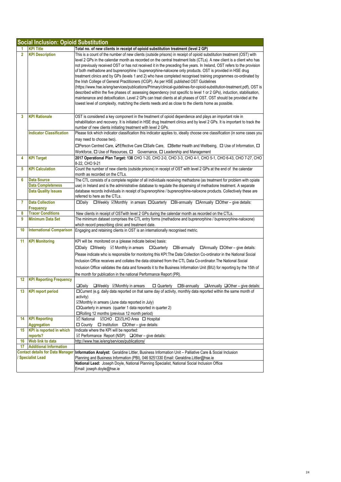|                        | <b>Social Inclusion: Opioid Substitution</b> |                                                                                                                                                                                                                                                                                                                                                                                                                                                                                                                                                                                                                                                                                                                                                                                                                                                                                                                                                                                                                                                                                                                                                                                       |  |
|------------------------|----------------------------------------------|---------------------------------------------------------------------------------------------------------------------------------------------------------------------------------------------------------------------------------------------------------------------------------------------------------------------------------------------------------------------------------------------------------------------------------------------------------------------------------------------------------------------------------------------------------------------------------------------------------------------------------------------------------------------------------------------------------------------------------------------------------------------------------------------------------------------------------------------------------------------------------------------------------------------------------------------------------------------------------------------------------------------------------------------------------------------------------------------------------------------------------------------------------------------------------------|--|
|                        | <b>KPI Title</b>                             | Total no. of new clients in receipt of opioid substitution treatment (level 2 GP)                                                                                                                                                                                                                                                                                                                                                                                                                                                                                                                                                                                                                                                                                                                                                                                                                                                                                                                                                                                                                                                                                                     |  |
| $\overline{2}$         | <b>KPI Description</b>                       | This is a count of the number of new clients (outside prisons) in receipt of opioid substitution treatment (OST) with<br>level 2 GPs in the calendar month as recorded on the central treatment lists (CTLs). A new client is a client who has<br>not previously received OST or has not received it in the preceding five years. In Ireland, OST refers to the provision<br>of both methadone and buprenorphine / buprenorphine-naloxone only products. OST is provided in HSE drug<br>treatment clinics and by GPs (levels 1 and 2) who have completed recognised training programmes co-ordinated by<br>the Irish College of General Practitioners (ICGP). As per HSE published OST Guidelines<br>(https://www.hse.ie/eng/services/publications/Primary/clinical-guidelines-for-opioid-substitution-treatment.pdf), OST is<br>described within the five phases of: assessing dependency (not specific to level 1 or 2 GPs), induction, stabilisation,<br>maintenance and detoxification. Level 2 GPs can treat clients at all phases of OST. OST should be provided at the<br>lowest level of complexity, matching the clients needs and as close to the clients home as possible. |  |
| 3                      | <b>KPI Rationale</b>                         | OST is considered a key component in the treatment of opioid dependence and plays an important role in<br>rehabilitation and recovery. It is initiated in HSE drug treatment clinics and by level 2 GPs. It is important to track the<br>number of new clients initiating treatment with level 2 GPs.                                                                                                                                                                                                                                                                                                                                                                                                                                                                                                                                                                                                                                                                                                                                                                                                                                                                                 |  |
|                        | <b>Indicator Classification</b>              | Please tick which indicator classification this indicator applies to, ideally choose one classification (in some cases you                                                                                                                                                                                                                                                                                                                                                                                                                                                                                                                                                                                                                                                                                                                                                                                                                                                                                                                                                                                                                                                            |  |
|                        |                                              | may need to choose two).                                                                                                                                                                                                                                                                                                                                                                                                                                                                                                                                                                                                                                                                                                                                                                                                                                                                                                                                                                                                                                                                                                                                                              |  |
|                        |                                              | □Person Centred Care, ZEffective Care □Safe Care, □Better Health and Wellbeing, □ Use of Information, □                                                                                                                                                                                                                                                                                                                                                                                                                                                                                                                                                                                                                                                                                                                                                                                                                                                                                                                                                                                                                                                                               |  |
|                        |                                              | Workforce, $\Box$ Use of Resources, $\Box$ Governance, $\Box$ Leadership and Management                                                                                                                                                                                                                                                                                                                                                                                                                                                                                                                                                                                                                                                                                                                                                                                                                                                                                                                                                                                                                                                                                               |  |
| 4                      | <b>KPI Target</b>                            | 2017 Operational Plan Target: 138 CHO 1-20, CHO 2-0, CHO 3-3, CHO 4-1, CHO 5-1, CHO 6-43, CHO 7-27, CHO<br>8-22, CHO 9-21                                                                                                                                                                                                                                                                                                                                                                                                                                                                                                                                                                                                                                                                                                                                                                                                                                                                                                                                                                                                                                                             |  |
| 5                      | <b>KPI Calculation</b>                       | Count the number of new clients (outside prisons) in receipt of OST with level 2 GPs at the end of the calendar<br>month as recorded on the CTLs.                                                                                                                                                                                                                                                                                                                                                                                                                                                                                                                                                                                                                                                                                                                                                                                                                                                                                                                                                                                                                                     |  |
| 6                      | <b>Data Source</b>                           | The CTL consists of a complete register of all individuals receiving methadone (as treatment for problem with opiate                                                                                                                                                                                                                                                                                                                                                                                                                                                                                                                                                                                                                                                                                                                                                                                                                                                                                                                                                                                                                                                                  |  |
|                        | <b>Data Completeness</b>                     | use) in Ireland and is the administrative database to regulate the dispensing of methadone treatment. A separate                                                                                                                                                                                                                                                                                                                                                                                                                                                                                                                                                                                                                                                                                                                                                                                                                                                                                                                                                                                                                                                                      |  |
|                        | <b>Data Quality Issues</b>                   | database records individuals in receipt of buprenorphine / buprenorphine-naloxone products. Collectively these are                                                                                                                                                                                                                                                                                                                                                                                                                                                                                                                                                                                                                                                                                                                                                                                                                                                                                                                                                                                                                                                                    |  |
|                        | <b>Data Collection</b>                       | referred to here as the CTLs.                                                                                                                                                                                                                                                                                                                                                                                                                                                                                                                                                                                                                                                                                                                                                                                                                                                                                                                                                                                                                                                                                                                                                         |  |
| 7                      | Frequency                                    | □Weekly <b>ØMonthly</b> in arrears □Quarterly □Bi-annually □Annually □Other - give details:<br>□Daily                                                                                                                                                                                                                                                                                                                                                                                                                                                                                                                                                                                                                                                                                                                                                                                                                                                                                                                                                                                                                                                                                 |  |
| 8                      | <b>Tracer Conditions</b>                     | New clients in receipt of OSTwith level 2 GPs during the calendar month as recorded on the CTLs.                                                                                                                                                                                                                                                                                                                                                                                                                                                                                                                                                                                                                                                                                                                                                                                                                                                                                                                                                                                                                                                                                      |  |
| 9                      | <b>Minimum Data Set</b>                      | The minimum dataset comprises the CTL entry forms (methadone and buprenorphine / buprenorphine-naloxone)                                                                                                                                                                                                                                                                                                                                                                                                                                                                                                                                                                                                                                                                                                                                                                                                                                                                                                                                                                                                                                                                              |  |
|                        |                                              | which record prescribing clinic and treatment date.                                                                                                                                                                                                                                                                                                                                                                                                                                                                                                                                                                                                                                                                                                                                                                                                                                                                                                                                                                                                                                                                                                                                   |  |
| 10                     | <b>International Comparison</b>              | Engaging and retaining clients in OST is an internationally recognised metric.                                                                                                                                                                                                                                                                                                                                                                                                                                                                                                                                                                                                                                                                                                                                                                                                                                                                                                                                                                                                                                                                                                        |  |
| 11                     | <b>KPI Monitoring</b>                        | KPI will be monitored on a (please indicate below) basis:                                                                                                                                                                                                                                                                                                                                                                                                                                                                                                                                                                                                                                                                                                                                                                                                                                                                                                                                                                                                                                                                                                                             |  |
|                        |                                              | $\Box$ Daily $\Box$ Weekly $\Box$ Monthly in arrears $\Box$ Quarterly<br>$\Box$ Bi-annually $\Box$ Annually $\Box$ Other – give details:                                                                                                                                                                                                                                                                                                                                                                                                                                                                                                                                                                                                                                                                                                                                                                                                                                                                                                                                                                                                                                              |  |
|                        |                                              | Please indicate who is responsible for monitoring this KPI: The Data Collection Co-ordinator in the National Social                                                                                                                                                                                                                                                                                                                                                                                                                                                                                                                                                                                                                                                                                                                                                                                                                                                                                                                                                                                                                                                                   |  |
|                        |                                              | Inclusion Office receives and collates the data obtained from the CTL Data Co-ordinator. The National Social                                                                                                                                                                                                                                                                                                                                                                                                                                                                                                                                                                                                                                                                                                                                                                                                                                                                                                                                                                                                                                                                          |  |
|                        |                                              | Inclusion Office validates the data and forwards it to the Business Information Unit (BIU) for reporting by the 15th of                                                                                                                                                                                                                                                                                                                                                                                                                                                                                                                                                                                                                                                                                                                                                                                                                                                                                                                                                                                                                                                               |  |
|                        |                                              | the month for publication in the national Performance Report (PR).                                                                                                                                                                                                                                                                                                                                                                                                                                                                                                                                                                                                                                                                                                                                                                                                                                                                                                                                                                                                                                                                                                                    |  |
| 12 <sup>°</sup>        | <b>KPI Reporting Frequency</b>               |                                                                                                                                                                                                                                                                                                                                                                                                                                                                                                                                                                                                                                                                                                                                                                                                                                                                                                                                                                                                                                                                                                                                                                                       |  |
| 13                     | <b>KPI report period</b>                     | $\Box$ Bi-annually $\Box$ Annually $\Box$ Other – give details:<br>$\square$ Daily<br>$\Box$ Weekly $\Box$ Monthly in arrears<br>□ Quarterly<br>□ Current (e.g. daily data reported on that same day of activity, monthly data reported within the same month of<br>activity)<br>⊠Monthly in arrears (June data reported in July)<br>□ Quarterly in arrears (quarter 1 data reported in quarter 2)<br>□Rolling 12 months (previous 12 month period)                                                                                                                                                                                                                                                                                                                                                                                                                                                                                                                                                                                                                                                                                                                                   |  |
| 14                     | <b>KPI Reporting</b>                         | <b>IOCHO</b> □ <b>IOLHO</b> Area □ Hospital<br>⊠ National                                                                                                                                                                                                                                                                                                                                                                                                                                                                                                                                                                                                                                                                                                                                                                                                                                                                                                                                                                                                                                                                                                                             |  |
|                        | <b>Aggregation</b>                           | □ County<br>$\Box$ Institution $\Box$ Other – give details:                                                                                                                                                                                                                                                                                                                                                                                                                                                                                                                                                                                                                                                                                                                                                                                                                                                                                                                                                                                                                                                                                                                           |  |
| 15                     | <b>KPI</b> is reported in which<br>reports?  | Indicate where the KPI will be reported:<br>$\boxtimes$ Performance Report (NSP) $\Box$ Other – give details:                                                                                                                                                                                                                                                                                                                                                                                                                                                                                                                                                                                                                                                                                                                                                                                                                                                                                                                                                                                                                                                                         |  |
| 16                     | Web link to data                             | http://www.hse.ie/eng/services/publications/                                                                                                                                                                                                                                                                                                                                                                                                                                                                                                                                                                                                                                                                                                                                                                                                                                                                                                                                                                                                                                                                                                                                          |  |
| 17                     | <b>Additional Information</b>                |                                                                                                                                                                                                                                                                                                                                                                                                                                                                                                                                                                                                                                                                                                                                                                                                                                                                                                                                                                                                                                                                                                                                                                                       |  |
|                        |                                              | Contact details for Data Manager Information Analyst: Geraldine Littler, Business Information Unit - Palliative Care & Social Inclusion                                                                                                                                                                                                                                                                                                                                                                                                                                                                                                                                                                                                                                                                                                                                                                                                                                                                                                                                                                                                                                               |  |
| <b>Specialist Lead</b> |                                              | Planning and Business Information (PBI), 046 9251330 Email: Geraldine.Littler@hse.ie                                                                                                                                                                                                                                                                                                                                                                                                                                                                                                                                                                                                                                                                                                                                                                                                                                                                                                                                                                                                                                                                                                  |  |
|                        |                                              | National Lead: Joseph Doyle, National Planning Specialist, National Social Inclusion Office<br>Email: joseph.doyle@hse.ie                                                                                                                                                                                                                                                                                                                                                                                                                                                                                                                                                                                                                                                                                                                                                                                                                                                                                                                                                                                                                                                             |  |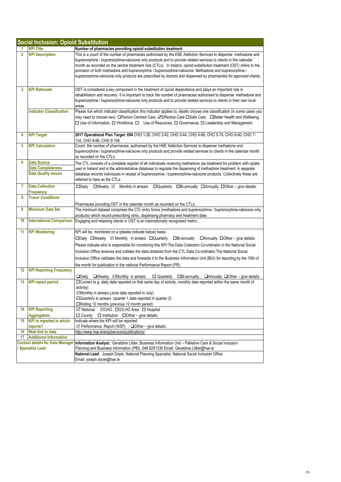|                                                                   | <b>Social Inclusion: Opioid Substitution</b>           |                                                                                                                                                                                                                                                                                                                                                                                                                                                                                                                                                                                           |  |
|-------------------------------------------------------------------|--------------------------------------------------------|-------------------------------------------------------------------------------------------------------------------------------------------------------------------------------------------------------------------------------------------------------------------------------------------------------------------------------------------------------------------------------------------------------------------------------------------------------------------------------------------------------------------------------------------------------------------------------------------|--|
|                                                                   | <b>KPI Title</b>                                       | Number of pharmacies providing opioid substitution treatment                                                                                                                                                                                                                                                                                                                                                                                                                                                                                                                              |  |
| $\overline{2}$                                                    | <b>KPI Description</b>                                 | This is a count of the number of pharmacies authorised by the HSE Addiction Services to dispense methadone and<br>buprenorphine / buprenorphine-naloxone only products and to provide related services to clients in the calendar<br>month as recorded on the central treatment lists (CTLs). In Ireland, opioid substitution treatment (OST) refers to the<br>provision of both methadone and buprenorphine / buprenorphine-naloxone. Methadone and buprenorphine /<br>buprenorphine-naloxone only products are prescribed by doctors and dispensed by pharmacists for approved clients. |  |
| 3                                                                 | <b>KPI Rationale</b>                                   | OST is considered a key component in the treatment of opioid dependence and plays an important role in<br>rehabilitation and recovery. It is important to track the number of pharmacies authorised to dispense methadone and<br>buprenorphine / buprenorphine-naloxone only products and to provide related services to clients in their own local<br>areas.                                                                                                                                                                                                                             |  |
|                                                                   | <b>Indicator Classification</b>                        | Please tick which indicator classification this indicator applies to, ideally choose one classification (in some cases you<br>may need to choose two). □Person Centred Care, ØEffective Care □Safe Care, □Better Health and Wellbeing,<br>□ Use of Information, □ Workforce, □ Use of Resources, □ Governance, □ Leadership and Management                                                                                                                                                                                                                                                |  |
| 4                                                                 | <b>KPI Target</b>                                      | 2017 Operational Plan Target: 654 CHO 1-26, CHO 2-42, CHO 3-44, CHO 4-69, CHO 5-74, CHO 6-60, CHO 7-<br>134, CHO 8-96, CHO 9-109.                                                                                                                                                                                                                                                                                                                                                                                                                                                         |  |
| 5                                                                 | <b>KPI Calculation</b>                                 | Count, the number of pharmacies, authorised by the HSE Addiction Services to dispense methadone and<br>buprenorphine / buprenorphine-naloxone only products and provide related services to clients in the calendar month<br>as recorded on the CTLs.                                                                                                                                                                                                                                                                                                                                     |  |
| 6                                                                 | <b>Data Source</b>                                     | The CTL consists of a complete register of all individuals receiving methadone (as treatment for problem with opiate                                                                                                                                                                                                                                                                                                                                                                                                                                                                      |  |
|                                                                   | <b>Data Completeness</b><br><b>Data Quality Issues</b> | use) in Ireland and is the administrative database to requlate the dispensing of methadone treatment. A separate<br>database records individuals in receipt of buprenorphine / buprenorphine-naloxone products. Collectively these are                                                                                                                                                                                                                                                                                                                                                    |  |
| $\overline{7}$                                                    | <b>Data Collection</b>                                 | referred to here as the CTLs.<br>$\Box$ Weekly $\boxtimes$ Monthly in arrears<br>□Quarterly □Bi-annually □Annually □Other - give details:<br>□Daily                                                                                                                                                                                                                                                                                                                                                                                                                                       |  |
|                                                                   | Frequency                                              |                                                                                                                                                                                                                                                                                                                                                                                                                                                                                                                                                                                           |  |
| 8                                                                 | <b>Tracer Conditions</b>                               |                                                                                                                                                                                                                                                                                                                                                                                                                                                                                                                                                                                           |  |
|                                                                   |                                                        | Pharmacies providing OST in the calendar month as recorded on the CTLs.                                                                                                                                                                                                                                                                                                                                                                                                                                                                                                                   |  |
| 9                                                                 | <b>Minimum Data Set</b>                                | The minimum dataset comprises the CTL entry forms (methadone and buprenorphine / buprenorphine-naloxone only<br>products) which record prescribing clinic, dispensing pharmacy and treatment date.                                                                                                                                                                                                                                                                                                                                                                                        |  |
| 10                                                                | <b>International Comparison</b>                        | Engaging and retaining clients in OST is an internationally recognised metric.                                                                                                                                                                                                                                                                                                                                                                                                                                                                                                            |  |
| 11                                                                | <b>KPI Monitoring</b>                                  | KPI will be monitored on a (please indicate below) basis:                                                                                                                                                                                                                                                                                                                                                                                                                                                                                                                                 |  |
|                                                                   |                                                        | □Daily □Weekly ⊠ Monthly in arrears □Quarterly □Bi-annually<br>$\Box$ Annually $\Box$ Other – give details:                                                                                                                                                                                                                                                                                                                                                                                                                                                                               |  |
|                                                                   |                                                        | Please indicate who is responsible for monitoring this KPI: The Data Collection Co-ordinator in the National Social                                                                                                                                                                                                                                                                                                                                                                                                                                                                       |  |
|                                                                   |                                                        | Inclusion Office receives and collates the data obtained from the CTL Data Co-ordinator. The National Social                                                                                                                                                                                                                                                                                                                                                                                                                                                                              |  |
|                                                                   |                                                        | Inclusion Office validates the data and forwards it to the Business Information Unit (BIU) for reporting by the 15th of                                                                                                                                                                                                                                                                                                                                                                                                                                                                   |  |
|                                                                   |                                                        | the month for publication in the national Performance Report (PR).                                                                                                                                                                                                                                                                                                                                                                                                                                                                                                                        |  |
| 12                                                                | <b>KPI Reporting Frequency</b>                         |                                                                                                                                                                                                                                                                                                                                                                                                                                                                                                                                                                                           |  |
|                                                                   |                                                        | $\square$ Daily<br>$\Box$ Weekly $\Box$ Monthly in arrears<br>□ Quarterly<br>$\Box$ Bi-annually $\Box$ Annually $\Box$ Other – give details:                                                                                                                                                                                                                                                                                                                                                                                                                                              |  |
| 13                                                                | <b>KPI report period</b>                               | □ Current (e.g. daily data reported on that same day of activity, monthly data reported within the same month of<br>activity)<br>$\Box$ Monthly in arrears (June data reported in July)<br>□ Quarterly in arrears (quarter 1 data reported in quarter 2)<br>□Rolling 12 months (previous 12 month period)                                                                                                                                                                                                                                                                                 |  |
| 14                                                                | <b>KPI Reporting</b>                                   | <b>⊡</b> National<br><b>IOCHO</b> □ <b>IOLHO</b> Area □ Hospital                                                                                                                                                                                                                                                                                                                                                                                                                                                                                                                          |  |
|                                                                   | <b>Aggregation</b>                                     | □ County<br>$\Box$ Institution $\Box$ Other – give details:                                                                                                                                                                                                                                                                                                                                                                                                                                                                                                                               |  |
| 15                                                                | <b>KPI</b> is reported in which                        | Indicate where the KPI will be reported:                                                                                                                                                                                                                                                                                                                                                                                                                                                                                                                                                  |  |
|                                                                   | reports?                                               | $\boxtimes$ Performance Report (NSP) $\Box$ Other – give details:                                                                                                                                                                                                                                                                                                                                                                                                                                                                                                                         |  |
| 16                                                                | Web link to data                                       | http://www.hse.ie/eng/services/publications/                                                                                                                                                                                                                                                                                                                                                                                                                                                                                                                                              |  |
| 17                                                                | <b>Additional Information</b>                          |                                                                                                                                                                                                                                                                                                                                                                                                                                                                                                                                                                                           |  |
| <b>Contact details for Data Manager</b><br><b>Specialist Lead</b> |                                                        | Information Analyst: Geraldine Littler, Business Information Unit - Palliative Care & Social Inclusion<br>Planning and Business Information (PBI), 046 9251330 Email: Geraldine.Littler@hse.ie                                                                                                                                                                                                                                                                                                                                                                                            |  |
|                                                                   |                                                        | National Lead: Joseph Doyle, National Planning Specialist, National Social Inclusion Office                                                                                                                                                                                                                                                                                                                                                                                                                                                                                               |  |
|                                                                   |                                                        | Email: joseph.doyle@hse.ie                                                                                                                                                                                                                                                                                                                                                                                                                                                                                                                                                                |  |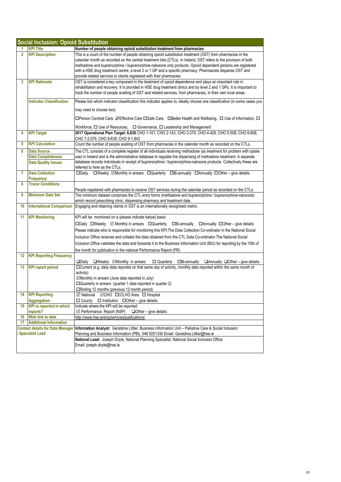| <b>Social Inclusion: Opioid Substitution</b> |                                                       |                                                                                                                                                                                                                                   |  |
|----------------------------------------------|-------------------------------------------------------|-----------------------------------------------------------------------------------------------------------------------------------------------------------------------------------------------------------------------------------|--|
|                                              | <b>KPI Title</b>                                      | Number of people obtaining opioid substitution treatment from pharmacies                                                                                                                                                          |  |
| $\overline{2}$                               | <b>KPI Description</b>                                | This is a count of the number of people obtaining opioid substitution treatment (OST) from pharmacies in the<br>calendar month as recorded on the central treatment lists (CTLs). In Ireland, OST refers to the provision of both |  |
|                                              |                                                       | methadone and buprenorphine / buprenorphine-naloxone only products. Opioid dependent persons are registered                                                                                                                       |  |
|                                              |                                                       | with a HSE drug treatment centre, a level 2 or 1 GP and a specific pharmacy. Pharmacists dispense OST and                                                                                                                         |  |
|                                              |                                                       | provide related services to clients registered with their pharmacies.                                                                                                                                                             |  |
| 3                                            | <b>KPI Rationale</b>                                  | OST is considered a key component in the treatment of opioid dependence and plays an important role in                                                                                                                            |  |
|                                              |                                                       | rehabilitation and recovery. It is provided in HSE drug treatment clinics and by level 2 and 1 GPs. It is important to                                                                                                            |  |
|                                              |                                                       | track the number of people availing of OST and related services, from pharmacies, in their own local areas.                                                                                                                       |  |
|                                              | <b>Indicator Classification</b>                       | Please tick which indicator classification this indicator applies to, ideally choose one classification (in some cases you                                                                                                        |  |
|                                              |                                                       | may need to choose two).                                                                                                                                                                                                          |  |
|                                              |                                                       | □Person Centred Care, ØEffective Care □Safe Care, □Better Health and Wellbeing, □ Use of Information, □                                                                                                                           |  |
|                                              |                                                       | Workforce, $\Box$ Use of Resources, $\Box$ Governance, $\Box$ Leadership and Management                                                                                                                                           |  |
| 4                                            | <b>KPI Target</b>                                     | 2017 Operational Plan Target: 6,630 CHO 1-101, CHO 2-143, CHO 3-279, CHO 4-429, CHO 5-509, CHO 6-608,<br>CHO 7-2,079, CHO 8-639, CHO 9-1,843                                                                                      |  |
| 5                                            | <b>KPI Calculation</b>                                | Count the number of people availing of OST from pharmacies in the calendar month as recorded on the CTLs.                                                                                                                         |  |
| 6                                            | <b>Data Source</b>                                    | The CTL consists of a complete register of all individuals receiving methadone (as treatment for problem with opiate                                                                                                              |  |
|                                              | <b>Data Completeness</b>                              | use) in Ireland and is the administrative database to regulate the dispensing of methadone treatment. A separate                                                                                                                  |  |
|                                              | <b>Data Quality Issues</b>                            | database records individuals in receipt of buprenorphine / buprenorphine-naloxone products. Collectively these are                                                                                                                |  |
|                                              |                                                       | referred to here as the CTLs.                                                                                                                                                                                                     |  |
| 7                                            | <b>Data Collection</b>                                | □Weekly ⊠Monthly in arrears □Quarterly □Bi-annually □Annually □Other - give details:<br>$\square$ Daily                                                                                                                           |  |
| 8                                            | <b>Frequency</b><br><b>Tracer Conditions</b>          |                                                                                                                                                                                                                                   |  |
|                                              |                                                       | People registered with pharmacies to receive OST services during the calendar period as recorded on the CTLs.                                                                                                                     |  |
| 9                                            | <b>Minimum Data Set</b>                               | The minimum dataset comprises the CTL entry forms (methadone and buprenorphine / buprenorphine-naloxone)                                                                                                                          |  |
|                                              |                                                       | which record prescribing clinic, dispensing pharmacy and treatment date.                                                                                                                                                          |  |
| 10                                           | <b>International Comparison</b>                       | Engaging and retaining clients in OST is an internationally recognised metric.                                                                                                                                                    |  |
| 11                                           | <b>KPI Monitoring</b>                                 | KPI will be monitored on a (please indicate below) basis:                                                                                                                                                                         |  |
|                                              |                                                       | $\Box$ Daily $\Box$ Weekly $\Box$ Monthly in arrears $\Box$ Quarterly $\Box$ Bi-annually $\Box$ Annually $\Box$ Other – give details:                                                                                             |  |
|                                              |                                                       | Please indicate who is responsible for monitoring this KPI: The Data Collection Co-ordinator in the National Social                                                                                                               |  |
|                                              |                                                       | Inclusion Office receives and collates the data obtained from the CTL Data Co-ordinator. The National Social                                                                                                                      |  |
|                                              |                                                       | Inclusion Office validates the data and forwards it to the Business Information Unit (BIU) for reporting by the 15th of                                                                                                           |  |
|                                              |                                                       | the month for publication in the national Performance Report (PR).                                                                                                                                                                |  |
| $12 \,$                                      | <b>KPI Reporting Frequency</b>                        |                                                                                                                                                                                                                                   |  |
|                                              |                                                       | $\square$ Daily<br>$\square$ Weekly $\square$ Monthly in arrears $\square$ Quarterly<br>$\Box$ Bi-annually $\Box$ Annually $\Box$ Other – give details:                                                                           |  |
| 13                                           | <b>KPI report period</b>                              | □Current (e.g. daily data reported on that same day of activity, monthly data reported within the same month of                                                                                                                   |  |
|                                              |                                                       | activity)                                                                                                                                                                                                                         |  |
|                                              |                                                       | ☑Monthly in arrears (June data reported in July)                                                                                                                                                                                  |  |
|                                              |                                                       | $\Box$ Quarterly in arrears (quarter 1 data reported in quarter 2)                                                                                                                                                                |  |
|                                              |                                                       | □Rolling 12 months (previous 12 month period)<br><b>Ø</b> National ØCHO □ØLHO Area □ Hospital                                                                                                                                     |  |
| 14                                           | <b>KPI Reporting</b>                                  |                                                                                                                                                                                                                                   |  |
| 15                                           | <b>Aggregation</b><br><b>KPI</b> is reported in which | $\Box$ County $\Box$ Institution $\Box$ Other – give details:<br>Indicate where the KPI will be reported:                                                                                                                         |  |
|                                              | reports?                                              | $\boxtimes$ Performance Report (NSP)<br>$\Box$ Other – give details:                                                                                                                                                              |  |
| 16                                           | Web link to data                                      | http://www.hse.ie/eng/services/publications/                                                                                                                                                                                      |  |
| 17                                           | <b>Additional Information</b>                         |                                                                                                                                                                                                                                   |  |
|                                              | <b>Contact details for Data Manager</b>               | Information Analyst: Geraldine Littler, Business Information Unit - Palliative Care & Social Inclusion                                                                                                                            |  |
|                                              | <b>Specialist Lead</b>                                | Planning and Business Information (PBI), 046 9251330 Email: Geraldine.Littler@hse.ie                                                                                                                                              |  |
|                                              |                                                       | National Lead: Joseph Doyle, National Planning Specialist, National Social Inclusion Office                                                                                                                                       |  |
|                                              |                                                       | Email: joseph.doyle@hse.ie                                                                                                                                                                                                        |  |
|                                              |                                                       |                                                                                                                                                                                                                                   |  |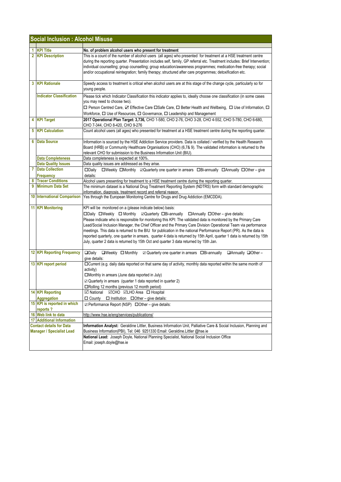| <b>Social Inclusion: Alcohol Misuse</b>                             |                                         |                                                                                                                                                                                                                                                                                                                                                                                                                                                                                                                                                                                                                                            |
|---------------------------------------------------------------------|-----------------------------------------|--------------------------------------------------------------------------------------------------------------------------------------------------------------------------------------------------------------------------------------------------------------------------------------------------------------------------------------------------------------------------------------------------------------------------------------------------------------------------------------------------------------------------------------------------------------------------------------------------------------------------------------------|
|                                                                     |                                         |                                                                                                                                                                                                                                                                                                                                                                                                                                                                                                                                                                                                                                            |
| 1.                                                                  | <b>KPI Title</b>                        | No. of problem alcohol users who present for treatment                                                                                                                                                                                                                                                                                                                                                                                                                                                                                                                                                                                     |
|                                                                     | 2 KPI Description                       | This is a count of the number of alcohol users (all ages) who presented for treatment at a HSE treatment centre<br>during the reporting quarter. Presentation includes self, family, GP referral etc. Treatment includes: Brief Intervention;<br>individual counselling; group counselling; group education/awareness programmes; medication-free therapy; social<br>and/or occupational reintegration; family therapy; structured after care programmes; detoxification etc.                                                                                                                                                              |
| 3                                                                   | <b>KPI Rationale</b>                    | Speedy access to treatment is critical when alcohol users are at this stage of the change cycle, particularly so for<br>young people.                                                                                                                                                                                                                                                                                                                                                                                                                                                                                                      |
|                                                                     | <b>Indicator Classification</b>         | Please tick which Indicator Classification this indicator applies to, ideally choose one classification (in some cases<br>you may need to choose two).<br>□ Person Centred Care, ☑ Effective Care □Safe Care, □ Better Health and Wellbeing, □ Use of Information, □                                                                                                                                                                                                                                                                                                                                                                       |
|                                                                     | 4 KPI Target                            | Workforce, $\Box$ Use of Resources, $\Box$ Governance, $\Box$ Leadership and Management<br>2017 Operational Plan Target: 3,736, CHO 1-580, CHO 2-76, CHO 3-28, CHO 4-552, CHO 5-780, CHO 6-680,                                                                                                                                                                                                                                                                                                                                                                                                                                            |
| 5 I                                                                 | <b>KPI Calculation</b>                  | CHO 7-344, CHO 8-420, CHO 9-276<br>Count alcohol users (all ages) who presented for treatment at a HSE treatment centre during the reporting quarter.                                                                                                                                                                                                                                                                                                                                                                                                                                                                                      |
| 6                                                                   | <b>Data Source</b>                      | Information is sourced by the HSE Addiction Service providers. Data is collated / verified by the Health Research<br>Board (HRB) or Community Healthcare Organisations (CHO) (6,7& 9). The validated information is returned to the<br>relevant CHO for submission to the Business Information Unit (BIU).                                                                                                                                                                                                                                                                                                                                 |
|                                                                     | <b>Data Completeness</b>                | Data completeness is expected at 100%.                                                                                                                                                                                                                                                                                                                                                                                                                                                                                                                                                                                                     |
|                                                                     | <b>Data Quality Issues</b>              | Data quality issues are addressed as they arise.                                                                                                                                                                                                                                                                                                                                                                                                                                                                                                                                                                                           |
| $\overline{7}$                                                      | <b>Data Collection</b>                  | □Weekly □Monthly 2Quarterly one quarter in arrears □Bi-annually □Annually □Other - give<br>$\square$ Daily                                                                                                                                                                                                                                                                                                                                                                                                                                                                                                                                 |
|                                                                     | Frequency                               | details:                                                                                                                                                                                                                                                                                                                                                                                                                                                                                                                                                                                                                                   |
| 8                                                                   | <b>Tracer Conditions</b>                | Alcohol users presenting for treatment to a HSE treatment centre during the reporting quarter.                                                                                                                                                                                                                                                                                                                                                                                                                                                                                                                                             |
|                                                                     | 9 Minimum Data Set                      | The minimum dataset is a National Drug Treatment Reporting System (NDTRS) form with standard demographic<br>information, diagnosis, treatment record and referral reason.                                                                                                                                                                                                                                                                                                                                                                                                                                                                  |
|                                                                     | <b>10 International Comparison</b>      | Yes through the European Monitoring Centre for Drugs and Drug Addiction (EMCDDA).                                                                                                                                                                                                                                                                                                                                                                                                                                                                                                                                                          |
|                                                                     | <b>11 KPI Monitoring</b>                | KPI will be monitored on a (please indicate below) basis:<br>Please indicate who is responsible for monitoring this KPI: The validated data is monitored by the Primary Care<br>Lead/Social Inclusion Manager, the Chief Officer and the Primary Care Division Operational Team via performance<br>meetings. This data is returned to the BIU for publication in the national Performance Report (PR). As the data is<br>reported quarterly, one quarter in arrears, quarter 4 data is returned by 15th April, quarter 1 data is returned by 15th<br>July, quarter 2 data is returned by 15th Oct and quarter 3 data returned by 15th Jan. |
|                                                                     | <b>12 KPI Reporting Frequency</b>       | <b>QDaily</b><br>$\Box$ Weekly $\Box$ Monthly<br>$\boxtimes$ Quarterly one quarter in arrears $\Box$ Bi-annually<br>$\Box$ Annually $\Box$ Other -<br>give details:                                                                                                                                                                                                                                                                                                                                                                                                                                                                        |
|                                                                     | 13 KPI report period                    | □ Current (e.g. daily data reported on that same day of activity, monthly data reported within the same month of<br>activity)<br>□Monthly in arrears (June data reported in July)<br>$\mathbb Z$ Quarterly in arrears (quarter 1 data reported in quarter 2)<br>□Rolling 12 months (previous 12 month period)                                                                                                                                                                                                                                                                                                                              |
|                                                                     | <b>14 KPI Reporting</b>                 | <b>Mational MCHO MLHO Area □ Hospital</b>                                                                                                                                                                                                                                                                                                                                                                                                                                                                                                                                                                                                  |
|                                                                     | <b>Aggregation</b>                      | $\Box$ County $\Box$ Institution $\Box$ Other – give details:                                                                                                                                                                                                                                                                                                                                                                                                                                                                                                                                                                              |
|                                                                     | 15 KPI is reported in which<br>reports? | ☑ Performance Report (NSP) □ Other - give details:                                                                                                                                                                                                                                                                                                                                                                                                                                                                                                                                                                                         |
|                                                                     | 16 Web link to data                     | http://www.hse.ie/eng/services/publications/                                                                                                                                                                                                                                                                                                                                                                                                                                                                                                                                                                                               |
|                                                                     | <b>17 Additional Information</b>        |                                                                                                                                                                                                                                                                                                                                                                                                                                                                                                                                                                                                                                            |
| <b>Contact details for Data</b><br><b>Manager / Specialist Lead</b> |                                         | Information Analyst: Geraldine Littler, Business Information Unit, Palliative Care & Social Inclusion, Planning and<br>Business Information(PBI), Tel: 046 9251330 Email: Geraldine.Littler @hse.ie<br>National Lead: Joseph Doyle, National Planning Specialist, National Social Inclusion Office<br>Email: joseph.doyle@hse.ie                                                                                                                                                                                                                                                                                                           |
|                                                                     |                                         |                                                                                                                                                                                                                                                                                                                                                                                                                                                                                                                                                                                                                                            |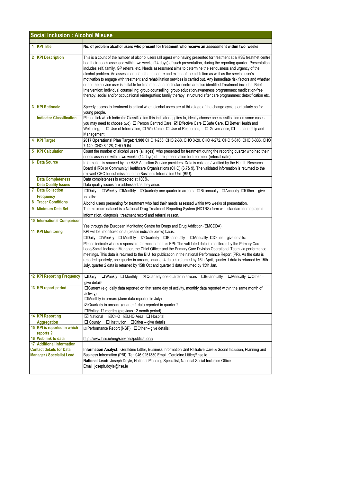| <b>Social Inclusion : Alcohol Misuse</b> |                                                                                                         |                                                                                                                                                                                                                                                                                                                                                                                                                                                                                                                                                                                                                                                                                                                                                                                                                                                                                                                                                                                  |  |  |
|------------------------------------------|---------------------------------------------------------------------------------------------------------|----------------------------------------------------------------------------------------------------------------------------------------------------------------------------------------------------------------------------------------------------------------------------------------------------------------------------------------------------------------------------------------------------------------------------------------------------------------------------------------------------------------------------------------------------------------------------------------------------------------------------------------------------------------------------------------------------------------------------------------------------------------------------------------------------------------------------------------------------------------------------------------------------------------------------------------------------------------------------------|--|--|
|                                          | 1 KPI Title                                                                                             | No. of problem alcohol users who present for treatment who receive an assessment within two weeks                                                                                                                                                                                                                                                                                                                                                                                                                                                                                                                                                                                                                                                                                                                                                                                                                                                                                |  |  |
|                                          | 2 KPI Description                                                                                       | This is a count of the number of alcohol users (all ages) who having presented for treatment at a HSE treatmet centre<br>had their needs assessed within two weeks (14 days) of such presentation, during the reporting quarter. Presentation<br>includes self, family, GP referral etc. Needs assessment aims to determine the seriousness and urgency of the<br>alcohol problem. An assessment of both the nature and extent of the addiction as well as the service user's<br>motivation to engage with treatment and rehabilitation services is carried out. Any immediate risk factors and whether<br>or not the service user is suitable for treatment at a particular centre are also identified. Treatment includes: Brief<br>Intervention; individual counselling; group counselling; group education/awareness programmes; medication-free<br>therapy; social and/or occupational reintegration; family therapy; structured after care programmes; detoxification etc. |  |  |
|                                          | 3 KPI Rationale                                                                                         | Speedy access to treatment is critical when alcohol users are at this stage of the change cycle, particularly so for<br>young people.                                                                                                                                                                                                                                                                                                                                                                                                                                                                                                                                                                                                                                                                                                                                                                                                                                            |  |  |
|                                          | <b>Indicator Classification</b>                                                                         | Please tick which Indicator Classification this indicator applies to, ideally choose one classification (in some cases<br>you may need to choose two). $\Box$ Person Centred Care, $\Box$ Effective Care $\Box$ Safe Care, $\Box$ Better Health and<br>Wellbeing,<br>$\Box$ Use of Information, $\Box$ Workforce, $\Box$ Use of Resources, $\Box$ Governance, $\Box$ Leadership and<br>Management                                                                                                                                                                                                                                                                                                                                                                                                                                                                                                                                                                                |  |  |
|                                          | 4 KPI Target                                                                                            | 2017 Operational Plan Target: 1,900 CHO 1-256, CHO 2-68, CHO 3-20, CHO 4-272, CHO 5-616, CHO 6-336, CHO<br>7-140, CHO 8-128, CHO 9-64                                                                                                                                                                                                                                                                                                                                                                                                                                                                                                                                                                                                                                                                                                                                                                                                                                            |  |  |
|                                          | <b>5 KPI Calculation</b>                                                                                | Count the number of alcohol users (all ages) who presented for treatment during the reporting quarter who had their<br>needs assessed within two weeks (14 days) of their presentation for treatment (referral date).                                                                                                                                                                                                                                                                                                                                                                                                                                                                                                                                                                                                                                                                                                                                                            |  |  |
| 6                                        | <b>Data Source</b>                                                                                      | Information is sourced by the HSE Addiction Service providers. Data is collated / verified by the Health Research<br>Board (HRB) or Community Healthcare Organisations (CHO) (6,7& 9). The validated information is returned to the<br>relevant CHO for submission to the Business Information Unit (BIU).                                                                                                                                                                                                                                                                                                                                                                                                                                                                                                                                                                                                                                                                       |  |  |
|                                          | <b>Data Completeness</b>                                                                                | Data completeness is expected at 100%.                                                                                                                                                                                                                                                                                                                                                                                                                                                                                                                                                                                                                                                                                                                                                                                                                                                                                                                                           |  |  |
|                                          | <b>Data Quality Issues</b><br><b>7</b> Data Collection                                                  | Data quality issues are addressed as they arise.<br>□Weekly □Monthly ⊠Quarterly one quarter in arrears □Bi-annually □Annually □Other-give<br>$\square$ Daily                                                                                                                                                                                                                                                                                                                                                                                                                                                                                                                                                                                                                                                                                                                                                                                                                     |  |  |
|                                          | Frequency<br><b>8</b> Tracer Conditions                                                                 | details:                                                                                                                                                                                                                                                                                                                                                                                                                                                                                                                                                                                                                                                                                                                                                                                                                                                                                                                                                                         |  |  |
|                                          |                                                                                                         | Alcohol users presenting for treatment who had their needs assessed within two weeks of presentation.                                                                                                                                                                                                                                                                                                                                                                                                                                                                                                                                                                                                                                                                                                                                                                                                                                                                            |  |  |
|                                          | 9 Minimum Data Set                                                                                      | The minimum dataset is a National Drug Treatment Reporting System (NDTRS) form with standard demographic<br>information, diagnosis, treatment record and referral reason.                                                                                                                                                                                                                                                                                                                                                                                                                                                                                                                                                                                                                                                                                                                                                                                                        |  |  |
|                                          | 10 International Comparison                                                                             |                                                                                                                                                                                                                                                                                                                                                                                                                                                                                                                                                                                                                                                                                                                                                                                                                                                                                                                                                                                  |  |  |
|                                          | <b>11 KPI Monitoring</b>                                                                                | Yes through the European Monitoring Centre for Drugs and Drug Addiction (EMCDDA).<br>KPI will be monitored on a (please indicate below) basis:                                                                                                                                                                                                                                                                                                                                                                                                                                                                                                                                                                                                                                                                                                                                                                                                                                   |  |  |
|                                          |                                                                                                         | $\Box$ Daily $\Box$ Weekly $\Box$ Monthly $\Box$ Quarterly $\Box$ Bi-annually $\Box$ Annually $\Box$ Other – give details:<br>Please indicate who is responsible for monitoring this KPI: The validated data is monitored by the Primary Care<br>Lead/Social Inclusion Manager, the Chief Officer and the Primary Care Division Operational Team via performance<br>meetings. This data is returned to the BIU for publication in the national Performance Report (PR). As the data is<br>reported quarterly, one quarter in arrears, quarter 4 data is returned by 15th April, quarter 1 data is returned by 15th<br>July, quarter 2 data is returned by 15th Oct and quarter 3 data returned by 15th Jan.                                                                                                                                                                                                                                                                      |  |  |
|                                          | <b>12 KPI Reporting Frequency</b>                                                                       | $\Box$ Daily<br>□Weekly □ Monthly 2 Quarterly one quarter in arrears □ Bi-annually<br>$\Box$ Annually $\Box$ Other -<br>give details:                                                                                                                                                                                                                                                                                                                                                                                                                                                                                                                                                                                                                                                                                                                                                                                                                                            |  |  |
|                                          | 13 KPI report period                                                                                    | □Current (e.g. daily data reported on that same day of activity, monthly data reported within the same month of<br>activity)<br>$\square$ Monthly in arrears (June data reported in July)<br>$\boxtimes$ Quarterly in arrears (quarter 1 data reported in quarter 2)<br>□Rolling 12 months (previous 12 month period)                                                                                                                                                                                                                                                                                                                                                                                                                                                                                                                                                                                                                                                            |  |  |
|                                          | <b>14 KPI Reporting</b>                                                                                 | <b>Ø National ØCHO ØLHO Area □ Hospital</b>                                                                                                                                                                                                                                                                                                                                                                                                                                                                                                                                                                                                                                                                                                                                                                                                                                                                                                                                      |  |  |
|                                          | <b>Aggregation</b>                                                                                      | $\Box$ County $\Box$ Institution $\Box$ Other – give details:                                                                                                                                                                                                                                                                                                                                                                                                                                                                                                                                                                                                                                                                                                                                                                                                                                                                                                                    |  |  |
|                                          | 15 KPI is reported in which<br>reports?                                                                 | ☑ Performance Report (NSP) □ Other - give details:                                                                                                                                                                                                                                                                                                                                                                                                                                                                                                                                                                                                                                                                                                                                                                                                                                                                                                                               |  |  |
|                                          | 16 Web link to data                                                                                     | http://www.hse.ie/eng/services/publications/                                                                                                                                                                                                                                                                                                                                                                                                                                                                                                                                                                                                                                                                                                                                                                                                                                                                                                                                     |  |  |
|                                          | <b>17 Additional Information</b><br><b>Contact details for Data</b><br><b>Manager / Specialist Lead</b> | Information Analyst: Geraldine Littler, Business Information Unit Palliative Care & Social Inclusion, Planning and<br>Business Infromation (PBI) Tel: 046 9251330 Email: Geraldine.Littler@hse.ie<br>National Lead: Joseph Doyle, National Planning Specialist, National Social Inclusion Office<br>Email: joseph.doyle@hse.ie                                                                                                                                                                                                                                                                                                                                                                                                                                                                                                                                                                                                                                                   |  |  |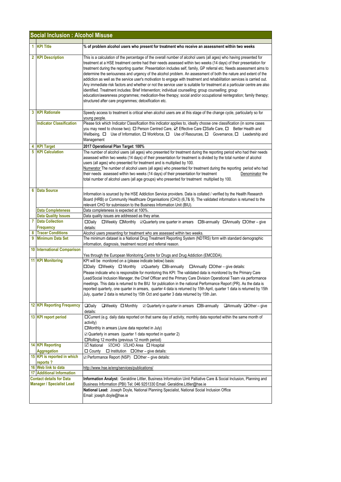|                                                                     | <b>Social Inclusion : Alcohol Misuse</b>                      |                                                                                                                                                                                                                                                                                                                                                                                                                                                                                                                                                                                                                                                                                                                                                                                                                                                                                                                                                                                                                                    |  |  |
|---------------------------------------------------------------------|---------------------------------------------------------------|------------------------------------------------------------------------------------------------------------------------------------------------------------------------------------------------------------------------------------------------------------------------------------------------------------------------------------------------------------------------------------------------------------------------------------------------------------------------------------------------------------------------------------------------------------------------------------------------------------------------------------------------------------------------------------------------------------------------------------------------------------------------------------------------------------------------------------------------------------------------------------------------------------------------------------------------------------------------------------------------------------------------------------|--|--|
|                                                                     | 1 KPI Title                                                   | % of problem alcohol users who present for treatment who receive an assessment within two weeks                                                                                                                                                                                                                                                                                                                                                                                                                                                                                                                                                                                                                                                                                                                                                                                                                                                                                                                                    |  |  |
|                                                                     | 2 KPI Description                                             | This is a calculation of the percentage of the overall number of alcohol users (all ages) who having presented for<br>treatment at a HSE treatment centre had their needs assessed within two weeks (14 days) of their presentation for<br>treatment during the reporting quarter. Presentation includes self, family, GP referral etc. Needs assessment aims to<br>determine the seriousness and urgency of the alcohol problem. An assessment of both the nature and extent of the<br>addiction as well as the service user's motivation to engage with treatment and rehabilitation services is carried out.<br>Any immediate risk factors and whether or not the service user is suitable for treatment at a particular centre are also<br>identified. Treatment includes: Brief Intervention; individual counselling; group counselling; group<br>education/awareness programmes; medication-free therapy; social and/or occupational reintegration; family therapy;<br>structured after care programmes; detoxification etc. |  |  |
|                                                                     | 3 KPI Rationale                                               | Speedy access to treatment is critical when alcohol users are at this stage of the change cycle, particularly so for<br>young people.                                                                                                                                                                                                                                                                                                                                                                                                                                                                                                                                                                                                                                                                                                                                                                                                                                                                                              |  |  |
|                                                                     | <b>Indicator Classification</b>                               | Please tick which Indicator Classification this indicator applies to, ideally choose one classification (in some cases<br>you may need to choose two). □ Person Centred Care, Ø Effective Care □ Safe Care, □ Better Health and<br>Wellbeing, $\Box$ Use of Information, $\Box$ Workforce, $\Box$ Use of Resources, $\Box$ Governance, $\Box$ Leadership and<br>Management                                                                                                                                                                                                                                                                                                                                                                                                                                                                                                                                                                                                                                                         |  |  |
|                                                                     | <b>KPI Target</b>                                             | 2017 Operational Plan Target: 100%                                                                                                                                                                                                                                                                                                                                                                                                                                                                                                                                                                                                                                                                                                                                                                                                                                                                                                                                                                                                 |  |  |
| 5                                                                   | <b>KPI Calculation</b>                                        | The number of alcohol users (all ages) who presented for treatment during the reporting period who had their needs<br>assessed within two weeks (14 days) of their presentation for treatment is divided by the total number of alcohol<br>users (all ages) who presented for treatment and is multiplied by 100.<br>Numerator The number of alcohol users (all ages) who presented for treatment during the reporting period who had<br>their needs assessed within two weeks (14 days) of their presentation for treatment<br>Denominator the<br>total number of alcohol users (all age groups) who presented for treatment multiplied by 100.                                                                                                                                                                                                                                                                                                                                                                                   |  |  |
| 6                                                                   | <b>Data Source</b>                                            | Information is sourced by the HSE Addiction Service providers. Data is collated / verified by the Health Research<br>Board (HRB) or Community Healthcare Organisations (CHO) (6,7& 9). The validated information is returned to the<br>relevant CHO for submission to the Business Information Unit (BIU).                                                                                                                                                                                                                                                                                                                                                                                                                                                                                                                                                                                                                                                                                                                         |  |  |
|                                                                     | <b>Data Completeness</b>                                      | Data completeness is expected at 100%.                                                                                                                                                                                                                                                                                                                                                                                                                                                                                                                                                                                                                                                                                                                                                                                                                                                                                                                                                                                             |  |  |
|                                                                     | <b>Data Quality Issues</b>                                    | Data quality issues are addressed as they arise.                                                                                                                                                                                                                                                                                                                                                                                                                                                                                                                                                                                                                                                                                                                                                                                                                                                                                                                                                                                   |  |  |
| 7                                                                   | <b>Data Collection</b><br>Frequency                           | $\square$ Daily<br>□Weekly □Monthly ☑ Quarterly one quarter in arrears □Bi-annually □Annually □Other - give<br>details:                                                                                                                                                                                                                                                                                                                                                                                                                                                                                                                                                                                                                                                                                                                                                                                                                                                                                                            |  |  |
| 8                                                                   | <b>Tracer Conditions</b>                                      | Alcohol users presenting for treatment who are assessed within two weeks.                                                                                                                                                                                                                                                                                                                                                                                                                                                                                                                                                                                                                                                                                                                                                                                                                                                                                                                                                          |  |  |
|                                                                     | 9 Minimum Data Set                                            | The minimum dataset is a National Drug Treatment Reporting System (NDTRS) form with standard demographic<br>information, diagnosis, treatment record and referral reason.                                                                                                                                                                                                                                                                                                                                                                                                                                                                                                                                                                                                                                                                                                                                                                                                                                                          |  |  |
|                                                                     | 10 International Comparison                                   | Yes through the European Monitoring Centre for Drugs and Drug Addiction (EMCDDA).                                                                                                                                                                                                                                                                                                                                                                                                                                                                                                                                                                                                                                                                                                                                                                                                                                                                                                                                                  |  |  |
|                                                                     | <b>11 KPI Monitoring</b>                                      | KPI will be monitored on a (please indicate below) basis:<br>□Daily □Weekly □ Monthly □ Quarterly □Bi-annually □ Annually □ Other - give details:<br>Please indicate who is responsible for monitoring this KPI: The validated data is monitored by the Primary Care<br>Lead/Social Inclusion Manager, the Chief Officer and the Primary Care Division Operational Team via performance<br>meetings. This data is returned to the BIU for publication in the national Performance Report (PR). As the data is<br>reported quarterly, one quarter in arrears, quarter 4 data is returned by 15th April, quarter 1 data is returned by 15th<br>July, quarter 2 data is returned by 15th Oct and quarter 3 data returned by 15th Jan.                                                                                                                                                                                                                                                                                                 |  |  |
|                                                                     | <b>12 KPI Reporting Frequency</b>                             | $\Box$ Weekly $\Box$ Monthly<br>$\Box$ Annually $\Box$ Other – give<br>$\square$ Daily<br>$\boxtimes$ Quarterly in quarter in arrears $\Box$ Bi-annually<br>details:                                                                                                                                                                                                                                                                                                                                                                                                                                                                                                                                                                                                                                                                                                                                                                                                                                                               |  |  |
|                                                                     | 13 KPI report period                                          | □ Current (e.g. daily data reported on that same day of activity, monthly data reported within the same month of<br>activity)<br>$\square$ Monthly in arrears (June data reported in July)<br>$\boxtimes$ Quarterly in arrears (quarter 1 data reported in quarter 2)<br>□Rolling 12 months (previous 12 month period)                                                                                                                                                                                                                                                                                                                                                                                                                                                                                                                                                                                                                                                                                                             |  |  |
|                                                                     | <b>14 KPI Reporting</b>                                       | ☑ National ØCHO ØLHO Area □ Hospital                                                                                                                                                                                                                                                                                                                                                                                                                                                                                                                                                                                                                                                                                                                                                                                                                                                                                                                                                                                               |  |  |
|                                                                     | <b>Aggregation</b><br>15 KPI is reported in which<br>reports? | $\Box$ County $\Box$ Institution $\Box$ Other – give details:<br><b>Z</b> Performance Report (NSP) □ Other - give details:                                                                                                                                                                                                                                                                                                                                                                                                                                                                                                                                                                                                                                                                                                                                                                                                                                                                                                         |  |  |
|                                                                     | 16 Web link to data                                           | http://www.hse.ie/eng/services/publications/                                                                                                                                                                                                                                                                                                                                                                                                                                                                                                                                                                                                                                                                                                                                                                                                                                                                                                                                                                                       |  |  |
|                                                                     | <b>17 Additional Information</b>                              |                                                                                                                                                                                                                                                                                                                                                                                                                                                                                                                                                                                                                                                                                                                                                                                                                                                                                                                                                                                                                                    |  |  |
| <b>Contact details for Data</b><br><b>Manager / Specialist Lead</b> |                                                               | Information Analyst: Geraldine Littler, Business Information Uinit Palliative Care & Social Inclusion, Planning and<br>Business Information (PBI) Tel: 046 9251330 Email: Geraldine.Littler@hse.ie                                                                                                                                                                                                                                                                                                                                                                                                                                                                                                                                                                                                                                                                                                                                                                                                                                 |  |  |
|                                                                     |                                                               | National Lead: Joseph Doyle, National Planning Specialist, National Social Inclusion Office<br>Email: joseph.doyle@hse.ie                                                                                                                                                                                                                                                                                                                                                                                                                                                                                                                                                                                                                                                                                                                                                                                                                                                                                                          |  |  |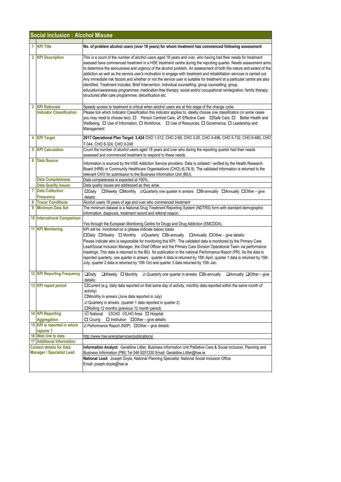|   | <b>Social Inclusion : Alcohol Misuse</b>                |                                                                                                                                                                                                                                                                                                                                                                                                                                                                                                                                                                                                                                                                                                                                                                                                                                                                                                        |  |  |  |
|---|---------------------------------------------------------|--------------------------------------------------------------------------------------------------------------------------------------------------------------------------------------------------------------------------------------------------------------------------------------------------------------------------------------------------------------------------------------------------------------------------------------------------------------------------------------------------------------------------------------------------------------------------------------------------------------------------------------------------------------------------------------------------------------------------------------------------------------------------------------------------------------------------------------------------------------------------------------------------------|--|--|--|
|   | 1 KPI Title                                             | No. of problem alcohol users (over 18 years) for whom treatment has commenced following assessment                                                                                                                                                                                                                                                                                                                                                                                                                                                                                                                                                                                                                                                                                                                                                                                                     |  |  |  |
|   | 2 KPI Description                                       | This is a count of the number of alcohol users aged 18 years and over, who having had their needs for treatment<br>asessed have commenced treatment in a HSE treatment centre during the reporting quarter. Needs assessment aims<br>to determine the seriousness and urgency of the alcohol problem. An assessment of both the nature and extent of the<br>addiction as well as the service user's motivation to engage with treatment and rehabilitation services is carried out.<br>Any immediate risk factors and whether or not the service user is suitable for treatment at a particular centre are also<br>identified. Treatment includes: Brief Intervention; individual counselling; group counselling; group<br>education/awareness programmes; medication-free therapy; social and/or occupational reintegration; family therapy;<br>structured after care programmes; detoxification etc. |  |  |  |
| 3 | <b>KPI Rationale</b><br><b>Indicator Classification</b> | Speedy access to treatment is critical when alcohol users are at this stage of the change cycle.<br>Please tick which Indicator Classification this indicator applies to, ideally choose one classification (in some cases<br>you may need to choose two). □ Person Centred Care, ☑ Effective Care □ Safe Care, □ Better Health and<br>Wellbeing, $\Box$ Use of Information, $\Box$ Workforce, $\Box$ Use of Resources, $\Box$ Governance, $\Box$ Leadership and<br>Management                                                                                                                                                                                                                                                                                                                                                                                                                         |  |  |  |
|   | 4 KPI Target                                            | 2017 Operational Plan Target: 3,424 CHO 1-512, CHO 2-68, CHO 3-20, CHO 4-496, CHO 5-732, CHO 6-680, CHO<br>7-344, CHO 8-324, CHO 9-248                                                                                                                                                                                                                                                                                                                                                                                                                                                                                                                                                                                                                                                                                                                                                                 |  |  |  |
|   | <b>5</b> KPI Calculation                                | Count the number of alcohol users aged 18 years and over who during the reporting quarter had their needs<br>assessed and commenced treatment to respond to these needs.                                                                                                                                                                                                                                                                                                                                                                                                                                                                                                                                                                                                                                                                                                                               |  |  |  |
|   | <b>6</b> Data Source                                    | Information is sourced by the HSE Addiction Service providers. Data is collated / verified by the Health Research<br>Board (HRB) or Community Healthcare Organisations (CHO) (6,7& 9). The validated information is returned to the<br>relevant CHO for submission to the Business Information Unit (BIU).                                                                                                                                                                                                                                                                                                                                                                                                                                                                                                                                                                                             |  |  |  |
|   | <b>Data Completeness</b>                                | Data completeness is expected at 100%.                                                                                                                                                                                                                                                                                                                                                                                                                                                                                                                                                                                                                                                                                                                                                                                                                                                                 |  |  |  |
|   | <b>Data Quality Issues</b><br><b>7</b> Data Collection  | Data quality issues are addressed as they arise.                                                                                                                                                                                                                                                                                                                                                                                                                                                                                                                                                                                                                                                                                                                                                                                                                                                       |  |  |  |
|   | Frequency                                               | □Weekly □Monthly 2Quarterly one quarter in arrears □Bi-annually □Annually □Other - give<br>$\square$ Daily<br>details:                                                                                                                                                                                                                                                                                                                                                                                                                                                                                                                                                                                                                                                                                                                                                                                 |  |  |  |
| 8 | <b>Tracer Conditions</b>                                | Alcohol users 18 years of age and over who commenced treatment                                                                                                                                                                                                                                                                                                                                                                                                                                                                                                                                                                                                                                                                                                                                                                                                                                         |  |  |  |
| 9 | <b>Minimum Data Set</b>                                 | The minimum dataset is a National Drug Treatment Reporting System (NDTRS) form with standard demographic<br>information, diagnosis, treatment record and referral reason.                                                                                                                                                                                                                                                                                                                                                                                                                                                                                                                                                                                                                                                                                                                              |  |  |  |
|   | <b>10 International Comparison</b>                      |                                                                                                                                                                                                                                                                                                                                                                                                                                                                                                                                                                                                                                                                                                                                                                                                                                                                                                        |  |  |  |
|   | <b>11 KPI Monitoring</b>                                | Yes through the European Monitoring Centre for Drugs and Drug Addiction (EMCDDA).<br>KPI will be monitored on a (please indicate below) basis:<br>□Daily □Weekly □ Monthly □ Quarterly □Bi-annually □ Annually □ Other - give details:<br>Please indicate who is responsible for monitoring this KPI: The validated data is monitored by the Primary Care<br>Lead/Social Inclusion Manager, the Chief Officer and the Primary Care Division Operational Team via performance<br>meetings. This data is returned to the BIU for publication in the national Performance Report (PR). As the data is<br>reported quarterly, one quarter in arrears, quarter 4 data is returned by 15th April, quarter 1 data is returned by 15th<br>July, quarter 2 data is returned by 15th Oct and quarter 3 data returned by 15th Jan.                                                                                |  |  |  |
|   | <b>12 KPI Reporting Frequency</b>                       | $\Box$ Daily<br>$\Box$ Weekly $\Box$ Monthly<br>details:                                                                                                                                                                                                                                                                                                                                                                                                                                                                                                                                                                                                                                                                                                                                                                                                                                               |  |  |  |
|   | 13 KPI report period                                    | □ Current (e.g. daily data reported on that same day of activity, monthly data reported within the same month of<br>activity)<br>□Monthly in arrears (June data reported in July)<br>$\boxtimes$ Quarterly in arrears (quarter 1 data reported in quarter 2)<br>□Rolling 12 months (previous 12 month period)                                                                                                                                                                                                                                                                                                                                                                                                                                                                                                                                                                                          |  |  |  |
|   | 14 KPI Reporting                                        | <b>⊠</b> National<br><b>⊠CHO ⊠LHO Area</b> □ Hospital                                                                                                                                                                                                                                                                                                                                                                                                                                                                                                                                                                                                                                                                                                                                                                                                                                                  |  |  |  |
|   | <b>Aggregation</b>                                      | $\Box$ County<br>$\Box$ Institution $\Box$ Other – give details:                                                                                                                                                                                                                                                                                                                                                                                                                                                                                                                                                                                                                                                                                                                                                                                                                                       |  |  |  |
|   | 15 KPI is reported in which<br>reports?                 | ☑ Performance Report (NSP) □ Other - give details:                                                                                                                                                                                                                                                                                                                                                                                                                                                                                                                                                                                                                                                                                                                                                                                                                                                     |  |  |  |
|   | 16 Web link to data<br><b>17 Additional Information</b> | http://www.hse.ie/eng/services/publications/                                                                                                                                                                                                                                                                                                                                                                                                                                                                                                                                                                                                                                                                                                                                                                                                                                                           |  |  |  |
|   | <b>Contact details for Data</b>                         | Information Analyst: Geraldine Littler, Business Information Unit Palliative Care & Social Inclusion, Planning and                                                                                                                                                                                                                                                                                                                                                                                                                                                                                                                                                                                                                                                                                                                                                                                     |  |  |  |
|   | <b>Manager / Specialist Lead</b>                        | Business Information (PBI) Tel 046 9251330 Email: Geraldine.Littler@hse.ie<br>National Lead: Joseph Doyle, National Planning Specialist, National Social Inclusion Office<br>Email: joseph.doyle@hse.ie                                                                                                                                                                                                                                                                                                                                                                                                                                                                                                                                                                                                                                                                                                |  |  |  |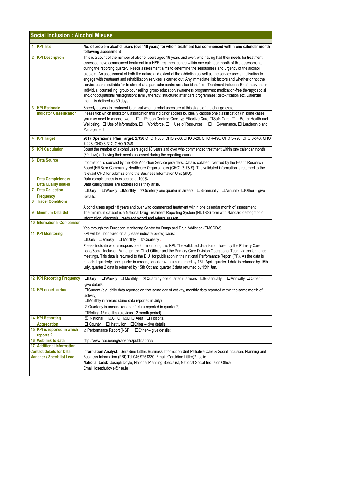|              | <b>Social Inclusion: Alcohol Misuse</b>                             |                                                                                                                                                                                                                                                                                                                                                                                                                                                                                                                                                                                                                                                                                                                                                                                                                                                                                                                                                                                                |
|--------------|---------------------------------------------------------------------|------------------------------------------------------------------------------------------------------------------------------------------------------------------------------------------------------------------------------------------------------------------------------------------------------------------------------------------------------------------------------------------------------------------------------------------------------------------------------------------------------------------------------------------------------------------------------------------------------------------------------------------------------------------------------------------------------------------------------------------------------------------------------------------------------------------------------------------------------------------------------------------------------------------------------------------------------------------------------------------------|
|              | 1 KPI Title                                                         | No. of problem alcohol users (over 18 years) for whom treatment has commenced within one calendar month                                                                                                                                                                                                                                                                                                                                                                                                                                                                                                                                                                                                                                                                                                                                                                                                                                                                                        |
|              |                                                                     | following assessment                                                                                                                                                                                                                                                                                                                                                                                                                                                                                                                                                                                                                                                                                                                                                                                                                                                                                                                                                                           |
|              | 2 KPI Description                                                   | This is a count of the number of alcohol users aged 18 years and over, who having had their needs for treatment<br>assessed have commenced treatment in a HSE treatment centre within one calendar month of this assessment,<br>during the reporting quarter. Needs assessment aims to determine the seriousness and urgency of the alcohol<br>problem. An assessment of both the nature and extent of the addiction as well as the service user's motivation to<br>engage with treatment and rehabilitation services is carried out. Any immediate risk factors and whether or not the<br>service user is suitable for treatment at a particular centre are also identified. Treatment includes: Brief Intervention;<br>individual counselling; group counselling; group education/awareness programmes; medication-free therapy; social<br>and/or occupational reintegration; family therapy; structured after care programmes; detoxification etc. Calendar<br>month is defined as 30 days. |
| $\mathbf{3}$ | <b>KPI Rationale</b>                                                | Speedy access to treatment is critical when alcohol users are at this stage of the change cycle.                                                                                                                                                                                                                                                                                                                                                                                                                                                                                                                                                                                                                                                                                                                                                                                                                                                                                               |
|              | <b>Indicator Classification</b>                                     | Please tick which Indicator Classification this indicator applies to, ideally choose one classification (in some cases<br>you may need to choose two).  □ Person Centred Care,<br><br>$\Box$ Effective Care $\Box$ Safe Care, $\Box$ Better Health and<br>Wellbeing, □ Use of Information, □ Workforce, □ Use of Resources, □ Governance, □ Leadership and<br>Management                                                                                                                                                                                                                                                                                                                                                                                                                                                                                                                                                                                                                       |
|              | 4 KPI Target                                                        | 2017 Operational Plan Target: 2,956 CHO 1-508, CHO 2-68, CHO 3-20, CHO 4-496, CHO 5-728, CHO 6-348, CHO<br>7-228, CHO 8-312, CHO 9-248                                                                                                                                                                                                                                                                                                                                                                                                                                                                                                                                                                                                                                                                                                                                                                                                                                                         |
|              | <b>5 KPI Calculation</b>                                            | Count the number of alcohol users aged 18 years and over who commenced treatment within one calendar month<br>(30 days) of having their needs assessed during the reporting quarter.                                                                                                                                                                                                                                                                                                                                                                                                                                                                                                                                                                                                                                                                                                                                                                                                           |
| 6            | <b>Data Source</b>                                                  | Information is sourced by the HSE Addiction Service providers. Data is collated / verified by the Health Research<br>Board (HRB) or Community Healthcare Organisations (CHO) (6,7& 9). The validated information is returned to the<br>relevant CHO for submission to the Business Information Unit (BIU).                                                                                                                                                                                                                                                                                                                                                                                                                                                                                                                                                                                                                                                                                     |
|              | <b>Data Completeness</b>                                            | Data completeness is expected at 100%.                                                                                                                                                                                                                                                                                                                                                                                                                                                                                                                                                                                                                                                                                                                                                                                                                                                                                                                                                         |
|              | <b>Data Quality Issues</b>                                          | Data quality issues are addressed as they arise.                                                                                                                                                                                                                                                                                                                                                                                                                                                                                                                                                                                                                                                                                                                                                                                                                                                                                                                                               |
| 7            | <b>Data Collection</b>                                              | $\Box$ Weekly $\Box$ Monthly $\Box$ Quarterly one quarter in arrears $\Box$ Bi-annually $\Box$ Annually $\Box$ Other – give<br>$\square$ Dailv                                                                                                                                                                                                                                                                                                                                                                                                                                                                                                                                                                                                                                                                                                                                                                                                                                                 |
|              | <b>Frequency</b>                                                    | details:                                                                                                                                                                                                                                                                                                                                                                                                                                                                                                                                                                                                                                                                                                                                                                                                                                                                                                                                                                                       |
| 8            | <b>Tracer Conditions</b>                                            |                                                                                                                                                                                                                                                                                                                                                                                                                                                                                                                                                                                                                                                                                                                                                                                                                                                                                                                                                                                                |
| 9            | <b>Minimum Data Set</b>                                             | Alcohol users aged 18 years and over who commenced treatment within one calendar month of assessment<br>The minimum dataset is a National Drug Treatment Reporting System (NDTRS) form with standard demographic<br>information, diagnosis, treatment record and referral reason.                                                                                                                                                                                                                                                                                                                                                                                                                                                                                                                                                                                                                                                                                                              |
|              | 10 International Comparison                                         | Yes through the European Monitoring Centre for Drugs and Drug Addiction (EMCDDA).                                                                                                                                                                                                                                                                                                                                                                                                                                                                                                                                                                                                                                                                                                                                                                                                                                                                                                              |
|              | <b>11 KPI Monitoring</b>                                            | KPI will be monitored on a (please indicate below) basis:<br>□Daily □Weekly □ Monthly □ Quarterly.<br>Please indicate who is responsible for monitoring this KPI: The validated data is monitored by the Primary Care<br>Lead/Social Inclusion Manager, the Chief Officer and the Primary Care Division Operational Team via performance<br>meetings. This data is returned to the BIU for publication in the national Performance Report (PR). As the data is<br>reported quarterly, one quarter in arrears, quarter 4 data is returned by 15th April, quarter 1 data is returned by 15th<br>July, quarter 2 data is returned by 15th Oct and quarter 3 data returned by 15th Jan.                                                                                                                                                                                                                                                                                                            |
|              | <b>12 KPI Reporting Frequency</b>                                   | $\Box$ Daily<br>$\boxtimes$ Quarterly one quarter in arrears $\Box$ Bi-annually<br>$\Box$ Weekly $\Box$ Monthly<br>$\Box$ Annually $\Box$ Other -<br>give details:                                                                                                                                                                                                                                                                                                                                                                                                                                                                                                                                                                                                                                                                                                                                                                                                                             |
|              | 13 KPI report period                                                | □Current (e.g. daily data reported on that same day of activity, monthly data reported within the same month of<br>activity)<br>□Monthly in arrears (June data reported in July)<br>$\boxtimes$ Quarterly in arrears (quarter 1 data reported in quarter 2)<br>□Rolling 12 months (previous 12 month period)                                                                                                                                                                                                                                                                                                                                                                                                                                                                                                                                                                                                                                                                                   |
|              | <b>14 KPI Reporting</b>                                             | <b>○ National </b> ○ CHO <b>○ LHO</b> Area □ Hospital                                                                                                                                                                                                                                                                                                                                                                                                                                                                                                                                                                                                                                                                                                                                                                                                                                                                                                                                          |
|              | <b>Aggregation</b>                                                  | $\Box$ Institution $\Box$ Other – give details:<br>□ County                                                                                                                                                                                                                                                                                                                                                                                                                                                                                                                                                                                                                                                                                                                                                                                                                                                                                                                                    |
|              | 15 KPI is reported in which<br>reports?                             | <b>Z</b> Performance Report (NSP) □ Other - give details:                                                                                                                                                                                                                                                                                                                                                                                                                                                                                                                                                                                                                                                                                                                                                                                                                                                                                                                                      |
|              | 16 Web link to data                                                 | http://www.hse.ie/eng/services/publications/                                                                                                                                                                                                                                                                                                                                                                                                                                                                                                                                                                                                                                                                                                                                                                                                                                                                                                                                                   |
|              | <b>17 Additional Information</b><br><b>Contact details for Data</b> | Information Analyst: Geraldine Littler, Business Information Unit Palliative Care & Social Inclusion, Planning and                                                                                                                                                                                                                                                                                                                                                                                                                                                                                                                                                                                                                                                                                                                                                                                                                                                                             |
|              | <b>Manager / Specialist Lead</b>                                    | Business Information (PBI) Tel 046 9251330. Email: Geraldine.Littler@hse.ie<br>National Lead: Joseph Doyle, National Planning Specialist, National Social Inclusion Office                                                                                                                                                                                                                                                                                                                                                                                                                                                                                                                                                                                                                                                                                                                                                                                                                     |
|              |                                                                     | Email: joseph.doyle@hse.ie                                                                                                                                                                                                                                                                                                                                                                                                                                                                                                                                                                                                                                                                                                                                                                                                                                                                                                                                                                     |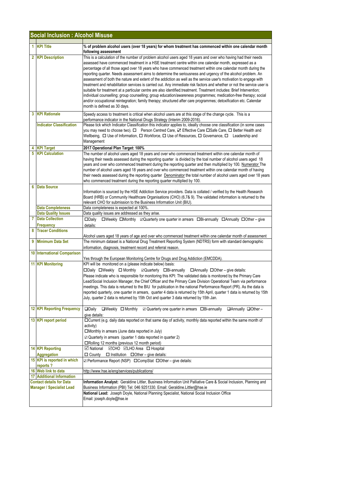| <b>Social Inclusion : Alcohol Misuse</b>                            |                                         |                                                                                                                                                                                                                                                                                                                                                                                                                                                                                                                                                                                                                                                                                                                                                                                                                                                                                                                                                                                                                                                                                                          |
|---------------------------------------------------------------------|-----------------------------------------|----------------------------------------------------------------------------------------------------------------------------------------------------------------------------------------------------------------------------------------------------------------------------------------------------------------------------------------------------------------------------------------------------------------------------------------------------------------------------------------------------------------------------------------------------------------------------------------------------------------------------------------------------------------------------------------------------------------------------------------------------------------------------------------------------------------------------------------------------------------------------------------------------------------------------------------------------------------------------------------------------------------------------------------------------------------------------------------------------------|
|                                                                     | 1 KPI Title                             | % of problem alcohol users (over 18 years) for whom treatment has commenced within one calendar month<br>following assessment                                                                                                                                                                                                                                                                                                                                                                                                                                                                                                                                                                                                                                                                                                                                                                                                                                                                                                                                                                            |
|                                                                     | 2 KPI Description                       | This is a calculation of the number of problem alcohol users aged 18 years and over who having had their needs<br>assessed have commenced treatment in a HSE treatment centre within one calendar month, expressed as a<br>percentage of all those aged over 18 years who have commenced treatment within one calendar month during the<br>reporting quarter. Needs assessment aims to determine the seriousness and urgency of the alcohol problem. An<br>assessment of both the nature and extent of the addiction as well as the service user's motivation to engage with<br>treatment and rehabilitation services is carried out. Any immediate risk factors and whether or not the service user is<br>suitable for treatment at a particular centre are also identified treatment. Treatment includes: Brief Intervention;<br>individual counselling; group counselling; group education/awareness programmes; medication-free therapy; social<br>and/or occupational reintegration; family therapy; structured after care programmes; detoxification etc. Calendar<br>month is defined as 30 days. |
|                                                                     | 3 KPI Rationale                         | Speedy access to treatment is critical when alcohol users are at this stage of the change cycle. This is a<br>performance indicator in the National Drugs Strategy (Interim 2009-2016).                                                                                                                                                                                                                                                                                                                                                                                                                                                                                                                                                                                                                                                                                                                                                                                                                                                                                                                  |
|                                                                     | <b>Indicator Classification</b>         | Please tick which Indicator Classification this indicator applies to, ideally choose one classification (in some cases<br>you may need to choose two). □ Person Centred Care, ☑ Effective Care □ Safe Care, □ Better Health and<br>Wellbeing, $\Box$ Use of Information, $\Box$ Workforce, $\Box$ Use of Resources, $\Box$ Governance, $\Box$ Leadership and<br>Management                                                                                                                                                                                                                                                                                                                                                                                                                                                                                                                                                                                                                                                                                                                               |
|                                                                     | <b>KPI Target</b>                       | 2017 Operational Plan Target: 100%                                                                                                                                                                                                                                                                                                                                                                                                                                                                                                                                                                                                                                                                                                                                                                                                                                                                                                                                                                                                                                                                       |
| 5                                                                   | <b>KPI Calculation</b>                  | The number of alcohol users aged 18 years and over who commenced treatment within one calendar month of<br>having their needs assessed during the reporting quarter is divided by the toal number of alcohol users aged 18<br>years and over who commenced treatment during the reporting quarter and then multiplied by 100. Numerator The<br>number of alcohol users aged 18 years and over who commenced treatment within one calendar month of having<br>their needs assessed during the reporting quarter <b>Denominator</b> the total number of alcohol users aged over 18 years<br>who commenced treatment during the reporting quarter multiplied by 100.                                                                                                                                                                                                                                                                                                                                                                                                                                        |
| 6                                                                   | <b>Data Source</b>                      | Information is sourced by the HSE Addiction Service providers. Data is collated / verified by the Health Research<br>Board (HRB) or Community Healthcare Organisations (CHO) (6,7& 9). The validated information is returned to the<br>relevant CHO for submission to the Business Information Unit (BIU).                                                                                                                                                                                                                                                                                                                                                                                                                                                                                                                                                                                                                                                                                                                                                                                               |
|                                                                     | <b>Data Completeness</b>                | Data completeness is expected at 100%.                                                                                                                                                                                                                                                                                                                                                                                                                                                                                                                                                                                                                                                                                                                                                                                                                                                                                                                                                                                                                                                                   |
|                                                                     | <b>Data Quality Issues</b>              | Data quality issues are addressed as they arise.                                                                                                                                                                                                                                                                                                                                                                                                                                                                                                                                                                                                                                                                                                                                                                                                                                                                                                                                                                                                                                                         |
| $\overline{7}$                                                      | <b>Data Collection</b><br>Frequency     | □Weekly □Monthly 2Quarterly one quarter in arrears □Bi-annually □Annually □Other - give<br>$\square$ Daily<br>details:                                                                                                                                                                                                                                                                                                                                                                                                                                                                                                                                                                                                                                                                                                                                                                                                                                                                                                                                                                                   |
| 8                                                                   | <b>Tracer Conditions</b>                | Alcohol users aged 18 years of age and over who commenced treatment within one calendar month of assessment                                                                                                                                                                                                                                                                                                                                                                                                                                                                                                                                                                                                                                                                                                                                                                                                                                                                                                                                                                                              |
| 9                                                                   | <b>Minimum Data Set</b>                 | The minimum dataset is a National Drug Treatment Reporting System (NDTRS) form with standard demographic<br>information, diagnosis, treatment record and referral reason.                                                                                                                                                                                                                                                                                                                                                                                                                                                                                                                                                                                                                                                                                                                                                                                                                                                                                                                                |
|                                                                     | <b>10 International Comparison</b>      | Yes through the European Monitoring Centre for Drugs and Drug Addiction (EMCDDA).                                                                                                                                                                                                                                                                                                                                                                                                                                                                                                                                                                                                                                                                                                                                                                                                                                                                                                                                                                                                                        |
|                                                                     | <b>11 KPI Monitoring</b>                | KPI will be monitored on a (please indicate below) basis:<br>$\Box$ Daily $\Box$ Weekly $\Box$ Monthly $\Box$ Quarterly $\Box$ Bi-annually $\Box$ Annually $\Box$ Other – give details:<br>Please indicate who is responsible for monitoring this KPI: The validated data is monitored by the Primary Care<br>Lead/Social Inclusion Manager, the Chief Officer and the Primary Care Division Operational Team via performance<br>meetings. This data is returned to the BIU for publication in the national Performance Report (PR). As the data is<br>reported quarterly, one quarter in arrears, quarter 4 data is returned by 15th April, quarter 1 data is returned by 15th<br>July, quarter 2 data is returned by 15th Oct and quarter 3 data returned by 15th Jan.                                                                                                                                                                                                                                                                                                                                 |
|                                                                     | <b>12 KPI Reporting Frequency</b>       | $\square$ Daily<br>$\Box$ Weekly $\Box$ Monthly<br>$\boxtimes$ Quarterly one quarter in arrears $\Box$ Bi-annually<br>$\Box$ Annually $\Box$ Other -<br>give details:                                                                                                                                                                                                                                                                                                                                                                                                                                                                                                                                                                                                                                                                                                                                                                                                                                                                                                                                    |
|                                                                     | 13 KPI report period                    | □ Current (e.g. daily data reported on that same day of activity, monthly data reported within the same month of<br>activity)<br>□Monthly in arrears (June data reported in July)<br>$\boxtimes$ Quarterly in arrears (quarter 1 data reported in quarter 2)<br>□Rolling 12 months (previous 12 month period)                                                                                                                                                                                                                                                                                                                                                                                                                                                                                                                                                                                                                                                                                                                                                                                            |
|                                                                     | 14 KPI Reporting<br><b>Aggregation</b>  | <b>⊠CHO</b> ⊠LHO Area □ Hospital<br><b>⊠</b> National<br>$\Box$ County $\Box$ Institution $\Box$ Other – give details:                                                                                                                                                                                                                                                                                                                                                                                                                                                                                                                                                                                                                                                                                                                                                                                                                                                                                                                                                                                   |
|                                                                     | 15 KPI is reported in which<br>reports? | ☑ Performance Report (NSP) □ CompStat □ Other – give details:                                                                                                                                                                                                                                                                                                                                                                                                                                                                                                                                                                                                                                                                                                                                                                                                                                                                                                                                                                                                                                            |
|                                                                     | 16 Web link to data                     | http://www.hse.ie/eng/services/publications/                                                                                                                                                                                                                                                                                                                                                                                                                                                                                                                                                                                                                                                                                                                                                                                                                                                                                                                                                                                                                                                             |
|                                                                     | <b>17 Additional Information</b>        |                                                                                                                                                                                                                                                                                                                                                                                                                                                                                                                                                                                                                                                                                                                                                                                                                                                                                                                                                                                                                                                                                                          |
| <b>Contact details for Data</b><br><b>Manager / Specialist Lead</b> |                                         | Information Analyst: Geraldine Littler, Business Information Unit Palliative Care & Social Inclusion, Planning and<br>Business Information (PBI) Tel: 046 9251330. Email: Geraldine.Littler@hse.ie<br>National Lead: Joseph Doyle, National Planning Specialist, National Social Inclusion Office                                                                                                                                                                                                                                                                                                                                                                                                                                                                                                                                                                                                                                                                                                                                                                                                        |
|                                                                     |                                         | Email: joseph.doyle@hse.ie                                                                                                                                                                                                                                                                                                                                                                                                                                                                                                                                                                                                                                                                                                                                                                                                                                                                                                                                                                                                                                                                               |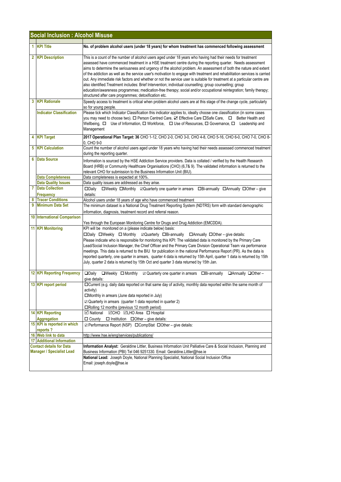| 1 KPI Title<br>No. of problem alcohol users (under 18 years) for whom treatment has commenced following assessment<br>2 KPI Description<br>This is a count of the number of alcohol users aged under 18 years who having had their needs for treatment<br>assessed have commenced treatment in a HSE treatment centre during the reporting quarter. Needs assessment<br>also identified. Treatment includes: Brief Intervention; individual counselling; group counselling; group<br>structured after care programmes; detoxification etc.<br>3 KPI Rationale<br>so for young people.<br><b>Indicator Classification</b><br>Please tick which Indicator Classification this indicator applies to, ideally choose one classification (in some cases<br>you may need to choose two). □ Person Centred Care, Ø Effective Care □ Safe Care, □ Better Health and<br>Wellbeing, $\Box$ Use of Information, $\Box$ Workforce, $\Box$ Use of Resources, $\Box$ Governance, $\Box$ Leadership and<br>Management<br>2017 Operational Plan Target: 36 CHO 1-12, CHO 2-0, CHO 3-0, CHO 4-8, CHO 5-16, CHO 6-0, CHO 7-0, CHO 8-<br>4 KPI Target<br>0, CHO 9-0<br><b>5 KPI Calculation</b><br>Count the number of alcohol users aged under 18 years who having had their needs assessed commenced treatment<br>during the reporting quarter.<br><b>6</b> Data Source<br>Information is sourced by the HSE Addiction Service providers. Data is collated / verified by the Health Research<br>Board (HRB) or Community Healthcare Organisations (CHO) (6,7& 9). The validated information is returned to the<br>relevant CHO for submission to the Business Information Unit (BIU).<br><b>Data Completeness</b><br>Data completeness is expected at 100%.<br><b>Data Quality Issues</b><br>Data quality issues are addressed as they arise.<br><b>7</b> Data Collection<br>$\square$ Daily<br>□Weekly □Monthly ☑ Quarterly one quarter in arrears □Bi-annually □Annually □Other – give<br>details:<br>Frequency<br><b>Tracer Conditions</b><br>8<br>Alcohol users under 18 years of age who have commenced treatment<br>9 Minimum Data Set<br>The minimum dataset is a National Drug Treatment Reporting System (NDTRS) form with standard demographic<br>information, diagnosis, treatment record and referral reason.<br>10 International Comparison<br>Yes through the European Monitoring Centre for Drugs and Drug Addiction (EMCDDA).<br><b>11 KPI Monitoring</b><br>KPI will be monitored on a (please indicate below) basis:<br>□Daily □Weekly □ Monthly □Quarterly □Bi-annually □Annually □Other - give details:<br>Please indicate who is responsible for monitoring this KPI: The validated data is monitored by the Primary Care<br>meetings. This data is returned to the BIU for publication in the national Performance Report (PR). As the data is<br>July, quarter 2 data is returned by 15th Oct and quarter 3 data returned by 15th Jan.<br><b>12 KPI Reporting Frequency</b><br>$\Box$ Daily<br>$\Box$ Weekly $\Box$ Monthly<br>$\boxtimes$ Quarterly one quarter in arrears $\Box$ Bi-annually<br>$\Box$ Annually $\Box$ Other -<br>give details:<br>13 KPI report period<br>□Current (e.g. daily data reported on that same day of activity, monthly data reported within the same month of<br>activity)<br>□Monthly in arrears (June data reported in July)<br>$\boxtimes$ Quarterly in arrears (quarter 1 data reported in quarter 2)<br>□Rolling 12 months (previous 12 month period)<br><b>14 KPI Reporting</b><br>☑CHO <b>MLHO</b> Area □ Hospital<br>⊡ National<br><b>Aggregation</b><br>$\Box$ County $\Box$ Institution $\Box$ Other – give details:<br>15 KPI is reported in which<br>☑ Performance Report (NSP) □ CompStat □ Other – give details:<br>reports?<br>16 Web link to data<br>http://www.hse.ie/eng/services/publications/<br><b>17 Additional Information</b><br><b>Contact details for Data</b><br><b>Manager / Specialist Lead</b><br>Business Information (PBI) Tel 046 9251330. Email: Geraldine.Littler@hse.ie<br>National Lead: Joseph Doyle, National Planning Specialist, National Social Inclusion Office | <b>Social Inclusion: Alcohol Misuse</b> |  |                                                                                                                                                                                                                                                                                                                                                                                                                                                                                                  |  |  |
|-------------------------------------------------------------------------------------------------------------------------------------------------------------------------------------------------------------------------------------------------------------------------------------------------------------------------------------------------------------------------------------------------------------------------------------------------------------------------------------------------------------------------------------------------------------------------------------------------------------------------------------------------------------------------------------------------------------------------------------------------------------------------------------------------------------------------------------------------------------------------------------------------------------------------------------------------------------------------------------------------------------------------------------------------------------------------------------------------------------------------------------------------------------------------------------------------------------------------------------------------------------------------------------------------------------------------------------------------------------------------------------------------------------------------------------------------------------------------------------------------------------------------------------------------------------------------------------------------------------------------------------------------------------------------------------------------------------------------------------------------------------------------------------------------------------------------------------------------------------------------------------------------------------------------------------------------------------------------------------------------------------------------------------------------------------------------------------------------------------------------------------------------------------------------------------------------------------------------------------------------------------------------------------------------------------------------------------------------------------------------------------------------------------------------------------------------------------------------------------------------------------------------------------------------------------------------------------------------------------------------------------------------------------------------------------------------------------------------------------------------------------------------------------------------------------------------------------------------------------------------------------------------------------------------------------------------------------------------------------------------------------------------------------------------------------------------------------------------------------------------------------------------------------------------------------------------------------------------------------------------------------------------------------------------------------------------------------------------------------------------------------------------------------------------------------------------------------------------------------------------------------------------------------------------------------------------------------------------------------------------------------------------------------------------------------------------------------------------------------------------------------------------------------------------------------------------------------------------------------------------------------------------------------------------------------------------------------------------------------------------------------------------------------------------------------------------------------------------------------------------------------------------|-----------------------------------------|--|--------------------------------------------------------------------------------------------------------------------------------------------------------------------------------------------------------------------------------------------------------------------------------------------------------------------------------------------------------------------------------------------------------------------------------------------------------------------------------------------------|--|--|
|                                                                                                                                                                                                                                                                                                                                                                                                                                                                                                                                                                                                                                                                                                                                                                                                                                                                                                                                                                                                                                                                                                                                                                                                                                                                                                                                                                                                                                                                                                                                                                                                                                                                                                                                                                                                                                                                                                                                                                                                                                                                                                                                                                                                                                                                                                                                                                                                                                                                                                                                                                                                                                                                                                                                                                                                                                                                                                                                                                                                                                                                                                                                                                                                                                                                                                                                                                                                                                                                                                                                                                                                                                                                                                                                                                                                                                                                                                                                                                                                                                                                                                                                                 |                                         |  |                                                                                                                                                                                                                                                                                                                                                                                                                                                                                                  |  |  |
|                                                                                                                                                                                                                                                                                                                                                                                                                                                                                                                                                                                                                                                                                                                                                                                                                                                                                                                                                                                                                                                                                                                                                                                                                                                                                                                                                                                                                                                                                                                                                                                                                                                                                                                                                                                                                                                                                                                                                                                                                                                                                                                                                                                                                                                                                                                                                                                                                                                                                                                                                                                                                                                                                                                                                                                                                                                                                                                                                                                                                                                                                                                                                                                                                                                                                                                                                                                                                                                                                                                                                                                                                                                                                                                                                                                                                                                                                                                                                                                                                                                                                                                                                 |                                         |  | aims to determine the seriousness and urgency of the alcohol problem. An assessment of both the nature and extent<br>of the addiction as well as the service user's motivation to engage with treatment and rehabilitation services is carried<br>out. Any immediate risk factors and whether or not the service user is suitable for treatment at a particular centre are<br>education/awareness programmes; medication-free therapy; social and/or occupational reintegration; family therapy; |  |  |
|                                                                                                                                                                                                                                                                                                                                                                                                                                                                                                                                                                                                                                                                                                                                                                                                                                                                                                                                                                                                                                                                                                                                                                                                                                                                                                                                                                                                                                                                                                                                                                                                                                                                                                                                                                                                                                                                                                                                                                                                                                                                                                                                                                                                                                                                                                                                                                                                                                                                                                                                                                                                                                                                                                                                                                                                                                                                                                                                                                                                                                                                                                                                                                                                                                                                                                                                                                                                                                                                                                                                                                                                                                                                                                                                                                                                                                                                                                                                                                                                                                                                                                                                                 |                                         |  | Speedy access to treatment is critical when problem alcohol users are at this stage of the change cycle, particularly                                                                                                                                                                                                                                                                                                                                                                            |  |  |
|                                                                                                                                                                                                                                                                                                                                                                                                                                                                                                                                                                                                                                                                                                                                                                                                                                                                                                                                                                                                                                                                                                                                                                                                                                                                                                                                                                                                                                                                                                                                                                                                                                                                                                                                                                                                                                                                                                                                                                                                                                                                                                                                                                                                                                                                                                                                                                                                                                                                                                                                                                                                                                                                                                                                                                                                                                                                                                                                                                                                                                                                                                                                                                                                                                                                                                                                                                                                                                                                                                                                                                                                                                                                                                                                                                                                                                                                                                                                                                                                                                                                                                                                                 |                                         |  |                                                                                                                                                                                                                                                                                                                                                                                                                                                                                                  |  |  |
|                                                                                                                                                                                                                                                                                                                                                                                                                                                                                                                                                                                                                                                                                                                                                                                                                                                                                                                                                                                                                                                                                                                                                                                                                                                                                                                                                                                                                                                                                                                                                                                                                                                                                                                                                                                                                                                                                                                                                                                                                                                                                                                                                                                                                                                                                                                                                                                                                                                                                                                                                                                                                                                                                                                                                                                                                                                                                                                                                                                                                                                                                                                                                                                                                                                                                                                                                                                                                                                                                                                                                                                                                                                                                                                                                                                                                                                                                                                                                                                                                                                                                                                                                 |                                         |  |                                                                                                                                                                                                                                                                                                                                                                                                                                                                                                  |  |  |
|                                                                                                                                                                                                                                                                                                                                                                                                                                                                                                                                                                                                                                                                                                                                                                                                                                                                                                                                                                                                                                                                                                                                                                                                                                                                                                                                                                                                                                                                                                                                                                                                                                                                                                                                                                                                                                                                                                                                                                                                                                                                                                                                                                                                                                                                                                                                                                                                                                                                                                                                                                                                                                                                                                                                                                                                                                                                                                                                                                                                                                                                                                                                                                                                                                                                                                                                                                                                                                                                                                                                                                                                                                                                                                                                                                                                                                                                                                                                                                                                                                                                                                                                                 |                                         |  |                                                                                                                                                                                                                                                                                                                                                                                                                                                                                                  |  |  |
|                                                                                                                                                                                                                                                                                                                                                                                                                                                                                                                                                                                                                                                                                                                                                                                                                                                                                                                                                                                                                                                                                                                                                                                                                                                                                                                                                                                                                                                                                                                                                                                                                                                                                                                                                                                                                                                                                                                                                                                                                                                                                                                                                                                                                                                                                                                                                                                                                                                                                                                                                                                                                                                                                                                                                                                                                                                                                                                                                                                                                                                                                                                                                                                                                                                                                                                                                                                                                                                                                                                                                                                                                                                                                                                                                                                                                                                                                                                                                                                                                                                                                                                                                 |                                         |  |                                                                                                                                                                                                                                                                                                                                                                                                                                                                                                  |  |  |
|                                                                                                                                                                                                                                                                                                                                                                                                                                                                                                                                                                                                                                                                                                                                                                                                                                                                                                                                                                                                                                                                                                                                                                                                                                                                                                                                                                                                                                                                                                                                                                                                                                                                                                                                                                                                                                                                                                                                                                                                                                                                                                                                                                                                                                                                                                                                                                                                                                                                                                                                                                                                                                                                                                                                                                                                                                                                                                                                                                                                                                                                                                                                                                                                                                                                                                                                                                                                                                                                                                                                                                                                                                                                                                                                                                                                                                                                                                                                                                                                                                                                                                                                                 |                                         |  |                                                                                                                                                                                                                                                                                                                                                                                                                                                                                                  |  |  |
|                                                                                                                                                                                                                                                                                                                                                                                                                                                                                                                                                                                                                                                                                                                                                                                                                                                                                                                                                                                                                                                                                                                                                                                                                                                                                                                                                                                                                                                                                                                                                                                                                                                                                                                                                                                                                                                                                                                                                                                                                                                                                                                                                                                                                                                                                                                                                                                                                                                                                                                                                                                                                                                                                                                                                                                                                                                                                                                                                                                                                                                                                                                                                                                                                                                                                                                                                                                                                                                                                                                                                                                                                                                                                                                                                                                                                                                                                                                                                                                                                                                                                                                                                 |                                         |  |                                                                                                                                                                                                                                                                                                                                                                                                                                                                                                  |  |  |
|                                                                                                                                                                                                                                                                                                                                                                                                                                                                                                                                                                                                                                                                                                                                                                                                                                                                                                                                                                                                                                                                                                                                                                                                                                                                                                                                                                                                                                                                                                                                                                                                                                                                                                                                                                                                                                                                                                                                                                                                                                                                                                                                                                                                                                                                                                                                                                                                                                                                                                                                                                                                                                                                                                                                                                                                                                                                                                                                                                                                                                                                                                                                                                                                                                                                                                                                                                                                                                                                                                                                                                                                                                                                                                                                                                                                                                                                                                                                                                                                                                                                                                                                                 |                                         |  |                                                                                                                                                                                                                                                                                                                                                                                                                                                                                                  |  |  |
|                                                                                                                                                                                                                                                                                                                                                                                                                                                                                                                                                                                                                                                                                                                                                                                                                                                                                                                                                                                                                                                                                                                                                                                                                                                                                                                                                                                                                                                                                                                                                                                                                                                                                                                                                                                                                                                                                                                                                                                                                                                                                                                                                                                                                                                                                                                                                                                                                                                                                                                                                                                                                                                                                                                                                                                                                                                                                                                                                                                                                                                                                                                                                                                                                                                                                                                                                                                                                                                                                                                                                                                                                                                                                                                                                                                                                                                                                                                                                                                                                                                                                                                                                 |                                         |  |                                                                                                                                                                                                                                                                                                                                                                                                                                                                                                  |  |  |
|                                                                                                                                                                                                                                                                                                                                                                                                                                                                                                                                                                                                                                                                                                                                                                                                                                                                                                                                                                                                                                                                                                                                                                                                                                                                                                                                                                                                                                                                                                                                                                                                                                                                                                                                                                                                                                                                                                                                                                                                                                                                                                                                                                                                                                                                                                                                                                                                                                                                                                                                                                                                                                                                                                                                                                                                                                                                                                                                                                                                                                                                                                                                                                                                                                                                                                                                                                                                                                                                                                                                                                                                                                                                                                                                                                                                                                                                                                                                                                                                                                                                                                                                                 |                                         |  |                                                                                                                                                                                                                                                                                                                                                                                                                                                                                                  |  |  |
|                                                                                                                                                                                                                                                                                                                                                                                                                                                                                                                                                                                                                                                                                                                                                                                                                                                                                                                                                                                                                                                                                                                                                                                                                                                                                                                                                                                                                                                                                                                                                                                                                                                                                                                                                                                                                                                                                                                                                                                                                                                                                                                                                                                                                                                                                                                                                                                                                                                                                                                                                                                                                                                                                                                                                                                                                                                                                                                                                                                                                                                                                                                                                                                                                                                                                                                                                                                                                                                                                                                                                                                                                                                                                                                                                                                                                                                                                                                                                                                                                                                                                                                                                 |                                         |  |                                                                                                                                                                                                                                                                                                                                                                                                                                                                                                  |  |  |
|                                                                                                                                                                                                                                                                                                                                                                                                                                                                                                                                                                                                                                                                                                                                                                                                                                                                                                                                                                                                                                                                                                                                                                                                                                                                                                                                                                                                                                                                                                                                                                                                                                                                                                                                                                                                                                                                                                                                                                                                                                                                                                                                                                                                                                                                                                                                                                                                                                                                                                                                                                                                                                                                                                                                                                                                                                                                                                                                                                                                                                                                                                                                                                                                                                                                                                                                                                                                                                                                                                                                                                                                                                                                                                                                                                                                                                                                                                                                                                                                                                                                                                                                                 |                                         |  | Lead/Social Inclusion Manager, the Chief Officer and the Primary Care Division Operational Team via performance<br>reported quarterly, one quarter in arrears, quarter 4 data is returned by 15th April, quarter 1 data is returned by 15th                                                                                                                                                                                                                                                      |  |  |
|                                                                                                                                                                                                                                                                                                                                                                                                                                                                                                                                                                                                                                                                                                                                                                                                                                                                                                                                                                                                                                                                                                                                                                                                                                                                                                                                                                                                                                                                                                                                                                                                                                                                                                                                                                                                                                                                                                                                                                                                                                                                                                                                                                                                                                                                                                                                                                                                                                                                                                                                                                                                                                                                                                                                                                                                                                                                                                                                                                                                                                                                                                                                                                                                                                                                                                                                                                                                                                                                                                                                                                                                                                                                                                                                                                                                                                                                                                                                                                                                                                                                                                                                                 |                                         |  |                                                                                                                                                                                                                                                                                                                                                                                                                                                                                                  |  |  |
|                                                                                                                                                                                                                                                                                                                                                                                                                                                                                                                                                                                                                                                                                                                                                                                                                                                                                                                                                                                                                                                                                                                                                                                                                                                                                                                                                                                                                                                                                                                                                                                                                                                                                                                                                                                                                                                                                                                                                                                                                                                                                                                                                                                                                                                                                                                                                                                                                                                                                                                                                                                                                                                                                                                                                                                                                                                                                                                                                                                                                                                                                                                                                                                                                                                                                                                                                                                                                                                                                                                                                                                                                                                                                                                                                                                                                                                                                                                                                                                                                                                                                                                                                 |                                         |  |                                                                                                                                                                                                                                                                                                                                                                                                                                                                                                  |  |  |
|                                                                                                                                                                                                                                                                                                                                                                                                                                                                                                                                                                                                                                                                                                                                                                                                                                                                                                                                                                                                                                                                                                                                                                                                                                                                                                                                                                                                                                                                                                                                                                                                                                                                                                                                                                                                                                                                                                                                                                                                                                                                                                                                                                                                                                                                                                                                                                                                                                                                                                                                                                                                                                                                                                                                                                                                                                                                                                                                                                                                                                                                                                                                                                                                                                                                                                                                                                                                                                                                                                                                                                                                                                                                                                                                                                                                                                                                                                                                                                                                                                                                                                                                                 |                                         |  |                                                                                                                                                                                                                                                                                                                                                                                                                                                                                                  |  |  |
|                                                                                                                                                                                                                                                                                                                                                                                                                                                                                                                                                                                                                                                                                                                                                                                                                                                                                                                                                                                                                                                                                                                                                                                                                                                                                                                                                                                                                                                                                                                                                                                                                                                                                                                                                                                                                                                                                                                                                                                                                                                                                                                                                                                                                                                                                                                                                                                                                                                                                                                                                                                                                                                                                                                                                                                                                                                                                                                                                                                                                                                                                                                                                                                                                                                                                                                                                                                                                                                                                                                                                                                                                                                                                                                                                                                                                                                                                                                                                                                                                                                                                                                                                 |                                         |  |                                                                                                                                                                                                                                                                                                                                                                                                                                                                                                  |  |  |
|                                                                                                                                                                                                                                                                                                                                                                                                                                                                                                                                                                                                                                                                                                                                                                                                                                                                                                                                                                                                                                                                                                                                                                                                                                                                                                                                                                                                                                                                                                                                                                                                                                                                                                                                                                                                                                                                                                                                                                                                                                                                                                                                                                                                                                                                                                                                                                                                                                                                                                                                                                                                                                                                                                                                                                                                                                                                                                                                                                                                                                                                                                                                                                                                                                                                                                                                                                                                                                                                                                                                                                                                                                                                                                                                                                                                                                                                                                                                                                                                                                                                                                                                                 |                                         |  |                                                                                                                                                                                                                                                                                                                                                                                                                                                                                                  |  |  |
|                                                                                                                                                                                                                                                                                                                                                                                                                                                                                                                                                                                                                                                                                                                                                                                                                                                                                                                                                                                                                                                                                                                                                                                                                                                                                                                                                                                                                                                                                                                                                                                                                                                                                                                                                                                                                                                                                                                                                                                                                                                                                                                                                                                                                                                                                                                                                                                                                                                                                                                                                                                                                                                                                                                                                                                                                                                                                                                                                                                                                                                                                                                                                                                                                                                                                                                                                                                                                                                                                                                                                                                                                                                                                                                                                                                                                                                                                                                                                                                                                                                                                                                                                 |                                         |  |                                                                                                                                                                                                                                                                                                                                                                                                                                                                                                  |  |  |
|                                                                                                                                                                                                                                                                                                                                                                                                                                                                                                                                                                                                                                                                                                                                                                                                                                                                                                                                                                                                                                                                                                                                                                                                                                                                                                                                                                                                                                                                                                                                                                                                                                                                                                                                                                                                                                                                                                                                                                                                                                                                                                                                                                                                                                                                                                                                                                                                                                                                                                                                                                                                                                                                                                                                                                                                                                                                                                                                                                                                                                                                                                                                                                                                                                                                                                                                                                                                                                                                                                                                                                                                                                                                                                                                                                                                                                                                                                                                                                                                                                                                                                                                                 |                                         |  |                                                                                                                                                                                                                                                                                                                                                                                                                                                                                                  |  |  |
| Email: joseph.doyle@hse.ie                                                                                                                                                                                                                                                                                                                                                                                                                                                                                                                                                                                                                                                                                                                                                                                                                                                                                                                                                                                                                                                                                                                                                                                                                                                                                                                                                                                                                                                                                                                                                                                                                                                                                                                                                                                                                                                                                                                                                                                                                                                                                                                                                                                                                                                                                                                                                                                                                                                                                                                                                                                                                                                                                                                                                                                                                                                                                                                                                                                                                                                                                                                                                                                                                                                                                                                                                                                                                                                                                                                                                                                                                                                                                                                                                                                                                                                                                                                                                                                                                                                                                                                      |                                         |  | Information Analyst: Geraldine Littler, Business Information Unit Palliative Care & Social Inclusion, Planning and                                                                                                                                                                                                                                                                                                                                                                               |  |  |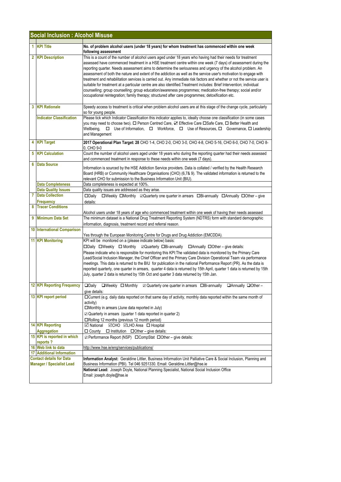| <b>Social Inclusion: Alcohol Misuse</b>                             |                                            |                                                                                                                                                                                                                                                                                                                                                                                                                                                                                                                                                                                                                                                                                                                                                                                                                                                                                                                                            |
|---------------------------------------------------------------------|--------------------------------------------|--------------------------------------------------------------------------------------------------------------------------------------------------------------------------------------------------------------------------------------------------------------------------------------------------------------------------------------------------------------------------------------------------------------------------------------------------------------------------------------------------------------------------------------------------------------------------------------------------------------------------------------------------------------------------------------------------------------------------------------------------------------------------------------------------------------------------------------------------------------------------------------------------------------------------------------------|
|                                                                     | 1 KPI Title                                | No. of problem alcohol users (under 18 years) for whom treatment has commenced within one week<br>following assessment                                                                                                                                                                                                                                                                                                                                                                                                                                                                                                                                                                                                                                                                                                                                                                                                                     |
|                                                                     | 2 KPI Description                          | This is a count of the number of alcohol users aged under 18 years who having had their needs for treatment<br>assessed have commenced treatment in a HSE treatment centre within one week (7 days) of assessment during the<br>reporting quarter. Needs assessment aims to determine the seriousness and urgency of the alcohol problem. An<br>assessment of both the nature and extent of the addiction as well as the service user's motivation to engage with<br>treatment and rehabilitation services is carried out. Any immediate risk factors and whether or not the service user is<br>suitable for treatment at a particular centre are also identified. Treatment includes: Brief Intervention; individual<br>counselling; group counselling; group education/awareness programmes; medication-free therapy; social and/or<br>occupational reintegration; family therapy; structured after care programmes; detoxification etc. |
|                                                                     | 3 KPI Rationale                            | Speedy access to treatment is critical when problem alcohol users are at this stage of the change cycle, particularly<br>so for young people.                                                                                                                                                                                                                                                                                                                                                                                                                                                                                                                                                                                                                                                                                                                                                                                              |
|                                                                     | <b>Indicator Classification</b>            | Please tick which Indicator Classification this indicator applies to, ideally choose one classification (in some cases<br>you may need to choose two). O Person Centred Care, Z Effective Care OSafe Care, O Better Health and<br>Wellbeing,<br>□ Use of Information, □ Workforce, □ Use of Resources, □ Governance, □ Leadership<br>and Management                                                                                                                                                                                                                                                                                                                                                                                                                                                                                                                                                                                        |
|                                                                     | <b>KPI Target</b>                          | 2017 Operational Plan Target: 28 CHO 1-4, CHO 2-0, CHO 3-0, CHO 4-8, CHO 5-16, CHO 6-0, CHO 7-0, CHO 8-<br>0, CHO 9-0                                                                                                                                                                                                                                                                                                                                                                                                                                                                                                                                                                                                                                                                                                                                                                                                                      |
|                                                                     | <b>5 KPI Calculation</b>                   | Count the number of alcohol users aged under 18 years who during the reporting quarter had their needs assessed<br>and commenced treatment in response to these needs within one week (7 days).                                                                                                                                                                                                                                                                                                                                                                                                                                                                                                                                                                                                                                                                                                                                            |
| 6.                                                                  | <b>Data Source</b>                         | Information is sourced by the HSE Addiction Service providers. Data is collated / verified by the Health Research<br>Board (HRB) or Community Healthcare Organisations (CHO) (6,7& 9). The validated information is returned to the<br>relevant CHO for submission to the Business Information Unit (BIU).                                                                                                                                                                                                                                                                                                                                                                                                                                                                                                                                                                                                                                 |
|                                                                     | <b>Data Completeness</b>                   | Data completeness is expected at 100%.                                                                                                                                                                                                                                                                                                                                                                                                                                                                                                                                                                                                                                                                                                                                                                                                                                                                                                     |
|                                                                     | <b>Data Quality Issues</b>                 | Data quality issues are addressed as they arise.                                                                                                                                                                                                                                                                                                                                                                                                                                                                                                                                                                                                                                                                                                                                                                                                                                                                                           |
| 7                                                                   | <b>Data Collection</b><br><b>Frequency</b> | $\square$ Dailv<br>$\Box$ Weekly $\Box$ Monthly $\Box$ Quarterly one quarter in arrears $\Box$ Bi-annually $\Box$ Annually $\Box$ Other – give<br>details:                                                                                                                                                                                                                                                                                                                                                                                                                                                                                                                                                                                                                                                                                                                                                                                 |
| 8                                                                   | <b>Tracer Conditions</b>                   | Alcohol users under 18 years of age who commenced treatment within one week of having their needs assessed                                                                                                                                                                                                                                                                                                                                                                                                                                                                                                                                                                                                                                                                                                                                                                                                                                 |
|                                                                     | 9 Minimum Data Set                         | The minimum dataset is a National Drug Treatment Reporting System (NDTRS) form with standard demographic<br>information, diagnosis, treatment record and referral reason.                                                                                                                                                                                                                                                                                                                                                                                                                                                                                                                                                                                                                                                                                                                                                                  |
|                                                                     | <b>10 International Comparison</b>         | Yes through the European Monitoring Centre for Drugs and Drug Addiction (EMCDDA).                                                                                                                                                                                                                                                                                                                                                                                                                                                                                                                                                                                                                                                                                                                                                                                                                                                          |
|                                                                     | <b>11 KPI Monitoring</b>                   | KPI will be monitored on a (please indicate below) basis:<br>□Daily □Weekly □ Monthly □ Quarterly □Bi-annually □ Annually □ Other – give details:<br>Please indicate who is responsible for monitoring this KPI: The validated data is monitored by the Primary Care<br>Lead/Social Inclusion Manager, the Chief Officer and the Primary Care Division Operational Team via performance<br>meetings. This data is returned to the BIU for publication in the national Performance Report (PR). As the data is<br>reported quarterly, one quarter in arrears, quarter 4 data is returned by 15th April, quarter 1 data is returned by 15th<br>July, quarter 2 data is returned by 15th Oct and quarter 3 data returned by 15th Jan.                                                                                                                                                                                                         |
|                                                                     | <b>12 KPI Reporting Frequency</b>          | $\Box$ Daily<br>$\Box$ Annually $\Box$ Other -<br>$\Box$ Weekly $\Box$ Monthly<br>$\boxtimes$ Quarterly one quarter in arrears $\Box$ Bi-annually<br>give details:                                                                                                                                                                                                                                                                                                                                                                                                                                                                                                                                                                                                                                                                                                                                                                         |
|                                                                     | 13 KPI report period                       | □ Current (e.g. daily data reported on that same day of activity, monthly data reported within the same month of<br>activity)<br>□Monthly in arrears (June data reported in July)<br>☑ Quarterly in arrears (quarter 1 data reported in quarter 2)<br>□Rolling 12 months (previous 12 month period)                                                                                                                                                                                                                                                                                                                                                                                                                                                                                                                                                                                                                                        |
|                                                                     | <b>14 KPI Reporting</b><br>Aggregation     | <b>Ø</b> National ØCHO ØLHO Area □ Hospital<br>$\Box$ County $\Box$ Institution $\Box$ Other – give details:                                                                                                                                                                                                                                                                                                                                                                                                                                                                                                                                                                                                                                                                                                                                                                                                                               |
|                                                                     | 15 KPI is reported in which<br>reports?    | ☑ Performance Report (NSP) □ CompStat □ Other – give details:                                                                                                                                                                                                                                                                                                                                                                                                                                                                                                                                                                                                                                                                                                                                                                                                                                                                              |
|                                                                     | 16 Web link to data                        | http://www.hse.ie/eng/services/publications/                                                                                                                                                                                                                                                                                                                                                                                                                                                                                                                                                                                                                                                                                                                                                                                                                                                                                               |
|                                                                     | <b>17 Additional Information</b>           |                                                                                                                                                                                                                                                                                                                                                                                                                                                                                                                                                                                                                                                                                                                                                                                                                                                                                                                                            |
| <b>Contact details for Data</b><br><b>Manager / Specialist Lead</b> |                                            | Information Analyst: Geraldine Littler, Business Information Unit Palliative Care & Social Inclusion, Planning and<br>Business Information (PBI). Tel 046 9251330. Email: Geraldine.Littler@hse.ie                                                                                                                                                                                                                                                                                                                                                                                                                                                                                                                                                                                                                                                                                                                                         |
|                                                                     |                                            | National Lead: Joseph Doyle, National Planning Specialist, National Social Inclusion Office<br>Email: joseph.doyle@hse.ie                                                                                                                                                                                                                                                                                                                                                                                                                                                                                                                                                                                                                                                                                                                                                                                                                  |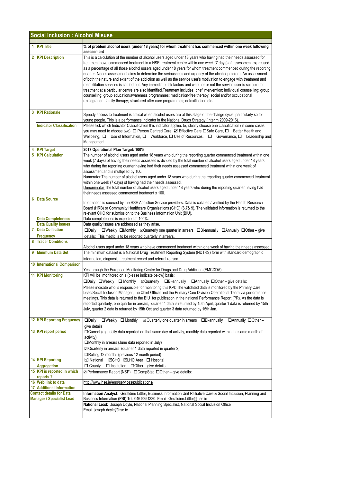|                                  | <b>Social Inclusion: Alcohol Misuse</b>                             |                                                                                                                                                                                                                                                                                                                                                                                                                                                                                                                                                                                                                                                                                                                                                                                                                                                                                                                                                                                                                                                                          |  |  |
|----------------------------------|---------------------------------------------------------------------|--------------------------------------------------------------------------------------------------------------------------------------------------------------------------------------------------------------------------------------------------------------------------------------------------------------------------------------------------------------------------------------------------------------------------------------------------------------------------------------------------------------------------------------------------------------------------------------------------------------------------------------------------------------------------------------------------------------------------------------------------------------------------------------------------------------------------------------------------------------------------------------------------------------------------------------------------------------------------------------------------------------------------------------------------------------------------|--|--|
|                                  | 1 KPI Title                                                         | % of problem alcohol users (under 18 years) for whom treatment has commenced within one week following                                                                                                                                                                                                                                                                                                                                                                                                                                                                                                                                                                                                                                                                                                                                                                                                                                                                                                                                                                   |  |  |
|                                  | 2 KPI Description                                                   | assessment<br>This is a calculation of the number of alcohol users aged under 18 years who having had their needs assessed for<br>treatment have commenced treatment in a HSE treatment centre within one week (7 days) of assessment expressed<br>as a percentage of all those alcohol ussers aged under 18 years for whom treatment commenced during the reporting<br>quarter. Needs assessment aims to determine the seriousness and urgency of the alcohol problem. An assessment<br>of both the nature and extent of the addiction as well as the service user's motivation to engage with treatment and<br>rehabilitation services is carried out. Any immediate risk factors and whether or not the service user is suitable for<br>treatment at a particular centre are also identified. Treatment includes: brief intervention; individual counselling; group<br>counselling; group education/awareness programmes; medication-free therapy; social and/or occupational<br>reintegration; family therapy; structured after care programmes; detoxification etc. |  |  |
|                                  | <b>3 KPI Rationale</b><br><b>Indicator Classification</b>           | Speedy access to treatment is critical when alcohol users are at this stage of the change cycle, particularly so for<br>young people. This is a performance indicator in the National Drugs Strategy (Interim 2009-2016).<br>Please tick which Indicator Classification this indicator applies to, ideally choose one classification (in some cases<br>you may need to choose two). $\Box$ Person Centred Care, $\Box$ Effective Care $\Box$ Safe Care, $\Box$ Better Health and<br>Wellbeing, $\Box$ Use of Information, $\Box$ Workforce, $\Box$ Use of Resources, $\Box$ Governance, $\Box$ Leadership and<br>Management                                                                                                                                                                                                                                                                                                                                                                                                                                              |  |  |
| 5                                | <b>KPI Target</b><br><b>KPI Calculation</b>                         | 2017 Operational Plan Target: 100%<br>The number of alcohol users aged under 18 years who during the reporting quarter commenced treatment within one<br>week (7 days) of having their needs assessed is divided by the total number of alcohol users aged under 18 years<br>who during the reporting quarter having had their needs assessed commenced treatment within one week of<br>assessment and is multiplied by 100.<br>Numerator The number of alcohol users aged under 18 years who during the reporting quarter commenced treatment<br>within one week (7 days) of having had their needs assessed.<br>Denominator The total number of alcohol users aged under 18 years who during the reporting quarter having had<br>their needs assessed commenced treatment x 100.                                                                                                                                                                                                                                                                                       |  |  |
| 6                                | <b>Data Source</b>                                                  | Information is sourced by the HSE Addiction Service providers. Data is collated / verified by the Health Research<br>Board (HRB) or Community Healthcare Organisations (CHO) (6,7& 9). The validated information is returned to the<br>relevant CHO for submission to the Business Information Unit (BIU).                                                                                                                                                                                                                                                                                                                                                                                                                                                                                                                                                                                                                                                                                                                                                               |  |  |
|                                  | <b>Data Completeness</b>                                            | Data completeness is expected at 100%.                                                                                                                                                                                                                                                                                                                                                                                                                                                                                                                                                                                                                                                                                                                                                                                                                                                                                                                                                                                                                                   |  |  |
| 7                                | <b>Data Quality Issues</b><br><b>Data Collection</b>                | Data quality issues are addressed as they arise.<br>□Daily □Weekly □Monthly ☑Quarterly one quarter in arrears □Bi-annually □Annually □Other – give                                                                                                                                                                                                                                                                                                                                                                                                                                                                                                                                                                                                                                                                                                                                                                                                                                                                                                                       |  |  |
|                                  | Frequency                                                           | details: This metric is to be reported quarterly in arrears.                                                                                                                                                                                                                                                                                                                                                                                                                                                                                                                                                                                                                                                                                                                                                                                                                                                                                                                                                                                                             |  |  |
| 8                                | <b>Tracer Conditions</b>                                            |                                                                                                                                                                                                                                                                                                                                                                                                                                                                                                                                                                                                                                                                                                                                                                                                                                                                                                                                                                                                                                                                          |  |  |
| 9                                | <b>Minimum Data Set</b>                                             | Alcohol users aged under 18 years who have commenced treatment within one week of having their needs assessed<br>The minimum dataset is a National Drug Treatment Reporting System (NDTRS) form with standard demographic<br>information, diagnosis, treatment record and referral reason.                                                                                                                                                                                                                                                                                                                                                                                                                                                                                                                                                                                                                                                                                                                                                                               |  |  |
|                                  | 10 International Comparison                                         | Yes through the European Monitoring Centre for Drugs and Drug Addiction (EMCDDA).                                                                                                                                                                                                                                                                                                                                                                                                                                                                                                                                                                                                                                                                                                                                                                                                                                                                                                                                                                                        |  |  |
|                                  | <b>11 KPI Monitoring</b>                                            | KPI will be monitored on a (please indicate below) basis:<br>□Daily □Weekly □ Monthly ⊠Quarterly □Bi-annually □Annually □Other – give details:<br>Please indicate who is responsible for monitoring this KPI: The validated data is monitored by the Primary Care<br>Lead/Social Inclusion Manager, the Chief Officer and the Primary Care Division Operational Team via performance<br>meetings. This data is returned to the BIU for publication in the national Performance Report (PR). As the data is<br>reported quarterly, one quarter in arrears, quarter 4 data is returned by 15th April, quarter 1 data is returned by 15th<br>July, quarter 2 data is returned by 15th Oct and quarter 3 data returned by 15th Jan.                                                                                                                                                                                                                                                                                                                                          |  |  |
|                                  | <b>12 KPI Reporting Frequency</b>                                   | $\square$ Daily<br>$\Box$ Annually $\Box$ Other -<br>$\Box$ Weekly $\Box$ Monthly<br>$\boxtimes$ Quarterly one quarter in arrears $\Box$ Bi-annually<br>give details:                                                                                                                                                                                                                                                                                                                                                                                                                                                                                                                                                                                                                                                                                                                                                                                                                                                                                                    |  |  |
|                                  | 13 KPI report period                                                | □ Current (e.g. daily data reported on that same day of activity, monthly data reported within the same month of<br>activity)<br>□Monthly in arrears (June data reported in July)<br>$\boxtimes$ Quarterly in arrears (quarter 1 data reported in quarter 2)<br>$\Box$ Rolling 12 months (previous 12 month period)                                                                                                                                                                                                                                                                                                                                                                                                                                                                                                                                                                                                                                                                                                                                                      |  |  |
|                                  | <b>14 KPI Reporting</b>                                             | <b>Ø</b> National ØCHO ØLHO Area □ Hospital                                                                                                                                                                                                                                                                                                                                                                                                                                                                                                                                                                                                                                                                                                                                                                                                                                                                                                                                                                                                                              |  |  |
|                                  | <b>Aggregation</b>                                                  | $\Box$ County $\Box$ Institution $\Box$ Other – give details:                                                                                                                                                                                                                                                                                                                                                                                                                                                                                                                                                                                                                                                                                                                                                                                                                                                                                                                                                                                                            |  |  |
|                                  | 15 KPI is reported in which<br>reports?                             | <b><math>\Box</math> Performance Report (NSP)</b> □ CompStat □ Other – give details:                                                                                                                                                                                                                                                                                                                                                                                                                                                                                                                                                                                                                                                                                                                                                                                                                                                                                                                                                                                     |  |  |
|                                  | 16 Web link to data                                                 | http://www.hse.ie/eng/services/publications/                                                                                                                                                                                                                                                                                                                                                                                                                                                                                                                                                                                                                                                                                                                                                                                                                                                                                                                                                                                                                             |  |  |
|                                  | <b>17 Additional Information</b><br><b>Contact details for Data</b> | Information Analyst: Geraldine Littler, Business Information Unit Palliative Care & Social Inclusion, Planning and                                                                                                                                                                                                                                                                                                                                                                                                                                                                                                                                                                                                                                                                                                                                                                                                                                                                                                                                                       |  |  |
| <b>Manager / Specialist Lead</b> |                                                                     | Business Information (PBI) Tel: 046 9251330. Email: Geraldine.Littler@hse.ie<br>National Lead: Joseph Doyle, National Planning Specialist, National Social Inclusion Office                                                                                                                                                                                                                                                                                                                                                                                                                                                                                                                                                                                                                                                                                                                                                                                                                                                                                              |  |  |
|                                  |                                                                     | Email: joseph.doyle@hse.ie                                                                                                                                                                                                                                                                                                                                                                                                                                                                                                                                                                                                                                                                                                                                                                                                                                                                                                                                                                                                                                               |  |  |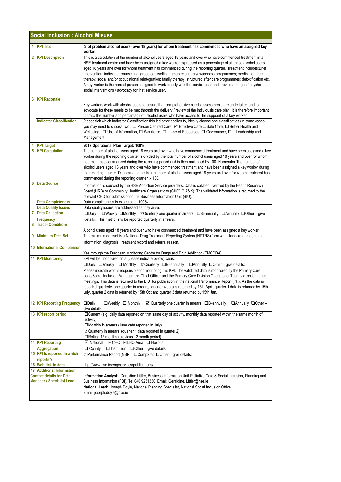|                                                                     | <b>Social Inclusion : Alcohol Misuse</b>      |                                                                                                                                                                                                                                                                                                                                                                                                                                                                                                                                                                                                                                                                                                                                                                             |  |
|---------------------------------------------------------------------|-----------------------------------------------|-----------------------------------------------------------------------------------------------------------------------------------------------------------------------------------------------------------------------------------------------------------------------------------------------------------------------------------------------------------------------------------------------------------------------------------------------------------------------------------------------------------------------------------------------------------------------------------------------------------------------------------------------------------------------------------------------------------------------------------------------------------------------------|--|
|                                                                     | 1 KPI Title                                   | % of problem alcohol users (over 18 years) for whom treatment has commenced who have an assigned key                                                                                                                                                                                                                                                                                                                                                                                                                                                                                                                                                                                                                                                                        |  |
|                                                                     |                                               | worker                                                                                                                                                                                                                                                                                                                                                                                                                                                                                                                                                                                                                                                                                                                                                                      |  |
|                                                                     | 2 KPI Description                             | This is a calculation of the number of alcohol users aged 18 years and over who have commenced treatment in a<br>HSE treatment centre and have been assigned a key worker expressed as a percentage of all those alcohol users<br>aged 18 years and over for whom treatment has commenced during the reporting quarter. Treatment includes: Brief<br>Intervention; individual counselling; group counselling; group education/awareness programmes; medication-free<br>therapy; social and/or occupational reintegration; family therapy; structured after care programmes; detoxification etc.<br>A key worker is the named person assigned to work closely with the service user and provide a range of psycho-<br>social interventions / advocacy for that service user. |  |
|                                                                     | <b>3 KPI Rationale</b>                        |                                                                                                                                                                                                                                                                                                                                                                                                                                                                                                                                                                                                                                                                                                                                                                             |  |
|                                                                     | <b>Indicator Classification</b>               | Key workers work with alcohol users to ensure that comprehensive needs assessments are undertaken and to<br>advocate for these needs to be met through the delivery / review of the individuals care plan. It is therefore important<br>to track the number and percentage of alcohol users who have access to the suppoert of a key worker.<br>Please tick which Indicator Classification this indicator applies to, ideally choose one classification (in some cases<br>you may need to choose two). □ Person Centred Care, ☑ Effective Care □ Safe Care, □ Better Health and<br>Wellbeing, $\Box$ Use of Information, $\Box$ Workforce, $\Box$ Use of Resources, $\Box$ Governance, $\Box$ Leadership and<br>Management                                                  |  |
|                                                                     | 4 KPI Target                                  | 2017 Operational Plan Target: 100%                                                                                                                                                                                                                                                                                                                                                                                                                                                                                                                                                                                                                                                                                                                                          |  |
| 5                                                                   | <b>KPI Calculation</b>                        | The number of alcohol users aged 18 years and over who have commenced treatment and have been assigned a key<br>worker during the reporting quarter is divided by the total number of alcohol users aged 18 years and over for whom<br>treatment has commenced during the reporting period and is then multiplied by 100. Numerator The number of<br>alcohol users aged 18 years and over who have commenced treatment and have been assigned a key worker during<br>the reporting quarter <b>Denominator</b> the total number of alcohol users aged 18 years and over for whom treatment has<br>commenced during the reporting quarter x 100.                                                                                                                              |  |
| 6                                                                   | <b>Data Source</b>                            | Information is sourced by the HSE Addiction Service providers. Data is collated / verified by the Health Research<br>Board (HRB) or Community Healthcare Organisations (CHO) (6,7& 9). The validated information is returned to the<br>relevant CHO for submission to the Business Information Unit (BIU).                                                                                                                                                                                                                                                                                                                                                                                                                                                                  |  |
|                                                                     | <b>Data Completeness</b>                      | Data completeness is expected at 100%.                                                                                                                                                                                                                                                                                                                                                                                                                                                                                                                                                                                                                                                                                                                                      |  |
|                                                                     | <b>Data Quality Issues</b>                    | Data quality issues are addressed as they arise.                                                                                                                                                                                                                                                                                                                                                                                                                                                                                                                                                                                                                                                                                                                            |  |
| 7                                                                   | <b>Data Collection</b>                        | □Daily □Weekly □Monthly ⊠Quarterly one quarter in arrears □Bi-annually □Annually □Other - give                                                                                                                                                                                                                                                                                                                                                                                                                                                                                                                                                                                                                                                                              |  |
| 8                                                                   | <b>Frequency</b><br><b>Tracer Conditions</b>  | details: This metric is to be reported quarterly in arrears.                                                                                                                                                                                                                                                                                                                                                                                                                                                                                                                                                                                                                                                                                                                |  |
|                                                                     |                                               | Alcohol users aged 18 years and over who have commenced treatment and have been assigned a key worker.                                                                                                                                                                                                                                                                                                                                                                                                                                                                                                                                                                                                                                                                      |  |
|                                                                     | 9 Minimum Data Set                            | The minimum dataset is a National Drug Treatment Reporting System (NDTRS) form with standard demographic<br>information, diagnosis, treatment record and referral reason.                                                                                                                                                                                                                                                                                                                                                                                                                                                                                                                                                                                                   |  |
|                                                                     | <b>10 International Comparison</b>            |                                                                                                                                                                                                                                                                                                                                                                                                                                                                                                                                                                                                                                                                                                                                                                             |  |
|                                                                     | <b>11 KPI Monitoring</b>                      | Yes through the European Monitoring Centre for Drugs and Drug Addiction (EMCDDA).<br>KPI will be monitored on a (please indicate below) basis:                                                                                                                                                                                                                                                                                                                                                                                                                                                                                                                                                                                                                              |  |
|                                                                     |                                               | □Daily □Weekly □ Monthly □ Quarterly □Bi-annually □ Annually □ Other - give details:<br>Please indicate who is responsible for monitoring this KPI: The validated data is monitored by the Primary Care<br>Lead/Social Inclusion Manager, the Chief Officer and the Primary Care Division Operational Team via performance<br>meetings. This data is returned to the BIU for publication in the national Performance Report (PR). As the data is<br>reported quarterly, one quarter in arrears, quarter 4 data is returned by 15th April, quarter 1 data is returned by 15th<br>July, quarter 2 data is returned by 15th Oct and quarter 3 data returned by 15th Jan.                                                                                                       |  |
|                                                                     | <b>12 KPI Reporting Frequency</b>             | <b>ODaily</b><br>$\Box$ Weekly $\Box$ Monthly<br>☑ Quarterly one quarter in arrears □Bi-annually<br>$\Box$ Annually $\Box$ Other -<br>give details:                                                                                                                                                                                                                                                                                                                                                                                                                                                                                                                                                                                                                         |  |
|                                                                     | 13 KPI report period                          | □Current (e.g. daily data reported on that same day of activity, monthly data reported within the same month of<br>activity)<br>□Monthly in arrears (June data reported in July)<br>$\boxtimes$ Quarterly in arrears (quarter 1 data reported in quarter 2)<br>□Rolling 12 months (previous 12 month period)                                                                                                                                                                                                                                                                                                                                                                                                                                                                |  |
|                                                                     | <b>14 KPI Reporting</b><br><b>Aggregation</b> | <b>⊠</b> National<br><b>⊠CHO ⊠LHO</b> Area □ Hospital<br>$\Box$ County $\Box$ Institution $\Box$ Other – give details:                                                                                                                                                                                                                                                                                                                                                                                                                                                                                                                                                                                                                                                      |  |
|                                                                     | 15 KPI is reported in which<br>reports?       | ☑ Performance Report (NSP) □ CompStat □ Other - give details:                                                                                                                                                                                                                                                                                                                                                                                                                                                                                                                                                                                                                                                                                                               |  |
|                                                                     | 16 Web link to data                           | http://www.hse.ie/eng/services/publications/                                                                                                                                                                                                                                                                                                                                                                                                                                                                                                                                                                                                                                                                                                                                |  |
|                                                                     | <b>17 Additional Information</b>              |                                                                                                                                                                                                                                                                                                                                                                                                                                                                                                                                                                                                                                                                                                                                                                             |  |
| <b>Contact details for Data</b><br><b>Manager / Specialist Lead</b> |                                               | Information Analyst: Geraldine Littler, Business Information Unit Palliative Care & Social Inclusion, Planning and<br>Business Information (PBI). Tel 046 9251330. Email: Geraldine. Littler@hse.ie                                                                                                                                                                                                                                                                                                                                                                                                                                                                                                                                                                         |  |
|                                                                     |                                               | National Lead: Joseph Doyle, National Planning Specialist, National Social Inclusion Office<br>Email: joseph.doyle@hse.ie                                                                                                                                                                                                                                                                                                                                                                                                                                                                                                                                                                                                                                                   |  |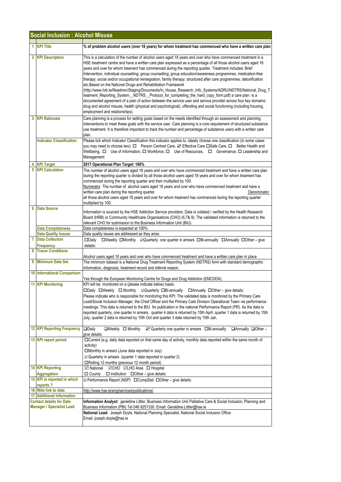|                                                                     | <b>Social Inclusion: Alcohol Misuse</b>                 |                                                                                                                                                                                                                                                                                                                                                                                                                                                                                                                                                                                                                                                                                                                                                                                                                                                                                                                                                                                                                                                                                                                                                |  |  |
|---------------------------------------------------------------------|---------------------------------------------------------|------------------------------------------------------------------------------------------------------------------------------------------------------------------------------------------------------------------------------------------------------------------------------------------------------------------------------------------------------------------------------------------------------------------------------------------------------------------------------------------------------------------------------------------------------------------------------------------------------------------------------------------------------------------------------------------------------------------------------------------------------------------------------------------------------------------------------------------------------------------------------------------------------------------------------------------------------------------------------------------------------------------------------------------------------------------------------------------------------------------------------------------------|--|--|
| 1.                                                                  | <b>KPI Title</b>                                        | % of problem alcohol users (over 18 years) for whom treatment has commenced who have a written care plan                                                                                                                                                                                                                                                                                                                                                                                                                                                                                                                                                                                                                                                                                                                                                                                                                                                                                                                                                                                                                                       |  |  |
|                                                                     | 2 KPI Description                                       | This is a calculation of the number of alcohol users aged 18 years and over who have commenced treatment in a<br>HSE treatment centre and have a written care plan expressed as a percentage of all those alcohol users aged 18<br>years and over for whom treament has commenced during the reporting quarter. Treatment includes: Brief<br>Intervention; individual counselling; group counselling; group education/awareness programmes; medication-free<br>therapy; social and/or occupational reintegration; family therapy; structured after care programmes; detoxification<br>etc. Based on the National Drugs and Rehabilitation Framework<br>(http://www.hrb.ie/fileadmin/Staging/Documents/In_House_Research_Info_Systems/ADRU/NDTRS/National_Drug_T<br>reatment_Reporting_System_NDTRS_Protocol_for_completing_the_hard_copy_form.pdf) a care plan is a<br>documented agreement of a plan of action between the service user and service provider across four key domains:<br>drug and alcohol misuse, health (physical and psychological), offending and social functioning (including housing,<br>employment and relationships). |  |  |
| 3                                                                   | <b>KPI Rationale</b>                                    | Care planning is a process for setting goals based on the needs identified through an assessment and planning<br>interventions to meet these goals with the service user. Care planning is a core requirement of structured substance<br>use treatment. It is therefore important to track the number and percentage of substance users with a written care<br>plan.                                                                                                                                                                                                                                                                                                                                                                                                                                                                                                                                                                                                                                                                                                                                                                           |  |  |
|                                                                     | <b>Indicator Classification</b>                         | Please tick which Indicator Classification this indicator applies to, ideally choose one classification (in some cases<br>you may need to choose two). □ Person Centred Care, ☑ Effective Care □ Safe Care, □ Better Health and<br>Wellbeing, $\Box$ Use of Information, $\Box$ Workforce, $\Box$ Use of Resources, $\Box$ Governance, $\Box$ Leadership and<br>Management                                                                                                                                                                                                                                                                                                                                                                                                                                                                                                                                                                                                                                                                                                                                                                     |  |  |
|                                                                     | <b>KPI Target</b>                                       | 2017 Operational Plan Target: 100%                                                                                                                                                                                                                                                                                                                                                                                                                                                                                                                                                                                                                                                                                                                                                                                                                                                                                                                                                                                                                                                                                                             |  |  |
| 5                                                                   | <b>KPI Calculation</b>                                  | The number of alcohol users aged 18 years and over who have commenced treatment and have a written care plan<br>during the reporting quarter is divided by all those alcohol users aged 18 years and over for whom treament has<br>commenced during the reporting quarter and then multiplied by 100.<br>Numerator The number of alcohol users aged 18 years and over who have commenced treatment and have a<br>written care plan during the reporting quarter.<br>Denominator<br>all those alcohol users aged 18 years and over for whom treament has commenced during the reporting quarter<br>multiplied by 100.                                                                                                                                                                                                                                                                                                                                                                                                                                                                                                                           |  |  |
| 6                                                                   | <b>Data Source</b>                                      | Information is sourced by the HSE Addiction Service providers. Data is collated / verified by the Health Research<br>Board (HRB) or Community Healthcare Organisations (CHO) (6,7& 9). The validated information is returned to the<br>relevant CHO for submission to the Business Information Unit (BIU).                                                                                                                                                                                                                                                                                                                                                                                                                                                                                                                                                                                                                                                                                                                                                                                                                                     |  |  |
|                                                                     | <b>Data Completeness</b>                                | Data completeness is expected at 100%.                                                                                                                                                                                                                                                                                                                                                                                                                                                                                                                                                                                                                                                                                                                                                                                                                                                                                                                                                                                                                                                                                                         |  |  |
|                                                                     | <b>Data Quality Issues</b>                              | Data quality issues are addressed as they arise.                                                                                                                                                                                                                                                                                                                                                                                                                                                                                                                                                                                                                                                                                                                                                                                                                                                                                                                                                                                                                                                                                               |  |  |
| 7                                                                   | <b>Data Collection</b><br><b>Frequency</b>              | $\Box$ Weekly $\Box$ Monthly $\Box$ Quarterly one quarter in arrears $\Box$ Bi-annually $\Box$ Annually $\Box$ Other – give<br>$\square$ Daily<br>details:                                                                                                                                                                                                                                                                                                                                                                                                                                                                                                                                                                                                                                                                                                                                                                                                                                                                                                                                                                                     |  |  |
| 8                                                                   | <b>Tracer Conditions</b>                                | Alcohol users aged 18 years and over who have commenced treatment and have a written care plan in place                                                                                                                                                                                                                                                                                                                                                                                                                                                                                                                                                                                                                                                                                                                                                                                                                                                                                                                                                                                                                                        |  |  |
|                                                                     | 9 Minimum Data Set                                      | The minimum dataset is a National Drug Treatment Reporting System (NDTRS) form with standard demographic<br>information, diagnosis, treatment record and referral reason.                                                                                                                                                                                                                                                                                                                                                                                                                                                                                                                                                                                                                                                                                                                                                                                                                                                                                                                                                                      |  |  |
|                                                                     | <b>10 International Comparison</b>                      | Yes through the European Monitoring Centre for Drugs and Drug Addiction (EMCDDA)                                                                                                                                                                                                                                                                                                                                                                                                                                                                                                                                                                                                                                                                                                                                                                                                                                                                                                                                                                                                                                                               |  |  |
|                                                                     | <b>11 KPI Monitoring</b>                                | KPI will be monitored on a (please indicate below) basis:<br>□Daily □Weekly □ Monthly 2Quarterly □Bi-annually □Annually □Other - give details:<br>Please indicate who is responsible for monitoring this KPI: The validated data is monitored by the Primary Care<br>Lead/Social Inclusion Manager, the Chief Officer and the Primary Care Division Operational Team via performance<br>meetings. This data is returned to the BIU for publication in the national Performance Report (PR). As the data is<br>reported quarterly, one quarter in arrears, quarter 4 data is returned by 15th April, quarter 1 data is returned by 15th<br>July, quarter 2 data is returned by 15th Oct and quarter 3 data returned by 15th Jan.                                                                                                                                                                                                                                                                                                                                                                                                                |  |  |
|                                                                     | <b>12 KPI Reporting Frequency</b>                       | $\Box$ Daily<br>$\Box$ Weekly $\Box$ Monthly<br>☑ Quarterly one quarter in arrears □Bi-annually<br>$\Box$ Annually $\Box$ Other –<br>give details:                                                                                                                                                                                                                                                                                                                                                                                                                                                                                                                                                                                                                                                                                                                                                                                                                                                                                                                                                                                             |  |  |
|                                                                     | 13 KPI report period                                    | □ Current (e.g. daily data reported on that same day of activity, monthly data reported within the same month of<br>activity)<br>□Monthly in arrears (June data reported in July)<br>$\mathbb Z$ Quarterly in arrears (quarter 1 data reported in quarter 2)<br>□Rolling 12 months (previous 12 month period)                                                                                                                                                                                                                                                                                                                                                                                                                                                                                                                                                                                                                                                                                                                                                                                                                                  |  |  |
|                                                                     | <b>14 KPI Reporting</b>                                 | <b>⊡</b> National<br><b>⊠CHO ⊠LHO Area</b> □ Hospital                                                                                                                                                                                                                                                                                                                                                                                                                                                                                                                                                                                                                                                                                                                                                                                                                                                                                                                                                                                                                                                                                          |  |  |
|                                                                     | <b>Aggregation</b>                                      | $\Box$ County $\Box$ Institution $\Box$ Other – give details:                                                                                                                                                                                                                                                                                                                                                                                                                                                                                                                                                                                                                                                                                                                                                                                                                                                                                                                                                                                                                                                                                  |  |  |
|                                                                     | 15 KPI is reported in which<br>reports?                 | <b><math>\Box</math> Performance Report (NSP)</b> □ CompStat □ Other – give details:                                                                                                                                                                                                                                                                                                                                                                                                                                                                                                                                                                                                                                                                                                                                                                                                                                                                                                                                                                                                                                                           |  |  |
|                                                                     | 16 Web link to data<br><b>17 Additional Information</b> | http://www.hse.ie/eng/services/publications/                                                                                                                                                                                                                                                                                                                                                                                                                                                                                                                                                                                                                                                                                                                                                                                                                                                                                                                                                                                                                                                                                                   |  |  |
| <b>Contact details for Data</b><br><b>Manager / Specialist Lead</b> |                                                         | Information Analyst: geraldine Littler, Business Information Unit Palliative Care & Social Inclusion, Planning and<br>Business Information (PBI) Tel 046 9251330. Email: Geraldine.Littler@hse.ie                                                                                                                                                                                                                                                                                                                                                                                                                                                                                                                                                                                                                                                                                                                                                                                                                                                                                                                                              |  |  |
|                                                                     |                                                         | National Lead: Joseph Doyle, National Planning Specialist, National Social Inclusion Office<br>Email: joseph.doyle@hse.ie                                                                                                                                                                                                                                                                                                                                                                                                                                                                                                                                                                                                                                                                                                                                                                                                                                                                                                                                                                                                                      |  |  |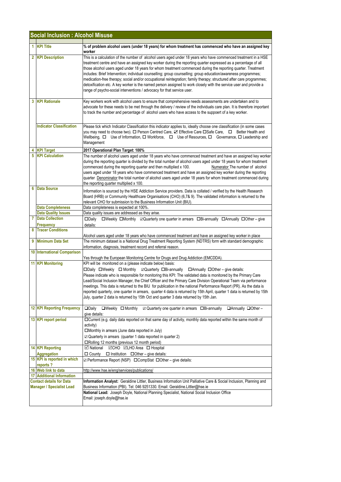|   | <b>Social Inclusion : Alcohol Misuse</b>                            |                                                                                                                                                                                                                                                                                                                                                                                                                                                                                                                                                                                                                                                                                                                                                                                           |
|---|---------------------------------------------------------------------|-------------------------------------------------------------------------------------------------------------------------------------------------------------------------------------------------------------------------------------------------------------------------------------------------------------------------------------------------------------------------------------------------------------------------------------------------------------------------------------------------------------------------------------------------------------------------------------------------------------------------------------------------------------------------------------------------------------------------------------------------------------------------------------------|
|   | 1 KPI Title                                                         | % of problem alcohol users (under 18 years) for whom treatment has commenced who have an assigned key<br>worker                                                                                                                                                                                                                                                                                                                                                                                                                                                                                                                                                                                                                                                                           |
|   | 2 KPI Description                                                   | This is a calculation of the number of alcohol users aged under 18 years who have commenced treatment in a HSE<br>treatment centre and have an assigned key worker during the reporting quarter expressed as a percentage of all<br>those alcohol users aged under 18 years for whom treatment commenced during the reporting quarter. Treatment<br>includes: Brief Intervention; individual counselling; group counselling; group education/awareness programmes;<br>medication-free therapy; social and/or occupational reintegration; family therapy; structured after care programmes;<br>detoxification etc. A key worker is the named person assigned to work closely with the service user and provide a<br>range of psycho-social interventions / advocacy for that service user. |
|   | <b>3 KPI Rationale</b>                                              | Key workers work with alcohol users to ensure that comprehensive needs assessments are undertaken and to<br>advocate for these needs to be met through the delivery / review of the individuals care plan. It is therefore important<br>to track the number and percentage of alcohol users who have access to the suppoert of a key worker.                                                                                                                                                                                                                                                                                                                                                                                                                                              |
|   | <b>Indicator Classification</b>                                     | Please tick which Indicator Classification this indicator applies to, ideally choose one classification (in some cases<br>you may need to choose two). □ Person Centred Care, Ø Effective Care □ Safe Care, □ Better Health and<br>Wellbeing, $\Box$ Use of Information, $\Box$ Workforce, $\Box$ Use of Resources, $\Box$ Governance, $\Box$ Leadership and<br>Management                                                                                                                                                                                                                                                                                                                                                                                                                |
|   | <b>KPI Target</b>                                                   | 2017 Operational Plan Target: 100%                                                                                                                                                                                                                                                                                                                                                                                                                                                                                                                                                                                                                                                                                                                                                        |
| 5 | <b>KPI Calculation</b>                                              | The number of alcohol users aged under 18 years who have commenced treatment and have an assigned key worker<br>during the reporting quarter is divided by the total number of alcohol users aged under 18 years for whom treatment<br>commenced during the reporting quarter and then multiplied x 100.<br>Numerator The number of alcohol<br>users aged under 18 years who have commenced treatment and have an assigned key worker during the reporting<br>quarter Denominator the total number of alcohol users aged under 18 years for whom treatment commenced during<br>the reporting quarter multiplied x 100.                                                                                                                                                                    |
| 6 | <b>Data Source</b>                                                  | Information is sourced by the HSE Addiction Service providers. Data is collated / verified by the Health Research<br>Board (HRB) or Community Healthcare Organisations (CHO) (6,7& 9). The validated information is returned to the<br>relevant CHO for submission to the Business Information Unit (BIU).                                                                                                                                                                                                                                                                                                                                                                                                                                                                                |
|   | <b>Data Completeness</b>                                            | Data completeness is expected at 100%.                                                                                                                                                                                                                                                                                                                                                                                                                                                                                                                                                                                                                                                                                                                                                    |
|   | <b>Data Quality Issues</b>                                          | Data quality issues are addressed as they arise.                                                                                                                                                                                                                                                                                                                                                                                                                                                                                                                                                                                                                                                                                                                                          |
|   | <b>7</b> Data Collection                                            | □Weekly □Monthly ⊠Quarterly one quarter in arrears □Bi-annually □Annually □Other - give<br>$\square$ Daily                                                                                                                                                                                                                                                                                                                                                                                                                                                                                                                                                                                                                                                                                |
|   | <b>Frequency</b>                                                    | details:                                                                                                                                                                                                                                                                                                                                                                                                                                                                                                                                                                                                                                                                                                                                                                                  |
| 8 | <b>Tracer Conditions</b><br>9 Minimum Data Set                      | Alcohol users aged under 18 years who have commenced treatment and have an assigned key worker in place<br>The minimum dataset is a National Drug Treatment Reporting System (NDTRS) form with standard demographic                                                                                                                                                                                                                                                                                                                                                                                                                                                                                                                                                                       |
|   | <b>10 International Comparison</b>                                  | information, diagnosis, treatment record and referral reason.                                                                                                                                                                                                                                                                                                                                                                                                                                                                                                                                                                                                                                                                                                                             |
|   | 11 KPI Monitoring                                                   | Yes through the European Monitoring Centre for Drugs and Drug Addiction (EMCDDA).                                                                                                                                                                                                                                                                                                                                                                                                                                                                                                                                                                                                                                                                                                         |
|   |                                                                     | KPI will be monitored on a (please indicate below) basis:<br>□Daily □Weekly □ Monthly ⊠Quarterly □Bi-annually □ Annually □ Other - give details:<br>Please indicate who is responsible for monitoring this KPI: The validated data is monitored by the Primary Care<br>Lead/Social Inclusion Manager, the Chief Officer and the Primary Care Division Operational Team via performance<br>meetings. This data is returned to the BIU for publication in the national Performance Report (PR). As the data is<br>reported quarterly, one quarter in arrears, quarter 4 data is returned by 15th April, quarter 1 data is returned by 15th<br>July, quarter 2 data is returned by 15th Oct and quarter 3 data returned by 15th Jan.                                                         |
|   | <b>12 KPI Reporting Frequency</b>                                   | $\square$ Daily<br>$\Box$ Weekly $\Box$ Monthly<br>☑ Quarterly one quarter in arrears □Bi-annually<br>$\Box$ Annually $\Box$ Other -<br>give details:                                                                                                                                                                                                                                                                                                                                                                                                                                                                                                                                                                                                                                     |
|   | 13 KPI report period                                                | □ Current (e.g. daily data reported on that same day of activity, monthly data reported within the same month of<br>activity)<br>□Monthly in arrears (June data reported in July)<br>$\boxtimes$ Quarterly in arrears (quarter 1 data reported in quarter 2)<br>□Rolling 12 months (previous 12 month period)                                                                                                                                                                                                                                                                                                                                                                                                                                                                             |
|   | <b>14 KPI Reporting</b>                                             | ⊠ National<br><b>⊠CHO ⊠LHO Area</b> □ Hospital                                                                                                                                                                                                                                                                                                                                                                                                                                                                                                                                                                                                                                                                                                                                            |
|   | <b>Aggregation</b><br>15 KPI is reported in which<br>reports?       | $\Box$ County<br>$\Box$ Institution $\Box$ Other – give details:<br>$\Box$ Performance Report (NSP) $\Box$ CompStat $\Box$ Other – give details:                                                                                                                                                                                                                                                                                                                                                                                                                                                                                                                                                                                                                                          |
|   | 16 Web link to data                                                 | http://www.hse.ie/eng/services/publications/                                                                                                                                                                                                                                                                                                                                                                                                                                                                                                                                                                                                                                                                                                                                              |
|   | <b>17 Additional Information</b>                                    |                                                                                                                                                                                                                                                                                                                                                                                                                                                                                                                                                                                                                                                                                                                                                                                           |
|   | <b>Contact details for Data</b><br><b>Manager / Specialist Lead</b> | Information Analyst: Geraldine Littler, Business Information Unit Palliative Care & Social Inclusion, Planning and<br>Business Information (PBI). Tel: 046 9251330. Email: Geraldine.Littler@hse.ie                                                                                                                                                                                                                                                                                                                                                                                                                                                                                                                                                                                       |
|   |                                                                     | National Lead: Joseph Doyle, National Planning Specialist, National Social Inclusion Office<br>Email: joseph.doyle@hse.ie                                                                                                                                                                                                                                                                                                                                                                                                                                                                                                                                                                                                                                                                 |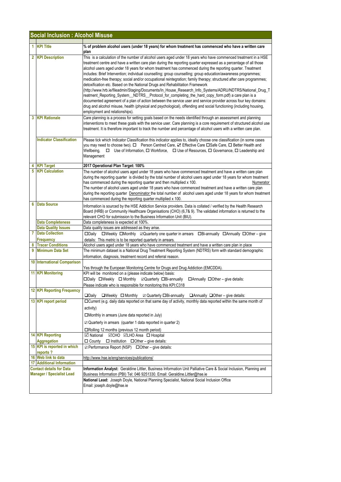| <b>Social Inclusion: Alcohol Misuse</b> |                                                                     |                                                                                                                                                                                                                                                                                                                                                                                                                                                                                                                                                                                                                                                                                                                                                                                                                                                                                                                                                                                                                                                                                                                                                                          |
|-----------------------------------------|---------------------------------------------------------------------|--------------------------------------------------------------------------------------------------------------------------------------------------------------------------------------------------------------------------------------------------------------------------------------------------------------------------------------------------------------------------------------------------------------------------------------------------------------------------------------------------------------------------------------------------------------------------------------------------------------------------------------------------------------------------------------------------------------------------------------------------------------------------------------------------------------------------------------------------------------------------------------------------------------------------------------------------------------------------------------------------------------------------------------------------------------------------------------------------------------------------------------------------------------------------|
|                                         | 1 KPI Title                                                         | % of problem alcohol users (under 18 years) for whom treatment has commenced who have a written care<br>plan                                                                                                                                                                                                                                                                                                                                                                                                                                                                                                                                                                                                                                                                                                                                                                                                                                                                                                                                                                                                                                                             |
|                                         | 2 KPI Description                                                   | This is a calculation of the number of alcohol users aged under 18 years who have commenced treatment in a HSE<br>treatment centre and have a written care plan during the reporting quarter expressed as a percentage of all those<br>alcohol users aged under 18 years for whom treatment has commenced during the reporting quarter. Treatment<br>includes: Brief Intervention; individual counselling; group counselling; group education/awareness programmes;<br>medication-free therapy; social and/or occupational reintegration; family therapy; structured after care programmes;<br>detoxification etc. Based on the National Drugs and Rehabilitation Framework<br>(http://www.hrb.ie/fileadmin/Staging/Documents/In_House_Research_Info_Systems/ADRU/NDTRS/National_Drug_T<br>reatment_Reporting_System__NDTRS__Protocol_for_completing_the_hard_copy_form.pdf) a care plan is a<br>documented agreement of a plan of action between the service user and service provider across four key domains:<br>drug and alcohol misuse, health (physical and psychological), offending and social functioning (including housing,<br>employment and relationships). |
| 3                                       | <b>KPI Rationale</b>                                                | Care planning is a process for setting goals based on the needs identified through an assessment and planning<br>interventions to meet these goals with the service user. Care planning is a core requirement of structured alcohol use<br>treatment. It is therefore important to track the number and percentage of alcohol users with a written care plan.                                                                                                                                                                                                                                                                                                                                                                                                                                                                                                                                                                                                                                                                                                                                                                                                            |
|                                         | <b>Indicator Classification</b>                                     | Please tick which Indicator Classification this indicator applies to, ideally choose one classification (in some cases<br>you may need to choose two). □ Person Centred Care, ☑ Effective Care □Safe Care, □ Better Health and<br>Wellbeing,<br>□ Use of Information, □ Workforce, □ Use of Resources, □ Governance, □ Leadership and<br>Management                                                                                                                                                                                                                                                                                                                                                                                                                                                                                                                                                                                                                                                                                                                                                                                                                      |
| 4                                       | <b>KPI Target</b>                                                   | 2017 Operational Plan Target: 100%                                                                                                                                                                                                                                                                                                                                                                                                                                                                                                                                                                                                                                                                                                                                                                                                                                                                                                                                                                                                                                                                                                                                       |
| 5                                       | <b>KPI Calculation</b>                                              | The number of alcohol users aged under 18 years who have commenced treatment and have a written care plan<br>during the reporting quarter is divided by the total number of alcohol users aged under 18 years for whom treatment<br>has commenced during the reporting quarter and then multiplied x 100.<br>Numerator<br>The number of alcohol users aged under 18 years who have commenced treatment and have a written care plan<br>during the reporting quarter <b>Denominator</b> the total number of alcohol users aged under 18 years for whom treatment<br>has commenced during the reporting quarter multiplied x 100.                                                                                                                                                                                                                                                                                                                                                                                                                                                                                                                                          |
| 6                                       | <b>Data Source</b>                                                  | Information is sourced by the HSE Addiction Service providers. Data is collated / verified by the Health Research<br>Board (HRB) or Community Healthcare Organisations (CHO) (6,7& 9). The validated information is returned to the<br>relevant CHO for submission to the Business Information Unit (BIU).                                                                                                                                                                                                                                                                                                                                                                                                                                                                                                                                                                                                                                                                                                                                                                                                                                                               |
|                                         | <b>Data Completeness</b>                                            | Data completeness is expected at 100%.                                                                                                                                                                                                                                                                                                                                                                                                                                                                                                                                                                                                                                                                                                                                                                                                                                                                                                                                                                                                                                                                                                                                   |
|                                         | <b>Data Quality Issues</b>                                          | Data quality issues are addressed as they arise.                                                                                                                                                                                                                                                                                                                                                                                                                                                                                                                                                                                                                                                                                                                                                                                                                                                                                                                                                                                                                                                                                                                         |
| 7                                       | <b>Data Collection</b><br>Frequency                                 | □Daily □Weekly □Monthly 2Quarterly one quarter in arrears □Bi-annually □Annually □Other - give<br>details: This metric is to be reported quarterly in arrears.                                                                                                                                                                                                                                                                                                                                                                                                                                                                                                                                                                                                                                                                                                                                                                                                                                                                                                                                                                                                           |
| 8                                       | <b>Tracer Conditions</b>                                            | Alcohol users aged under 18 years who have commenced treatment and have a written care plan in place                                                                                                                                                                                                                                                                                                                                                                                                                                                                                                                                                                                                                                                                                                                                                                                                                                                                                                                                                                                                                                                                     |
| 9                                       | <b>Minimum Data Set</b>                                             | The minimum dataset is a National Drug Treatment Reporting System (NDTRS) form with standard demographic<br>information, diagnosis, treatment record and referral reason.                                                                                                                                                                                                                                                                                                                                                                                                                                                                                                                                                                                                                                                                                                                                                                                                                                                                                                                                                                                                |
|                                         | <b>10 International Comparison</b>                                  | Yes through the European Monitoring Centre for Drugs and Drug Addiction (EMCDDA).                                                                                                                                                                                                                                                                                                                                                                                                                                                                                                                                                                                                                                                                                                                                                                                                                                                                                                                                                                                                                                                                                        |
|                                         | <b>11 KPI Monitoring</b>                                            | KPI will be monitored on a (please indicate below) basis:<br>□Daily □Weekly □ Monthly □ Quarterly □Bi-annually<br>$\Box$ Annually $\Box$ Other – give details:<br>Please indicate who is responsible for monitoring this KPI:C318                                                                                                                                                                                                                                                                                                                                                                                                                                                                                                                                                                                                                                                                                                                                                                                                                                                                                                                                        |
|                                         | <b>12 KPI Reporting Frequency</b>                                   | $\square$ Daily<br>☑ Quarterly OBi-annually QAnnually QOther - give details:<br>$\Box$ Weekly $\Box$ Monthly                                                                                                                                                                                                                                                                                                                                                                                                                                                                                                                                                                                                                                                                                                                                                                                                                                                                                                                                                                                                                                                             |
|                                         | 13 KPI report period                                                | □Current (e.g. daily data reported on that same day of activity, monthly data reported within the same month of<br>activity)<br>$\square$ Monthly in arrears (June data reported in July)<br>$\mathbb Z$ Quarterly in arrears (quarter 1 data reported in quarter 2)<br>$\Box$ Rolling 12 months (previous 12 month period)                                                                                                                                                                                                                                                                                                                                                                                                                                                                                                                                                                                                                                                                                                                                                                                                                                              |
|                                         | 14 KPI Reporting                                                    | <b>⊠</b> National<br><b>⊠CHO ØLHO</b> Area □ Hospital                                                                                                                                                                                                                                                                                                                                                                                                                                                                                                                                                                                                                                                                                                                                                                                                                                                                                                                                                                                                                                                                                                                    |
|                                         | <b>Aggregation</b><br>15 KPI is reported in which                   | $\Box$ County $\Box$ Institution $\Box$ Other - give details:                                                                                                                                                                                                                                                                                                                                                                                                                                                                                                                                                                                                                                                                                                                                                                                                                                                                                                                                                                                                                                                                                                            |
|                                         | reports?                                                            | $\boxtimes$ Performance Report (NSP) $\Box$ Other – give details:                                                                                                                                                                                                                                                                                                                                                                                                                                                                                                                                                                                                                                                                                                                                                                                                                                                                                                                                                                                                                                                                                                        |
|                                         | 16 Web link to data                                                 | http://www.hse.ie/eng/services/publications/                                                                                                                                                                                                                                                                                                                                                                                                                                                                                                                                                                                                                                                                                                                                                                                                                                                                                                                                                                                                                                                                                                                             |
|                                         | <b>17 Additional Information</b>                                    |                                                                                                                                                                                                                                                                                                                                                                                                                                                                                                                                                                                                                                                                                                                                                                                                                                                                                                                                                                                                                                                                                                                                                                          |
|                                         | <b>Contact details for Data</b><br><b>Manager / Specialist Lead</b> | Information Analyst: Geraldine Littler, Business Information Unit Palliative Care & Social Inclusion, Planning and<br>Business Information (PBI) Tel: 046 9251330. Email: Geraldine.Littler@hse.ie<br>National Lead: Joseph Doyle, National Planning Specialist, National Social Inclusion Office<br>Email: joseph.doyle@hse.ie                                                                                                                                                                                                                                                                                                                                                                                                                                                                                                                                                                                                                                                                                                                                                                                                                                          |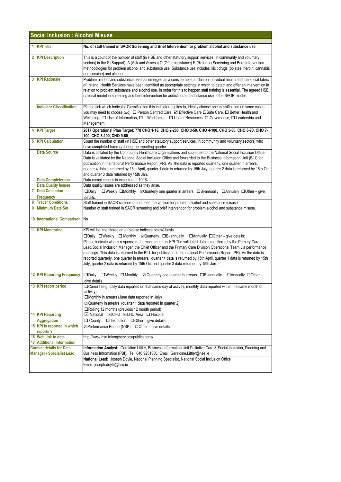|   | <b>Social Inclusion: Alcohol Misuse</b>                             |                                                                                                                                                                                                                                                                                                                                                                                                                                                                                                                                                                                                                                                                                                                                    |
|---|---------------------------------------------------------------------|------------------------------------------------------------------------------------------------------------------------------------------------------------------------------------------------------------------------------------------------------------------------------------------------------------------------------------------------------------------------------------------------------------------------------------------------------------------------------------------------------------------------------------------------------------------------------------------------------------------------------------------------------------------------------------------------------------------------------------|
|   | 1 KPI Title                                                         | No. of staff trained in SAOR Screening and Brief Intervention for problem alcohol and substance use                                                                                                                                                                                                                                                                                                                                                                                                                                                                                                                                                                                                                                |
|   | 2 KPI Description                                                   | This is a count of the number of staff (in HSE and other statutory support services, in community and voluntary<br>sectors) in the S (Support) A (Ask and Assess) O (Offer assistance) R (Referral) Screening and Brief Intervention<br>methodologies for problem alcohol and substance use. Substance use includes illicit drugs (opiates, heroin, cannabis<br>and cocaine) and alcohol.                                                                                                                                                                                                                                                                                                                                          |
|   | <b>3 KPI Rationale</b>                                              | Problem alcohol and substance use has emerged as a considerable burden on individual health and the social fabric<br>of Ireland. Health Services have been identified as appropriate settings in which to detect and offer an intervention in<br>relation to problem substance and alcohol use. In order for this to happen staff training is essential. The agreed HSE<br>national model in screening and brief intervention for addiction and substance use is the SAOR model.                                                                                                                                                                                                                                                   |
|   | <b>Indicator Classification</b>                                     | Please tick which Indicator Classification this indicator applies to, ideally choose one classification (in some cases<br>you may need to choose two). □ Person Centred Care, ☑ Effective Care □ Safe Care, □ Better Health and<br>Wellbeing, $\Box$ Use of Information, $\Box$ Workforce, $\Box$ Use of Resources, $\Box$ Governance, $\Box$ Leadership and<br>Management                                                                                                                                                                                                                                                                                                                                                         |
|   | 4 KPI Target                                                        | 2017 Operational Plan Target: 778 CHO 1-18, CHO 2-200, CHO 3-50, CHO 4-100, CHO 5-80, CHO 6-70, CHO 7-<br>100, CHO 8-100, CHO 9-60                                                                                                                                                                                                                                                                                                                                                                                                                                                                                                                                                                                                 |
|   | <b>5 KPI Calculation</b>                                            | Count the number of staff (in HSE and other statutory support services, in community and voluntary sectors) who<br>have completed training during the reporting quarter.                                                                                                                                                                                                                                                                                                                                                                                                                                                                                                                                                           |
|   | <b>Data Source</b>                                                  | Data is collated by the Community Healthcare Organisations and submitted to the National Social Inclusion Office.<br>Data is validated by the National Social Inclusion Office and forwarded to the Business Information Unit (BIU) for<br>publication in the national Performance Report (PR). As the data is reported quarterly, one quarter in arrears,<br>quarter 4 data is returned by 15th April, quarter 1 data is returned by 15th July, quarter 2 data is returned by 15th Oct<br>and quarter 3 data returned by 15th Jan.                                                                                                                                                                                                |
|   | <b>Data Completeness</b>                                            | Data completeness is expected at 100%.                                                                                                                                                                                                                                                                                                                                                                                                                                                                                                                                                                                                                                                                                             |
|   | <b>Data Quality Issues</b>                                          | Data quality issues are addressed as they arise.                                                                                                                                                                                                                                                                                                                                                                                                                                                                                                                                                                                                                                                                                   |
|   | <b>7</b> Data Collection<br>Frequency                               | □Weekly □Monthly 2Quarterly one quarter in arrears □Bi-annually □Annually □Other - give<br>$\square$ Daily<br>details:                                                                                                                                                                                                                                                                                                                                                                                                                                                                                                                                                                                                             |
|   | <b>Tracer Conditions</b>                                            | Staff trained in SAOR screening and brief intervention for problem alcohol and substance misuse.                                                                                                                                                                                                                                                                                                                                                                                                                                                                                                                                                                                                                                   |
| 9 | <b>Minimum Data Set</b>                                             | Number of staff trained in SAOR screening and brief intervention for problem alcohol and substance misuse.                                                                                                                                                                                                                                                                                                                                                                                                                                                                                                                                                                                                                         |
|   | 10 International Comparison No                                      |                                                                                                                                                                                                                                                                                                                                                                                                                                                                                                                                                                                                                                                                                                                                    |
|   | <b>11 KPI Monitoring</b>                                            | KPI will be monitored on a (please indicate below) basis:<br>□Daily □Weekly □ Monthly □ Quarterly □Bi-annually □ Annually □ Other - give details:<br>Please indicate who is responsible for monitoring this KPI: The validated data is monitored by the Primary Care<br>Lead/Social Inclusion Manager, the Chief Officer and the Primary Care Division Operational Team via performance<br>meetings. This data is returned to the BIU for publication in the national Performance Report (PR). As the data is<br>reported quarterly, one quarter in arrears, quarter 4 data is returned by 15th April, quarter 1 data is returned by 15th<br>July, quarter 2 data is returned by 15th Oct and quarter 3 data returned by 15th Jan. |
|   | 12 KPI Reporting Frequency                                          | $\Box$ Daily<br>$\Box$ Weekly $\Box$ Monthly<br>☑ Quarterly one quarter in arrears □Bi-annually<br>$\Box$ Annually $\Box$ Other -<br>give details:                                                                                                                                                                                                                                                                                                                                                                                                                                                                                                                                                                                 |
|   | 13 KPI report period                                                | □Current (e.g. daily data reported on that same day of activity, monthly data reported within the same month of<br>activity)<br>$\square$ Monthly in arrears (June data reported in July)<br>$\boxtimes$ Quarterly in arrears (quarter 1 data reported in quarter 2)<br>□Rolling 12 months (previous 12 month period)                                                                                                                                                                                                                                                                                                                                                                                                              |
|   | <b>14 KPI Reporting</b><br><b>Aggregation</b>                       | <b>⊠CHO ⊠LHO Area</b> □ Hospital<br>⊠ National<br>$\Box$ County $\Box$ Institution $\Box$ Other – give details:                                                                                                                                                                                                                                                                                                                                                                                                                                                                                                                                                                                                                    |
|   | 15 KPI is reported in which<br>reports?                             | ☑ Performance Report (NSP) □ Other - give details:                                                                                                                                                                                                                                                                                                                                                                                                                                                                                                                                                                                                                                                                                 |
|   | 16 Web link to data                                                 | http://www.hse.ie/eng/services/publications/                                                                                                                                                                                                                                                                                                                                                                                                                                                                                                                                                                                                                                                                                       |
|   | <b>17 Additional Information</b>                                    |                                                                                                                                                                                                                                                                                                                                                                                                                                                                                                                                                                                                                                                                                                                                    |
|   | <b>Contact details for Data</b><br><b>Manager / Specialist Lead</b> | Information Analyst: Geraldine Littler, Business Information Unit Palliative Care & Social Inclusion, Planning and                                                                                                                                                                                                                                                                                                                                                                                                                                                                                                                                                                                                                 |
|   |                                                                     | Business Infromation (PBI). Tel: 046 9251330. Email: Geraldine.Littler@hse.ie<br>National Lead: Joseph Doyle, National Planning Specialist, National Social Inclusion Office<br>Email: joseph.doyle@hse.ie                                                                                                                                                                                                                                                                                                                                                                                                                                                                                                                         |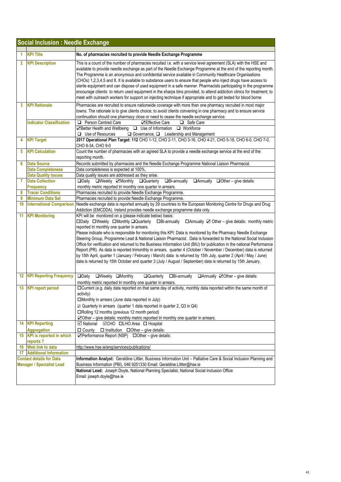|                | <b>Social Inclusion: Needle Exchange</b>                            |                                                                                                                                                                                                                                                                                                                                                           |
|----------------|---------------------------------------------------------------------|-----------------------------------------------------------------------------------------------------------------------------------------------------------------------------------------------------------------------------------------------------------------------------------------------------------------------------------------------------------|
| 1              | <b>KPI Title</b>                                                    | No. of pharmacies recruited to provide Needle Exchange Programme                                                                                                                                                                                                                                                                                          |
| $\overline{2}$ | <b>KPI Description</b>                                              | This is a count of the number of pharmacies recuited i.e. with a service level agreement (SLA) with the HSE and                                                                                                                                                                                                                                           |
|                |                                                                     | available to provide needle exchange as part of the Needle Exchange Programme at the end of the reporting month.<br>The Programme is an anonymous and confidential service available in Community Healthcare Organisations<br>(CHOs) 1,2,3,4,5 and 8. It is available to substance users to ensure that people who inject drugs have access to            |
|                |                                                                     | sterile equipment and can dispose of used equipment in a safe manner. Pharmacists participating in the programme                                                                                                                                                                                                                                          |
|                |                                                                     | encourage cliients to return used equipment in the sharps bins provided, to attend addiction clinics for treatment; to<br>meet with outreach workers for support on injecting technique if appropriate and to get tested for blood borne                                                                                                                  |
| 3              | <b>KPI Rationale</b>                                                | Pharmacies are recruited to ensure nationwide coverage with more than one pharmacy recruited in most major<br>towns. The rationale is to give clients choice; to avoid clients convening in one pharmacy and to ensure service                                                                                                                            |
|                | <b>Indicator Classification</b>                                     | continuation should one pharmacy close or need to cease the needle exchange service.<br>Person Centred Care<br><b>⊡Effective Care</b><br>▫<br>□ Safe Care                                                                                                                                                                                                 |
|                |                                                                     | ☑ Better Health and Wellbeing □ Use of Information □ Workforce<br>$\Box$ Use of Resources<br>$\Box$ Governance, $\Box$ Leadership and Management                                                                                                                                                                                                          |
| 4              | <b>KPI Target</b>                                                   | 2017 Operational Plan Target: 112 CHO 1-12, CHO 2-11, CHO 3-16, CHO 4-21, CHO 5-18, CHO 6-0, CHO 7-0,<br>CHO 8-34, CHO 9-0                                                                                                                                                                                                                                |
| 5              | <b>KPI Calculation</b>                                              | Count the number of pharmacies with an agreed SLA to provide a needle exchange service at the end of the<br>reporting month.                                                                                                                                                                                                                              |
| 6              | <b>Data Source</b>                                                  | Records submitted by pharmacies and the Needle Exchange Programme National Liaison Pharmacist.                                                                                                                                                                                                                                                            |
|                | <b>Data Completeness</b>                                            | Data completeness is expected at 100%.                                                                                                                                                                                                                                                                                                                    |
|                | <b>Data Quality Issues</b>                                          | Data quality issues are addressed as they arise.                                                                                                                                                                                                                                                                                                          |
| $\overline{7}$ | <b>Data Collection</b><br><b>Frequency</b>                          | <b>QDaily QWeekly ZMonthly QQuarterly</b><br>$\Box$ Bi-annually<br>$\Box$ Annually $\Box$ Other – give details:                                                                                                                                                                                                                                           |
| 8              | <b>Tracer Conditions</b>                                            | monthly metric reported tri monthly one quarter in arrears.<br>Pharmacies recruited to provide Needle Exchange Programme.                                                                                                                                                                                                                                 |
| 9              | <b>Minimum Data Set</b>                                             | Pharmacies recruited to provide Needle Exchange Programme.                                                                                                                                                                                                                                                                                                |
| 10             | <b>International Comparison</b>                                     | Needle exchange data is reported annually by 29 countries to the European Monitoring Centre for Drugs and Drug<br>Addiction (EMCDDA). Ireland provides needle exchange programme data only.                                                                                                                                                               |
| 11             | <b>KPI Monitoring</b>                                               | KPI will be monitored on a (please indicate below) basis:<br>□Daily □Weekly □Monthly □Quarterly<br>$\Box$ Bi-annually<br>$\Box$ Annually $\Box$ Other – give details: monthly metric                                                                                                                                                                      |
|                |                                                                     | reported tri monthly one quarter in arrears.<br>Please indicate who is responsible for monitoring this KPI: Data is monitored by the Pharmacy Needle Exchange                                                                                                                                                                                             |
|                |                                                                     | Steering Group, Programme Lead & National Liaison Pharmacist. Data is forwarded to the National Social Inclusion<br>Office for verification and returned to the Business Information Unit (BIU) for publication in the national Performance                                                                                                               |
|                |                                                                     | Report (PR). As data is reported trimonthly in arrears, quarter 4 (October / November / December) data is returned<br>by 15th April, quarter 1 (January / February / March) data is returned by 15th July, quarter 2 (April / May / June)<br>data is returned by 15th October and quarter 3 (July / August / September) data is returned by 15th January. |
|                |                                                                     |                                                                                                                                                                                                                                                                                                                                                           |
| 12             | <b>KPI Reporting Frequency</b>                                      | <b>ODaily</b><br>OWeekly OMonthly<br><b>Quarterly</b><br>□Bi-annually<br>$\Box$ Annually $\Box$ Other - give details:<br>monthly metric reported tri monthly one quarter in arrears.                                                                                                                                                                      |
| 13             | <b>KPI</b> report period                                            | □ Current (e.g. daily data reported on that same day of activity, monthly data reported within the same month of<br>activity)                                                                                                                                                                                                                             |
|                |                                                                     | □Monthly in arrears (June data reported in July)                                                                                                                                                                                                                                                                                                          |
|                |                                                                     | ☑ Quarterly in arrears (quarter 1 data reported in quarter 2, Q3 in Q4)                                                                                                                                                                                                                                                                                   |
|                |                                                                     | □Rolling 12 months (previous 12 month period)                                                                                                                                                                                                                                                                                                             |
|                |                                                                     | ○ Other – give details: monthly metric reported tri monthly one quarter in arrears.                                                                                                                                                                                                                                                                       |
|                | 14 KPI Reporting                                                    | V National ØCHO OLHO Area O Hospital                                                                                                                                                                                                                                                                                                                      |
|                | Aggregation                                                         | $\Box$ County $\Box$ Institution $\Box$ Other – give details:                                                                                                                                                                                                                                                                                             |
|                | 15 KPI is reported in which<br>reports?                             | $\Box$ Performance Report (NSP) $\Box$ Other – give details:                                                                                                                                                                                                                                                                                              |
| 16             | <b>Web link to data</b>                                             | http://www.hse.ie/eng/services/publications/                                                                                                                                                                                                                                                                                                              |
|                | <b>17</b> Additional Information                                    |                                                                                                                                                                                                                                                                                                                                                           |
|                | <b>Contact details for Data</b><br><b>Manager / Specialist Lead</b> | Information Analyst: Geraldine Littler, Business Information Unit - Palliative Care & Social Inclusion Planning and<br>Business Information (PBI), 046 9251330 Email: Geraldine.Littler@hse.ie                                                                                                                                                            |
|                |                                                                     | National Lead: Joseph Doyle, National Planning Specialist, National Social Inclusion Office<br>Email: joseph.doyle@hse.ie                                                                                                                                                                                                                                 |
|                |                                                                     |                                                                                                                                                                                                                                                                                                                                                           |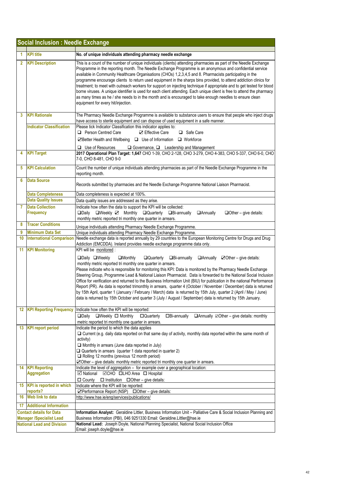|                | <b>Social Inclusion : Needle Exchange</b>                          |                                                                                                                                                                                                                                                                                                                                                                                                                                                                                                                                                                                                                                                                                                                                                                                                                                                                                                                                                             |
|----------------|--------------------------------------------------------------------|-------------------------------------------------------------------------------------------------------------------------------------------------------------------------------------------------------------------------------------------------------------------------------------------------------------------------------------------------------------------------------------------------------------------------------------------------------------------------------------------------------------------------------------------------------------------------------------------------------------------------------------------------------------------------------------------------------------------------------------------------------------------------------------------------------------------------------------------------------------------------------------------------------------------------------------------------------------|
| 1              | <b>KPI title</b>                                                   | No. of unique individuals attending pharmacy needle exchange                                                                                                                                                                                                                                                                                                                                                                                                                                                                                                                                                                                                                                                                                                                                                                                                                                                                                                |
| $\overline{2}$ | <b>KPI Description</b>                                             | This is a count of the number of unique individuals (clients) attending pharmacies as part of the Needle Exchange<br>Programme in the reporting month. The Needle Exchange Programme is an anonymous and confidential service<br>available in Community Healthcare Organisations (CHOs) 1,2,3,4,5 and 8. Pharmacists participating in the<br>programme encourage clients to return used equipment in the sharps bins provided, to attend addiction clinics for<br>treatment; to meet with outreach workers for support on injecting technique if appropriate and to get tested for blood<br>borne viruses. A unique identifier is used for each client attending. Each unique client is free to attend the pharmacy<br>as many times as he / she needs to in the month and is encouraged to take enough needles to ensure clean<br>equipment for every hit/injection.                                                                                       |
| 3              | <b>KPI Rationale</b>                                               | The Pharmacy Needle Exchange Programme is available to substance users to ensure that people who inject drugs<br>have access to sterile equipment and can dispose of used equipment in a safe manner.                                                                                                                                                                                                                                                                                                                                                                                                                                                                                                                                                                                                                                                                                                                                                       |
|                | <b>Indicator Classification</b>                                    | Please tick Indicator Classification this indicator applies to:<br><b>Q</b> Person Centred Care<br><b>☑</b> Effective Care<br>□ Safe Care<br>☑ Better Health and Wellbeing □ Use of Information □ Workforce<br>$\Box$ Use of Resources<br>$\Box$ Governance, $\Box$ Leadership and Management                                                                                                                                                                                                                                                                                                                                                                                                                                                                                                                                                                                                                                                               |
| 4              | <b>KPI Target</b>                                                  | 2017 Operational Plan Target: 1,647 CHO 1-39, CHO 2-128, CHO 3-279, CHO 4-383, CHO 5-337, CHO 6-0, CHO<br>7-0, CHO 8-481, CHO 9-0                                                                                                                                                                                                                                                                                                                                                                                                                                                                                                                                                                                                                                                                                                                                                                                                                           |
| 5              | <b>KPI Calculation</b>                                             | Count the number of unique individuals attending pharmacies as part of the Needle Exchange Programme in the<br>reporting month.                                                                                                                                                                                                                                                                                                                                                                                                                                                                                                                                                                                                                                                                                                                                                                                                                             |
| 6              | <b>Data Source</b>                                                 | Records submitted by pharmacies and the Needle Exchange Programme National Liaison Pharmacist.                                                                                                                                                                                                                                                                                                                                                                                                                                                                                                                                                                                                                                                                                                                                                                                                                                                              |
|                | <b>Data Completeness</b>                                           | Data completeness is expected at 100%.                                                                                                                                                                                                                                                                                                                                                                                                                                                                                                                                                                                                                                                                                                                                                                                                                                                                                                                      |
|                | <b>Data Quality Issues</b><br><b>Data Collection</b>               | Data quality issues are addressed as they arise.                                                                                                                                                                                                                                                                                                                                                                                                                                                                                                                                                                                                                                                                                                                                                                                                                                                                                                            |
| 7              | <b>Frequency</b>                                                   | Indicate how often the data to support the KPI will be collected:<br>□Daily □Weekly ☑ Monthly □Quarterly □Bi-annually<br><b>Annually</b><br>$\Box$ Other - give details:<br>monthly metric reported tri monthly one quarter in arrears.                                                                                                                                                                                                                                                                                                                                                                                                                                                                                                                                                                                                                                                                                                                     |
| 8              | <b>Tracer Conditions</b>                                           | Unique individuals attending Pharmacy Needle Exchange Programme.                                                                                                                                                                                                                                                                                                                                                                                                                                                                                                                                                                                                                                                                                                                                                                                                                                                                                            |
| 9              | <b>Minimum Data Set</b>                                            | Unique individuals attending Pharmacy Needle Exchange Programme.                                                                                                                                                                                                                                                                                                                                                                                                                                                                                                                                                                                                                                                                                                                                                                                                                                                                                            |
| 10             | <b>International Comparison</b>                                    | Needle exchange data is reported annually by 29 countries to the European Monitoring Centre for Drugs and Drug<br>Addiction (EMCDDA). Ireland provides needle exchange programme data only.                                                                                                                                                                                                                                                                                                                                                                                                                                                                                                                                                                                                                                                                                                                                                                 |
|                | 11 KPI Monitoring                                                  | KPI will be monitored :<br><b>□Daily</b> □Weekly<br>$\square$ Monthly<br><b>Quarterly</b><br>$\Box$ Bi-annually<br>$\Box$ Annually $\Box$ Other – give details:<br>monthly metric reported tri monthly one quarter in arrears.<br>Please indicate who is responsible for monitoring this KPI: Data is monitored by the Pharmacy Needle Exchange<br>Steering Group, Programme Lead & National Liaison Pharmacist. Data is forwarded to the National Social Inclusion<br>Office for verification and returned to the Business Information Unit (BIU) for publication in the national Performance<br>Report (PR). As data is reported trimonthly in arrears, quarter 4 (October / November / December) data is returned<br>by 15th April, quarter 1 (January / February / March) data is returned by 15th July, quarter 2 (April / May / June)<br>data is returned by 15th October and quarter 3 (July / August / September) data is returned by 15th January. |
|                | <b>12 KPI Reporting Frequency</b>                                  | Indicate how often the KPI will be reported:<br>$\Box$ Weekly $\Box$ Monthly<br>□Quarterly<br>$\Box$ Bi-annually<br>$\Box$ Annually $\Box$ Other – give details: monthly<br>$\square$ Dailv                                                                                                                                                                                                                                                                                                                                                                                                                                                                                                                                                                                                                                                                                                                                                                 |
|                | 13 KPI report period                                               | metric reported tri monthly one quarter in arrears.<br>Indicate the period to which the data applies<br>□ Current (e.g. daily data reported on that same day of activity, monthly data reported within the same month of<br>activity)<br>Monthly in arrears (June data reported in July)<br>$\Box$ Quarterly in arrears (quarter 1 data reported in quarter 2)<br>$\Box$ Rolling 12 months (previous 12 month period)<br>○ Other – give details: monthly metric reported tri monthly one quarter in arrears.                                                                                                                                                                                                                                                                                                                                                                                                                                                |
|                | 14 KPI Reporting                                                   | Indicate the level of aggregation - for example over a geographical location:                                                                                                                                                                                                                                                                                                                                                                                                                                                                                                                                                                                                                                                                                                                                                                                                                                                                               |
|                | <b>Aggregation</b>                                                 | ☑ National ØCHO <b>OLHO</b> Area <b>O</b> Hospital<br>$\Box$ County $\Box$ Institution $\Box$ Other – give details:                                                                                                                                                                                                                                                                                                                                                                                                                                                                                                                                                                                                                                                                                                                                                                                                                                         |
|                | 15 KPI is reported in which                                        | Indicate where the KPI will be reported:                                                                                                                                                                                                                                                                                                                                                                                                                                                                                                                                                                                                                                                                                                                                                                                                                                                                                                                    |
|                | reports?                                                           | <b>ØPerformance Report (NSP) Other</b> – give details:                                                                                                                                                                                                                                                                                                                                                                                                                                                                                                                                                                                                                                                                                                                                                                                                                                                                                                      |
| 16             | Web link to data                                                   | http://www.hse.ie/eng/services/publications/                                                                                                                                                                                                                                                                                                                                                                                                                                                                                                                                                                                                                                                                                                                                                                                                                                                                                                                |
| 17             | <b>Additional Information</b>                                      |                                                                                                                                                                                                                                                                                                                                                                                                                                                                                                                                                                                                                                                                                                                                                                                                                                                                                                                                                             |
|                | <b>Contact details for Data</b><br><b>Manager /Specialist Lead</b> | Information Analyst: Geraldine Littler, Business Information Unit - Palliative Care & Social Inclusion Planning and                                                                                                                                                                                                                                                                                                                                                                                                                                                                                                                                                                                                                                                                                                                                                                                                                                         |
|                | <b>National Lead and Division</b>                                  | Business Information (PBI), 046 9251330 Email: Geraldine.Littler@hse.ie<br>National Lead: Joseph Doyle, National Planning Specialist, National Social Inclusion Office                                                                                                                                                                                                                                                                                                                                                                                                                                                                                                                                                                                                                                                                                                                                                                                      |
|                |                                                                    | Email: joseph.doyle@hse.ie                                                                                                                                                                                                                                                                                                                                                                                                                                                                                                                                                                                                                                                                                                                                                                                                                                                                                                                                  |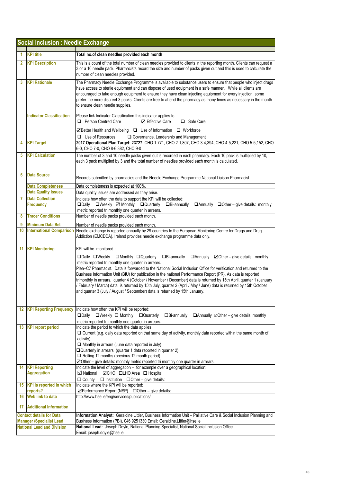|                | <b>Social Inclusion: Needle Exchange</b>                             |                                                                                                                                                                                                                                                                                                                                                                                                                                                                                                                                                                                                                                                                                                                                                             |
|----------------|----------------------------------------------------------------------|-------------------------------------------------------------------------------------------------------------------------------------------------------------------------------------------------------------------------------------------------------------------------------------------------------------------------------------------------------------------------------------------------------------------------------------------------------------------------------------------------------------------------------------------------------------------------------------------------------------------------------------------------------------------------------------------------------------------------------------------------------------|
| 1              | <b>KPI title</b>                                                     | Total no.of clean needles provided each month                                                                                                                                                                                                                                                                                                                                                                                                                                                                                                                                                                                                                                                                                                               |
|                |                                                                      |                                                                                                                                                                                                                                                                                                                                                                                                                                                                                                                                                                                                                                                                                                                                                             |
| $\overline{2}$ | <b>KPI Description</b>                                               | This is a count of the total number of clean needles provided to clients in the reporting month. Clients can request a<br>3 or a 10 needle pack. Pharmacists record the size and number of packs given out and this is used to calculate the<br>number of clean needles provided.                                                                                                                                                                                                                                                                                                                                                                                                                                                                           |
| 3              | <b>KPI Rationale</b>                                                 | The Pharmacy Needle Exchange Programme is available to substance users to ensure that people who inject drugs<br>have access to sterile equipment and can dispose of used equipment in a safe manner. While all clients are<br>encouraged to take enough equipment to ensure they have clean injecting equipment for every injection, some<br>prefer the more discreet 3 packs. Clients are free to attend the pharmacy as many times as necessary in the month<br>to ensure clean needle supplies.                                                                                                                                                                                                                                                         |
|                | <b>Indicator Classification</b>                                      | Please tick Indicator Classification this indicator applies to:<br>Person Centred Care<br>□ Safe Care<br><b>☑</b> Effective Care<br><b><math>\Box</math></b> Better Health and Wellbeing $\Box$ Use of Information $\Box$ Workforce                                                                                                                                                                                                                                                                                                                                                                                                                                                                                                                         |
|                |                                                                      | $\Box$ Use of Resources<br>□ Governance, Leadership and Management                                                                                                                                                                                                                                                                                                                                                                                                                                                                                                                                                                                                                                                                                          |
| 4              | <b>KPI Target</b>                                                    | 2017 Operational Plan Target: 23727 CHO 1-771, CHO 2-1,807, CHO 3-4,394, CHO 4-5,221, CHO 5-5,152, CHO<br>6-0, CHO 7-0, CHO 8-6,382, CHO 9-0                                                                                                                                                                                                                                                                                                                                                                                                                                                                                                                                                                                                                |
| 5              | <b>KPI Calculation</b>                                               | The number of 3 and 10 needle packs given out is recorded in each pharmacy. Each 10 pack is multiplied by 10,<br>each 3 pack multiplied by 3 and the total number of needles provided each month is calculated.                                                                                                                                                                                                                                                                                                                                                                                                                                                                                                                                             |
| 6              | <b>Data Source</b>                                                   | Records submitted by pharmacies and the Needle Exchange Programme National Liaison Pharmacist.                                                                                                                                                                                                                                                                                                                                                                                                                                                                                                                                                                                                                                                              |
|                | <b>Data Completeness</b>                                             | Data completeness is expected at 100%.                                                                                                                                                                                                                                                                                                                                                                                                                                                                                                                                                                                                                                                                                                                      |
| 7              | <b>Data Quality Issues</b><br><b>Data Collection</b>                 | Data quality issues are addressed as they arise.<br>Indicate how often the data to support the KPI will be collected:                                                                                                                                                                                                                                                                                                                                                                                                                                                                                                                                                                                                                                       |
|                | <b>Frequency</b>                                                     | □Daily □Weekly ☑ Monthly □Quarterly<br>$\Box$ Bi-annually<br>$\Box$ Annually $\Box$ Other – give details: monthly<br>metric reported tri monthly one quarter in arrears.                                                                                                                                                                                                                                                                                                                                                                                                                                                                                                                                                                                    |
| 8              | <b>Tracer Conditions</b>                                             | Number of needle packs provided each month.                                                                                                                                                                                                                                                                                                                                                                                                                                                                                                                                                                                                                                                                                                                 |
| 9              | <b>Minimum Data Set</b>                                              | Number of needle packs provided each month.                                                                                                                                                                                                                                                                                                                                                                                                                                                                                                                                                                                                                                                                                                                 |
| 10             | <b>International Comparison</b>                                      | Needle exchange is reported annually by 29 countries to the European Monitoring Centre for Drugs and Drug<br>Addiction (EMCDDA). Ireland provides needle exchange programme data only.                                                                                                                                                                                                                                                                                                                                                                                                                                                                                                                                                                      |
|                | 11 KPI Monitoring                                                    | KPI will be monitored :<br>□Daily □Weekly □Monthly □Quarterly □Bi-annually<br>$\Box$ Annually $\Box$ Other – give details: monthly<br>metric reported tri monthly one quarter in arrears.<br>Plea+C7 Pharmacist. Data is forwarded to the National Social Inclusion Office for verification and returned to the<br>Business Information Unit (BIU) for publication in the national Performance Report (PR). As data is reported<br>trimonthly in arrears, quarter 4 (October / November / December) data is returned by 15th April, quarter 1 (January<br>/ February / March) data is returned by 15th July, quarter 2 (April / May / June) data is returned by 15th October<br>and quarter 3 (July / August / September) data is returned by 15th January. |
|                | <b>12 KPI Reporting Frequency</b>                                    | Indicate how often the KPI will be reported:                                                                                                                                                                                                                                                                                                                                                                                                                                                                                                                                                                                                                                                                                                                |
|                |                                                                      | $\Box$ Bi-annually<br>$\Box$ Annually $\Box$ Other – give details: monthly<br>□Daily □Weekly □ Monthly □ Quarterly<br>metric reported tri monthly one quarter in arrears.                                                                                                                                                                                                                                                                                                                                                                                                                                                                                                                                                                                   |
|                | 13 KPI report period                                                 | Indicate the period to which the data applies<br>□ Current (e.g. daily data reported on that same day of activity, monthly data reported within the same month of<br>activity)<br>$\Box$ Monthly in arrears (June data reported in July)<br>Quarterly in arrears (quarter 1 data reported in quarter 2)<br>$\Box$ Rolling 12 months (previous 12 month period)<br>○ Other – give details: monthly metric reported tri monthly one quarter in arrears.                                                                                                                                                                                                                                                                                                       |
|                | 14 KPI Reporting                                                     | Indicate the level of aggregation - for example over a geographical location:                                                                                                                                                                                                                                                                                                                                                                                                                                                                                                                                                                                                                                                                               |
|                | <b>Aggregation</b>                                                   | <b>Ø</b> National ØCHO <b>OLHO</b> Area <b>O</b> Hospital<br>$\Box$ Institution $\Box$ Other - give details:<br>$\Box$ County                                                                                                                                                                                                                                                                                                                                                                                                                                                                                                                                                                                                                               |
|                | 15 KPI is reported in which                                          | Indicate where the KPI will be reported:                                                                                                                                                                                                                                                                                                                                                                                                                                                                                                                                                                                                                                                                                                                    |
|                | reports?                                                             | ⊠Performance Report (NSP) □ Other - give details:                                                                                                                                                                                                                                                                                                                                                                                                                                                                                                                                                                                                                                                                                                           |
|                | 16 Web link to data                                                  | http://www.hse.ie/eng/services/publications/                                                                                                                                                                                                                                                                                                                                                                                                                                                                                                                                                                                                                                                                                                                |
| 17             | <b>Additional Information</b>                                        |                                                                                                                                                                                                                                                                                                                                                                                                                                                                                                                                                                                                                                                                                                                                                             |
|                | <b>Contact details for Data</b>                                      | Information Analyst: Geraldine Littler, Business Information Unit - Palliative Care & Social Inclusion Planning and                                                                                                                                                                                                                                                                                                                                                                                                                                                                                                                                                                                                                                         |
|                | <b>Manager /Specialist Lead</b><br><b>National Lead and Division</b> | Business Information (PBI), 046 9251330 Email: Geraldine.Littler@hse.ie<br>National Lead: Joseph Doyle, National Planning Specialist, National Social Inclusion Office                                                                                                                                                                                                                                                                                                                                                                                                                                                                                                                                                                                      |
|                |                                                                      | Email: joseph.doyle@hse.ie                                                                                                                                                                                                                                                                                                                                                                                                                                                                                                                                                                                                                                                                                                                                  |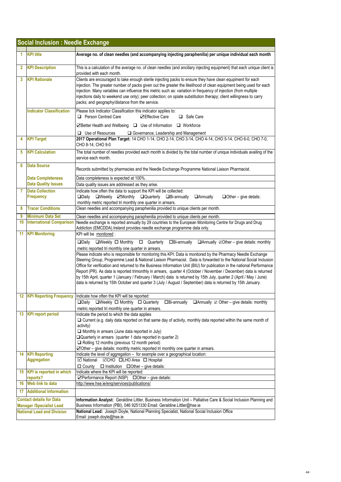|    | <b>Social Inclusion: Needle Exchange</b>               |                                                                                                                                                                                                                                                                                                                                                                                                                                                                                                                                                                                                                                                                                                                           |
|----|--------------------------------------------------------|---------------------------------------------------------------------------------------------------------------------------------------------------------------------------------------------------------------------------------------------------------------------------------------------------------------------------------------------------------------------------------------------------------------------------------------------------------------------------------------------------------------------------------------------------------------------------------------------------------------------------------------------------------------------------------------------------------------------------|
|    |                                                        |                                                                                                                                                                                                                                                                                                                                                                                                                                                                                                                                                                                                                                                                                                                           |
| 1  | <b>KPI</b> title                                       | Average no. of clean needles (and accompanying injecting paraphenilia) per unique individual each month                                                                                                                                                                                                                                                                                                                                                                                                                                                                                                                                                                                                                   |
| 2  | <b>KPI Description</b>                                 | This is a calculation of the average no. of clean needles (and anciliary injecting equipment) that each unique client is<br>provided with each month.                                                                                                                                                                                                                                                                                                                                                                                                                                                                                                                                                                     |
| 3  | <b>KPI Rationale</b>                                   | Clients are encouraged to take enough sterile injecting packs to ensure they have clean equpiment for each<br>injection. The greater number of packs given out the greater the likelihood of clean equipment being used for each<br>injection. Many variables can influence this metric such as: variation in frequency of injection (from multiple<br>injections daily to weekend use only); peer collection; on opiate substitution therapy; client willingness to carry<br>packs; and geography/distance from the service.                                                                                                                                                                                             |
|    | <b>Indicator Classification</b>                        | Please tick Indicator Classification this indicator applies to:<br>Person Centred Care<br><b>⊡Effective Care</b><br>□ Safe Care                                                                                                                                                                                                                                                                                                                                                                                                                                                                                                                                                                                           |
|    |                                                        | <b><math>\Box</math></b> Better Health and Wellbeing $\Box$ Use of Information $\Box$ Workforce                                                                                                                                                                                                                                                                                                                                                                                                                                                                                                                                                                                                                           |
| 4  | <b>KPI Target</b>                                      | $\Box$ Use of Resources<br>Governance, Leadership and Management<br>2017 Operational Plan Target: 14 CHO 1-14, CHO 2-14, CHO 3-14, CHO 4-14, CHO 5-14, CHO 6-0, CHO 7-0,<br>CHO 8-14, CHO 9-0                                                                                                                                                                                                                                                                                                                                                                                                                                                                                                                             |
| 5  | <b>KPI Calculation</b>                                 | The total number of needles provided each month is divided by the total number of unique individuals availing of the<br>service each month.                                                                                                                                                                                                                                                                                                                                                                                                                                                                                                                                                                               |
| 6  | <b>Data Source</b>                                     | Records submitted by pharmacies and the Needle Exchange Programme National Liaison Pharmacist.                                                                                                                                                                                                                                                                                                                                                                                                                                                                                                                                                                                                                            |
|    | <b>Data Completeness</b><br><b>Data Quality Issues</b> | Data completeness is expected at 100%.<br>Data quality issues are addressed as they arise.                                                                                                                                                                                                                                                                                                                                                                                                                                                                                                                                                                                                                                |
| 7  | <b>Data Collection</b><br><b>Frequency</b>             | Indicate how often the data to support the KPI will be collected:<br>□Daily □Weekly ☑Monthly □Quarterly □Bi-annually<br><b>Annually</b><br>$\Box$ Other - give details:<br>monthly metric reported tri monthly one quarter in arrears.                                                                                                                                                                                                                                                                                                                                                                                                                                                                                    |
| 8  | <b>Tracer Conditions</b>                               | Clean needles and accompanying paraphenilia provided to unique clients per month.                                                                                                                                                                                                                                                                                                                                                                                                                                                                                                                                                                                                                                         |
| 9  | <b>Minimum Data Set</b>                                | Clean needles and accompanying paraphenilia provided to unique clients per month.                                                                                                                                                                                                                                                                                                                                                                                                                                                                                                                                                                                                                                         |
| 10 | <b>International Comparison</b>                        | Needle exchange is reported annually by 29 countries to the European Monitoring Centre for Drugs and Drug<br>Addiction (EMCDDA). Ireland provides needle exchange programme data only.                                                                                                                                                                                                                                                                                                                                                                                                                                                                                                                                    |
|    | <b>11 KPI Monitoring</b>                               | KPI will be monitored :                                                                                                                                                                                                                                                                                                                                                                                                                                                                                                                                                                                                                                                                                                   |
|    |                                                        | $\Box$ Bi-annually<br>$\Box$ Annually $\Box$ Other – give details: monthly<br>$\square$ Daily<br>$\Box$ Weekly $\Box$ Monthly<br>□ Quarterly<br>metric reported tri monthly one quarter in arrears.                                                                                                                                                                                                                                                                                                                                                                                                                                                                                                                       |
|    |                                                        | Please indicate who is responsible for monitoring this KPI: Data is monitored by the Pharmacy Needle Exchange<br>Steering Group, Programme Lead & National Liaison Pharmacist. Data is forwarded to the National Social Inclusion<br>Office for verification and returned to the Business Information Unit (BIU) for publication in the national Performance<br>Report (PR). As data is reported trimonthly in arrears, quarter 4 (October / November / December) data is returned<br>by 15th April, quarter 1 (January / February / March) data is returned by 15th July, quarter 2 (April / May / June)<br>data is returned by 15th October and quarter 3 (July / August / September) data is returned by 15th January. |
|    |                                                        | 12   KPI Reporting Frequency   Indicate how often the KPI will be reported:                                                                                                                                                                                                                                                                                                                                                                                                                                                                                                                                                                                                                                               |
|    |                                                        | □Daily □Weekly □ Monthly □ Quarterly<br>$\Box$ Bi-annually<br>$\Box$ Annually $\Box$ Other – give details: monthly<br>metric reported tri monthly one quarter in arrears.                                                                                                                                                                                                                                                                                                                                                                                                                                                                                                                                                 |
|    | 13 KPI report period                                   | Indicate the period to which the data applies<br>$\Box$ Current (e.g. daily data reported on that same day of activity, monthly data reported within the same month of<br>activity)<br>Monthly in arrears (June data reported in July)<br>□ Quarterly in arrears (quarter 1 data reported in quarter 2)<br>$\Box$ Rolling 12 months (previous 12 month period)<br>$\blacktriangleright$ Other – give details: monthly metric reported tri monthly one quarter in arrears.                                                                                                                                                                                                                                                 |
|    | 14 KPI Reporting<br><b>Aggregation</b>                 | Indicate the level of aggregation - for example over a geographical location:<br><b>Ø National ØCHO OLHO Area O Hospital</b>                                                                                                                                                                                                                                                                                                                                                                                                                                                                                                                                                                                              |
|    |                                                        | $\Box$ County<br>$\Box$ Institution $\Box$ Other – give details:                                                                                                                                                                                                                                                                                                                                                                                                                                                                                                                                                                                                                                                          |
|    | 15 KPI is reported in which                            | Indicate where the KPI will be reported:                                                                                                                                                                                                                                                                                                                                                                                                                                                                                                                                                                                                                                                                                  |
| 16 | reports?<br>Web link to data                           | ☑ Performance Report (NSP) □ Other - give details:<br>http://www.hse.ie/eng/services/publications/                                                                                                                                                                                                                                                                                                                                                                                                                                                                                                                                                                                                                        |
| 17 | <b>Additional Information</b>                          |                                                                                                                                                                                                                                                                                                                                                                                                                                                                                                                                                                                                                                                                                                                           |
|    | <b>Contact details for Data</b>                        | Information Analyst: Geraldine Littler, Business Information Unit - Palliative Care & Social Inclusion Planning and                                                                                                                                                                                                                                                                                                                                                                                                                                                                                                                                                                                                       |
|    | <b>Manager /Specialist Lead</b>                        | Business Information (PBI), 046 9251330 Email: Geraldine.Littler@hse.ie                                                                                                                                                                                                                                                                                                                                                                                                                                                                                                                                                                                                                                                   |
|    | <b>National Lead and Division</b>                      | National Lead: Joseph Doyle, National Planning Specialist, National Social Inclusion Office<br>Email: joseph.doyle@hse.ie                                                                                                                                                                                                                                                                                                                                                                                                                                                                                                                                                                                                 |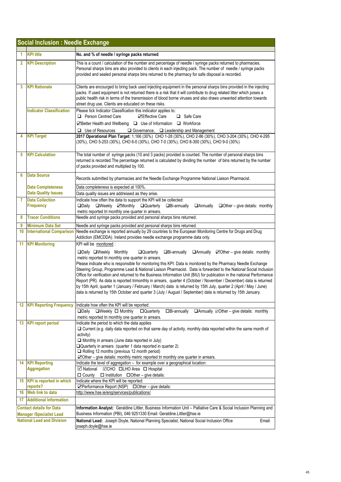|                | <b>Social Inclusion: Needle Exchange</b>               |                                                                                                                                                                                                                                                                                                                                                                                                                                                                                                                                                                                                                                                                                                                                                                                                                                                                                                              |
|----------------|--------------------------------------------------------|--------------------------------------------------------------------------------------------------------------------------------------------------------------------------------------------------------------------------------------------------------------------------------------------------------------------------------------------------------------------------------------------------------------------------------------------------------------------------------------------------------------------------------------------------------------------------------------------------------------------------------------------------------------------------------------------------------------------------------------------------------------------------------------------------------------------------------------------------------------------------------------------------------------|
| 1              | <b>KPI title</b>                                       | No. and % of needle / syringe packs returned                                                                                                                                                                                                                                                                                                                                                                                                                                                                                                                                                                                                                                                                                                                                                                                                                                                                 |
| $\overline{2}$ | <b>KPI Description</b>                                 | This is a count / calculation of the number and percentage of needle / syringe packs returned to pharmacies.<br>Personal sharps bins are also provided to clients in each injecting pack. The number of needle / syringe packs<br>provided and sealed personal sharps bins returned to the pharmacy for safe disposal is recorded.                                                                                                                                                                                                                                                                                                                                                                                                                                                                                                                                                                           |
| 3              | <b>KPI Rationale</b>                                   | Clients are encourged to bring back used injecting equipment in the personal sharps bins provided in the injecting<br>packs. If used equipment is not returned there is a risk that it will contribute to drug related litter which poses a<br>public health risk in terms of the transmission of blood borne viruses and also draws unwanted attention towards<br>street drug use. Clients are educated on these risks.                                                                                                                                                                                                                                                                                                                                                                                                                                                                                     |
|                | <b>Indicator Classification</b>                        | Please tick Indicator Classification this indicator applies to:<br><b>Q</b> Person Centred Care<br><b>⊡Effective Care</b><br>Safe Care<br>☑ Better Health and Wellbeing □ Use of Information □ Workforce<br>$\Box$ Use of Resources                                                                                                                                                                                                                                                                                                                                                                                                                                                                                                                                                                                                                                                                          |
| 4              | <b>KPI Target</b>                                      | $\Box$ Governance, $\Box$ Leadership and Management<br>2017 Operational Plan Target: 1,166 (30%) CHO 1-28 (30%), CHO 2-86 (30%), CHO 3-204 (30%), CHO 4-295<br>(30%), CHO 5-253 (30%), CHO 6-0 (30%), CHO 7-0 (30%), CHO 8-300 (30%), CHO 9-0 (30%)                                                                                                                                                                                                                                                                                                                                                                                                                                                                                                                                                                                                                                                          |
| 5              | <b>KPI Calculation</b>                                 | The total number of syringe packs (10 and 3 packs) provided is counted. The number of personal sharps bins<br>returned is recorded. The percentage returned is calculated by dividing the number of bins returned by the number<br>of packs provided and multiplied by 100.                                                                                                                                                                                                                                                                                                                                                                                                                                                                                                                                                                                                                                  |
| 6              | <b>Data Source</b>                                     | Records submitted by pharmacies and the Needle Exchange Programme National Liaison Pharmacist.                                                                                                                                                                                                                                                                                                                                                                                                                                                                                                                                                                                                                                                                                                                                                                                                               |
|                | <b>Data Completeness</b><br><b>Data Quality Issues</b> | Data completeness is expected at 100%.<br>Data quality issues are addressed as they arise.                                                                                                                                                                                                                                                                                                                                                                                                                                                                                                                                                                                                                                                                                                                                                                                                                   |
| 7              | <b>Data Collection</b><br><b>Frequency</b>             | Indicate how often the data to support the KPI will be collected:<br>□Daily □Weekly ☑Monthly □Quarterly<br>$\Box$ Bi-annually<br><b>Annually</b><br>$\Box$ Other – give details: monthly                                                                                                                                                                                                                                                                                                                                                                                                                                                                                                                                                                                                                                                                                                                     |
| 8              | <b>Tracer Conditions</b>                               | metric reported tri monthly one quarter in arrears.<br>Needle and syringe packs provided and personal sharps bins returned.                                                                                                                                                                                                                                                                                                                                                                                                                                                                                                                                                                                                                                                                                                                                                                                  |
| 9              | <b>Minimum Data Set</b>                                | Needle and syringe packs provided and personal sharps bins returned.                                                                                                                                                                                                                                                                                                                                                                                                                                                                                                                                                                                                                                                                                                                                                                                                                                         |
| 10             | <b>International Comparison</b>                        | Needle exchange is reported annually by 29 countries to the European Monitoring Centre for Drugs and Drug                                                                                                                                                                                                                                                                                                                                                                                                                                                                                                                                                                                                                                                                                                                                                                                                    |
| 11             | <b>KPI Monitoring</b>                                  | Addiction (EMCDDA). Ireland provides needle exchange programme data only.<br>KPI will be monitored :                                                                                                                                                                                                                                                                                                                                                                                                                                                                                                                                                                                                                                                                                                                                                                                                         |
|                |                                                        | □Daily □Weekly Monthly<br>$\Box$ Bi-annually<br>$\Box$ Annually $\Box$ Other – give details: monthly<br><b>Quarterly</b><br>metric reported tri monthly one quarter in arrears.<br>Please indicate who is responsible for monitoring this KPI: Data is monitored by the Pharmacy Needle Exchange<br>Steering Group, Programme Lead & National Liaison Pharmacist. Data is forwarded to the National Social Inclusion<br>Office for verification and returned to the Business Information Unit (BIU) for publication in the national Performance<br>Report (PR). As data is reported trimonthly in arrears, quarter 4 (October / November / December) data is returned<br>by 15th April, quarter 1 (January / February / March) data is returned by 15th July, quarter 2 (April / May / June)<br>data is returned by 15th October and quarter 3 (July / August / September) data is returned by 15th January. |
|                | <b>12 KPI Reporting Frequency</b>                      | Indicate how often the KPI will be reported:<br>$\Box$ Weekly $\Box$ Monthly<br><b>DQuarterly</b><br>$\Box$ Bi-annually<br>$\Box$ Annually $\Box$ Other – give details: monthly<br>$\square$ Dailv                                                                                                                                                                                                                                                                                                                                                                                                                                                                                                                                                                                                                                                                                                           |
| 13             | <b>KPI report period</b>                               | metric reported tri monthly one quarter in arrears.<br>Indicate the period to which the data applies<br>□ Current (e.g. daily data reported on that same day of activity, monthly data reported within the same month of<br>activity)<br>$\Box$ Monthly in arrears (June data reported in July)<br>□ Quarterly in arrears (quarter 1 data reported in quarter 2)<br>Rolling 12 months (previous 12 month period)<br>○ Other - give details: monthly metric reported tri monthly one quarter in arrears.                                                                                                                                                                                                                                                                                                                                                                                                      |
|                | 14 KPI Reporting<br><b>Aggregation</b>                 | Indicate the level of aggregation - for example over a geographical location:<br>$\boxtimes$ National<br><b>⊠CHO □LHO</b> Area □ Hospital                                                                                                                                                                                                                                                                                                                                                                                                                                                                                                                                                                                                                                                                                                                                                                    |
|                | 15 KPI is reported in which<br>reports?                | □ County<br>$\Box$ Institution $\Box$ Other – give details:<br>Indicate where the KPI will be reported:<br>☑ Performance Report (NSP) □ Other - give details:                                                                                                                                                                                                                                                                                                                                                                                                                                                                                                                                                                                                                                                                                                                                                |
| 16             | Web link to data                                       | http://www.hse.ie/eng/services/publications/                                                                                                                                                                                                                                                                                                                                                                                                                                                                                                                                                                                                                                                                                                                                                                                                                                                                 |
| 17             | <b>Additional Information</b>                          |                                                                                                                                                                                                                                                                                                                                                                                                                                                                                                                                                                                                                                                                                                                                                                                                                                                                                                              |
|                | <b>Contact details for Data</b>                        | Information Analyst: Geraldine Littler, Business Information Unit - Palliative Care & Social Inclusion Planning and                                                                                                                                                                                                                                                                                                                                                                                                                                                                                                                                                                                                                                                                                                                                                                                          |
|                | <b>Manager /Specialist Lead</b>                        | Business Information (PBI), 046 9251330 Email: Geraldine.Littler@hse.ie                                                                                                                                                                                                                                                                                                                                                                                                                                                                                                                                                                                                                                                                                                                                                                                                                                      |
|                | <b>National Lead and Division</b>                      | National Lead: Joseph Doyle, National Planning Specialist, National Social Inclusion Office<br>Email:<br>joseph.doyle@hse.ie                                                                                                                                                                                                                                                                                                                                                                                                                                                                                                                                                                                                                                                                                                                                                                                 |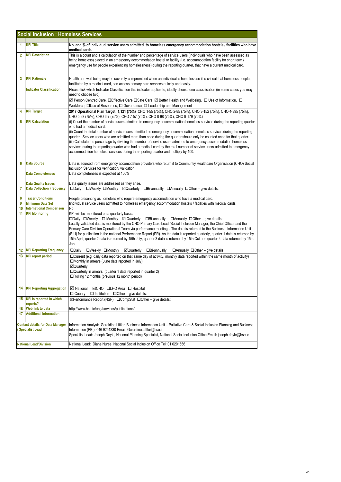|    | <b>Social Inclusion : Homeless Services</b>                       |                                                                                                                                                                                                                                                                                                                                                                                                                                                                                                                                                                                                                                                                                   |
|----|-------------------------------------------------------------------|-----------------------------------------------------------------------------------------------------------------------------------------------------------------------------------------------------------------------------------------------------------------------------------------------------------------------------------------------------------------------------------------------------------------------------------------------------------------------------------------------------------------------------------------------------------------------------------------------------------------------------------------------------------------------------------|
| 1  | <b>KPI Title</b>                                                  | No. and % of individual service users admitted to homeless emergency accommodation hostels / facilities who have<br>medical cards                                                                                                                                                                                                                                                                                                                                                                                                                                                                                                                                                 |
| 2  | <b>KPI Description</b>                                            | This is a count and a calculation of the number and percentage of service users (individuals who have been assessed as<br>being homeless) placed in an emergency accommodation hostel or facility (i.e. accommodation facility for short term /<br>emergency use for people experiencing homelessness) during the reporting quarter, that have a current medical card.                                                                                                                                                                                                                                                                                                            |
| 3  | <b>KPI Rationale</b>                                              | Health and well being may be severely compromised when an individual is homeless so it is critical that homeless people,<br>facilitated by a medical card, can access primary care services quickly and easily.                                                                                                                                                                                                                                                                                                                                                                                                                                                                   |
|    | <b>Indicator Classification</b>                                   | Please tick which Indicator Classification this indicator applies to, ideally choose one classification (in some cases you may<br>need to choose two).<br>⊡ Person Centred Care, □Effective Care □Safe Care, ⊡ Better Health and Wellbeing, □ Use of Information, □                                                                                                                                                                                                                                                                                                                                                                                                               |
| 4  | <b>KPI Target</b>                                                 | Workforce, OUse of Resources, O Governance, O Leadership and Management<br>2017 Operational Plan Target: 1,121 (75%) CHO 1-55 (75%), CHO 2-85 (75%), CHO 3-152 (75%), CHO 4-395 (75%),                                                                                                                                                                                                                                                                                                                                                                                                                                                                                            |
| 5  | <b>KPI Calculation</b>                                            | CHO 5-93 (75%), CHO 6-7 (75%), CHO 7-57 (75%), CHO 8-98 (75%), CHO 9-179 (75%)<br>(i) Count the number of service users admitted to emergency accommodation homeless services during the reporting quarter                                                                                                                                                                                                                                                                                                                                                                                                                                                                        |
|    |                                                                   | who had a medical card.<br>(ii) Count the total number of service users admitted to emergency accommodation homeless services during the reporting<br>quarter. Service users who are admitted more than once during the quarter should only be counted once for that quarter.<br>(iii) Calculate the percentage by dividing the number of service users admitted to emergency accommodation homeless<br>services during the reporting quarter who had a medical card by the total number of service users admitted to emergency<br>accommodation homeless services during the reporting quarter and multiply by 100.                                                              |
| 6  | <b>Data Source</b>                                                | Data is sourced from emergency accomodation providers who return it to Communtiy Healthcare Organisation (CHO) Social<br>Inclusion Services for verification/validation.                                                                                                                                                                                                                                                                                                                                                                                                                                                                                                          |
|    | <b>Data Completeness</b>                                          | Data completeness is expected at 100%.                                                                                                                                                                                                                                                                                                                                                                                                                                                                                                                                                                                                                                            |
|    | <b>Data Quality Issues</b>                                        | Data quality issues are addressed as they arise.                                                                                                                                                                                                                                                                                                                                                                                                                                                                                                                                                                                                                                  |
| 7  | <b>Data Collection Frequency</b>                                  | □Daily □Weekly □Monthly ⊠Quarterly □Bi-annually □Annually □Other-give details:                                                                                                                                                                                                                                                                                                                                                                                                                                                                                                                                                                                                    |
| 8  | <b>Tracer Conditions</b>                                          | People presenting as homeless who require emergency accomodation who have a medical card.                                                                                                                                                                                                                                                                                                                                                                                                                                                                                                                                                                                         |
| 9  | <b>Minimum Data Set</b>                                           | lindividual service users admitted to homeless emergency accommodation hostels / facilities with medical cards                                                                                                                                                                                                                                                                                                                                                                                                                                                                                                                                                                    |
| 10 | <b>International Comparison</b>                                   | No                                                                                                                                                                                                                                                                                                                                                                                                                                                                                                                                                                                                                                                                                |
| 11 | <b>KPI Monitoring</b>                                             | KPI will be monitored on a quarterly basis:<br>□Daily □Weekly □ Monthly ⊡ Quarterly □Bi-annually<br>$\Box$ Annually $\Box$ Other – give details:<br>Locally validated data is monitored by the CHO Primary Care Lead /Social Inclusion Manager, the Chief Officer and the<br>Primary Care Division Operational Team via performance meetings. The data is returned to the Business Information Unit<br>(BIU) for publication in the national Performance Report (PR). As the data is reported quarterly, quarter 1 data is returned by<br>15th April, quarter 2 data is returned by 15th July, quarter 3 data is returned by 15th Oct and quarter 4 data returned by 15th<br>Jan. |
| 12 | <b>KPI Reporting Frequency</b>                                    | $\Box$ Daily<br>□Weekly □Monthly<br>⊠Quarterly<br>$\Box$ Bi-annually<br>$\Box$ Annually $\Box$ Other – give details:                                                                                                                                                                                                                                                                                                                                                                                                                                                                                                                                                              |
| 13 | <b>KPI report period</b>                                          | □Current (e.g. daily data reported on that same day of activity, monthly data reported within the same month of activity)<br>□Monthly in arrears (June data reported in July)<br>⊠Quarterly<br>$\Box$ Quarterly in arrears (quarter 1 data reported in quarter 2)<br>□Rolling 12 months (previous 12 month period)                                                                                                                                                                                                                                                                                                                                                                |
|    | 14 KPI Reporting Aggregation                                      | ■ National <b>ØCHO OLHO</b> Area <b>O</b> Hospital<br>$\Box$ County $\Box$ Institution $\Box$ Other – give details:                                                                                                                                                                                                                                                                                                                                                                                                                                                                                                                                                               |
| 15 | <b>KPI</b> is reported in which<br>reports?                       | <b><i>I</i></b> Performance Report (NSP) IDCompStat IDOther - give details:                                                                                                                                                                                                                                                                                                                                                                                                                                                                                                                                                                                                       |
| 16 | Web link to data                                                  | http://www.hse.ie/eng/services/publications/                                                                                                                                                                                                                                                                                                                                                                                                                                                                                                                                                                                                                                      |
| 17 | <b>Additional Information</b>                                     |                                                                                                                                                                                                                                                                                                                                                                                                                                                                                                                                                                                                                                                                                   |
|    | <b>Contact details for Data Manager</b><br><b>Specialist Lead</b> | Information Analyst: Geraldine Littler, Business Information Unit - Palliative Care & Social Inclusion Planning and Business<br>Information (PBI), 046 9251330 Email: Geraldine.Littler@hse.ie<br>Specialist Lead: Joseph Doyle, National Planning Specialist, National Social Inclusion Office Email: joseph.doyle@hse.ie                                                                                                                                                                                                                                                                                                                                                        |
|    | <b>National Lead/Division</b>                                     | National Lead: Diane Nurse, National Social Inclusion Office Tel: 01 6201666                                                                                                                                                                                                                                                                                                                                                                                                                                                                                                                                                                                                      |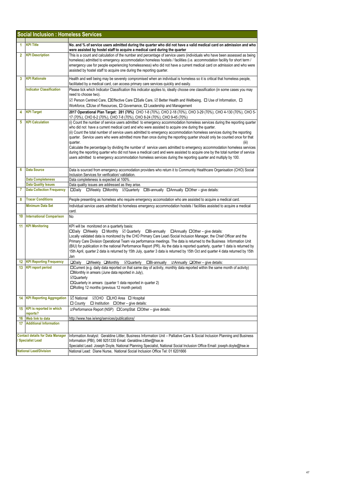|              | <b>Social Inclusion : Homeless Services</b>                       |                                                                                                                                                                                                                                                                                                                                                                                                                                                                                                                                                                                                                                                                                                                                                                                                                                                                                      |
|--------------|-------------------------------------------------------------------|--------------------------------------------------------------------------------------------------------------------------------------------------------------------------------------------------------------------------------------------------------------------------------------------------------------------------------------------------------------------------------------------------------------------------------------------------------------------------------------------------------------------------------------------------------------------------------------------------------------------------------------------------------------------------------------------------------------------------------------------------------------------------------------------------------------------------------------------------------------------------------------|
| 1            | <b>KPI Title</b>                                                  | No. and % of service users admitted during the quarter who did not have a valid medical card on admission and who<br>were assisted by hostel staff to acquire a medical card during the quarter                                                                                                                                                                                                                                                                                                                                                                                                                                                                                                                                                                                                                                                                                      |
| $\mathbf{2}$ | <b>KPI Description</b>                                            | This is a count and calculation of the number and percentage of service users (individuals who have been assessed as being<br>homeless) admitted to emergency accommodation homeless hostels / facilities (i.e. accommodation facility for short term /<br>emergency use for people experiencing homelessness) who did not have a current medical card on admission and who were<br>assisted by hostel staff to acquire one during the reporting quarter.                                                                                                                                                                                                                                                                                                                                                                                                                            |
| 3            | <b>KPI Rationale</b>                                              | Health and well being may be severely compromised when an individual is homeless so it is critical that homeless people,<br>facilitated by a medical card, can access primary care services quickly and easily.                                                                                                                                                                                                                                                                                                                                                                                                                                                                                                                                                                                                                                                                      |
|              | <b>Indicator Classification</b>                                   | Please tick which Indicator Classification this indicator applies to, ideally choose one classification (in some cases you may<br>need to choose two).<br>⊡ Person Centred Care, □Effective Care □Safe Care, ⊡ Better Health and Wellbeing, □ Use of Information, □<br>Workforce, □Use of Resources, □ Governance, □ Leadership and Management                                                                                                                                                                                                                                                                                                                                                                                                                                                                                                                                       |
| 4            | <b>KPI Target</b>                                                 | 2017 Operational Plan Target: 281 (70%) CHO 1-8 (70%), CHO 2-18 (70%), CHO 3-29 (70%), CHO 4-130 (70%), CHO 5-<br>17 (70%), CHO 6-2 (70%), CHO 7-8 (70%), CHO 8-24 (70%), CHO 9-45 (70%)                                                                                                                                                                                                                                                                                                                                                                                                                                                                                                                                                                                                                                                                                             |
| 5            | <b>KPI Calculation</b>                                            | (i) Count the number of service users admitted to emergency accommodation homeless services during the reporting quarter<br>who did not have a current medical card and who were assisted to acquire one during the quarter.<br>(ii) Count the total number of service users admitted to emergency accommodation homeless services during the reporting<br>quarter. Service users who were admitted more than once during the reporting quarter should only be counted once for that<br>quarter.<br>(iii)<br>Calculate the percentage by dividing the number of service users admitted to emergency accommodation homeless services<br>during the reporting quarter who did not have a medical card and were assisted to acquire one by the total number of service<br>users admitted to emergency accommodation homeless services during the reporting quarter and multiply by 100. |
| 6            | <b>Data Source</b>                                                | Data is sourced from emergency accomodation providers who return it to Communtiy Healthcare Organisation (CHO) Social<br>Inclusion Services for verification/validation.                                                                                                                                                                                                                                                                                                                                                                                                                                                                                                                                                                                                                                                                                                             |
|              | <b>Data Completeness</b>                                          | Data completeness is expected at 100%.                                                                                                                                                                                                                                                                                                                                                                                                                                                                                                                                                                                                                                                                                                                                                                                                                                               |
|              | <b>Data Quality Issues</b>                                        | Data quality issues are addressed as they arise.                                                                                                                                                                                                                                                                                                                                                                                                                                                                                                                                                                                                                                                                                                                                                                                                                                     |
| 7            | <b>Data Collection Frequency</b>                                  | □Weekly □Monthly ⊠Quarterly □Bi-annually □Annually □Other – give details:<br>$\square$ Daily                                                                                                                                                                                                                                                                                                                                                                                                                                                                                                                                                                                                                                                                                                                                                                                         |
| 8            | <b>Tracer Conditions</b>                                          | People presenting as homeless who require emergency accomodation who are assisted to acquire a medical card.                                                                                                                                                                                                                                                                                                                                                                                                                                                                                                                                                                                                                                                                                                                                                                         |
|              | <b>Minimum Data Set</b>                                           | Individual service users admitted to homeless emergency accommodation hostels / facilities assisted to acquire a medical<br>card.                                                                                                                                                                                                                                                                                                                                                                                                                                                                                                                                                                                                                                                                                                                                                    |
| 10           | <b>International Comparison</b>                                   | No                                                                                                                                                                                                                                                                                                                                                                                                                                                                                                                                                                                                                                                                                                                                                                                                                                                                                   |
| 11           | <b>KPI Monitoring</b>                                             | KPI will be monitored on a quarterly basis:<br>□Daily □Weekly □ Monthly □ Quarterly □Bi-annually □ Annually □ Other – give details:<br>Locally validated data is monitored by the CHO Primary Care Lead /Social Inclusion Manager, the Chief Officer and the<br>Primary Care Division Operational Team via performance meetings. The data is returned to the Business Information Unit<br>(BIU) for publication in the national Performance Report (PR). As the data is reported quarterly, quarter 1 data is returned by<br>15th April, quarter 2 data is returned by 15th July, quarter 3 data is returned by 15th Oct and quarter 4 data returned by 15th<br>Jan                                                                                                                                                                                                                  |
| $12 \,$      | <b>KPI Reporting Frequency</b>                                    | $\Box$ Daily<br>⊠Quarterly<br>$\Box$ Weekly $\Box$ Monthly<br>$\Box$ Bi-annually<br>$\Box$ Annually $\Box$ Other – give details:                                                                                                                                                                                                                                                                                                                                                                                                                                                                                                                                                                                                                                                                                                                                                     |
| 13           | <b>KPI report period</b>                                          | $\Box$ Current (e.g. daily data reported on that same day of activity, monthly data reported within the same month of activity)<br>□Monthly in arrears (June data reported in July),<br>⊠Quarterly<br>$\Box$ Quarterly in arrears (quarter 1 data reported in quarter 2)<br>□Rolling 12 months (previous 12 month period)                                                                                                                                                                                                                                                                                                                                                                                                                                                                                                                                                            |
| 14           | <b>KPI Reporting Aggregation</b>                                  | $\boxtimes$ National<br>$\Box$ CHO $\Box$ LHO Area $\Box$ Hospital<br>$\Box$ County<br>$\Box$ Institution $\Box$ Other – give details:                                                                                                                                                                                                                                                                                                                                                                                                                                                                                                                                                                                                                                                                                                                                               |
| 15           | <b>KPI</b> is reported in which<br>reports?                       | <b>Interformance Report (NSP)</b> □ CompStat □ Other - give details:                                                                                                                                                                                                                                                                                                                                                                                                                                                                                                                                                                                                                                                                                                                                                                                                                 |
| 16           | Web link to data                                                  | http://www.hse.ie/eng/services/publications/                                                                                                                                                                                                                                                                                                                                                                                                                                                                                                                                                                                                                                                                                                                                                                                                                                         |
| 17           | <b>Additional Information</b>                                     |                                                                                                                                                                                                                                                                                                                                                                                                                                                                                                                                                                                                                                                                                                                                                                                                                                                                                      |
|              | <b>Contact details for Data Manager</b><br><b>Specialist Lead</b> | Information Analyst: Geraldine Littler, Business Information Unit - Palliative Care & Social Inclusion Planning and Business<br>Information (PBI), 046 9251330 Email: Geraldine.Littler@hse.ie<br>Specialist Lead: Joseph Doyle, National Planning Specialist, National Social Inclusion Office Email: joseph.doyle@hse.ie                                                                                                                                                                                                                                                                                                                                                                                                                                                                                                                                                           |
|              | <b>National Lead/Division</b>                                     | National Lead: Diane Nurse, National Social Inclusion Office Tel: 01 6201666                                                                                                                                                                                                                                                                                                                                                                                                                                                                                                                                                                                                                                                                                                                                                                                                         |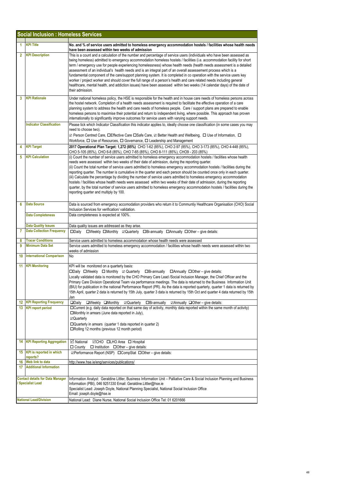|                | <b>Social Inclusion : Homeless Services</b>                       |                                                                                                                                                                                                                                                                                                                                                                                                                                                                                                                                                                                                                                                                                                                                                                                                                                                                                                          |
|----------------|-------------------------------------------------------------------|----------------------------------------------------------------------------------------------------------------------------------------------------------------------------------------------------------------------------------------------------------------------------------------------------------------------------------------------------------------------------------------------------------------------------------------------------------------------------------------------------------------------------------------------------------------------------------------------------------------------------------------------------------------------------------------------------------------------------------------------------------------------------------------------------------------------------------------------------------------------------------------------------------|
| 1              | <b>KPI Title</b>                                                  | No. and % of service users admitted to homeless emergency accommodation hostels / facilities whose health needs<br>have been assessed within two weeks of admission                                                                                                                                                                                                                                                                                                                                                                                                                                                                                                                                                                                                                                                                                                                                      |
| $\overline{2}$ | <b>KPI Description</b>                                            | This is a count and a calculation of the number and percentage of service users (individuals who have been assessed as<br>being homeless) admitted to emergency accommodation homeless hostels / facilities (i.e. accommodation facility for short<br>term / emergency use for people experiencing homelessness) whose health needs (health needs assessment is a detailed<br>assessment of an individual's health needs and is an integral part of an overall assessement process which is a<br>fundamental component of the care/support planning system. It is completed in co operation with the service users key<br>worker / project worker and should cover the full range of a person's health and care related needs including general<br>healthcare, mental health, and addiction issues) have been assessed within two weeks (14 calendar days) of the date of<br>their admission.            |
| 3              | <b>KPI Rationale</b>                                              | Under national homeless policy, the HSE is responsible for the health and in house care needs of homeless persons across<br>the hostel network. Completion of a health needs assessment is required to facilitate the effective operation of a care<br>planning system to address the health and care needs of homeless people. Care / support plans are prepared to enable<br>homeless persons to maximise their potential and return to independent living, where possible. This approach has proven<br>internationally to significantly improve outcomes for service users with varying support needs.                                                                                                                                                                                                                                                                                                |
|                | <b>Indicator Classification</b>                                   | Please tick which Indicator Classification this indicator applies to, ideally choose one classification (in some cases you may<br>need to choose two).<br>⊡ Person Centred Care, □Effective Care □Safe Care, ☑ Better Health and Wellbeing, □ Use of Information, □<br>Workforce, $\Box$ Use of Resources, $\Box$ Governance, $\Box$ Leadership and Management                                                                                                                                                                                                                                                                                                                                                                                                                                                                                                                                           |
| 4              | <b>KPI Target</b>                                                 | 2017 Operational Plan Target: 1,272 (85%) CHO 1-62 (85%), CHO 2-97 (85%), CHO 3-173 (85%), CHO 4-448 (85%),<br>CHO 5-105 (85%), CHO 6-8 (85%), CHO 7-65 (85%), CHO 8-111 (85%), CHO9 - 203 (85%)                                                                                                                                                                                                                                                                                                                                                                                                                                                                                                                                                                                                                                                                                                         |
| 5              | <b>KPI Calculation</b>                                            | (i) Count the number of service users admitted to homeless emergency accommodation hostels / facilities whose health<br>needs were assessed within two weeks of their date of admission, during the reporting quarter.<br>(ii) Count the total number of service users admitted to homeless emergency accommodation hostels / facilities during the<br>reporting quarter. The number is cumulative in the quarter and each person should be counted once only in each quarter.<br>(iii) Calculate the percentage by dividing the number of service users admitted to homeless emergency accommodation<br>hostels / facilities whose health needs were assessed within two weeks of their date of admission, during the reporting<br>quarter, by the total number of service users admitted to homeless emergency accommodation hostels / facilities during the<br>reporting quarter and multiply by 100. |
| 6              | <b>Data Source</b>                                                | Data is sourced from emergency accomodation providers who return it to Communtiy Healthcare Organisation (CHO) Social<br>Inclusion Services for verification/validation.                                                                                                                                                                                                                                                                                                                                                                                                                                                                                                                                                                                                                                                                                                                                 |
|                | <b>Data Completeness</b>                                          | Data completeness is expected at 100%.                                                                                                                                                                                                                                                                                                                                                                                                                                                                                                                                                                                                                                                                                                                                                                                                                                                                   |
|                | <b>Data Quality Issues</b>                                        | Data quality issues are addressed as they arise.                                                                                                                                                                                                                                                                                                                                                                                                                                                                                                                                                                                                                                                                                                                                                                                                                                                         |
| 7              | <b>Data Collection Frequency</b>                                  | □Daily □Weekly □Monthly □Quarterly □Bi-annually □Annually □Other - give details:                                                                                                                                                                                                                                                                                                                                                                                                                                                                                                                                                                                                                                                                                                                                                                                                                         |
| 8<br>9         | <b>Tracer Conditions</b><br><b>Minimum Data Set</b>               | Service users admitted to homeless accommodation whose health needs were assessed<br>Service users admitted to homeless emergency accommodation / facilities whose health needs were assessed within two                                                                                                                                                                                                                                                                                                                                                                                                                                                                                                                                                                                                                                                                                                 |
| 10             | <b>International Comparison</b>                                   | weeks of admission<br>No                                                                                                                                                                                                                                                                                                                                                                                                                                                                                                                                                                                                                                                                                                                                                                                                                                                                                 |
|                |                                                                   |                                                                                                                                                                                                                                                                                                                                                                                                                                                                                                                                                                                                                                                                                                                                                                                                                                                                                                          |
| 11             | <b>KPI Monitoring</b>                                             | KPI will be monitored on a quarterly basis:<br>$\Box$ Daily $\Box$ Weekly $\Box$ Monthly $\Box$ Quarterly $\Box$ Bi-annually $\Box$ Annually $\Box$ Other – give details:<br>Locally validated data is monitored by the CHO Primary Care Lead /Social Inclusion Manager, the Chief Officer and the<br>Primary Care Division Operational Team via performance meetings. The data is returned to the Business Information Unit<br>(BIU) for publication in the national Performance Report (PR). As the data is reported quarterly, quarter 1 data is returned by<br>15th April, quarter 2 data is returned by 15th July, quarter 3 data is returned by 15th Oct and quarter 4 data returned by 15th<br>Jan                                                                                                                                                                                                |
| 12<br>13.      | <b>KPI Reporting Frequency</b><br><b>KPI</b> report period        | $\Box$ Daily<br>$\Box$ Bi-annually<br>$\Box$ Annually $\Box$ Other – give details:<br>□Weekly □Monthly<br>⊠Quarterly<br>$\Box$ Current (e.g. daily data reported on that same day of activity, monthly data reported within the same month of activity)                                                                                                                                                                                                                                                                                                                                                                                                                                                                                                                                                                                                                                                  |
|                |                                                                   | □Monthly in arrears (June data reported in July),<br>☑Quarterly<br>$\Box$ Quarterly in arrears (quarter 1 data reported in quarter 2)<br>□Rolling 12 months (previous 12 month period)                                                                                                                                                                                                                                                                                                                                                                                                                                                                                                                                                                                                                                                                                                                   |
| 14             | <b>KPI Reporting Aggregation</b>                                  | $\boxtimes$ National<br><b>⊠CHO OLHO</b> Area <b>O</b> Hospital<br>$\Box$ County<br>$\Box$ Institution $\Box$ Other – give details:                                                                                                                                                                                                                                                                                                                                                                                                                                                                                                                                                                                                                                                                                                                                                                      |
|                | 15 KPI is reported in which<br>reports?                           | <b><i>⊠Performance Report (NSP)</i></b> □ CompStat □ Other – give details:                                                                                                                                                                                                                                                                                                                                                                                                                                                                                                                                                                                                                                                                                                                                                                                                                               |
| 16             | Web link to data                                                  | http://www.hse.ie/eng/services/publications/                                                                                                                                                                                                                                                                                                                                                                                                                                                                                                                                                                                                                                                                                                                                                                                                                                                             |
| 17             | <b>Additional Information</b>                                     |                                                                                                                                                                                                                                                                                                                                                                                                                                                                                                                                                                                                                                                                                                                                                                                                                                                                                                          |
|                | <b>Contact details for Data Manager</b><br><b>Specialist Lead</b> | Information Analyst: Geraldine Littler, Business Information Unit - Palliative Care & Social Inclusion Planning and Business<br>Information (PBI), 046 9251330 Email: Geraldine.Littler@hse.ie<br>Specialist Lead: Joseph Doyle, National Planning Specialist, National Social Inclusion Office<br>Email: joseph.doyle@hse.ie                                                                                                                                                                                                                                                                                                                                                                                                                                                                                                                                                                            |
|                | <b>National Lead/Division</b>                                     | National Lead: Diane Nurse, National Social Inclusion Office Tel: 01 6201666                                                                                                                                                                                                                                                                                                                                                                                                                                                                                                                                                                                                                                                                                                                                                                                                                             |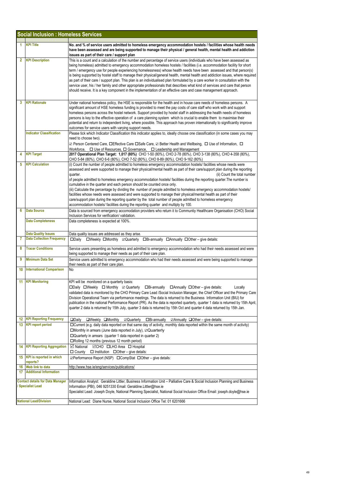| <b>Social Inclusion : Homeless Services</b>                         |                                                                                                                                                                                                                                                                                                                                                                                                                                                                                                                                                                                                                                                                                                                                                                                                                                                                                                                                                 |  |
|---------------------------------------------------------------------|-------------------------------------------------------------------------------------------------------------------------------------------------------------------------------------------------------------------------------------------------------------------------------------------------------------------------------------------------------------------------------------------------------------------------------------------------------------------------------------------------------------------------------------------------------------------------------------------------------------------------------------------------------------------------------------------------------------------------------------------------------------------------------------------------------------------------------------------------------------------------------------------------------------------------------------------------|--|
| <b>KPI Title</b><br>1                                               | No. and % of service users admitted to homeless emergency accommodation hostels / facilities whose health needs<br>have been assessed and are being supported to manage their physical / general health, mental health and addiction<br>issues as part of their care / support plan                                                                                                                                                                                                                                                                                                                                                                                                                                                                                                                                                                                                                                                             |  |
| $\overline{2}$<br><b>KPI Description</b>                            | This is a count and a calculation of the number and percentage of service users (individuals who have been assessed as<br>being homeless) admitted to emergency accommodation homeless hostels / facilities (i.e. accommodation facility for short<br>term / emergency use for people experiencing homelessness) whose health needs have been assessed and that person(s)<br>is being supported by hostel staff to manage their physical/general health, mental health and addiction issues, where required<br>as part of their care / support plan. This plan is an individualised plan formulated by a care worker in consultation with the<br>service user, his / her family and other appropriate professionals that describes what kind of services and care that person<br>should receive. It is a key component in the implementation of an effective care and case management approach.                                                 |  |
| <b>KPI Rationale</b><br>3                                           | Under national homeless policy, the HSE is responsible for the health and in house care needs of homeless persons. A<br>significant amount of HSE homeless funding is provided to meet the pay costs of care staff who work with and support<br>homeless persons across the hostel network. Support provided by hostel staff in addressing the health needs of homeless<br>persons is key to the effective operation of a care planning system which is crucial to enable them to maximise their<br>potential and return to independent living, where possible. This approach has proven internationally to significantly improve<br>outcomes for service users with varying support needs.                                                                                                                                                                                                                                                     |  |
| <b>Indicator Classification</b>                                     | Please tick which Indicator Classification this indicator applies to, ideally choose one classification (in some cases you may<br>need to choose two).<br>⊠ Person Centered Care, □Effective Care □Safe Care, ☑ Better Health and Wellbeing, □ Use of Information, □<br>Workforce, $\Box$ Use of Resources, $\Box$ Governance, $\Box$ Leadership and Management                                                                                                                                                                                                                                                                                                                                                                                                                                                                                                                                                                                 |  |
| <b>KPI Target</b><br>4                                              | 2017 Operational Plan Target: 1,017 (80%) CHO 1-50 (80%), CHO 2-78 (80%), CHO 3-138 (80%), CHO 4-358 (80%),<br>CHO 5-84 (80%), CHO 6-6 (80%), CHO 7-52 (80%), CHO 8-89 (80%), CHO 9-162 (80%)                                                                                                                                                                                                                                                                                                                                                                                                                                                                                                                                                                                                                                                                                                                                                   |  |
| <b>KPI Calculation</b><br>5                                         | (i) Count the number of people admitted to homeless emergency accommodation hostels/ facilities whose needs were<br>assessed and were supported to manage their physical/mental health as part of their care/support plan during the reporting<br>(ii) Count the total number<br>quarter.<br>of people admitted to homeless emergency accommodation hostels/ facilities during the reporting quarter. The number is<br>cumulative in the quarter and each person should be counted once only.<br>(iii) Calculate the percentage by dividing the number of people admitted to homeless emergency accommodation hostels/<br>facilities whose needs were assessed and were supported to manage their physical/mental health as part of their<br>care/support plan during the reporting quarter by the total number of people admitted to homeless emergency<br>accommodation hostels/ facilities during the reporting quarter and multiply by 100. |  |
| <b>Data Source</b><br>6                                             | Data is sourced from emergency accomodation providers who return it to Communtiy Healthcare Organisation (CHO) Social<br>Inclusion Services for verification/validation.                                                                                                                                                                                                                                                                                                                                                                                                                                                                                                                                                                                                                                                                                                                                                                        |  |
| <b>Data Completeness</b>                                            | Data completeness is expected at 100%.                                                                                                                                                                                                                                                                                                                                                                                                                                                                                                                                                                                                                                                                                                                                                                                                                                                                                                          |  |
| <b>Data Quality Issues</b><br><b>Data Collection Frequency</b><br>7 | Data quality issues are addressed as they arise.<br>□Weekly □Monthly □Quarterly □Bi-annually □Annually □Other – give details:<br>$\square$ Daily                                                                                                                                                                                                                                                                                                                                                                                                                                                                                                                                                                                                                                                                                                                                                                                                |  |
| <b>Tracer Conditions</b><br>8                                       | Service users presenting as homeless and admitted to emergency accommodation who had their needs assessed and were<br>being supported to manage their needs as part of their care plan.                                                                                                                                                                                                                                                                                                                                                                                                                                                                                                                                                                                                                                                                                                                                                         |  |
| 9<br><b>Minimum Data Set</b>                                        | Service users admitted to emergency accommodation who had their needs assessed and were being supported to manage<br>their needs as part of their care plan.                                                                                                                                                                                                                                                                                                                                                                                                                                                                                                                                                                                                                                                                                                                                                                                    |  |
| 10<br><b>International Comparison</b>                               | No                                                                                                                                                                                                                                                                                                                                                                                                                                                                                                                                                                                                                                                                                                                                                                                                                                                                                                                                              |  |
| <b>KPI Monitoring</b><br>11                                         | KPI will be monitored on a quarterly basis:<br>□Daily □Weekly □ Monthly 2 Quarterly □Bi-annually □ Annually □ Other - give details:<br>Locally<br>validated data is monitored by the CHO Primary Care Lead /Social Inclusion Manager, the Chief Officer and the Primary Care<br>Division Operational Team via performance meetings. The data is returned to the Business Information Unit (BIU) for<br>publication in the national Performance Report (PR). As the data is reported quarterly, quarter 1 data is returned by 15th April,<br>quarter 2 data is returned by 15th July, quarter 3 data is returned by 15th Oct and quarter 4 data returned by 15th Jan.                                                                                                                                                                                                                                                                            |  |
| <b>12 KPI Reporting Frequency</b><br>13<br><b>KPI report period</b> | $\Box$ Daily<br>$\Box$ Weekly $\Box$ Monthly<br><b>⊠Quarterly □Bi-annually</b><br>$\Box$ Annually $\Box$ Other – give details:<br>□Current (e.g. daily data reported on that same day of activity, monthly data reported within the same month of activity)<br>$\square$ Monthly in arrears (June data reported in July), $\square$ Quarterly<br>$\Box$ Quarterly in arrears (quarter 1 data reported in quarter 2)<br>□Rolling 12 months (previous 12 month period)                                                                                                                                                                                                                                                                                                                                                                                                                                                                            |  |
| <b>KPI Reporting Aggregation</b><br>14                              | <b>Ø</b> National ØCHO <b>□LHO</b> Area □ Hospital<br>$\Box$ County $\Box$ Institution $\Box$ Other – give details:                                                                                                                                                                                                                                                                                                                                                                                                                                                                                                                                                                                                                                                                                                                                                                                                                             |  |
| 15 KPI is reported in which<br>reports?                             | <b><i><b>⊡Performance Report (NSP)</b></i> □ CompStat □ Other – give details:</b>                                                                                                                                                                                                                                                                                                                                                                                                                                                                                                                                                                                                                                                                                                                                                                                                                                                               |  |
| Web link to data<br>16<br>17<br><b>Additional Information</b>       | http://www.hse.ie/eng/services/publications/                                                                                                                                                                                                                                                                                                                                                                                                                                                                                                                                                                                                                                                                                                                                                                                                                                                                                                    |  |
| <b>Contact details for Data Manager</b><br><b>Specialist Lead</b>   | Information Analyst: Geraldine Littler, Business Information Unit - Palliative Care & Social Inclusion Planning and Business<br>Information (PBI), 046 9251330 Email: Geraldine.Littler@hse.ie<br>Specialist Lead: Joseph Doyle, National Planning Specialist, National Social Inclusion Office Email: joseph.doyle@hse.ie                                                                                                                                                                                                                                                                                                                                                                                                                                                                                                                                                                                                                      |  |
| <b>National Lead/Division</b>                                       | National Lead: Diane Nurse, National Social Inclusion Office Tel: 01 6201666                                                                                                                                                                                                                                                                                                                                                                                                                                                                                                                                                                                                                                                                                                                                                                                                                                                                    |  |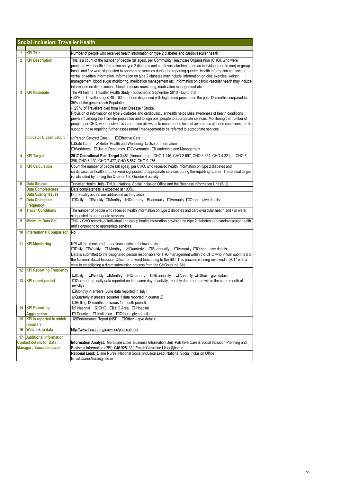| <b>Social Inclusion: Traveller Health</b>                           |                                         |                                                                                                                                                                                                                                                                                                                                                                                                                                                                                                                                                                                                                                                                                                                                                                             |  |
|---------------------------------------------------------------------|-----------------------------------------|-----------------------------------------------------------------------------------------------------------------------------------------------------------------------------------------------------------------------------------------------------------------------------------------------------------------------------------------------------------------------------------------------------------------------------------------------------------------------------------------------------------------------------------------------------------------------------------------------------------------------------------------------------------------------------------------------------------------------------------------------------------------------------|--|
|                                                                     |                                         |                                                                                                                                                                                                                                                                                                                                                                                                                                                                                                                                                                                                                                                                                                                                                                             |  |
| 1                                                                   | <b>KPI Title</b>                        | Number of people who received health information on type 2 diabetes and cardiovascular health                                                                                                                                                                                                                                                                                                                                                                                                                                                                                                                                                                                                                                                                               |  |
| $\overline{2}$                                                      | <b>KPI Description</b>                  | This is a count of the number of people (all ages), per Community Healthcare Organisation (CHO), who were<br>provided with health information on type 2 diabetes and cardiovascular health, on an individual (one to one) or group<br>basis and / or were signposted to appropriate services during the reporting quarter. Health information can include<br>verbal or written information. Information on type 2 diabetes may include iinformation on diet, exercise, weight<br>management, blood sugar monitoring, medication management etc. Information on cardio vascular health may include<br>information on diet, exercise, blood pressure monitoring, medication management etc.                                                                                   |  |
| 3                                                                   | <b>KPI Rationale</b>                    | The All Ireland Traveller Health Study - published in September 2010 - found that:<br>• 52% of Travellers aged 40 – 60 had been diagnosed with high blood pressure in the past 12 months compared to<br>35% of the general Irish Population.<br>• 25 % of Travellers died from Heart Disease / Stroke.<br>Provision of information on type 2 diabetes and cardiovascular health helps raise awareness of health conditions<br>prevalent among the Traveller population and to sign post people to appropriate services. Monitoring the number of<br>people, per CHO, who receive this information allows us to measure the level of awareness of these conditions and to<br>support those requiring further assessment / management to be referred to appropriate services. |  |
|                                                                     | <b>Indicator Classification</b>         | <b>⊠Person Centred Care</b><br>□Effective Care                                                                                                                                                                                                                                                                                                                                                                                                                                                                                                                                                                                                                                                                                                                              |  |
|                                                                     |                                         | ☑ Better Health and Wellbeing □ Use of Information<br>□Safe Care                                                                                                                                                                                                                                                                                                                                                                                                                                                                                                                                                                                                                                                                                                            |  |
|                                                                     |                                         | □Workforce □Use of Resources □Governance □Leadership and Management                                                                                                                                                                                                                                                                                                                                                                                                                                                                                                                                                                                                                                                                                                         |  |
| 4                                                                   | <b>KPI Target</b>                       | 2017 Operational Plan Target 3,481 (Annual target) CHO 1-246, CHO 2-697, CHO 3-351, CHO 4-321,<br>CHO 5-<br>396, CHO 6-130, CHO 7-477, CHO 8-587, CHO 9-276                                                                                                                                                                                                                                                                                                                                                                                                                                                                                                                                                                                                                 |  |
| 5                                                                   | <b>KPI Calculation</b>                  | Count the number of people (all ages), per CHO, who received health information on type 2 diabetes and<br>cardiovascular health and / or were signposted to appropriate services during the reporting quarter. The annual target<br>is calculated by adding the Quarter 1 to Quarter 4 activity.                                                                                                                                                                                                                                                                                                                                                                                                                                                                            |  |
| 6                                                                   | <b>Data Source</b>                      | Traveller Health Units (THUs), National Social Inclusion Office and the Business Information Unit (BIU).                                                                                                                                                                                                                                                                                                                                                                                                                                                                                                                                                                                                                                                                    |  |
|                                                                     | <b>Data Completeness</b>                | Data completeness is expected at 100%.                                                                                                                                                                                                                                                                                                                                                                                                                                                                                                                                                                                                                                                                                                                                      |  |
|                                                                     | <b>Data Quality Issues</b>              | Data quality issues are addressed as they arise.                                                                                                                                                                                                                                                                                                                                                                                                                                                                                                                                                                                                                                                                                                                            |  |
| 7                                                                   | <b>Data Collection</b><br>Frequency     | □Weekly □Monthly ⊠Quarterly Bi-annually □Annually □Other - give details:<br>$\square$ Daily                                                                                                                                                                                                                                                                                                                                                                                                                                                                                                                                                                                                                                                                                 |  |
| 8                                                                   | <b>Tracer Conditions</b>                | The number of people who received health information on type 2 diabetes and cardiovascular health and / or were<br>signposted to appropriate services.                                                                                                                                                                                                                                                                                                                                                                                                                                                                                                                                                                                                                      |  |
| 9                                                                   | <b>Minimum Data Set</b>                 | THU / CHO records of individual and group health information provision on type 2 diabetes and cardiovascular health<br>and signposting to appropriate services.                                                                                                                                                                                                                                                                                                                                                                                                                                                                                                                                                                                                             |  |
| 10                                                                  | <b>International Comparison</b>         | INo.                                                                                                                                                                                                                                                                                                                                                                                                                                                                                                                                                                                                                                                                                                                                                                        |  |
| 11                                                                  | <b>KPI Monitoring</b>                   | KPI will be monitored on a (please indicate below) basis:<br>□Daily □Weekly □ Monthly □ Quarterly □Bi-annually<br>$\Box$ Annually $\Box$ Other – give details:<br>Data is submitted to the designated person responsible for THU management within the CHO who in turn submits it to<br>the National Social Inclusion Office for onward forwarding to the BIU. This process is being reviewed in 2017 with a<br>view to establishing a direct submission process from the CHOs to the BIU.                                                                                                                                                                                                                                                                                  |  |
| 12                                                                  | <b>KPI Reporting Frequency</b>          | $\square$ Weekly $\square$ Monthly $\square$ Quarterly $\square$ Bi-annually $\square$ Annually $\square$ Other – give details:<br>$\square$ Daily                                                                                                                                                                                                                                                                                                                                                                                                                                                                                                                                                                                                                          |  |
| 13                                                                  | <b>KPI report period</b>                | □ Current (e.g. daily data reported on that same day of activity, monthly data reported within the same month of<br>activity)<br>□Monthly in arrears (June data reported in July)<br>$\boxtimes$ Quarterly in arrears (quarter 1 data reported in quarter 2)<br>□Rolling 12 months (previous 12 month period)                                                                                                                                                                                                                                                                                                                                                                                                                                                               |  |
| 14                                                                  | <b>KPI Reporting</b>                    | <b>⊠</b> National<br><b>⊠CHO □LHO</b> Area □ Hospital                                                                                                                                                                                                                                                                                                                                                                                                                                                                                                                                                                                                                                                                                                                       |  |
|                                                                     | <b>Aggregation</b>                      | $\Box$ County<br>$\Box$ Institution $\Box$ Other – give details:                                                                                                                                                                                                                                                                                                                                                                                                                                                                                                                                                                                                                                                                                                            |  |
|                                                                     | 15 KPI is reported in which<br>reports? | ⊠Performance Report (NSP) □ Other - give details:                                                                                                                                                                                                                                                                                                                                                                                                                                                                                                                                                                                                                                                                                                                           |  |
| 16                                                                  | <b>Web link to data</b>                 | http://www.hse.ie/eng/services/publications/                                                                                                                                                                                                                                                                                                                                                                                                                                                                                                                                                                                                                                                                                                                                |  |
| <b>Additional Information</b><br>17                                 |                                         |                                                                                                                                                                                                                                                                                                                                                                                                                                                                                                                                                                                                                                                                                                                                                                             |  |
| <b>Contact details for Data</b><br><b>Manager / Specialist Lead</b> |                                         | Information Analyst: Geraldine Littler, Business Information Unit -Palliative Care & Social Inclusion Planning and<br>Business Information (PBI), 046 9251330 Email: Geraldine.Littler@hse.ie                                                                                                                                                                                                                                                                                                                                                                                                                                                                                                                                                                               |  |
|                                                                     |                                         | National Lead: Diane Nurse, National Social Inclusion Lead, National Social Inclusion Office<br>Email:Diane.Nurse@hse.ie                                                                                                                                                                                                                                                                                                                                                                                                                                                                                                                                                                                                                                                    |  |